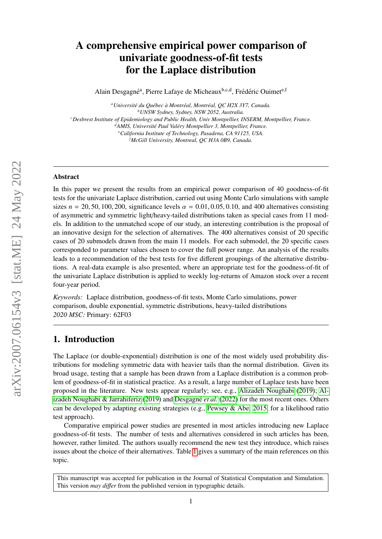# A comprehensive empirical power comparison of univariate goodness-of-fit tests for the Laplace distribution

Alain Desgagné<sup>a</sup>, Pierre Lafaye de Micheaux<sup>b,c,d</sup>, Frédéric Ouimet<sup>e,f</sup>

<sup>a</sup> Université du Québec à Montréal, Montréal, QC H2X 3Y7, Canada. *<sup>b</sup>UNSW Sydney, Sydney, NSW 2052, Australia. <sup>c</sup>Desbrest Institute of Epidemiology and Public Health, Univ Montpellier, INSERM, Montpellier, France. <sup>d</sup>AMIS, Universit´e Paul Val´ery Montpellier 3, Montpellier, France. <sup>e</sup>California Institute of Technology, Pasadena, CA 91125, USA. <sup>f</sup>McGill University, Montreal, QC H3A 0B9, Canada.*

#### Abstract

In this paper we present the results from an empirical power comparison of 40 goodness-of-fit tests for the univariate Laplace distribution, carried out using Monte Carlo simulations with sample sizes  $n = 20, 50, 100, 200$ , significance levels  $\alpha = 0.01, 0.05, 0.10$ , and 400 alternatives consisting of asymmetric and symmetric light/heavy-tailed distributions taken as special cases from 11 models. In addition to the unmatched scope of our study, an interesting contribution is the proposal of an innovative design for the selection of alternatives. The 400 alternatives consist of 20 specific cases of 20 submodels drawn from the main 11 models. For each submodel, the 20 specific cases corresponded to parameter values chosen to cover the full power range. An analysis of the results leads to a recommendation of the best tests for five different groupings of the alternative distributions. A real-data example is also presented, where an appropriate test for the goodness-of-fit of the univariate Laplace distribution is applied to weekly log-returns of Amazon stock over a recent four-year period.

*Keywords:* Laplace distribution, goodness-of-fit tests, Monte Carlo simulations, power comparison, double exponential, symmetric distributions, heavy-tailed distributions *2020 MSC:* Primary: 62F03

### 1. Introduction

The Laplace (or double-exponential) distribution is one of the most widely used probability distributions for modeling symmetric data with heavier tails than the normal distribution. Given its broad usage, testing that a sample has been drawn from a Laplace distribution is a common problem of goodness-of-fit in statistical practice. As a result, a large number of Laplace tests have been proposed in the literature. New tests appear regularly; see, e.g., [Alizadeh Noughabi](#page-21-0) [\(2019\)](#page-21-0); [Al](#page-21-1)[izadeh Noughabi & Jarrahiferiz](#page-21-1) [\(2019\)](#page-21-1) and Desgagné *et al.* [\(2022\)](#page-21-2) for the most recent ones. Others can be developed by adapting existing strategies (e.g., [Pewsey & Abe, 2015,](#page-22-0) for a likelihood ratio test approach).

Comparative empirical power studies are presented in most articles introducing new Laplace goodness-of-fit tests. The number of tests and alternatives considered in such articles has been, however, rather limited. The authors usually recommend the new test they introduce, which raises issues about the choice of their alternatives. Table [1](#page-1-0) gives a summary of the main references on this topic.

This manuscript was accepted for publication in the Journal of Statistical Computation and Simulation. This version *may di*ff*er* from the published version in typographic details.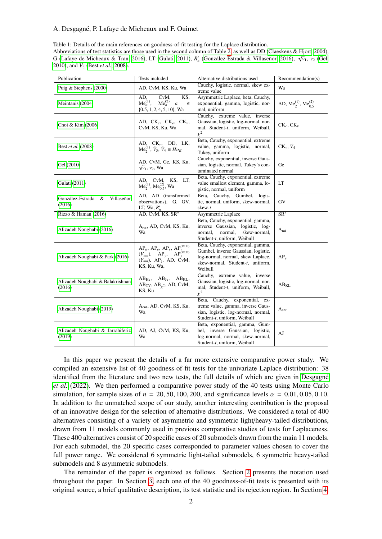<span id="page-1-0"></span>Table 1: Details of the main references on goodness-of-fit testing for the Laplace distribution. Abbreviations of test statistics are those used in the second column of Table [2,](#page-3-0) as well as DD [\(Claeskens & Hjort, 2004\)](#page-21-3), G [\(Lafaye de Micheaux & Tran, 2016\)](#page-21-4), LT [\(Gulati, 2011\)](#page-21-5),  $R'_n$  (González-Estrada & Villaseñor, [2016\)](#page-21-6),  $\sqrt{v_1}$ ,  $v_2$  [\(Gel,](#page-21-7) [2010\)](#page-21-7), and  $\tilde{V}_3$  (Best *[et al.](#page-21-8)*, [2008\)](#page-21-8).

| Publication                                   | Tests included                                                                                                                                                                           | Alternative distributions used                                                                                                                               | Recommendation(s)                                      |
|-----------------------------------------------|------------------------------------------------------------------------------------------------------------------------------------------------------------------------------------------|--------------------------------------------------------------------------------------------------------------------------------------------------------------|--------------------------------------------------------|
| Puig & Stephens (2000)                        | AD, CvM, KS, Ku, Wa                                                                                                                                                                      | Cauchy, logistic, normal, skew ex-<br>treme value                                                                                                            | Wa                                                     |
| Meintanis (2004)                              | CvM,<br>KS,<br>AD.<br>$Me_a^{(1)}$ ,<br>$Me_a^{(2)}$<br>$\boldsymbol{a}$<br>$\in$<br>$\{0.5, 1, 2, 4, 5, 10\}$ , Wa                                                                      | Asymmetric Laplace, beta, Cauchy,<br>exponential, gamma, logistic, nor-<br>mal, uniform                                                                      | AD, Me <sub>2</sub> <sup>(1)</sup> , Me <sub>0.5</sub> |
| Choi & Kim (2006)                             | AD, $CK_c$ , $CK_e$ , $CK_v$ ,<br>CvM, KS, Ku, Wa                                                                                                                                        | Cauchy, extreme value, inverse<br>Gaussian, logistic, log-normal, nor-<br>mal, Student-t, uniform, Weibull,<br>$\chi^2$                                      | $CK_c, CK_v$                                           |
| Best et al. (2008)                            | AD, $CK_v$ , DD, LK, $Me_2^{(1)}$ , $\tilde{V}_3$ , $\tilde{V}_4 \equiv Ho_K$                                                                                                            | Beta, Cauchy, exponential, extreme<br>value, gamma, logistic, normal,<br>Tukey, uniform                                                                      | $CK_v, V_4$                                            |
| Gel (2010)                                    | AD, CvM, Ge, KS, Ku,<br>$\sqrt{v_1}$ , $v_2$ , Wa                                                                                                                                        | Cauchy, exponential, inverse Gaus-<br>sian, logistic, normal, Tukey's con-<br>taminated normal                                                               | Ge                                                     |
| Gulati (2011)                                 | AD, CvM, KS, LT,<br>$Me_2^{(1)}$ , $Me_{0.5}^{(2)}$ , Wa                                                                                                                                 | Beta, Cauchy, exponential, extreme<br>value smallest element, gamma, lo-<br>gistic, normal, uniform                                                          | LT                                                     |
| Villaseñor<br>González-Estrada<br>&<br>(2016) | AD, AD (transformed<br>observations), G, GV,<br>LT, Wa, $R'_n$                                                                                                                           | Beta, Cauchy, Gumbel, logis-<br>tic, normal, uniform, skew-normal,<br>skew-t                                                                                 | GV                                                     |
| Rizzo & Haman (2016)                          | AD, CvM, KS, SR*                                                                                                                                                                         | Asymmetric Laplace                                                                                                                                           | $SR^*$                                                 |
| Alizadeh Noughabi (2016)                      | Arat, AD, CvM, KS, Ku,<br>Wa                                                                                                                                                             | Beta, Cauchy, exponential, gamma,<br>inverse Gaussian, logistic, log-<br>normal,<br>skew-normal,<br>normal,<br>Student-t, uniform, Weibull                   | $A_{rat}$                                              |
| Alizadeh Noughabi & Park (2016)               | AP <sub>a</sub> , AP <sub>e</sub> , AP <sub>v</sub> , AP <sub>v</sub> <sup>(MLE)</sup><br>$(V_{mn})$ , $AP_y$ , $AP_y^{(MLE)}$<br>$(Y_{mn})$ , AP <sub>z</sub> , AD, CvM,<br>KS, Ku, Wa, | Beta, Cauchy, exponential, gamma,<br>Gumbel, inverse Gaussian, logistic,<br>log-normal, normal, skew Laplace,<br>skew-normal, Student-t, uniform,<br>Weibull | $AP_v$                                                 |
| Alizadeh Noughabi & Balakrishnan<br>(2016)    | $AB_{He}$ , $AB_{Je}$ , $AB_{KL}$ ,<br>$AB_{TV}$ , $AB_{\gamma^2}$ , AD, CvM,<br>KS, Ku                                                                                                  | Cauchy, extreme value, inverse<br>Gaussian, logistic, log-normal, nor-<br>mal, Student-t, uniform, Weibull,<br>$\chi^2$                                      | $AB_{KL}$                                              |
| Alizadeh Noughabi (2019)                      | A <sub>ent</sub> , AD, CvM, KS, Ku,<br>Wa                                                                                                                                                | Beta, Cauchy, exponential, ex-<br>treme value, gamma, inverse Gaus-<br>sian, logistic, log-normal, normal,<br>Student-t, uniform, Weibull                    | $A_{ent}$                                              |
| Alizadeh Noughabi & Jarrahiferiz<br>(2019)    | AD, AJ, CvM, KS, Ku,<br>Wa                                                                                                                                                               | Beta, exponential, gamma, Gum-<br>bel, inverse Gaussian, logistic,<br>log-normal, normal, skew-normal,<br>Student-t, uniform, Weibull                        | AJ                                                     |

In this paper we present the details of a far more extensive comparative power study. We compiled an extensive list of 40 goodness-of-fit tests for the univariate Laplace distribution: 38 identified from the literature and two new tests, the full details of which are given in Desgagné *[et al.](#page-21-2)* [\(2022\)](#page-21-2). We then performed a comparative power study of the 40 tests using Monte Carlo simulation, for sample sizes of  $n = 20, 50, 100, 200$ , and significance levels  $\alpha = 0.01, 0.05, 0.10$ . In addition to the unmatched scope of our study, another interesting contribution is the proposal of an innovative design for the selection of alternative distributions. We considered a total of 400 alternatives consisting of a variety of asymmetric and symmetric light/heavy-tailed distributions, drawn from 11 models commonly used in previous comparative studies of tests for Laplaceness. These 400 alternatives consist of 20 specific cases of 20 submodels drawn from the main 11 models. For each submodel, the 20 specific cases corresponded to parameter values chosen to cover the full power range. We considered 6 symmetric light-tailed submodels, 6 symmetric heavy-tailed submodels and 8 asymmetric submodels.

The remainder of the paper is organized as follows. Section [2](#page-2-0) presents the notation used throughout the paper. In Section [3,](#page-3-1) each one of the 40 goodness-of-fit tests is presented with its original source, a brief qualitative description, its test statistic and its rejection region. In Section [4,](#page-13-0)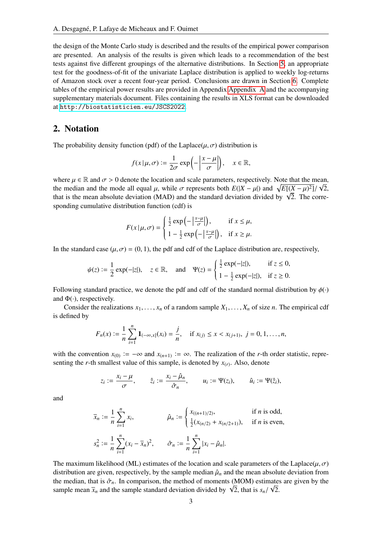the design of the Monte Carlo study is described and the results of the empirical power comparison are presented. An analysis of the results is given which leads to a recommendation of the best tests against five different groupings of the alternative distributions. In Section [5,](#page-19-0) an appropriate test for the goodness-of-fit of the univariate Laplace distribution is applied to weekly log-returns of Amazon stock over a recent four-year period. Conclusions are drawn in Section [6.](#page-20-0) Complete tables of the empirical power results are provided in Appendix [Appendix A](#page-22-4) and the accompanying supplementary materials document. Files containing the results in XLS format can be downloaded at <http://biostatisticien.eu/JSCS2022>.

### <span id="page-2-0"></span>2. Notation

The probability density function (pdf) of the Laplace( $\mu$ ,  $\sigma$ ) distribution is

$$
f(x | \mu, \sigma) := \frac{1}{2\sigma} \exp\left(-\left|\frac{x-\mu}{\sigma}\right|\right), \quad x \in \mathbb{R},
$$

where  $\mu \in \mathbb{R}$  and  $\sigma > 0$  denote the location and scale parameters, respectively. Note that the mean,<br>the median and the mode all equal  $\mu$ , while  $\sigma$  represents both  $F(|X - \mu|)$  and  $\sqrt{F[(X - \mu)^2]/\sqrt{2}}$ the median and the mode all equal  $\mu$ , while  $\sigma$  represents both  $E(|X - \mu|)$  and  $\sqrt{E[(X - \mu)^2]}/\sqrt{2}$ ,<br>that is the mean absolute deviation (MAD) and the standard deviation divided by  $\sqrt{2}$ . The correthe meal and the mode all equal  $\mu$ , while  $\sigma$  represents both  $E(|X - \mu|)$  and  $\sqrt{E[(X - \mu)^2]}/\sqrt{2}$ , that is the mean absolute deviation (MAD) and the standard deviation divided by  $\sqrt{2}$ . The corresponding cumulative distribution function (cdf) is

$$
F(x | \mu, \sigma) = \begin{cases} \frac{1}{2} \exp\left(-\left|\frac{x-\mu}{\sigma}\right|\right), & \text{if } x \le \mu, \\ 1 - \frac{1}{2} \exp\left(-\left|\frac{x-\mu}{\sigma}\right|\right), & \text{if } x \ge \mu. \end{cases}
$$

In the standard case  $(\mu, \sigma) = (0, 1)$ , the pdf and cdf of the Laplace distribution are, respectively,

$$
\psi(z) := \frac{1}{2} \exp(-|z|), \quad z \in \mathbb{R}, \quad \text{and} \quad \Psi(z) = \begin{cases} \frac{1}{2} \exp(-|z|), & \text{if } z \le 0, \\ 1 - \frac{1}{2} \exp(-|z|), & \text{if } z \ge 0. \end{cases}
$$

Following standard practice, we denote the pdf and cdf of the standard normal distribution by  $\phi(\cdot)$ and  $\Phi(\cdot)$ , respectively.

Consider the realizations  $x_1, \ldots, x_n$  of a random sample  $X_1, \ldots, X_n$  of size *n*. The empirical cdf is defined by

$$
F_n(x) := \frac{1}{n} \sum_{i=1}^n \mathbf{1}_{(-\infty, x]}(x_i) = \frac{j}{n}, \quad \text{if } x_{(j)} \leq x < x_{(j+1)}, \ j = 0, 1, \dots, n,
$$

with the convention  $x_{(0)} := -\infty$  and  $x_{(n+1)} := \infty$ . The realization of the *r*-th order statistic, representing the *r*-th smallest value of this sample, is denoted by  $x(r)$ . Also, denote

$$
z_i := \frac{x_i - \mu}{\sigma}, \qquad \hat{z}_i := \frac{x_i - \hat{\mu}_n}{\hat{\sigma}_n}, \qquad u_i := \Psi(z_i), \qquad \hat{u}_i := \Psi(\hat{z}_i),
$$

and

$$
\overline{x}_n := \frac{1}{n} \sum_{i=1}^n x_i, \qquad \hat{\mu}_n := \begin{cases} x_{((n+1)/2)}, & \text{if } n \text{ is odd,} \\ \frac{1}{2} (x_{(n/2)} + x_{(n/2+1)}), & \text{if } n \text{ is even,} \end{cases}
$$
  

$$
s_n^2 := \frac{1}{n} \sum_{i=1}^n (x_i - \overline{x}_n)^2, \qquad \hat{\sigma}_n := \frac{1}{n} \sum_{i=1}^n |x_i - \hat{\mu}_n|.
$$

The maximum likelihood (ML) estimates of the location and scale parameters of the Laplace( $\mu, \sigma$ ) distribution are given, respectively, by the sample median  $\hat{\mu}_n$  and the mean absolute deviation from the median, that is  $\hat{\sigma}_n$ . In comparison, the method of moments (MOM) estimates are given by the sample mean  $\bar{x}$  and the sample standard deviation divided by  $\sqrt{2}$  that is  $s/\sqrt{2}$ the meanan, that is  $\sigma_n$ . In comparison, the method or moments (MOM) estimate<br>sample mean  $\bar{x}_n$  and the sample standard deviation divided by  $\sqrt{2}$ , that is  $s_n/\sqrt{2}$ .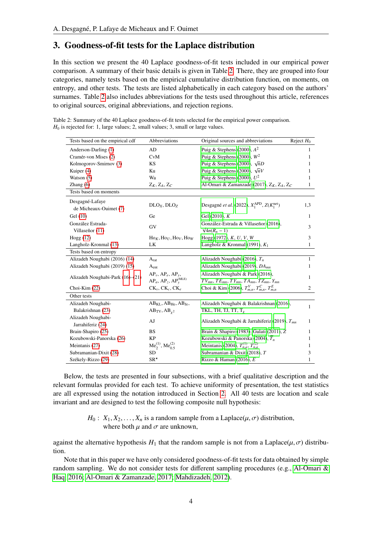## <span id="page-3-1"></span>3. Goodness-of-fit tests for the Laplace distribution

In this section we present the 40 Laplace goodness-of-fit tests included in our empirical power comparison. A summary of their basic details is given in Table [2.](#page-3-0) There, they are grouped into four categories, namely tests based on the empirical cumulative distribution function, on moments, on entropy, and other tests. The tests are listed alphabetically in each category based on the authors' surnames. Table [2](#page-3-0) also includes abbreviations for the tests used throughout this article, references to original sources, original abbreviations, and rejection regions.

<span id="page-3-0"></span>Table 2: Summary of the 40 Laplace goodness-of-fit tests selected for the empirical power comparison.  $H_0$  is rejected for: 1, large values; 2, small values; 3, small or large values.

| Tests based on the empirical cdf          | Abbreviations                                                         | Original sources and abbreviations                                                                       | Reject $H_0$ |
|-------------------------------------------|-----------------------------------------------------------------------|----------------------------------------------------------------------------------------------------------|--------------|
| Anderson-Darling (1)                      | AD                                                                    | Puig & Stephens (2000), $A^2$                                                                            | 1            |
| Cramér-von Mises (2)                      | CvM                                                                   | Puig & Stephens (2000), $W^2$                                                                            | 1            |
| Kolmogorov-Smirnov (3)                    | KS                                                                    | Puig & Stephens (2000), $\sqrt{n}D$                                                                      | 1            |
| Kuiper (4)                                | Ku                                                                    | Puig & Stephens (2000), $\sqrt{n}V$                                                                      | 1            |
| Watson $(5)$                              | Wa                                                                    | Puig & Stephens (2000), $U^2$                                                                            | 1            |
| Zhang $(6)$                               | $Z_K$ , $Z_A$ , $Z_C$                                                 | Al-Omari & Zamanzade (2017), $Z_K$ , $Z_A$ , $Z_C$                                                       | 1            |
| Tests based on moments                    |                                                                       |                                                                                                          |              |
| Desgagné-Lafaye<br>de Micheaux-Ouimet (7) | DLO <sub>X</sub> , DLO <sub>Z</sub>                                   | Desgagné et al. (2022), $X_1^{\text{APD}}$ , $Z(K_1^{\text{net}})$                                       | 1,3          |
| Gel (10)                                  | Ge                                                                    | Gel $(2010)$ , $K$                                                                                       | 1            |
| González Estrada-                         |                                                                       | González-Estrada & Villaseñor (2016),                                                                    |              |
| Villaseñor (11)                           | GV                                                                    | $\sqrt{4n}(R_n-1)$                                                                                       | 3            |
| Hogg(12)                                  | $\text{Ho}_K, \text{Ho}_U, \text{Ho}_V, \text{Ho}_W$                  | Hogg $(1972)$ , K, U, V, W                                                                               | 3            |
| Langholz-Kronmal (13)                     | LK                                                                    | Langholz & Kronmal (1991), $K_1$                                                                         | 1            |
| Tests based on entropy                    |                                                                       |                                                                                                          |              |
| Alizadeh Noughabi (2016) (14)             | $A_{rat}$                                                             | Alizadeh Noughabi (2016), $T_n$                                                                          | $\mathbf{1}$ |
| Alizadeh Noughabi (2019) (15)             | A <sub>ent</sub>                                                      | Alizadeh Noughabi (2019), DA <sub>mn</sub>                                                               | 1            |
| Alizadeh Noughabi-Park (16)–(21)          | $AP_v$ , $AP_e$ , $AP_v$ ,<br>$AP_a$ , $AP_z$ , $AP_y^{\text{(MLE)}}$ | Alizadeh Noughabi & Park (2016),<br>$TV_{mn}$ , $TE_{mn}$ , $TY_{mn}$ , $TA_{mn}$ , $TZ_{mn}$ , $Y_{mn}$ | 1            |
| Choi-Kim $(22)$                           | $CK_v, CK_c, CK_e$                                                    | Choi & Kim (2006), $T_{m,n}^V$ , $T_{m,n}^C$ , $T_{m,n}^E$                                               | 2            |
| Other tests                               |                                                                       |                                                                                                          |              |
| Alizadeh Noughabi-                        | $AB_{KL}$ , $AB_{He}$ , $AB_{Je}$ ,                                   | Alizadeh Noughabi & Balakrishnan (2016),                                                                 | 1            |
| Balakrishnan (23)                         | $AB_{TV}, AB_{r^2}$                                                   | TKL, TH, TJ, TT, $T_{Y}$                                                                                 |              |
| Alizadeh Noughabi-                        | AJ                                                                    | Alizadeh Noughabi & Jarrahiferiz (2019), $T_{mn}$                                                        | 1            |
| Jarrahiferiz (24)                         |                                                                       |                                                                                                          |              |
| Brain-Shapiro (25)                        | <b>BS</b>                                                             | Brain & Shapiro (1983); Gulati (2011), Z                                                                 | 1            |
| Kozubowski-Panorska (26)                  | KP                                                                    | Kozubowski & Panorska (2004), $T_n$                                                                      | 1            |
| Meintanis (27)                            | $Me_2^{(1)}$ , $Me_{0.5}^{(2)}$                                       | Meintanis (2004), $T_{n,a}^{(1)}$ , $T_{n,a}^{(2)}$                                                      | 1            |
| Subramanian-Dixit (28)                    | SD                                                                    | Subramanian & Dixit (2018), T                                                                            | 3            |
| Székely-Rizzo (29)                        | $\text{SR}^{\star}$                                                   | Rizzo & Haman $(2016)$ , E                                                                               | 1            |

Below, the tests are presented in four subsections, with a brief qualitative description and the relevant formulas provided for each test. To achieve uniformity of presentation, the test statistics are all expressed using the notation introduced in Section [2.](#page-2-0) All 40 tests are location and scale invariant and are designed to test the following composite null hypothesis:

> *H*<sub>0</sub> : *X*<sub>1</sub>, *X*<sub>2</sub>, . . . , *X*<sub>*n*</sub> is a random sample from a Laplace( $\mu$ ,  $\sigma$ ) distribution, where both  $\mu$  and  $\sigma$  are unknown,

against the alternative hypothesis  $H_1$  that the random sample is not from a Laplace( $\mu$ ,  $\sigma$ ) distribution.

Note that in this paper we have only considered goodness-of-fit tests for data obtained by simple random sampling. We do not consider tests for different sampling procedures (e.g., [Al-Omari &](#page-21-18) [Haq, 2016;](#page-21-18) [Al-Omari & Zamanzade, 2017;](#page-21-13) [Mahdizadeh, 2012\)](#page-22-6).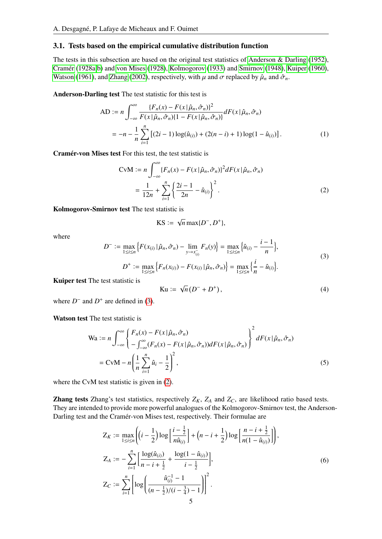#### 3.1. Tests based on the empirical cumulative distribution function

The tests in this subsection are based on the original test statistics of [Anderson & Darling](#page-21-19) [\(1952\)](#page-21-19), [Cramer](#page-21-20) [\(1928a,](#page-21-20)[b\)](#page-21-21) and [von Mises](#page-22-7) [\(1928\)](#page-22-7), [Kolmogorov](#page-21-22) [\(1933\)](#page-21-22) and [Smirnov](#page-22-8) [\(1948\)](#page-22-8), [Kuiper](#page-21-23) [\(1960\)](#page-21-23), ´ [Watson](#page-22-9) [\(1961\)](#page-22-9), and [Zhang](#page-22-10) [\(2002\)](#page-22-10), respectively, with  $\mu$  and  $\sigma$  replaced by  $\hat{\mu}_n$  and  $\hat{\sigma}_n$ .

Anderson-Darling test The test statistic for this test is

AD := 
$$
n \int_{-\infty}^{\infty} \frac{\{F_n(x) - F(x | \hat{\mu}_n, \hat{\sigma}_n)\}^2}{F(x | \hat{\mu}_n, \hat{\sigma}_n)\{1 - F(x | \hat{\mu}_n, \hat{\sigma}_n)\}} dF(x | \hat{\mu}_n, \hat{\sigma}_n)
$$
  
=  $-n - \frac{1}{n} \sum_{i=1}^n [(2i - 1) \log(\hat{u}_{(i)}) + (2(n - i) + 1) \log(1 - \hat{u}_{(i)})].$  (1)

Cramér-von Mises test For this test, the test statistic is

$$
CvM := n \int_{-\infty}^{\infty} \{F_n(x) - F(x | \hat{\mu}_n, \hat{\sigma}_n)\}^2 dF(x | \hat{\mu}_n, \hat{\sigma}_n)
$$
  
= 
$$
\frac{1}{12n} + \sum_{i=1}^n \left\{ \frac{2i-1}{2n} - \hat{u}_{(i)} \right\}^2.
$$
 (2)

Kolmogorov-Smirnov test The test statistic is

<span id="page-4-1"></span><span id="page-4-0"></span>
$$
KS := \sqrt{n} \max\{D^-, D^+\},
$$

where

<span id="page-4-2"></span>
$$
D^{-} := \max_{1 \le i \le n} \left\{ F(x_{(i)} | \hat{\mu}_n, \hat{\sigma}_n) - \lim_{y \to x_{(i)}^-} F_n(y) \right\} = \max_{1 \le i \le n} \left\{ \hat{u}_{(i)} - \frac{i - 1}{n} \right\},
$$
  
\n
$$
D^{+} := \max_{1 \le i \le n} \left\{ F_n(x_{(i)}) - F(x_{(i)} | \hat{\mu}_n, \hat{\sigma}_n) \right\} = \max_{1 \le i \le n} \left\{ \frac{i}{n} - \hat{u}_{(i)} \right\}.
$$
\n(3)

Kuiper test The test statistic is

<span id="page-4-4"></span><span id="page-4-3"></span>
$$
Ku := \sqrt{n}(D^{-} + D^{+}),
$$
\n(4)

where  $D^-$  and  $D^+$  are defined in [\(3\)](#page-4-2).

Watson test The test statistic is

$$
\begin{split} \text{Wa} &:= n \int_{-\infty}^{\infty} \left\{ F_n(x) - F(x | \hat{\mu}_n, \hat{\sigma}_n) - \int_{-\infty}^{\infty} (F_n(x) - F(x | \hat{\mu}_n, \hat{\sigma}_n)) dF(x | \hat{\mu}_n, \hat{\sigma}_n) \right\}^2 dF(x | \hat{\mu}_n, \hat{\sigma}_n) \\ &= \text{CvM} - n \left( \frac{1}{n} \sum_{i=1}^n \hat{u}_i - \frac{1}{2} \right)^2, \end{split} \tag{5}
$$

where the CvM test statistic is given in [\(2\)](#page-4-1).

**Zhang tests** Zhang's test statistics, respectively  $Z_K$ ,  $Z_A$  and  $Z_C$ , are likelihood ratio based tests. They are intended to provide more powerful analogues of the Kolmogorov-Smirnov test, the Anderson-Darling test and the Cramér-von Mises test, respectively. Their formulae are

<span id="page-4-5"></span>
$$
Z_K := \max_{1 \le i \le n} \left( \left( i - \frac{1}{2} \right) \log \left[ \frac{i - \frac{1}{2}}{n \hat{u}_{(i)}} \right] + \left( n - i + \frac{1}{2} \right) \log \left[ \frac{n - i + \frac{1}{2}}{n(1 - \hat{u}_{(i)})} \right] \right),
$$
  
\n
$$
Z_A := -\sum_{i=1}^n \left[ \frac{\log(\hat{u}_{(i)})}{n - i + \frac{1}{2}} + \frac{\log(1 - \hat{u}_{(i)})}{i - \frac{1}{2}} \right],
$$
  
\n
$$
Z_C := \sum_{i=1}^n \left[ \log \left( \frac{\hat{u}_{(i)}^{-1} - 1}{(n - \frac{1}{2})/(i - \frac{3}{4}) - 1} \right) \right]^2.
$$
  
\n(6)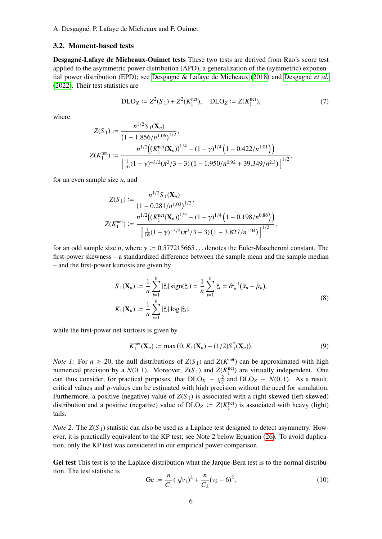#### 3.2. Moment-based tests

Desgagné-Lafaye de Micheaux-Ouimet tests These two tests are derived from Rao's score test applied to the asymmetric power distribution (APD), a generalization of the (symmetric) exponen-tial power distribution (EPD); see Desgagné & Lafaye de Micheaux [\(2018\)](#page-21-24) and [Desgagn](#page-21-2)é et al. [\(2022\)](#page-21-2). Their test statistics are

<span id="page-5-0"></span>
$$
DLO_X := Z^2(S_1) + Z^2(K_1^{\text{net}}), \quad DLO_Z := Z(K_1^{\text{net}}), \tag{7}
$$

where

$$
Z(S_1) := \frac{n^{1/2} S_1(\mathbf{X}_n)}{(1 - 1.856/n^{1.06})^{1/2}},
$$
  
\n
$$
Z(K_1^{\text{net}}) := \frac{n^{1/2} \left( \left( K_1^{\text{net}}(\mathbf{X}_n) \right)^{1/4} - (1 - \gamma)^{1/4} \left( 1 - 0.422/n^{1.01} \right) \right)}{\left[ \frac{1}{16} (1 - \gamma)^{-3/2} (\pi^2/3 - 3) (1 - 1.950/n^{0.92} + 39.349/n^{2.3}) \right]^{1/2}},
$$

for an even sample size *n*, and

$$
Z(S_1) := \frac{n^{1/2} S_1(\mathbf{X}_n)}{(1 - 0.281/n^{1.03})^{1/2}},
$$
  
\n
$$
Z(K_1^{\text{net}}) := \frac{n^{1/2} \left( \left( K_1^{\text{net}}(\mathbf{X}_n) \right)^{1/4} - (1 - \gamma)^{1/4} \left( 1 - 0.198/n^{0.86} \right) \right)}{\left[ \frac{1}{16} (1 - \gamma)^{-3/2} (\pi^2 / 3 - 3) (1 - 3.827/n^{1.04}) \right]^{1/2}},
$$

for an odd sample size *n*, where  $\gamma := 0.577215665...$  denotes the Euler-Mascheroni constant. The first-power skewness – a standardized difference between the sample mean and the sample median – and the first-power kurtosis are given by

$$
S_1(\mathbf{X}_n) := \frac{1}{n} \sum_{i=1}^n |\hat{z}_i| \operatorname{sign}(\hat{z}_i) = \frac{1}{n} \sum_{i=1}^n \hat{z}_i = \hat{\sigma}_n^{-1} (\bar{x}_n - \hat{\mu}_n),
$$
  
\n
$$
K_1(\mathbf{X}_n) := \frac{1}{n} \sum_{i=1}^n |\hat{z}_i| \log |\hat{z}_i|,
$$
\n(8)

while the first-power net kurtosis is given by

$$
K_1^{\text{net}}(\mathbf{X}_n) := \max(0, K_1(\mathbf{X}_n) - (1/2)S_1^2(\mathbf{X}_n)).
$$
\n(9)

*Note 1:* For  $n \ge 20$ , the null distributions of  $Z(S_1)$  and  $Z(K_1^{\text{net}})$  can be approximated with high numerical precision by a  $N(0, 1)$ . Moreover,  $Z(S_1)$  and  $Z(K_1^{\text{net}})$  are virtually independent. One<br>can thus consider for prectical purposes, that  $DI$  O<sub>U, at</sub>  $\chi^2$  and  $DI$  O<sub>E, at</sub>  $N(0, 1)$ . As a result can thus consider, for practical purposes, that  $DLO_X \sim \chi^2$  and  $DLO_Z \sim N(0, 1)$ . As a result, critical values and p values can be estimated with high precision without the need for simulation critical values and *p*-values can be estimated with high precision without the need for simulation. Furthermore, a positive (negative) value of  $Z(S_1)$  is associated with a right-skewed (left-skewed) distribution and a positive (negative) value of  $DLO_Z := Z(K_1^{\text{net}})$  is associated with heavy (light) tails.

*Note 2:* The  $Z(S_1)$  statistic can also be used as a Laplace test designed to detect asymmetry. However, it is practically equivalent to the KP test; see Note 2 below Equation [\(26\)](#page-11-2). To avoid duplication, only the KP test was considered in our empirical power comparison.

Gel test This test is to the Laplace distribution what the Jarque-Bera test is to the normal distribution. The test statistic is

<span id="page-5-1"></span>
$$
\text{Ge} := \frac{n}{C_1} (\sqrt{v_1})^2 + \frac{n}{C_2} (v_2 - 6)^2, \tag{10}
$$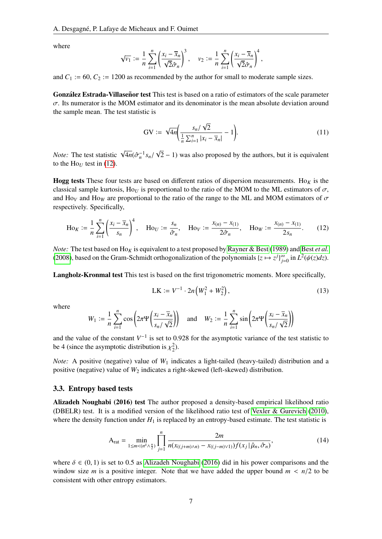where

$$
\sqrt{v_1} := \frac{1}{n} \sum_{i=1}^n \left( \frac{x_i - \overline{x}_n}{\sqrt{2} \hat{\sigma}_n} \right)^3, \quad v_2 := \frac{1}{n} \sum_{i=1}^n \left( \frac{x_i - \overline{x}_n}{\sqrt{2} \hat{\sigma}_n} \right)^4,
$$

and  $C_1 := 60$ ,  $C_2 := 1200$  as recommended by the author for small to moderate sample sizes.

González Estrada-Villaseñor test This test is based on a ratio of estimators of the scale parameter  $\sigma$ . Its numerator is the MOM estimator and its denominator is the mean absolute deviation around the sample mean. The test statistic is

<span id="page-6-0"></span>
$$
GV := \sqrt{4n} \left( \frac{s_n / \sqrt{2}}{\frac{1}{n} \sum_{i=1}^n |x_i - \overline{x}_n|} - 1 \right).
$$
 (11)

*Note:* The test statistic <sup>√</sup>  $\overline{4n}(\hat{\sigma}_n^{-1}s_n)$ √  $(2 - 1)$  was also proposed by the authors, but it is equivalent to the Ho<sub>U</sub> test in  $(12)$ .

**Hogg tests** These four tests are based on different ratios of dispersion measurements. Ho<sub>K</sub> is the classical sample kurtosis, Ho<sub>*U*</sub> is proportional to the ratio of the MOM to the ML estimators of  $\sigma$ , and Ho<sub>V</sub> and Ho<sub>W</sub> are proportional to the ratio of the range to the ML and MOM estimators of  $\sigma$ respectively. Specifically,

<span id="page-6-1"></span>
$$
\text{Ho}_K := \frac{1}{n} \sum_{i=1}^n \left( \frac{x_i - \overline{x}_n}{s_n} \right)^4, \quad \text{Ho}_U := \frac{s_n}{\hat{\sigma}_n}, \quad \text{Ho}_V := \frac{x_{(n)} - x_{(1)}}{2\hat{\sigma}_n}, \quad \text{Ho}_W := \frac{x_{(n)} - x_{(1)}}{2s_n}.
$$
 (12)

*Note:* The test based on  $\text{Ho}_K$  is equivalent to a test proposed by [Rayner & Best](#page-22-11) [\(1989\)](#page-22-11) and Best *[et al.](#page-21-8)* [\(2008\)](#page-21-8), based on the Gram-Schmidt orthogonalization of the polynomials  $\{z \mapsto z^j\}_{i=1}^{\infty}$  $\sum_{j=0}^{\infty}$  in  $L^2(\psi(z)dz)$ .

Langholz-Kronmal test This test is based on the first trigonometric moments. More specifically,

<span id="page-6-2"></span>
$$
LK := V^{-1} \cdot 2n \left( W_1^2 + W_2^2 \right),\tag{13}
$$

where

$$
W_1 := \frac{1}{n} \sum_{i=1}^n \cos \left( 2\pi \Psi \left( \frac{x_i - \overline{x}_n}{s_n / \sqrt{2}} \right) \right) \quad \text{and} \quad W_2 := \frac{1}{n} \sum_{i=1}^n \sin \left( 2\pi \Psi \left( \frac{x_i - \overline{x}_n}{s_n / \sqrt{2}} \right) \right)
$$

and the value of the constant  $V^{-1}$  is set to 0.928 for the asymptotic variance of the test statistic to be 4 (since the asymptotic distribution is  $\chi_2^2$ ).

*Note:* A positive (negative) value of  $W_1$  indicates a light-tailed (heavy-tailed) distribution and a positive (negative) value of  $W_2$  indicates a right-skewed (left-skewed) distribution.

#### 3.3. Entropy based tests

Alizadeh Noughabi (2016) test The author proposed a density-based empirical likelihood ratio (DBELR) test. It is a modified version of the likelihood ratio test of [Vexler & Gurevich](#page-22-12) [\(2010\)](#page-22-12), where the density function under  $H_1$  is replaced by an entropy-based estimate. The test statistic is

<span id="page-6-3"></span>
$$
A_{rat} = \min_{1 \le m < (n^{\delta} \wedge \frac{n}{2})} \prod_{j=1}^{n} \frac{2m}{n(x_{((j+m)\wedge n)} - x_{((j-m)\vee 1)}) f(x_j | \hat{\mu}_n, \hat{\sigma}_n)},\tag{14}
$$

where  $\delta \in (0, 1)$  is set to 0.5 as [Alizadeh Noughabi](#page-21-10) [\(2016\)](#page-21-10) did in his power comparisons and the window size *m* is a positive integer. Note that we have added the upper bound  $m < n/2$  to be consistent with other entropy estimators.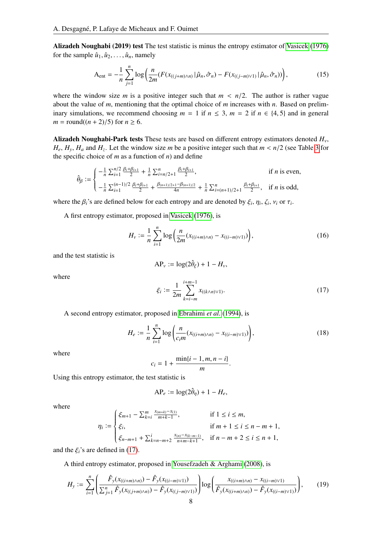Alizadeh Noughabi (2019) test The test statistic is minus the entropy estimator of [Vasicek](#page-22-13) [\(1976\)](#page-22-13) for the sample  $\hat{u}_1, \hat{u}_2, \dots, \hat{u}_n$ , namely

<span id="page-7-0"></span>
$$
A_{\text{ent}} = -\frac{1}{n} \sum_{j=1}^{n} \log \left( \frac{n}{2m} (F(x_{((j+m)\wedge n)} | \hat{\mu}_n, \hat{\sigma}_n) - F(x_{((j-m)\vee 1)} | \hat{\mu}_n, \hat{\sigma}_n)) \right), \tag{15}
$$

where the window size *m* is a positive integer such that  $m < n/2$ . The author is rather vague about the value of *m*, mentioning that the optimal choice of *m* increases with *n*. Based on preliminary simulations, we recommend choosing  $m = 1$  if  $n \le 3$ ,  $m = 2$  if  $n \in \{4, 5\}$  and in general *m* = round( $(n + 2)/5$ ) for  $n \ge 6$ .

Alizadeh Noughabi-Park tests These tests are based on different entropy estimators denoted *Hv*,  $H_e$ ,  $H_y$ ,  $H_a$  and  $H_z$ . Let the window size *m* be a positive integer such that  $m < n/2$  (see Table [3](#page-9-1) for the specific choice of *m* as a function of *m*) and define the specific choice of *m* as a function of *n*) and define

$$
\hat{\theta}_{\beta} := \begin{cases}\n-\frac{1}{n} \sum_{i=1}^{n/2} \frac{\beta_i + \beta_{i+1}}{2} + \frac{1}{n} \sum_{i=n/2+1}^{n} \frac{\beta_i + \beta_{i+1}}{2}, & \text{if } n \text{ is even,} \\
-\frac{1}{n} \sum_{i=1}^{(n-1)/2} \frac{\beta_i + \beta_{i+1}}{2} + \frac{\beta_{(n+1)/2+1} - \beta_{(n+1)/2}}{4n} + \frac{1}{n} \sum_{i=(n+1)/2+1}^{n} \frac{\beta_i + \beta_{i+1}}{2}, & \text{if } n \text{ is odd,}\n\end{cases}
$$

where the  $\beta_i$ 's are defined below for each entropy and are denoted by  $\xi_i$ ,  $\eta_i$ ,  $\zeta_i$ ,  $\nu_i$  or  $\tau_i$ .

A first entropy estimator, proposed in [Vasicek](#page-22-13) [\(1976\)](#page-22-13), is

<span id="page-7-1"></span>
$$
H_{\nu} := \frac{1}{n} \sum_{i=1}^{n} \log \left( \frac{n}{2m} (x_{((i+m)\wedge n)} - x_{((i-m)\vee 1)}) \right),\tag{16}
$$

and the test statistic is

$$
AP_v := \log(2\hat{\theta}_{\xi}) + 1 - H_v,
$$

where

<span id="page-7-2"></span>
$$
\xi_i := \frac{1}{2m} \sum_{k=i-m}^{i+m-1} x_{((k \wedge n) \vee 1)}.
$$
\n(17)

A second entropy estimator, proposed in [Ebrahimi](#page-21-25) *et al.* [\(1994\)](#page-21-25), is

$$
H_e := \frac{1}{n} \sum_{i=1}^n \log \left( \frac{n}{c_i m} (x_{((i+m)\wedge n)} - x_{((i-m)\vee 1)}) \right),\tag{18}
$$

where

$$
c_i = 1 + \frac{\min\{i-1, m, n-i\}}{m}
$$

Using this entropy estimator, the test statistic is

$$
AP_e := \log(2\hat{\theta}_{\eta}) + 1 - H_e,
$$

where

$$
\eta_i := \begin{cases} \xi_{m+1} - \sum_{k=i}^m \frac{x_{(m+k)} - x_{(1)}}{m+k-1}, & \text{if } 1 \le i \le m, \\ \xi_i, & \text{if } m+1 \le i \le n-m+1, \\ \xi_{n-m+1} + \sum_{k=n-m+2}^i \frac{x_{(n)} - x_{(k-m-1)}}{n+m-k+1}, & \text{if } n-m+2 \le i \le n+1, \end{cases}
$$

and the  $\xi_i$ 's are defined in [\(17\)](#page-7-2).

A third entropy estimator, proposed in [Yousefzadeh & Arghami](#page-22-14) [\(2008\)](#page-22-14), is

$$
H_{y} := \sum_{i=1}^{n} \left( \frac{\hat{F}_{y}(x_{((i+m)\wedge n)}) - \hat{F}_{y}(x_{((i-m)\vee 1)})}{\sum_{j=1}^{n} \hat{F}_{y}(x_{((j+m)\wedge n)}) - \hat{F}_{y}(x_{((j-m)\vee 1)})} \right) \log \left( \frac{x_{((i+m)\wedge n)} - x_{((i-m)\vee 1)}}{\hat{F}_{y}(x_{((i+m)\wedge n)}) - \hat{F}_{y}(x_{((i-m)\vee 1)})} \right),
$$
(19)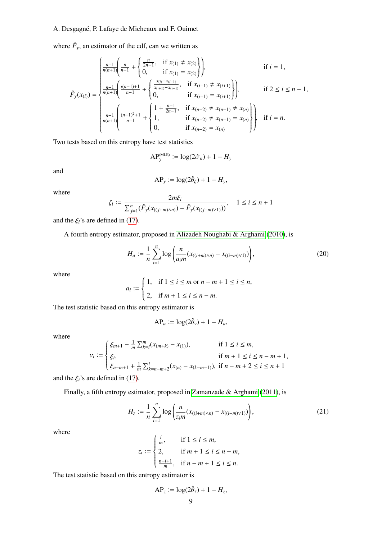where  $\hat{F}_y$ , an estimator of the cdf, can we written as

$$
\hat{F}_y(x_{(i)}) = \begin{cases}\n\frac{n-1}{n(n+1)} \left( \frac{n}{n-1} + \left\{ \frac{2n}{2n-1}, \quad \text{if } x_{(1)} \neq x_{(2)} \right\} \right) & \text{if } i = 1, \\
\frac{n-1}{n(n+1)} \left( \frac{i(n-1)+1}{n-1} + \left\{ \frac{x_{(i)} - x_{(i-1)}}{x_{(i+1)} - x_{(i-1)}}, \quad \text{if } x_{(i-1)} \neq x_{(i+1)} \right\} \right) & \text{if } 2 \leq i \leq n-1, \\
\frac{n-1}{n(n+1)} \left( \frac{(n-1)^2 + 1}{n-1} + \left\{ \begin{matrix} 1 + \frac{n-1}{2n-1}, & \text{if } x_{(n-2)} \neq x_{(n-1)} \neq x_{(n)} \ 1, & \text{if } x_{(n-2)} \neq x_{(n-1)} = x_{(n)} \ 0, & \text{if } x_{(n-2)} = x_{(n)} \end{matrix} \right\} & \text{if } i = n.\n\end{cases}
$$

Two tests based on this entropy have test statistics

$$
\mathsf{AP}_{y}^{\mathsf{(MLE)}} := \log(2\hat{\sigma}_n) + 1 - H_y
$$

and

$$
AP_y := \log(2\hat{\theta}_\zeta) + 1 - H_y,
$$

where

$$
\zeta_i := \frac{2m\xi_i}{\sum_{j=1}^n (\hat{F}_y(x_{((j+m)\wedge n)}) - \hat{F}_y(x_{((j-m)\vee 1)}))}, \quad 1 \le i \le n+1
$$

and the  $\xi_i$ 's are defined in [\(17\)](#page-7-2).

A fourth entropy estimator, proposed in [Alizadeh Noughabi & Arghami](#page-21-26) [\(2010\)](#page-21-26), is

$$
H_a := \frac{1}{n} \sum_{i=1}^n \log \left( \frac{n}{a_i m} (x_{((i+m)\wedge n)} - x_{((i-m)\vee 1)}) \right),\tag{20}
$$

where

$$
a_i := \begin{cases} 1, & \text{if } 1 \le i \le m \text{ or } n - m + 1 \le i \le n, \\ 2, & \text{if } m + 1 \le i \le n - m. \end{cases}
$$

The test statistic based on this entropy estimator is

$$
AP_a := \log(2\hat{\theta}_v) + 1 - H_a,
$$

where

$$
\nu_i := \begin{cases} \xi_{m+1} - \frac{1}{m} \sum_{k=i}^m (x_{(m+k)} - x_{(1)}), & \text{if } 1 \le i \le m, \\ \xi_i, & \text{if } m+1 \le i \le n-m+1, \\ \xi_{n-m+1} + \frac{1}{m} \sum_{k=n-m+2}^i (x_{(n)} - x_{(k-m-1)}), & \text{if } n-m+2 \le i \le n+1 \end{cases}
$$

and the  $\xi_i$ 's are defined in [\(17\)](#page-7-2).

Finally, a fifth entropy estimator, proposed in [Zamanzade & Arghami](#page-22-15) [\(2011\)](#page-22-15), is

<span id="page-8-0"></span>
$$
H_z := \frac{1}{n} \sum_{i=1}^n \log \left( \frac{n}{z_i m} (x_{((i+m)\wedge n)} - x_{((i-m)\vee 1)}) \right),\tag{21}
$$

where

$$
z_i := \begin{cases} \frac{i}{m}, & \text{if } 1 \le i \le m, \\ 2, & \text{if } m+1 \le i \le n-m, \\ \frac{n-i+1}{m}, & \text{if } n-m+1 \le i \le n. \end{cases}
$$

The test statistic based on this entropy estimator is

$$
AP_z := \log(2\hat{\theta}_\tau) + 1 - H_z,
$$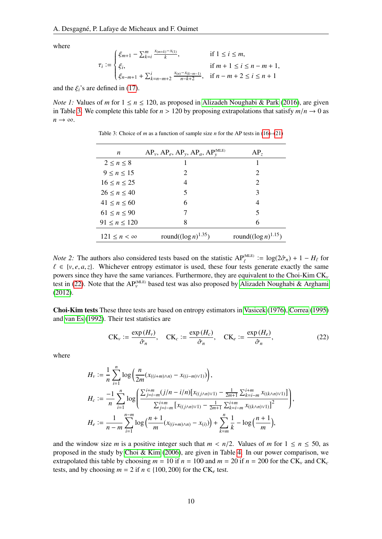where

$$
\tau_i := \begin{cases} \xi_{m+1} - \sum_{k=i}^m \frac{x_{(m+k)} - x_{(1)}}{k}, & \text{if } 1 \le i \le m, \\ \xi_i, & \text{if } m+1 \le i \le n-m+1, \\ \xi_{n-m+1} + \sum_{k=n-m+2}^i \frac{x_{(n)} - x_{(k-m-1)}}{n-k+2}, & \text{if } n-m+2 \le i \le n+1 \end{cases}
$$

and the  $\xi_i$ 's are defined in [\(17\)](#page-7-2).

<span id="page-9-1"></span>*Note 1:* Values of *m* for  $1 \le n \le 120$ , as proposed in [Alizadeh Noughabi & Park](#page-21-11) [\(2016\)](#page-21-11), are given in Table [3.](#page-9-1) We complete this table for  $n > 120$  by proposing extrapolations that satisfy  $m/n \to 0$  as  $n \rightarrow \infty$ .

| AP <sub>z</sub>            |
|----------------------------|
|                            |
| 2                          |
| 2                          |
| 3                          |
| 4                          |
| 5                          |
| 6                          |
| round( $(\log n)^{1.15}$ ) |
|                            |

Table 3: Choice of *m* as a function of sample size *n* for the AP tests in [\(16\)](#page-7-1)–[\(21\)](#page-8-0)

*Note* 2: The authors also considered tests based on the statistic  $AP_{\ell}^{(MLE)} := \log(2\hat{\sigma}_n) + 1 - H_{\ell}$  for  $\ell \in \{y, q, q, \tau\}$ . Whichever entropy estimator is used, these four tests generate exactly the same  $\ell \in \{v, e, a, z\}$ . Whichever entropy estimator is used, these four tests generate exactly the same<br>powers since they have the same variances. Furthermore, they are equivalent to the Choi-Kim CK powers since they have the same variances. Furthermore, they are equivalent to the Choi-Kim CK*<sup>v</sup>* test in [\(22\)](#page-9-0). Note that the  $AP_v^{\text{(MLE)}}$  based test was also proposed by [Alizadeh Noughabi & Arghami](#page-21-27) [\(2012\)](#page-21-27).

Choi-Kim tests These three tests are based on entropy estimators in [Vasicek](#page-22-13) [\(1976\)](#page-22-13), [Correa](#page-21-28) [\(1995\)](#page-21-28) and [van Es](#page-22-16) [\(1992\)](#page-22-16). Their test statistics are

<span id="page-9-0"></span>
$$
CK_v := \frac{\exp\left(H_v\right)}{\hat{\sigma}_n}, \quad CK_c := \frac{\exp\left(H_c\right)}{\hat{\sigma}_n}, \quad CK_e := \frac{\exp\left(H_e\right)}{\hat{\sigma}_n}, \tag{22}
$$

where

$$
H_{v} := \frac{1}{n} \sum_{i=1}^{n} \log \left( \frac{n}{2m} (x_{((i+m)\wedge n)} - x_{((i-m)\vee 1)}) \right),
$$
  
\n
$$
H_{c} := \frac{-1}{n} \sum_{i=1}^{n} \log \left( \frac{\sum_{j=i-m}^{i+m} (j/n - i/n) [x_{((j\wedge n)\vee 1)} - \frac{1}{2m+1} \sum_{k=i-m}^{i+m} x_{((k\wedge n)\vee 1)}]}{\sum_{j=i-m}^{i+m} [x_{((j\wedge n)\vee 1)} - \frac{1}{2m+1} \sum_{k=i-m}^{i+m} x_{((k\wedge n)\vee 1)}]^2} \right),
$$
  
\n
$$
H_{e} := \frac{1}{n-m} \sum_{i=1}^{n-m} \log \left( \frac{n+1}{m} (x_{((i+m)\wedge n)} - x_{(i)}) \right) + \sum_{k=m}^{n} \frac{1}{k} - \log \left( \frac{n+1}{m} \right),
$$

and the window size *m* is a positive integer such that  $m < n/2$ . Values of *m* for  $1 \le n \le 50$ , as proposed in the study by [Choi & Kim](#page-21-9) [\(2006\)](#page-21-9), are given in Table [4.](#page-10-1) In our power comparison, we extrapolated this table by choosing  $m = 10$  if  $n = 100$  and  $m = 20$  if  $n = 200$  for the CK<sub>*v*</sub> and CK<sub>*c*</sub> tests, and by choosing  $m = 2$  if  $n \in \{100, 200\}$  for the CK<sub>e</sub> test.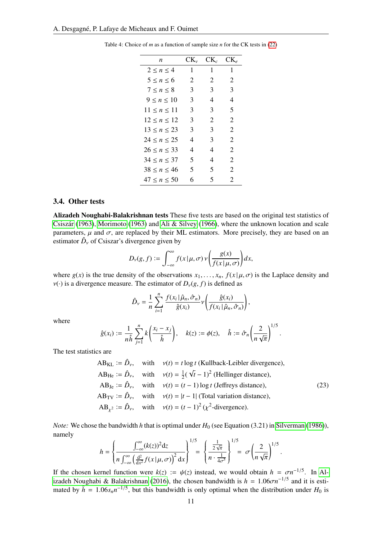| n                   | $CK_{v}$ | $CK_c$ | CK.                   |
|---------------------|----------|--------|-----------------------|
| 2 < n < 4           | 1        | 1      | 1                     |
| 5 < n < 6           | 2        | 2      | 2                     |
| 7 < n < 8           | 3        | 3      | 3                     |
| 9 < n < 10          | 3        | 4      | 4                     |
| $11 \leq n \leq 11$ | 3        | 3      | 5                     |
| 12 < n < 12         | 3        | 2      | 2                     |
| 13 < n < 23         | 3        | 3      | $\overline{2}$        |
| $24 \le n \le 25$   | 4        | 3      | 2                     |
| $26 \le n \le 33$   | 4        | 4      | 2                     |
| 34 < n < 37         | 5        | 4      | $\mathcal{D}_{\cdot}$ |
| 38 < n < 46         | 5        | 5      | 2                     |
| 47 < n < 50         | 6        | 5      | $\mathcal{D}_{\cdot}$ |

<span id="page-10-1"></span>Table 4: Choice of *m* as a function of sample size *n* for the CK tests in [\(22\)](#page-9-0)

#### 3.4. Other tests

Alizadeh Noughabi-Balakrishnan tests These five tests are based on the original test statistics of Csiszár [\(1963\)](#page-22-17), [Morimoto](#page-22-17) (1963) and [Ali & Silvey](#page-21-30) [\(1966\)](#page-21-30), where the unknown location and scale parameters,  $\mu$  and  $\sigma$ , are replaced by their ML estimators. More precisely, they are based on an estimator  $\hat{D}_v$  of Csiszar's divergence given by

$$
D_{\nu}(g, f) := \int_{-\infty}^{\infty} f(x | \mu, \sigma) \nu \left( \frac{g(x)}{f(x | \mu, \sigma)} \right) dx,
$$

where  $g(x)$  is the true density of the observations  $x_1, \ldots, x_n$ ,  $f(x | \mu, \sigma)$  is the Laplace density and  $v(\cdot)$  is a divergence measure. The estimator of  $D_v(g, f)$  is defined as

$$
\hat{D}_{\nu} = \frac{1}{n} \sum_{i=1}^{n} \frac{f(x_i | \hat{\mu}_n, \hat{\sigma}_n)}{\hat{g}(x_i)} \nu \left( \frac{\hat{g}(x_i)}{f(x_i | \hat{\mu}_n, \hat{\sigma}_n)} \right),
$$

where

$$
\hat{g}(x_i) := \frac{1}{n\hat{h}}\sum_{j=1}^n k\left(\frac{x_i - x_j}{\hat{h}}\right), \quad k(z) := \phi(z), \quad \hat{h} := \hat{\sigma}_n\left(\frac{2}{n\sqrt{\pi}}\right)^{1/5}.
$$

The test statistics are

<span id="page-10-0"></span>
$$
AB_{KL} := \hat{D}_{\nu}, \text{ with } \nu(t) = t \log t \text{ (Kullback-Leibler divergence)},
$$
\n
$$
AB_{He} := \hat{D}_{\nu}, \text{ with } \nu(t) = \frac{1}{2}(\sqrt{t} - 1)^{2} \text{ (Hellinger distance)},
$$
\n
$$
AB_{Je} := \hat{D}_{\nu}, \text{ with } \nu(t) = (t - 1) \log t \text{ (Jeffreys distance)},
$$
\n
$$
AB_{TV} := \hat{D}_{\nu}, \text{ with } \nu(t) = |t - 1| \text{ (Total variation distance)},
$$
\n
$$
AB_{\chi^{2}} := \hat{D}_{\nu}, \text{ with } \nu(t) = (t - 1)^{2} (\chi^{2} \text{-divergence}).
$$
\n(23)

*Note:* We chose the bandwidth *h* that is optimal under  $H_0$  (see Equation (3.21) in [Silverman](#page-22-18) [\(1986\)](#page-22-18)), namely  $1/\epsilon$  $1/5$ 

$$
h = \left\{ \frac{\int_{-\infty}^{\infty} (k(z))^2 dz}{n \int_{-\infty}^{\infty} \left( \frac{d^2}{dx^2} f(x | \mu, \sigma) \right)^2 dx} \right\}^{1/5} = \left\{ \frac{\frac{1}{2\sqrt{\pi}}}{n \cdot \frac{1}{4\sigma^5}} \right\}^{1/5} = \sigma \left( \frac{2}{n \sqrt{\pi}} \right)^{1/5}
$$

If the chosen kernel function were  $k(z) := \psi(z)$  instead, we would obtain  $h = \sigma n^{-1/5}$ . In Al-<br>izadeh Noughabi & Balakrishnan (2016), the chosen handwidth is  $h = 1.06\sigma n^{-1/5}$  and it is esti[izadeh Noughabi & Balakrishnan](#page-21-12) [\(2016\)](#page-21-12), the chosen bandwidth is  $h = 1.06\sigma n$ <br>mated by  $\hat{h} = 1.06s n^{-1/5}$  but this bandwidth is only ontimal when the distribution  $-1/5$  and it is estimated by  $\hat{h} = 1.06 s_n n^{-1/5}$ , but this bandwidth is only optimal when the distribution under  $H_0$  is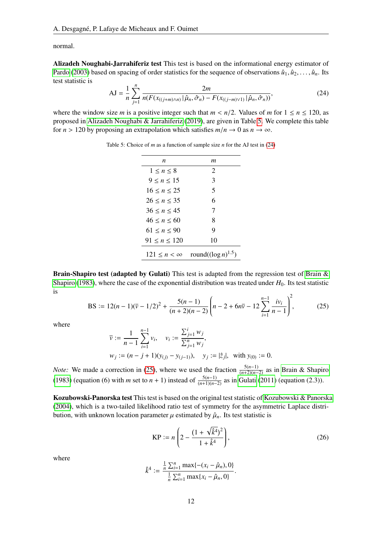normal.

Alizadeh Noughabi-Jarrahiferiz test This test is based on the informational energy estimator of [Pardo](#page-22-19) [\(2003\)](#page-22-19) based on spacing of order statistics for the sequence of observations  $\hat{u}_1, \hat{u}_2, \ldots, \hat{u}_n$ . Its test statistic is

<span id="page-11-0"></span>
$$
AJ = \frac{1}{n} \sum_{j=1}^{n} \frac{2m}{n(F(x_{((j+m)\wedge n)} | \hat{\mu}_n, \hat{\sigma}_n) - F(x_{((j-m)\vee 1)} | \hat{\mu}_n, \hat{\sigma}_n))},
$$
(24)

<span id="page-11-3"></span>where the window size *m* is a positive integer such that  $m < n/2$ . Values of *m* for  $1 \le n \le 120$ , as proposed in [Alizadeh Noughabi & Jarrahiferiz](#page-21-1) [\(2019\)](#page-21-1), are given in Table [5.](#page-11-3) We complete this table for  $n > 120$  by proposing an extrapolation which satisfies  $m/n \to 0$  as  $n \to \infty$ .

| n                     | т                         |
|-----------------------|---------------------------|
| $1 \le n \le 8$       | 2                         |
| 9 < n < 15            | 3                         |
| $16 \le n \le 25$     | 5                         |
| $26 \le n \le 35$     | 6                         |
| $36 \le n \le 45$     | 7                         |
| 46 < n < 60           | 8                         |
| $61 \le n \le 90$     | 9                         |
| 91 < n < 120          | 10                        |
| $121 \leq n < \infty$ | round( $(\log n)^{1.5}$ ) |
|                       |                           |

Table 5: Choice of *m* as a function of sample size *n* for the AJ test in [\(24\)](#page-11-0)

Brain-Shapiro test (adapted by Gulati) This test is adapted from the regression test of [Brain &](#page-21-16) [Shapiro](#page-21-16) [\(1983\)](#page-21-16), where the case of the exponential distribution was treated under  $H_0$ . Its test statistic is

<span id="page-11-1"></span>BS := 
$$
12(n-1)(\overline{v} - 1/2)^2 + \frac{5(n-1)}{(n+2)(n-2)} \left(n-2 + 6n\overline{v} - 12\sum_{i=1}^{n-1} \frac{iv_i}{n-1}\right)^2
$$
, (25)

where

$$
\overline{v} := \frac{1}{n-1} \sum_{i=1}^{n-1} v_i, \quad v_i := \frac{\sum_{j=1}^i w_j}{\sum_{j=1}^n w_j},
$$
  

$$
w_j := (n-j+1)(y_{(j)} - y_{(j-1)}), \quad y_j := |\hat{z}_j|, \text{ with } y_{(0)} := 0.
$$

*Note:* We made a correction in [\(25\)](#page-11-1), where we used the fraction  $\frac{5(n-1)}{(n+2)(n-2)}$  as in [Brain & Shapiro](#page-21-16) [\(1983\)](#page-21-16) (equation (6) with *m* set to *n* + 1) instead of  $\frac{5(n-1)}{(n+1)(n-2)}$  as in [Gulati](#page-21-5) [\(2011\)](#page-21-5) (equation (2.3)).

Kozubowski-Panorska test This test is based on the original test statistic of [Kozubowski & Panorska](#page-21-17) [\(2004\)](#page-21-17), which is a two-tailed likelihood ratio test of symmetry for the asymmetric Laplace distribution, with unknown location parameter  $\mu$  estimated by  $\hat{\mu}_n$ . Its test statistic is

<span id="page-11-2"></span>
$$
KP := n \left( 2 - \frac{(1 + \sqrt{\hat{k}^4})^2}{1 + \hat{k}^4} \right),
$$
 (26)

where

$$
\hat{k}^{4} := \frac{\frac{1}{n}\sum_{i=1}^{n} \max\{-(x_{i} - \hat{\mu}_{n}), 0\}}{\frac{1}{n}\sum_{i=1}^{n} \max\{x_{i} - \hat{\mu}_{n}, 0\}}
$$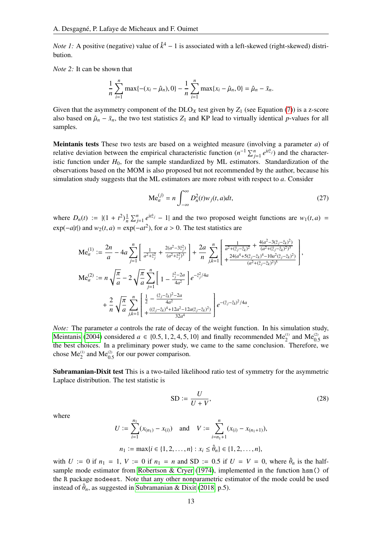*Note 1*: A positive (negative) value of  $\hat{k}^4 - 1$  is associated with a left-skewed (right-skewed) distribution.

*Note 2:* It can be shown that

$$
\frac{1}{n}\sum_{i=1}^n \max\{-(x_i-\hat{\mu}_n),0\}-\frac{1}{n}\sum_{i=1}^n \max\{x_i-\hat{\mu}_n,0\}=\hat{\mu}_n-\bar{x}_n.
$$

Given that the asymmetry component of the  $DLO<sub>X</sub>$  test given by  $Z<sub>1</sub>$  (see Equation [\(7\)](#page-5-0)) is a z-score also based on  $\hat{\mu}_n - \bar{x}_n$ , the two test statistics  $Z_1$  and KP lead to virtually identical *p*-values for all samples.

Meintanis tests These two tests are based on a weighted measure (involving a parameter *a*) of relative deviation between the empirical characteristic function  $(n^{-1} \sum_{j=1}^{n} e^{it\hat{z}_j})$  and the characteristic function under  $H_0$ , for the sample standardized by ML estimators. Standardization of the observations based on the MOM is also proposed but not recommended by the author, because his simulation study suggests that the ML estimators are more robust with respect to *a*. Consider

<span id="page-12-0"></span>
$$
\text{Me}_a^{(j)} = n \int_{-\infty}^{\infty} D_n^2(t) w_j(t, a) dt,
$$
\n(27)

where  $D_n(t) := |(1 + t^2)| \frac{1}{n} \sum_{j=1}^n e^{itz_j} - 1|$  and the two proposed weight functions are  $w_1(t, a) =$  $\exp(-a|t|)$  and  $w_2(t, a) = \exp(-at^2)$ , for  $a > 0$ . The test statistics are

$$
\begin{split} \mathbf{Me}_{a}^{(1)} &:= \frac{2n}{a} - 4a \sum_{j=1}^{n} \left[ \frac{1}{a^2 + \hat{z}_j^2} + \frac{2(a^2 - 3\hat{z}_j^2)}{(a^2 + \hat{z}_j^2)^3} \right] + \frac{2a}{n} \sum_{j,k=1}^{n} \left[ \frac{\frac{1}{a^2 + (\hat{z}_j - \hat{z}_k)^2} + \frac{4(a^2 - 3(\hat{z}_j - \hat{z}_k)^2)}{(a^2 + (\hat{z}_j - \hat{z}_k)^2)^3}}{+ \frac{24(a^4 + 5(\hat{z}_j - \hat{z}_k)^4 - 10a^2(\hat{z}_j - \hat{z}_k)^2)}{(a^2 + (\hat{z}_j - \hat{z}_k)^2)^5}} \right], \\ \mathbf{Me}_{a}^{(2)} &:= n \sqrt{\frac{\pi}{a}} - 2 \sqrt{\frac{\pi}{a}} \sum_{j=1}^{n} \left[ 1 - \frac{\hat{z}_j^2 - 2a}{4a^2} \right] e^{-\hat{z}_j^2/4a} \\ &+ \frac{2}{n} \sqrt{\frac{\pi}{a}} \sum_{j,k=1}^{n} \left[ \frac{\frac{1}{2} - \frac{(\hat{z}_j - \hat{z}_k)^2 - 2a}{4a^2}}{\frac{4a^2}{32a^4}} \right] e^{-(\hat{z}_j - \hat{z}_k)^2/4a}. \end{split}
$$

*Note:* The parameter *a* controls the rate of decay of the weight function. In his simulation study, [Meintanis](#page-22-2) [\(2004\)](#page-22-2) considered  $a \in \{0.5, 1, 2, 4, 5, 10\}$  and finally recommended Me<sup>(1)</sup> and Me<sup>(2)</sup><sub>0</sub> as the best choices. In a preliminary power study, we came to the same conclusion. Therefore, we the best choices. In a preliminary power study, we came to the same conclusion. Therefore, we chose  $\text{Me}_2^{(1)}$  and  $\text{Me}_{0.5}^{(2)}$  for our power comparison.

Subramanian-Dixit test This is a two-tailed likelihood ratio test of symmetry for the asymmetric Laplace distribution. The test statistic is

<span id="page-12-1"></span>
$$
SD := \frac{U}{U + V},\tag{28}
$$

where

$$
U := \sum_{i=1}^{n_1} (x_{(n_1)} - x_{(i)}) \text{ and } V := \sum_{i=n_1+1}^{n} (x_{(i)} - x_{(n_1+1)}),
$$
  

$$
n_1 := \max\{i \in \{1, 2, ..., n\} : x_i \le \hat{\theta}_n\} \in \{1, 2, ..., n\},
$$

with *U* := 0 if  $n_1 = 1$ , *V* := 0 if  $n_1 = n$  and SD := 0.5 if *U* = *V* = 0, where  $\hat{\theta}_n$  is the half-<br>sample mode estimator from Robertson & Cryer (1974) implemented in the function hsm() of sample mode estimator from [Robertson & Cryer](#page-22-20) [\(1974\)](#page-22-20), implemented in the function hsm() of the R package modeest. Note that any other nonparametric estimator of the mode could be used instead of  $\hat{\theta}_n$ , as suggested in [Subramanian & Dixit](#page-22-5) [\(2018,](#page-22-5) p.5).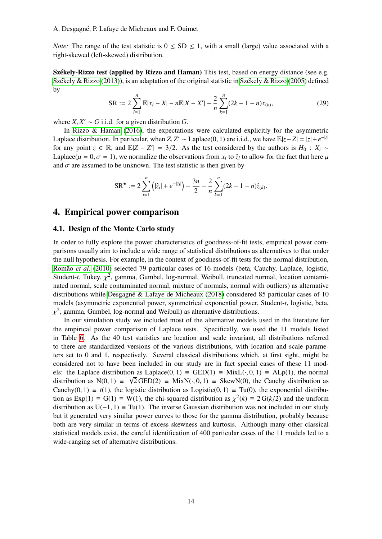*Note:* The range of the test statistic is  $0 \le SD \le 1$ , with a small (large) value associated with a right-skewed (left-skewed) distribution.

Székely-Rizzo test (applied by Rizzo and Haman) This test, based on energy distance (see e.g. Székely & Rizzo [\(2013\)](#page-22-21)), is an adaptation of the original statistic in Székely & Rizzo [\(2005\)](#page-22-22) defined by

<span id="page-13-1"></span>
$$
SR := 2\sum_{i=1}^{n} \mathbb{E}|x_i - X| - n\mathbb{E}|X - X'| - \frac{2}{n}\sum_{k=1}^{n} (2k - 1 - n)x_{(k)},
$$
\n(29)

where  $X, X' \sim G$  i.i.d. for a given distribution *G*.<br>In Pizzo  $\&$  Haman (2016), the expectation

In [Rizzo & Haman](#page-22-3) [\(2016\)](#page-22-3), the expectations were calculated explicitly for the asymmetric Laplace distribution. In particular, when *Z*, *Z'* ∼ Laplace(0, 1) are i.i.d., we have  $\mathbb{E}|z - Z| = |z| + e^{-|z|}$ <br>for any point  $z \in \mathbb{R}$ , and  $\mathbb{E}|Z - Z'| = 3/2$ . As the test considered by the authors is  $H_2 \div Y$ . for any point  $z \in \mathbb{R}$ , and  $\mathbb{E}|Z - Z'| = 3/2$ . As the test considered by the authors is  $H_0 : X_i \sim$ <br>Lankee( $u = 0$ ,  $\tau = 1$ ), we normalize the observations from x; to  $\hat{z}$ ; to allow for the fact that here *u* Laplace( $\mu = 0, \sigma = 1$ ), we normalize the observations from  $x_i$  to  $\hat{z}_i$  to allow for the fact that here  $\mu$ and  $\sigma$  are assumed to be unknown. The test statistic is then given by

$$
SR^{\star} := 2\sum_{i=1}^{n} (|\hat{z}_i| + e^{-|\hat{z}_i|}) - \frac{3n}{2} - \frac{2}{n}\sum_{k=1}^{n} (2k - 1 - n)\hat{z}_{(k)}.
$$

### <span id="page-13-0"></span>4. Empirical power comparison

#### <span id="page-13-2"></span>4.1. Design of the Monte Carlo study

In order to fully explore the power characteristics of goodness-of-fit tests, empirical power comparisons usually aim to include a wide range of statistical distributions as alternatives to that under the null hypothesis. For example, in the context of goodness-of-fit tests for the normal distribution, Romão et al. [\(2010\)](#page-22-23) selected 79 particular cases of 16 models (beta, Cauchy, Laplace, logistic, Student-*t*, Tukey,  $\chi^2$ , gamma, Gumbel, log-normal, Weibull, truncated normal, location contami-<br>nated normal, scale contaminated normal, mixture of normals, normal with outliers) as alternative nated normal, scale contaminated normal, mixture of normals, normal with outliers) as alternative distributions while Desgagné & Lafaye de Micheaux [\(2018\)](#page-21-24) considered 85 particular cases of 10 models (asymmetric exponential power, symmetrical exponential power, Student-*t*, logistic, beta, <sup>2</sup>, gamma, Gumbel, log-normal and Weibull) as alternative distributions.

 $\ddot{\phantom{a}}$ In our simulation study we included most of the alternative models used in the literature for the empirical power comparison of Laplace tests. Specifically, we used the 11 models listed in Table [6.](#page-14-0) As the 40 test statistics are location and scale invariant, all distributions referred to there are standardized versions of the various distributions, with location and scale parameters set to 0 and 1, respectively. Several classical distributions which, at first sight, might be considered not to have been included in our study are in fact special cases of these 11 models: the Laplace distribution as Laplace(0, 1)  $\equiv$  GED(1)  $\equiv$  MixL(·, 0, 1)  $\equiv$  ALp(1), the normal distribution as N(0, 1)  $\equiv \sqrt{2}$ GED(2)  $\equiv$  MixN(, 0, 1)  $\equiv$  SkewN(0), the Cauchy distribution as distribution as N(0, 1)  $\equiv \sqrt{2 \text{ GED}(2)} \equiv \text{MixN}(\cdot, 0, 1) \equiv \text{SkewN}(0)$ , the Cauchy distribution as Cauchy (0, 1) =  $f(0)$ , the exponential distribution Cauchy(0, 1)  $\equiv t(1)$ , the logistic distribution as Logistic(0, 1)  $\equiv$  Tu(0), the exponential distribution as  $Exp(1) \equiv G(1) \equiv W(1)$ , the chi-squared distribution as  $\chi^2(k) \equiv 2 G(k/2)$  and the uniform distribution as  $U(-1, 1) = Tu(1)$ . The inverse Gaussian distribution was not included in our study distribution as  $U(-1, 1) \equiv Tu(1)$ . The inverse Gaussian distribution was not included in our study but it generated very similar power curves to those for the gamma distribution, probably because both are very similar in terms of excess skewness and kurtosis. Although many other classical statistical models exist, the careful identification of 400 particular cases of the 11 models led to a wide-ranging set of alternative distributions.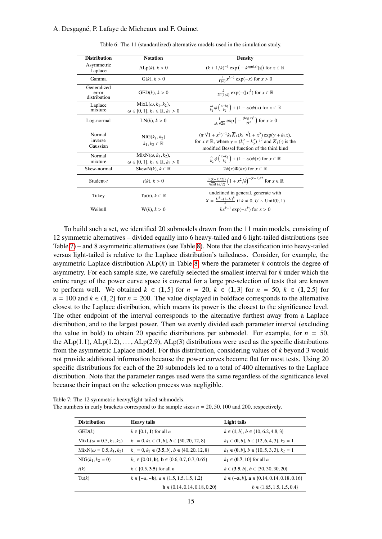<span id="page-14-0"></span>

| <b>Distribution</b>                  | <b>Notation</b>                                                               | <b>Density</b>                                                                                                                                                                                                                            |
|--------------------------------------|-------------------------------------------------------------------------------|-------------------------------------------------------------------------------------------------------------------------------------------------------------------------------------------------------------------------------------------|
| Asymmetric<br>Laplace                | ALp(k), k > 0                                                                 | $(k + 1/k)^{-1}$ exp $(-k^{\text{sgn}(x)} x )$ for $x \in \mathbb{R}$                                                                                                                                                                     |
| Gamma                                | G(k), k > 0                                                                   | $\frac{1}{\Gamma(k)} x^{k-1} \exp(-x)$ for $x > 0$                                                                                                                                                                                        |
| Generalized<br>error<br>distribution | $GED(k)$ , $k > 0$                                                            | $\frac{k}{2\Gamma(1/k)}$ exp(-( x  <sup>k</sup> ) for $x \in \mathbb{R}$                                                                                                                                                                  |
| Laplace<br>mixture                   | $MixL(\omega, k_1, k_2),$<br>$\omega \in [0, 1], k_1 \in \mathbb{R}, k_2 > 0$ | $\frac{\omega}{k_2}\psi\left(\frac{x-k_1}{k_2}\right) + (1-\omega)\psi(x)$ for $x \in \mathbb{R}$                                                                                                                                         |
| Log-normal                           | LN(k), k > 0                                                                  | $\frac{1}{x^k\sqrt{2\pi}}\exp\left(-\frac{(\log x)^2}{2k^2}\right)$ for $x>0$                                                                                                                                                             |
| Normal<br>inverse<br>Gaussian        | $NIG(k_1, k_2)$<br>$k_1, k_2 \in \mathbb{R}$                                  | $(\pi \sqrt{1+x^2})^{-1} k_1 \overline{K}_1 (k_1 \sqrt{1+x^2}) \exp(\gamma + k_2 x),$<br>for $x \in \mathbb{R}$ , where $\gamma = (k_1^2 - k_2^2)^{1/2}$ and $\overline{K}_1(\cdot)$ is the<br>modified Bessel function of the third kind |
| Normal<br>mixture                    | $MixN(\omega, k_1, k_2),$<br>$\omega \in [0, 1], k_1 \in \mathbb{R}, k_2 > 0$ | $\frac{\omega}{k_2}\phi\left(\frac{x-k_1}{k_2}\right) + (1-\omega)\phi(x)$ for $x \in \mathbb{R}$                                                                                                                                         |
| Skew-normal                          | SkewN(k), $k \in \mathbb{R}$                                                  | $2\phi(x)\Phi(kx)$ for $x \in \mathbb{R}$                                                                                                                                                                                                 |
| Student- $t$                         | $t(k)$ , $k > 0$                                                              | $\frac{\Gamma((k+1)/2))}{\sqrt{k\pi}\Gamma(k/2)}\left(1+x^2/k\right)^{-(k+1)/2}$ for $x\in\mathbb{R}$                                                                                                                                     |
| Tukey                                | Tu(k), $k \in \mathbb{R}$                                                     | undefined in general, generate with<br>$X = \frac{U^k - (1-U)^k}{k}$ if $k \neq 0, U \sim \text{Unif}(0, 1)$                                                                                                                              |
| Weibull                              | W(k), k > 0                                                                   | $kx^{k-1}$ exp( $-x^k$ ) for $x > 0$                                                                                                                                                                                                      |

<span id="page-14-2"></span>Table 6: The 11 (standardized) alternative models used in the simulation study.

To build such a set, we identified 20 submodels drawn from the 11 main models, consisting of 12 symmetric alternatives – divided equally into 6 heavy-tailed and 6 light-tailed distributions (see Table [7\)](#page-14-1) – and 8 asymmetric alternatives (see Table [8\)](#page-15-0). Note that the classification into heavy-tailed versus light-tailed is relative to the Laplace distribution's tailedness. Consider, for example, the asymmetric Laplace distribution  $ALp(k)$  in Table [8,](#page-15-0) where the parameter  $k$  controls the degree of asymmetry. For each sample size, we carefully selected the smallest interval for *k* under which the entire range of the power curve space is covered for a large pre-selection of tests that are known to perform well. We obtained  $k \in (1, 5]$  for  $n = 20$ ,  $k \in (1, 3]$  for  $n = 50$ ,  $k \in (1, 2.5]$  for  $n = 100$  and  $k \in (1, 2]$  for  $n = 200$ . The value displayed in boldface corresponds to the alternative closest to the Laplace distribution, which means its power is the closest to the significance level. The other endpoint of the interval corresponds to the alternative furthest away from a Laplace distribution, and to the largest power. Then we evenly divided each parameter interval (excluding the value in bold) to obtain 20 specific distributions per submodel. For example, for  $n = 50$ , the ALp(1.1), ALp(1.2), ..., ALp(2.9), ALp(3) distributions were used as the specific distributions from the asymmetric Laplace model. For this distribution, considering values of *k* beyond 3 would not provide additional information because the power curves become flat for most tests. Using 20 specific distributions for each of the 20 submodels led to a total of 400 alternatives to the Laplace distribution. Note that the parameter ranges used were the same regardless of the significance level because their impact on the selection process was negligible.

| <b>Distribution</b>            | <b>Heavy tails</b>                                                      | Light tails                                          |
|--------------------------------|-------------------------------------------------------------------------|------------------------------------------------------|
| GED(k)                         | $k \in [0.1, 1)$ for all n                                              | $k \in (1, b], b \in \{10, 6.2, 4.8, 3\}$            |
| $MixL(\omega = 0.5, k_1, k_2)$ | $k_1 = 0, k_2 \in (1, b], b \in \{50, 20, 12, 8\}$                      | $k_1 \in (0, b], b \in \{12, 6, 4, 3\}, k_2 = 1$     |
| $MixN(\omega = 0.5, k_1, k_2)$ | $k_1 = 0, k_2 \in (3.5, b], b \in \{40, 20, 12, 8\}$                    | $k_1 \in (0, b], b \in \{10, 5, 3, 3\}, k_2 = 1$     |
| $NIG(k_1, k_2 = 0)$            | $k_1 \in [0.01, \mathbf{b})$ , $\mathbf{b} \in \{0.6, 0.7, 0.7, 0.65\}$ | $k_1 \in (0.7, 10]$ for all <i>n</i>                 |
| t(k)                           | $k \in [0.5, 3.5)$ for all <i>n</i>                                     | $k \in (3.5, b], b \in \{30, 30, 30, 20\}$           |
| Tu(k)                          | $k \in [-a, -b), a \in \{1.5, 1.5, 1.5, 1.2\}$                          | $k \in (-a, b]$ , $a \in \{0.14, 0.14, 0.18, 0.16\}$ |
|                                | $\mathbf{b} \in \{0.14, 0.14, 0.18, 0.20\}$                             | $b \in \{1.65, 1.5, 1.5, 0.4\}$                      |

<span id="page-14-1"></span>Table 7: The 12 symmetric heavy/light-tailed submodels.

The numbers in curly brackets correspond to the sample sizes  $n = 20, 50, 100$  and 200, respectively.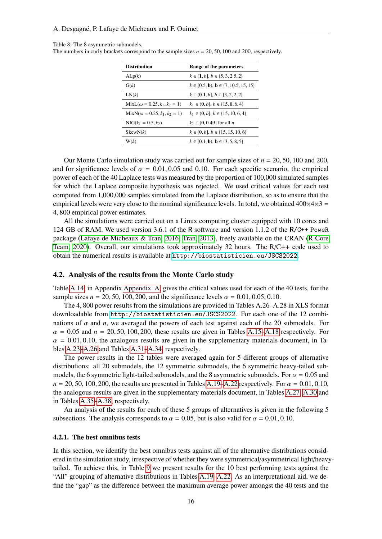#### <span id="page-15-0"></span>Table 8: The 8 asymmetric submodels.

The numbers in curly brackets correspond to the sample sizes  $n = 20, 50, 100$  and 200, respectively.

<span id="page-15-1"></span>

| <b>Distribution</b>                 | Range of the parameters                                          |
|-------------------------------------|------------------------------------------------------------------|
| ALp(k)                              | $k \in \{1, b\}, b \in \{5, 3, 2.5, 2\}$                         |
| G(k)                                | $k \in [0.5, \mathbf{b})$ , $\mathbf{b} \in \{7, 10.5, 15, 15\}$ |
| LN(k)                               | $k \in (0.1, b], b \in \{3, 2, 2, 2\}$                           |
| $MixL(\omega = 0.25, k_1, k_2 = 1)$ | $k_1 \in (0, b], b \in \{15, 8, 6, 4\}$                          |
| $MixN(\omega = 0.25, k_1, k_2 = 1)$ | $k_1 \in (0, b], b \in \{15, 10, 6, 4\}$                         |
| $NIG(k_1 = 0.5, k_2)$               | $k_2 \in (0, 0.49]$ for all <i>n</i>                             |
| SkewN(k)                            | $k \in (0, b], b \in \{15, 15, 10, 6\}$                          |
| W(k)                                | $k \in [0.1, \mathbf{b})$ , $\mathbf{b} \in \{3, 5, 8, 5\}$      |
|                                     |                                                                  |

Our Monte Carlo simulation study was carried out for sample sizes of *<sup>n</sup>* <sup>=</sup> <sup>20</sup>, <sup>50</sup>, 100 and 200, and for significance levels of  $\alpha = 0.01, 0.05$  and 0.10. For each specific scenario, the empirical power of each of the 40 Laplace tests was measured by the proportion of 100,000 simulated samples for which the Laplace composite hypothesis was rejected. We used critical values for each test computed from 1,000,000 samples simulated from the Laplace distribution, so as to ensure that the empirical levels were very close to the nominal significance levels. In total, we obtained  $400\times4\times3 =$ <sup>4</sup>, 800 empirical power estimates.

All the simulations were carried out on a Linux computing cluster equipped with 10 cores and 124 GB of RAM. We used version 3.6.1 of the R software and version 1.1.2 of the R/C++ PoweR package [\(Lafaye de Micheaux & Tran, 2016;](#page-21-4) [Tran, 2013\)](#page-22-24), freely available on the CRAN [\(R Core](#page-22-25) [Team, 2020\)](#page-22-25). Overall, our simulations took approximately 32 hours. The R/C++ code used to obtain the numerical results is available at <http://biostatisticien.eu/JSCS2022>.

#### 4.2. Analysis of the results from the Monte Carlo study

Table [A.14,](#page-23-0) in Appendix [Appendix A,](#page-22-4) gives the critical values used for each of the 40 tests, for the sample sizes  $n = 20, 50, 100, 200$ , and the significance levels  $\alpha = 0.01, 0.05, 0.10$ .

The 4, 800 power results from the simulations are provided in Tables A.26–A.28 in XLS format downloadable from <http://biostatisticien.eu/JSCS2022>. For each one of the 12 combinations of  $\alpha$  and  $n$ , we averaged the powers of each test against each of the 20 submodels. For  $\alpha$  = 0.05 and  $n$  = 20, 50, 100, 200, these results are given in Tables [A.15–](#page-24-0)[A.18](#page-27-0) respectively. For  $\alpha = 0.01, 0.10$ , the analogous results are given in the supplementary materials document, in Tables [A.23–](#page-32-0)[A.26](#page-35-0) and Tables [A.31–](#page-40-0)[A.34,](#page-43-0) respectively.

The power results in the 12 tables were averaged again for 5 different groups of alternative distributions: all 20 submodels, the 12 symmetric submodels, the 6 symmetric heavy-tailed submodels, the 6 symmetric light-tailed submodels, and the 8 asymmetric submodels. For  $\alpha = 0.05$  and  $n = 20, 50, 100, 200$ , the results are presented in Tables [A.19](#page-28-0)[–A.22](#page-31-0) respectively. For  $\alpha = 0.01, 0.10$ , the analogous results are given in the supplementary materials document, in Tables [A.27–](#page-36-0)[A.30](#page-39-0) and in Tables [A.35](#page-44-0)[–A.38,](#page-47-0) respectively.

An analysis of the results for each of these 5 groups of alternatives is given in the following 5 subsections. The analysis corresponds to  $\alpha = 0.05$ , but is also valid for  $\alpha = 0.01, 0.10$ .

#### 4.2.1. The best omnibus tests

In this section, we identify the best omnibus tests against all of the alternative distributions considered in the simulation study, irrespective of whether they were symmetrical/asymmetrical light/heavytailed. To achieve this, in Table [9](#page-16-0) we present results for the 10 best performing tests against the "All" grouping of alternative distributions in Tables [A.19–](#page-28-0)[A.22.](#page-31-0) As an interpretational aid, we define the "gap" as the difference between the maximum average power amongst the 40 tests and the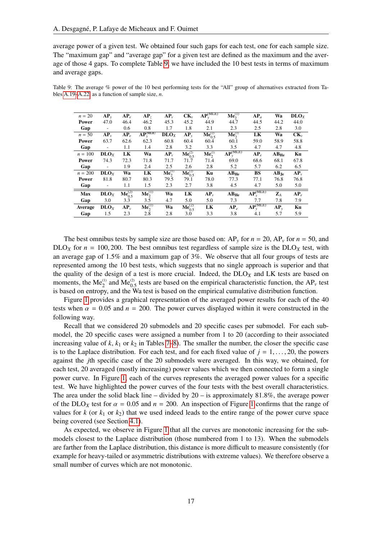average power of a given test. We obtained four such gaps for each test, one for each sample size. The "maximum gap" and "average gap" for a given test are defined as the maximum and the average of those 4 gaps. To complete Table [9,](#page-16-0) we have included the 10 best tests in terms of maximum and average gaps.

<span id="page-16-0"></span>Table 9: The average % power of the 10 best performing tests for the "All" group of alternatives extracted from Tables [A.19–](#page-28-0)[A.22,](#page-31-0) as a function of sample size, *n*.

| $n=20$     | $AP_v$                   | $AP_e$                    | AP <sub>7</sub>                    | $AP_{v}$                | $CK_{\nu}$                    | $AP_{v}^{(MLE)}$               | $Me_2^{(1)}$            | $AP_a$             | Wa             | DLO <sub>Y</sub> |
|------------|--------------------------|---------------------------|------------------------------------|-------------------------|-------------------------------|--------------------------------|-------------------------|--------------------|----------------|------------------|
| Power      | 47.0                     | 46.4                      | 46.2                               | 45.3                    | 45.2                          | 44.9                           | 44.7                    | 44.5               | 44.2           | 44.0             |
| Gap        | $\overline{\phantom{a}}$ | 0.6                       | 0.8                                | 1.7                     | 1.8                           | 2.1                            | 2.3                     | 2.5                | 2.8            | 3.0              |
| $n = 50$   | $AP_v$                   | $AP_e$                    | $AP_{\nu}^{(MLE)}$                 | DLO <sub>X</sub>        | $AP_v$                        | ${\rm\bf Me}_{0.5}^{(2)}$      | $\mathbf{Me}_{2}^{(1)}$ | LK                 | Wa             | $CK_{\nu}$       |
| Power      | 63.7                     | 62.6                      | 62.3                               | 60.8                    | 60.4                          | 60.4                           | 60.1                    | 59.0               | 58.9           | 58.8             |
| Gap        |                          | 1.1                       | 1.4                                | 2.8                     | 3.2                           | 3.3                            | 3.5                     | 4.7                | 4.7            | 4.8              |
| $n = 100$  | DLO <sub>X</sub>         | LK                        | Wa                                 | $AP_v$                  | ${\bf M} {\bf e}_{0.5}^{(2)}$ | $\overline{\text{Me}_2^{(1)}}$ | $AP_{\nu}^{(MLE)}$      | $AP_e$             | $AB_{He}$      | Ku               |
| Power      | 74.3                     | 72.3                      | 71.8                               | 71.7                    | 71.7                          | 71.4                           | 69.0                    | 68.6               | 68.1           | 67.8             |
| Gap        | $\overline{\phantom{a}}$ | 1.9                       | 2.4                                | 2.5                     | 2.6                           | 2.8                            | 5.2                     | 5.7                | 6.2            | 6.5              |
| $n = 200$  | DLO <sub>X</sub>         | Wa                        | LK                                 | ${\rm\bf Me}_{2}^{(1)}$ | ${\rm\,Me}_{0.5}^{(2)}$       | Ku                             | $AB_{He}$               | <b>BS</b>          | $AB_{Je}$      | $AP_v$           |
| Power      | 81.8                     | 80.7                      | 80.3                               | 79.5                    | 79.1                          | 78.0                           | 77.3                    | 77.1               | 76.8           | 76.8             |
| Gap        | $\overline{\phantom{a}}$ | 1.1                       | 1.5                                | 2.3                     | 2.7                           | 3.8                            | 4.5                     | 4.7                | 5.0            | 5.0              |
| <b>Max</b> | $\mathbf{DLO}_X$         | ${\rm\bf Me}^{(2)}_{0.5}$ | $\overline{\mathbf{Me}_{2}^{(1)}}$ | Wa                      | LK                            | $AP_v$                         | $AB_{He}$               | $AP_{\nu}^{(MLE)}$ | $\mathbf{Z}_A$ | $AP_e$           |
| Gap        | 3.0                      | 3.3                       | 3.5                                | 4.7                     | 5.0                           | 5.0                            | 7.3                     | 7.7                | 7.8            | 7.9              |
| Average    | DLO <sub>X</sub>         | $AP_{v}$                  | $\mathbf{Me}_{2}^{(1)}$            | Wa                      | ${\rm\bf Me}_{0.5}^{(2)}$     | LK                             | $AP_e$                  | $AP_{v}^{(MLE)}$   | $AP_v$         | Ku               |
| Gap        | 1.5                      | 2.3                       | 2.8                                | 2.8                     | 3.0                           | 3.3                            | 3.8                     | 4.1                | 5.7            | 5.9              |

The best omnibus tests by sample size are those based on:  $AP_v$  for  $n = 20$ ,  $AP_v$  for  $n = 50$ , and  $DLO<sub>X</sub>$  for  $n = 100, 200$ . The best omnibus test regardless of sample size is the  $DLO<sub>X</sub>$  test, with an average gap of 1.5% and a maximum gap of 3%. We observe that all four groups of tests are represented among the 10 best tests, which suggests that no single approach is superior and that the quality of the design of a test is more crucial. Indeed, the DLO*<sup>X</sup>* and LK tests are based on moments, the Me<sup>(1)</sup> and Me<sup>(2)</sup><sub>0.5</sub> tests are based on the empirical characteristic function, the AP<sub>*v*</sub> test is based on entropy, and the Wa test is based on the empirical cumulative distribution function.

Figure [1](#page-17-0) provides a graphical representation of the averaged power results for each of the 40 tests when  $\alpha = 0.05$  and  $n = 200$ . The power curves displayed within it were constructed in the following way.

Recall that we considered 20 submodels and 20 specific cases per submodel. For each submodel, the 20 specific cases were assigned a number from 1 to 20 (according to their associated increasing value of  $k$ ,  $k_1$  or  $k_2$  in Tables [7](#page-14-1)[–8\)](#page-15-0). The smaller the number, the closer the specific case is to the Laplace distribution. For each test, and for each fixed value of  $j = 1, \ldots, 20$ , the powers against the *j*th specific case of the 20 submodels were averaged. In this way, we obtained, for each test, 20 averaged (mostly increasing) power values which we then connected to form a single power curve. In Figure [1,](#page-17-0) each of the curves represents the averaged power values for a specific test. We have highlighted the power curves of the four tests with the best overall characteristics. The area under the solid black line – divided by  $20 - i$  is approximately 81.8%, the average power of the DLO<sub>X</sub> test for  $\alpha = 0.05$  and  $n = 200$ . An inspection of Figure [1](#page-17-0) confirms that the range of values for  $k$  (or  $k_1$  or  $k_2$ ) that we used indeed leads to the entire range of the power curve space being covered (see Section [4.1\)](#page-13-2).

As expected, we observe in Figure [1](#page-17-0) that all the curves are monotonic increasing for the submodels closest to the Laplace distribution (those numbered from 1 to 13). When the submodels are farther from the Laplace distribution, this distance is more difficult to measure consistently (for example for heavy-tailed or asymmetric distributions with extreme values). We therefore observe a small number of curves which are not monotonic.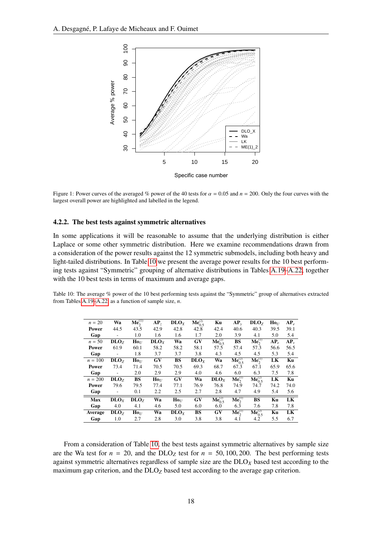<span id="page-17-0"></span>

Figure 1: Power curves of the averaged % power of the 40 tests for  $\alpha = 0.05$  and  $n = 200$ . Only the four curves with the largest overall power are highlighted and labelled in the legend.

#### 4.2.2. The best tests against symmetric alternatives

In some applications it will be reasonable to assume that the underlying distribution is either Laplace or some other symmetric distribution. Here we examine recommendations drawn from a consideration of the power results against the 12 symmetric submodels, including both heavy and light-tailed distributions. In Table [10](#page-17-1) we present the average power results for the 10 best performing tests against "Symmetric" grouping of alternative distributions in Tables [A.19–](#page-28-0)[A.22,](#page-31-0) together with the 10 best tests in terms of maximum and average gaps.

<span id="page-17-1"></span>Table 10: The average % power of the 10 best performing tests against the "Symmetric" group of alternatives extracted from Tables [A.19–](#page-28-0)[A.22,](#page-31-0) as a function of sample size, *n*.

| $n = 20$  | Wa                       | $\mathbf{Me}_2^{(1)}$ | AP <sub>7</sub>                     | $\mathbf{D}\mathbf{L}\mathbf{O}_X$ | $Me_{0.5}^{(2)}$ | Ku                                  | $AP_v$                        | $\mathbf{DLO}_{Z}$                 | $\mathbf{Ho}_U$ | $AP_e$ |
|-----------|--------------------------|-----------------------|-------------------------------------|------------------------------------|------------------|-------------------------------------|-------------------------------|------------------------------------|-----------------|--------|
| Power     | 44.5                     | 43.5                  | 42.9                                | 42.8                               | 42.8             | 42.4                                | 40.6                          | 40.3                               | 39.5            | 39.1   |
| Gap       | $\overline{\phantom{a}}$ | 1.0                   | 1.6                                 | 1.6                                | 1.7              | 2.0                                 | 3.9                           | 4.1                                | 5.0             | 5.4    |
| $n = 50$  | DLO <sub>Z</sub>         | $\mathbf{Ho}_U$       | $\bf{D} \bf{L} \bf{O}$ <sub>x</sub> | Wa                                 | GV               | ${\bf M} {\bf e}_{0.5}^{(2)}$       | BS                            | $\overline{\mathrm{Me}_{2}^{(1)}}$ | $AP_e$          | $AP_v$ |
| Power     | 61.9                     | 60.1                  | 58.2                                | 58.2                               | 58.1             | 57.5                                | 57.4                          | 57.3                               | 56.6            | 56.5   |
| Gap       | $\overline{\phantom{a}}$ | 1.8                   | 3.7                                 | 3.7                                | 3.8              | 4.3                                 | 4.5                           | 4.5                                | 5.3             | 5.4    |
| $n = 100$ | DLO <sub>z</sub>         | $\mathbf{Ho}_{II}$    | <b>GV</b>                           | BS                                 | DLO <sub>Y</sub> | Wa                                  | ${\bf M} {\bf e}_{0.5}^{(2)}$ | $\overline{\mathrm{Me}_{2}^{(1)}}$ | LK              | Ku     |
| Power     | 73.4                     | 71.4                  | 70.5                                | 70.5                               | 69.3             | 68.7                                | 67.3                          | 67.1                               | 65.9            | 65.6   |
| Gap       | $\overline{\phantom{0}}$ | 2.0                   | 2.9                                 | 2.9                                | 4.0              | 4.6                                 | 6.0                           | 6.3                                | 7.5             | 7.8    |
| $n = 200$ | DLO <sub>Z</sub>         | <b>BS</b>             | $\mathbf{Ho}_{\mathcal{U}}$         | GV                                 | Wa               | $\bf{D} \bf{L} \bf{O}$ <sub>x</sub> | $\mathbf{Me}_2^{(1)}$         | ${\rm\bf Me}_{0.5}^{(2)}$          | LK              | Ku     |
| Power     | 79.6                     | 79.5                  | 77.4                                | 77.1                               | 76.9             | 76.8                                | 74.9                          | 74.7                               | 74.2            | 74.0   |
| Gap       |                          | 0.1                   | 2.2                                 | 2.5                                | 2.7              | 2.8                                 | 4.7                           | 4.9                                | 5.4             | 5.6    |
| Max       | $\mathbf{DLO}_X$         | DLO <sub>Z</sub>      | Wa                                  | $\mathbf{Ho}_{II}$                 | GV               | ${\bf M} {\bf e}_{0.5}^{(2)}$       | $\mathbf{Me}_2^{(1)}$         | <b>BS</b>                          | Ku              | LK     |
| Gap       | 4.0                      | 4.1                   | 4.6                                 | 5.0                                | 6.0              | 6.0                                 | 6.3                           | 7.6                                | 7.8             | 7.8    |
| Average   | DLO <sub>7</sub>         | $\mathbf{Ho}_{II}$    | Wa                                  | DLO <sub>Y</sub>                   | <b>BS</b>        | GV                                  | ${\rm\bf Me}_{2}^{(1)}$       | ${\bf M} {\bf e}^{(2)}_{0.5}$      | Ku              | LK     |
| Gap       | 1.0                      | 2.7                   | 2.8                                 | 3.0                                | 3.8              | 3.8                                 | 4.1                           | 4.2                                | 5.5             | 6.7    |

From a consideration of Table [10,](#page-17-1) the best tests against symmetric alternatives by sample size are the Wa test for  $n = 20$ , and the DLO<sub>Z</sub> test for  $n = 50, 100, 200$ . The best performing tests against symmetric alternatives regardless of sample size are the DLO*<sup>X</sup>* based test according to the maximum gap criterion, and the DLO*<sup>Z</sup>* based test according to the average gap criterion.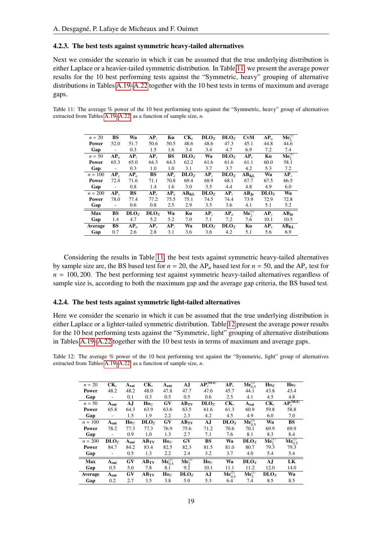#### 4.2.3. The best tests against symmetric heavy-tailed alternatives

Next we consider the scenario in which it can be assumed that the true underlying distribution is either Laplace or a heavier-tailed symmetric distribution. In Table [11,](#page-18-0) we present the average power results for the 10 best performing tests against the "Symmetric, heavy" grouping of alternative distributions in Tables [A.19](#page-28-0)[–A.22](#page-31-0) together with the 10 best tests in terms of maximum and average gaps.

<span id="page-18-0"></span>Table 11: The average % power of the 10 best performing tests against the "Symmetric, heavy" group of alternatives extracted from Tables [A.19–](#page-28-0)[A.22,](#page-31-0) as a function of sample size, *n*.

| $n = 20$   | <b>BS</b>                | Wa                         | AP <sub>7</sub>  | Ku              | $CK_{e}$         | DLO <sub>X</sub> | $\mathbf{DLO}_{Z}$                 | CvM                                | $AP_a$           | $\mathbf{Me}_2^{(1)}$ |
|------------|--------------------------|----------------------------|------------------|-----------------|------------------|------------------|------------------------------------|------------------------------------|------------------|-----------------------|
| Power      | 52.0                     | 51.7                       | 50.6             | 50.5            | 48.6             | 48.6             | 47.3                               | 45.1                               | 44.8             | 44.6                  |
| Gap        | $\overline{\phantom{a}}$ | 0.3                        | 1.5              | 1.6             | 3.4              | 3.4              | 4.7                                | 6.9                                | 7.2              | 7.4                   |
| $n = 50$   | $AP_a$                   | AP <sub>7</sub>            | $AP_v$           | BS              | $\mathbf{DLO}_Z$ | Wa               | $\mathbf{D}\mathbf{L}\mathbf{O}_X$ | $AP_e$                             | Ku               | $\mathbf{Me}_2^{(1)}$ |
| Power      | 65.3                     | 65.0                       | 64.3             | 64.3            | 62.2             | 61.6             | 61.6                               | 61.1                               | 60.0             | 58.1                  |
| Gap        | $\overline{\phantom{a}}$ | 0.3                        | 1.0              | 1.0             | 3.1              | 3.7              | 3.7                                | 4.2                                | 5.3              | 7.2                   |
| $n = 100$  | $AP_v$                   | $\overline{\mathbf{AP}}_a$ | <b>BS</b>        | $AP_{e}$        | DLO <sub>z</sub> | AP <sub>z</sub>  | DLO <sub>X</sub>                   | $\overline{\text{AB}}_{\text{KL}}$ | Wa               | $AP_{v}$              |
| Power      | 72.4                     | 71.6                       | 71.1             | 70.8            | 69.4             | 68.9             | 68.1                               | 67.7                               | 67.5             | 66.5                  |
| Gap        | $\overline{\phantom{a}}$ | 0.8                        | 1.4              | 1.6             | 3.0              | 3.5              | 4.4                                | 4.8                                | 4.9              | 6.0                   |
| $n = 200$  | $AP_v$                   | BS                         | $AP_{e}$         | $AP_a$          | AB <sub>KL</sub> | DLO <sub>z</sub> | $AP_{v}$                           | $\overline{\bf AB}_{\rm Je}$       | DLO <sub>X</sub> | Wa                    |
| Power      | 78.0                     | 77.4                       | 77.2             | 75.5            | 75.1             | 74.5             | 74.4                               | 73.9                               | 72.9             | 72.8                  |
| Gap        | $\overline{a}$           | 0.6                        | 0.8              | 2.5             | 2.9              | 3.5              | 3.6                                | 4.1                                | 5.1              | 5.2                   |
| <b>Max</b> | <b>BS</b>                | DLO <sub>z</sub>           | DLO <sub>X</sub> | Wa              | Ku               | AP <sub>7</sub>  | $AP_a$                             | ${\rm\bf Me}_2^{\rm (1)}$          | $AP_v$           | $AB_{Je}$             |
| Gap        | 1.4                      | 4.7                        | 5.2              | 5.2             | 7.0              | 7.1              | 7.2                                | 7.6                                | 10.1             | 10.5                  |
| Average    | <b>BS</b>                | $AP_a$                     | $AP_v$           | AP <sub>z</sub> | Wa               | DLO <sub>z</sub> | DLO <sub>X</sub>                   | Ku                                 | $AP_e$           | AB <sub>KL</sub>      |
| Gap        | 0.7                      | 2.6                        | 2.8              | 3.1             | 3.6              | 3.6              | 4.2                                | 5.1                                | 5.6              | 6.9                   |

Considering the results in Table [11,](#page-18-0) the best tests against symmetric heavy-tailed alternatives by sample size are, the BS based test for  $n = 20$ , the AP<sub>a</sub> based test for  $n = 50$ , and the AP<sub>y</sub> test for  $n = 100, 200$ . The best performing test against symmetric heavy-tailed alternatives regardless of sample size is, according to both the maximum gap and the average gap criteria, the BS based test.

#### 4.2.4. The best tests against symmetric light-tailed alternatives

Here we consider the scenario in which it can be assumed that the true underlying distribution is either Laplace or a lighter-tailed symmetric distribution. Table [12](#page-18-1) present the average power results for the 10 best performing tests against the "Symmetric, light" grouping of alternative distributions in Tables [A.19](#page-28-0)[–A.22](#page-31-0) together with the 10 best tests in terms of maximum and average gaps.

<span id="page-18-1"></span>Table 12: The average % power of the 10 best performing test against the "Symmetric, light" group of alternatives extracted from Tables [A.19–](#page-28-0)[A.22,](#page-31-0) as a function of sample size, *n*.

| $n = 20$   | $CK_c$                   | $A_{rat}$          | $CK_v$                   | A <sub>ent</sub>              | AJ                                          | $AP_{y}^{(MLE)}$  | $AP_v$                    | $\mathbf{Me}_{0.5}^{(2)}$          | $\mathbf{Ho}_K$                     | $\mathbf{Ho}_V$               |
|------------|--------------------------|--------------------|--------------------------|-------------------------------|---------------------------------------------|-------------------|---------------------------|------------------------------------|-------------------------------------|-------------------------------|
| Power      | 48.2                     | 48.2               | 48.0                     | 47.8                          | 47.7                                        | 47.6              | 45.7                      | 44.1                               | 43.8                                | 43.4                          |
| Gap        | $\overline{\phantom{m}}$ | 0.1                | 0.3                      | 0.5                           | 0.5                                         | 0.6               | 2.5                       | 4.1                                | 4.5                                 | 4.8                           |
| $n = 50$   | $A_{ent}$                | AJ                 | $\mathbf{Ho}_{II}$       | GV                            | $\bar{\mathbf{A}} \mathbf{B}_{\mathbf{TV}}$ | DLO <sub>z</sub>  | $CK_{\nu}$                | $A_{rat}$                          | $CK_c$                              | $AP_{y}^{(MLE)}$              |
| Power      | 65.8                     | 64.3               | 63.9                     | 63.6                          | 63.5                                        | 61.6              | 61.3                      | 60.9                               | 59.8                                | 58.8                          |
| Gap        | $\overline{\phantom{a}}$ | 1.5                | 1.9                      | 2.2                           | 2.3                                         | 4.2               | 4.5                       | 4.9                                | 6.0                                 | 7.0                           |
| $n = 100$  | $A_{ent}$                | $\mathbf{Ho}_{II}$ | DLO <sub>z</sub>         | GV                            | $AB_{TV}$                                   | AJ                | DLO <sub>X</sub>          | ${\bf M} {\bf e}_{0.5}^{(2)}$      | Wa                                  | <b>BS</b>                     |
| Power      | 78.2                     | 77.3               | 77.3                     | 76.9                          | 75.6                                        | 71.2              | 70.6                      | 70.1                               | 69.9                                | 69.9                          |
| Gap        | $\overline{\phantom{a}}$ | 0.9                | 1.0                      | 1.3                           | 2.7                                         | 7.1               | 7.6                       | 8.1                                | 8.3                                 | 8.4                           |
| $n = 200$  | DLO <sub>z</sub>         | $A_{ent}$          | $AB_{TV}$                | $\mathbf{Ho}_U$               | GV                                          | <b>BS</b>         | Wa                        | $\mathbf{D}\mathbf{L}\mathbf{O}_X$ | $\overline{\text{Me}}_{2}^{(1)}$    | ${\bf M} {\bf e}_{0.5}^{(2)}$ |
| Power      | 84.7                     | 84.2               | 83.4                     | 82.5                          | 82.3                                        | 81.5              | 81.0                      | 80.7                               | 79.3                                | 79.3                          |
| Gap        | $\overline{\phantom{m}}$ | 0.5                | 1.3                      | 2.2                           | 2.4                                         | 3.2               | 3.7                       | 4.0                                | 5.4                                 | 5.4                           |
| <b>Max</b> | $A_{ent}$                | GV                 | $\overline{\bf AB_{TV}}$ | ${\bf M} {\bf e}_{0.5}^{(2)}$ | $\mathbf{Me}_{2}^{(1)}$                     | $\mathbf{Ho}_{U}$ | Wa                        | DLO <sub>X</sub>                   | AJ                                  | LK                            |
| Gap        | 0.5                      | 5.0                | 7.8                      | 8.1                           | 9.2                                         | 10.1              | 11.1                      | 11.2                               | 12.0                                | 14.0                          |
| Average    | $A_{ent}$                | GV                 | $AB_{TV}$                | $\mathbf{Ho}_U$               | DLO <sub>z</sub>                            | AJ                | ${\rm\bf Me}_{0.5}^{(2)}$ | $\overline{\mathrm{Me}_{2}^{(1)}}$ | $\bf{D} \bf{L} \bf{O}$ <sub>x</sub> | Wa                            |
| Gap        | 0.2                      | 2.7                | 3.5                      | 3.8                           | 5.0                                         | 5.3               | 6.4                       | 7.4                                | 8.5                                 | 8.5                           |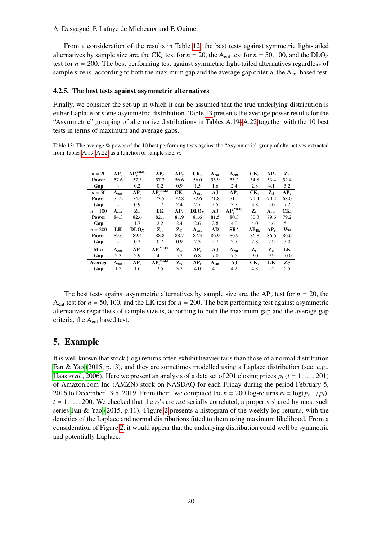From a consideration of the results in Table [12,](#page-18-1) the best tests against symmetric light-tailed alternatives by sample size are, the CK<sub>c</sub> test for  $n = 20$ , the A<sub>ent</sub> test for  $n = 50$ , 100, and the DLO<sub>Z</sub> test for *n* = 200. The best performing test against symmetric light-tailed alternatives regardless of sample size is, according to both the maximum gap and the average gap criteria, the  $A<sub>ent</sub>$  based test.

#### 4.2.5. The best tests against asymmetric alternatives

Finally, we consider the set-up in which it can be assumed that the true underlying distribution is either Laplace or some asymmetric distribution. Table [13](#page-19-1) presents the average power results for the "Asymmetric" grouping of alternative distributions in Tables [A.19](#page-28-0)[–A.22](#page-31-0) together with the 10 best tests in terms of maximum and average gaps.

<span id="page-19-1"></span>Table 13: The average % power of the 10 best performing tests against the "Asymmetric" group of alternatives extracted from Tables [A.19–](#page-28-0)[A.22,](#page-31-0) as a function of sample size, *n*.

| $n = 20$   | $AP_v$                       | $AP_{\nu}^{(MLE)}$                   | $AP_e$           | $AP_v$         | $CK_v$                              | $A_{rat}$ | $A_{ent}$          | $CK_c$         | $AP_a$         | $\mathbf{Z}_A$ |
|------------|------------------------------|--------------------------------------|------------------|----------------|-------------------------------------|-----------|--------------------|----------------|----------------|----------------|
| Power      | 57.6                         | 57.3                                 | 57.3             | 56.6           | 56.0                                | 55.9      | 55.2               | 54.8           | 53.4           | 52.4           |
| Gap        | $\qquad \qquad \blacksquare$ | 0.2                                  | 0.2              | 0.9            | 1.5                                 | 1.6       | 2.4                | 2.8            | 4.1            | 5.2            |
| $n = 50$   | $A_{ent}$                    | $AP_v$                               | $AP_{v}^{(MLE)}$ | $CK_{v}$       | $A_{rat}$                           | AJ        | $AP_{e}$           | $CK_c$         | $\mathbf{Z}_A$ | $AP_v$         |
| Power      | 75.2                         | 74.4                                 | 73.5             | 72.8           | 72.6                                | 71.8      | 71.5               | 71.4           | 70.2           | 68.0           |
| Gap        | $\qquad \qquad \blacksquare$ | 0.9                                  | 1.7              | 2.4            | 2.7                                 | 3.5       | 3.7                | 3.8            | 5.0            | 7.2            |
| $n = 100$  | $A_{ent}$                    | $\mathbf{Z}_A$                       | LK               | $AP_v$         | $\bf{D} \bf{L} \bf{O}$ <sub>x</sub> | AJ        | $AP_{\nu}^{(MLE)}$ | $\mathbf{Z}_C$ | $A_{rat}$      | $CK_{v}$       |
| Power      | 84.3                         | 82.6                                 | 82.1             | 81.9           | 81.6                                | 81.5      | 80.3               | 80.3           | 79.6           | 79.2           |
| Gap        | $\qquad \qquad \blacksquare$ | 1.7                                  | 2.2              | 2.4            | 2.6                                 | 2.8       | 4.0                | 4.0            | 4.6            | 5.1            |
| $n = 200$  | LK                           | $\overline{\mathbf{D}}\mathbf{LO}_X$ | $\mathbf{Z}_A$   | $\mathbf{Z}_C$ | A <sub>ent</sub>                    | AD        | $SR^{\star}$       | $AB_{He}$      | $AP_v$         | Wa             |
| Power      | 89.6                         | 89.4                                 | 88.8             | 88.7           | 87.3                                | 86.9      | 86.9               | 86.8           | 86.6           | 86.6           |
| Gap        | $\overline{a}$               | 0.2                                  | 0.7              | 0.9            | 2.3                                 | 2.7       | 2.7                | 2.8            | 2.9            | 3.0            |
| <b>Max</b> | $A_{ent}$                    | $AP_v$                               | $AP_{v}^{(MLE)}$ | $\mathbf{Z}_A$ | $AP_e$                              | AJ        | $A_{rat}$          | $\mathbf{Z}_C$ | $\mathbf{Z}_K$ | LK             |
| Gap        | 2.3                          | 2.9                                  | 4.1              | 5.2            | 6.8                                 | 7.0       | 7.5                | 9.0            | 9.9            | 10.0           |
| Average    | $A_{ent}$                    | $AP_{\nu}$                           | $AP_{v}^{(MLE)}$ | $\mathbf{Z}_A$ | $AP_e$                              | $A_{rat}$ | AJ                 | $CK_{\nu}$     | LK             | $\mathbf{Z}_C$ |
| Gap        | 1.2                          | 1.6                                  | 2.5              | 3.2            | 4.0                                 | 4.1       | 4.2                | 4.8            | 5.2            | 5.5            |

The best tests against asymmetric alternatives by sample size are, the  $AP_v$  test for  $n = 20$ , the  $A_{ent}$  test for  $n = 50, 100$ , and the LK test for  $n = 200$ . The best performing test against asymmetric alternatives regardless of sample size is, according to both the maximum gap and the average gap criteria, the Aent based test.

### <span id="page-19-0"></span>5. Example

It is well known that stock (log) returns often exhibit heavier tails than those of a normal distribution [Fan & Yao](#page-21-31) [\(2015,](#page-21-31) p.13), and they are sometimes modelled using a Laplace distribution (see, e.g., [Haas](#page-21-32) *et al.*, [2006\)](#page-21-32). Here we present an analysis of a data set of 201 closing prices  $p_t$  ( $t = 1, \ldots, 201$ ) of Amazon.com Inc (AMZN) stock on NASDAQ for each Friday during the period February 5, 2016 to December 13th, 2019. From them, we computed the  $n = 200 \log\text{-returns } r_t = \log(p_{t+1}/p_t)$ ,  $t = 1, \ldots, 200$ . We checked that the  $r_t$ 's are *not* serially correlated, a property shared by most such series [Fan & Yao](#page-21-31) [\(2015,](#page-21-31) p.11). Figure [2](#page-20-1) presents a histogram of the weekly log-returns, with the densities of the Laplace and normal distributions fitted to them using maximum likelihood. From a consideration of Figure [2,](#page-20-1) it would appear that the underlying distribution could well be symmetric and potentially Laplace.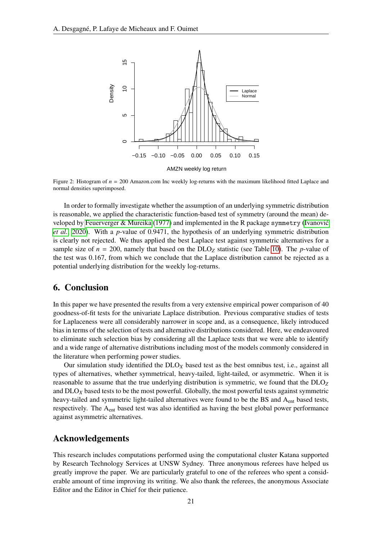<span id="page-20-1"></span>

Figure 2: Histogram of  $n = 200$  Amazon.com Inc weekly log-returns with the maximum likelihood fitted Laplace and normal densities superimposed.

In order to formally investigate whether the assumption of an underlying symmetric distribution is reasonable, we applied the characteristic function-based test of symmetry (around the mean) developed by [Feuerverger & Mureika](#page-21-33) [\(1977\)](#page-21-33) and implemented in the R package symmetry [\(Ivanovic´](#page-21-34) *[et al.](#page-21-34)*, [2020\)](#page-21-34). With a *<sup>p</sup>*-value of 0.9471, the hypothesis of an underlying symmetric distribution is clearly not rejected. We thus applied the best Laplace test against symmetric alternatives for a sample size of  $n = 200$ , namely that based on the DLO<sub>Z</sub> statistic (see Table [10\)](#page-17-1). The *p*-value of the test was 0.167, from which we conclude that the Laplace distribution cannot be rejected as a potential underlying distribution for the weekly log-returns.

### <span id="page-20-0"></span>6. Conclusion

In this paper we have presented the results from a very extensive empirical power comparison of 40 goodness-of-fit tests for the univariate Laplace distribution. Previous comparative studies of tests for Laplaceness were all considerably narrower in scope and, as a consequence, likely introduced bias in terms of the selection of tests and alternative distributions considered. Here, we endeavoured to eliminate such selection bias by considering all the Laplace tests that we were able to identify and a wide range of alternative distributions including most of the models commonly considered in the literature when performing power studies.

Our simulation study identified the DLO*<sup>X</sup>* based test as the best omnibus test, i.e., against all types of alternatives, whether symmetrical, heavy-tailed, light-tailed, or asymmetric. When it is reasonable to assume that the true underlying distribution is symmetric, we found that the DLO*<sup>Z</sup>* and DLO*<sup>X</sup>* based tests to be the most powerful. Globally, the most powerful tests against symmetric heavy-tailed and symmetric light-tailed alternatives were found to be the BS and A<sub>ent</sub> based tests, respectively. The Aent based test was also identified as having the best global power performance against asymmetric alternatives.

### Acknowledgements

This research includes computations performed using the computational cluster Katana supported by Research Technology Services at UNSW Sydney. Three anonymous referees have helped us greatly improve the paper. We are particularly grateful to one of the referees who spent a considerable amount of time improving its writing. We also thank the referees, the anonymous Associate Editor and the Editor in Chief for their patience.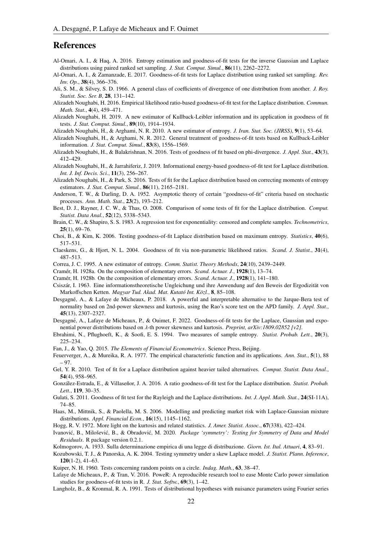### References

- <span id="page-21-18"></span>Al-Omari, A. I., & Haq, A. 2016. Entropy estimation and goodness-of-fit tests for the inverse Gaussian and Laplace distributions using paired ranked set sampling. *J. Stat. Comput. Simul.*, 86(11), 2262–2272.
- <span id="page-21-13"></span>Al-Omari, A. I., & Zamanzade, E. 2017. Goodness-of-fit tests for Laplace distribution using ranked set sampling. *Rev. Inv. Op.*, 38(4), 366–376.
- <span id="page-21-30"></span>Ali, S. M., & Silvey, S. D. 1966. A general class of coefficients of divergence of one distribution from another. *J. Roy. Statist. Soc. Ser. B*, 28, 131–142.
- <span id="page-21-10"></span>Alizadeh Noughabi, H. 2016. Empirical likelihood ratio-based goodness-of-fit test for the Laplace distribution. *Commun. Math. Stat.*, 4(4), 459–471.
- <span id="page-21-0"></span>Alizadeh Noughabi, H. 2019. A new estimator of Kullback-Leibler information and its application in goodness of fit tests. *J. Stat. Comput. Simul.*, 89(10), 1914–1934.
- <span id="page-21-26"></span>Alizadeh Noughabi, H., & Arghami, N. R. 2010. A new estimator of entropy. *J. Iran. Stat. Soc. (JIRSS)*, 9(1), 53–64.
- <span id="page-21-27"></span>Alizadeh Noughabi, H., & Arghami, N. R. 2012. General treatment of goodness-of-fit tests based on Kullback-Leibler information. *J. Stat. Comput. Simul.*, 83(8), 1556–1569.
- <span id="page-21-12"></span>Alizadeh Noughabi, H., & Balakrishnan, N. 2016. Tests of goodness of fit based on phi-divergence. *J. Appl. Stat.*, 43(3), 412–429.
- <span id="page-21-1"></span>Alizadeh Noughabi, H., & Jarrahiferiz, J. 2019. Informational energy-based goodness-of-fit test for Laplace distribution. *Int. J. Inf. Decis. Sci.*, 11(3), 256–267.
- <span id="page-21-11"></span>Alizadeh Noughabi, H., & Park, S. 2016. Tests of fit for the Laplace distribution based on correcting moments of entropy estimators. *J. Stat. Comput. Simul.*, 86(11), 2165–2181.
- <span id="page-21-19"></span>Anderson, T. W., & Darling, D. A. 1952. Asymptotic theory of certain "goodness-of-fit" criteria based on stochastic processes. *Ann. Math. Stat.*, 23(2), 193–212.
- <span id="page-21-8"></span>Best, D. J., Rayner, J. C. W., & Thas, O. 2008. Comparison of some tests of fit for the Laplace distribution. *Comput. Statist. Data Anal.*, 52(12), 5338–5343.
- <span id="page-21-16"></span>Brain, C. W., & Shapiro, S. S. 1983. A regression test for exponentiality: censored and complete samples. *Technometrics*, 25(1), 69–76.
- <span id="page-21-9"></span>Choi, B., & Kim, K. 2006. Testing goodness-of-fit Laplace distribution based on maximum entropy. *Statistics*, 40(6), 517–531.
- <span id="page-21-3"></span>Claeskens, G., & Hjort, N. L. 2004. Goodness of fit via non-parametric likelihood ratios. *Scand. J. Statist.*, 31(4), 487–513.
- <span id="page-21-28"></span>Correa, J. C. 1995. A new estimator of entropy. *Comm. Statist. Theory Methods*, 24(10), 2439–2449.
- <span id="page-21-20"></span>Cramér, H. 1928a. On the composition of elementary errors. *Scand. Actuar. J.*, **1928**(1), 13–74.
- <span id="page-21-21"></span>Cramér, H. 1928b. On the composition of elementary errors. *Scand. Actuar. J.*, **1928**(1), 141–180.
- <span id="page-21-29"></span>Csiszár, I. 1963. Eine informationstheoretische Ungleichung und ihre Anwendung auf den Beweis der Ergodizität von Markoffschen Ketten. *Magyar Tud. Akad. Mat. Kutató Int. Közl.*, 8, 85–108.
- <span id="page-21-24"></span>Desgagné, A., & Lafaye de Micheaux, P. 2018. A powerful and interpretable alternative to the Jarque-Bera test of normality based on 2nd-power skewness and kurtosis, using the Rao's score test on the APD family. *J. Appl. Stat.*, 45(13), 2307–2327.
- <span id="page-21-2"></span>Desgagné, A., Lafaye de Micheaux, P., & Ouimet, F. 2022. Goodness-of-fit tests for the Laplace, Gaussian and exponential power distributions based on λ-th power skewness and kurtosis. *Preprint, arXiv:1809.02852 [v2]*.
- <span id="page-21-25"></span>Ebrahimi, N., Pflughoeft, K., & Soofi, E. S. 1994. Two measures of sample entropy. *Statist. Probab. Lett.*, 20(3), 225–234.
- <span id="page-21-31"></span>Fan, J., & Yao, Q. 2015. *The Elements of Financial Econometrics*. Science Press, Beijing.
- <span id="page-21-33"></span>Feuerverger, A., & Mureika, R. A. 1977. The empirical characteristic function and its applications. *Ann. Stat.*, 5(1), 88 – 97.
- <span id="page-21-7"></span>Gel, Y. R. 2010. Test of fit for a Laplace distribution against heavier tailed alternatives. *Comput. Statist. Data Anal.*, 54(4), 958–965.
- <span id="page-21-6"></span>González-Estrada, E., & Villaseñor, J. A. 2016. A ratio goodness-of-fit test for the Laplace distribution. Statist. Probab. *Lett.*, 119, 30–35.
- <span id="page-21-5"></span>Gulati, S. 2011. Goodness of fit test for the Rayleigh and the Laplace distributions. *Int. J. Appl. Math. Stat.*, 24(SI-11A), 74–85.
- <span id="page-21-32"></span>Haas, M., Mittnik, S., & Paolella, M. S. 2006. Modelling and predicting market risk with Laplace-Gaussian mixture distributions. *Appl. Financial Econ.*, 16(15), 1145–1162.
- <span id="page-21-14"></span>Hogg, R. V. 1972. More light on the kurtosis and related statistics. *J. Amer. Statist. Assoc.*, 67(338), 422–424.
- <span id="page-21-34"></span>Ivanović, B., Milošević, B., & Obradović, M. 2020. Package 'symmetry': Testing for Symmetry of Data and Model *Residuals*. R package version 0.2.1.
- <span id="page-21-22"></span>Kolmogorov, A. 1933. Sulla determinazione empirica di una legge di distribuzione. *Giorn. Ist. Ital. Attuari*, 4, 83–91.
- <span id="page-21-17"></span>Kozubowski, T. J., & Panorska, A. K. 2004. Testing symmetry under a skew Laplace model. *J. Statist. Plann. Inference*, 120(1-2), 41–63.
- <span id="page-21-23"></span>Kuiper, N. H. 1960. Tests concerning random points on a circle. *Indag. Math.*, 63, 38–47.
- <span id="page-21-4"></span>Lafaye de Micheaux, P., & Tran, V. 2016. PoweR: A reproducible research tool to ease Monte Carlo power simulation studies for goodness-of-fit tests in R. *J. Stat. Softw.*, 69(3), 1–42.
- <span id="page-21-15"></span>Langholz, B., & Kronmal, R. A. 1991. Tests of distributional hypotheses with nuisance parameters using Fourier series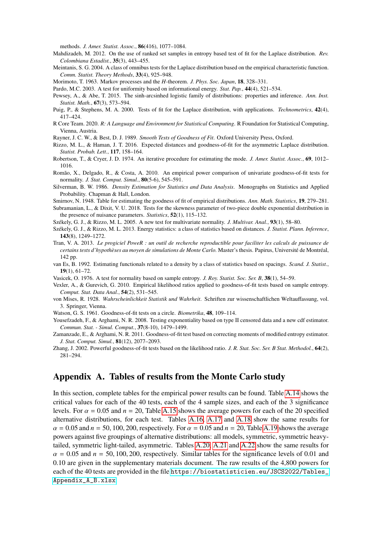methods. *J. Amer. Statist. Assoc.*, 86(416), 1077–1084.

- <span id="page-22-6"></span>Mahdizadeh, M. 2012. On the use of ranked set samples in entropy based test of fit for the Laplace distribution. *Rev. Colombiana Estad´ıst.*, 35(3), 443–455.
- <span id="page-22-2"></span>Meintanis, S. G. 2004. A class of omnibus tests for the Laplace distribution based on the empirical characteristic function. *Comm. Statist. Theory Methods*, 33(4), 925–948.

<span id="page-22-17"></span>Morimoto, T. 1963. Markov processes and the *H*-theorem. *J. Phys. Soc. Japan*, 18, 328–331.

<span id="page-22-19"></span>Pardo, M.C. 2003. A test for uniformity based on informational energy. *Stat. Pap.*, 44(4), 521–534.

- <span id="page-22-0"></span>Pewsey, A., & Abe, T. 2015. The sinh-arcsinhed logistic family of distributions: properties and inference. *Ann. Inst. Statist. Math.*, 67(3), 573–594.
- <span id="page-22-1"></span>Puig, P., & Stephens, M. A. 2000. Tests of fit for the Laplace distribution, with applications. *Technometrics*, 42(4), 417–424.
- <span id="page-22-25"></span>R Core Team. 2020. *R: A Language and Environment for Statistical Computing*. R Foundation for Statistical Computing, Vienna, Austria.
- <span id="page-22-11"></span>Rayner, J. C. W., & Best, D. J. 1989. *Smooth Tests of Goodness of Fit*. Oxford University Press, Oxford.
- <span id="page-22-3"></span>Rizzo, M. L., & Haman, J. T. 2016. Expected distances and goodness-of-fit for the asymmetric Laplace distribution. *Statist. Probab. Lett.*, 117, 158–164.
- <span id="page-22-20"></span>Robertson, T., & Cryer, J. D. 1974. An iterative procedure for estimating the mode. *J. Amer. Statist. Assoc.*, 69, 1012– 1016.
- <span id="page-22-23"></span>Romão, X., Delgado, R., & Costa, A. 2010. An empirical power comparison of univariate goodness-of-fit tests for normality. *J. Stat. Comput. Simul.*, 80(5-6), 545–591.
- <span id="page-22-18"></span>Silverman, B. W. 1986. *Density Estimation for Statistics and Data Analysis*. Monographs on Statistics and Applied Probability. Chapman & Hall, London.
- <span id="page-22-8"></span>Smirnov, N. 1948. Table for estimating the goodness of fit of empirical distributions. *Ann. Math. Statistics*, 19, 279–281.
- <span id="page-22-5"></span>Subramanian, L., & Dixit, V. U. 2018. Tests for the skewness parameter of two-piece double exponential distribution in the presence of nuisance parameters. *Statistics*, 52(1), 115–132.
- <span id="page-22-22"></span>Székely, G. J., & Rizzo, M. L. 2005. A new test for multivariate normality. *J. Multivar. Anal.*, **93**(1), 58–80.
- <span id="page-22-21"></span>Székely, G. J., & Rizzo, M. L. 2013. Energy statistics: a class of statistics based on distances. *J. Statist. Plann. Inference*, 143(8), 1249–1272.
- <span id="page-22-24"></span>Tran, V. A. 2013. *Le progiciel PoweR : un outil de recherche reproductible pour faciliter les calculs de puissance de certains tests d'hypothèses au moyen de simulations de Monte Carlo.* Master's thesis. Papirus, Université de Montréal, 142 pp.
- <span id="page-22-16"></span>van Es, B. 1992. Estimating functionals related to a density by a class of statistics based on spacings. *Scand. J. Statist.*, 19(1), 61–72.
- <span id="page-22-13"></span>Vasicek, O. 1976. A test for normality based on sample entropy. *J. Roy. Statist. Soc. Ser. B*, 38(1), 54–59.
- <span id="page-22-12"></span>Vexler, A., & Gurevich, G. 2010. Empirical likelihood ratios applied to goodness-of-fit tests based on sample entropy. *Comput. Stat. Data Anal.*, 54(2), 531–545.
- <span id="page-22-7"></span>von Mises, R. 1928. *Wahrscheinlichkeit Statistik und Wahrheit*. Schriften zur wissenschaftlichen Weltauffassung, vol. 3. Springer, Vienna.
- <span id="page-22-9"></span>Watson, G. S. 1961. Goodness-of-fit tests on a circle. *Biometrika*, 48, 109–114.
- <span id="page-22-14"></span>Yousefzadeh, F., & Arghami, N. R. 2008. Testing exponentiality based on type II censored data and a new cdf estimator. *Commun. Stat. - Simul. Comput.*, 37(8-10), 1479–1499.
- <span id="page-22-15"></span>Zamanzade, E., & Arghami, N. R. 2011. Goodness-of-fit test based on correcting moments of modified entropy estimator. *J. Stat. Comput. Simul.*, 81(12), 2077–2093.
- <span id="page-22-10"></span>Zhang, J. 2002. Powerful goodness-of-fit tests based on the likelihood ratio. *J. R. Stat. Soc. Ser. B Stat. Methodol.*, 64(2), 281–294.

### <span id="page-22-4"></span>Appendix A. Tables of results from the Monte Carlo study

In this section, complete tables for the empirical power results can be found. Table [A.14](#page-23-0) shows the critical values for each of the 40 tests, each of the 4 sample sizes, and each of the 3 significance levels. For  $\alpha = 0.05$  and  $n = 20$ . Table [A.15](#page-24-0) shows the average powers for each of the 20 specified alternative distributions, for each test. Tables [A.16,](#page-25-0) [A.17](#page-26-0) and [A.18](#page-27-0) show the same results for  $\alpha$  = 0.05 and  $n$  = 50, 100, 200, respectively. For  $\alpha$  = 0.05 and  $n$  = 20, Table [A.19](#page-28-0) shows the average powers against five groupings of alternative distributions: all models, symmetric, symmetric heavytailed, symmetric light-tailed, asymmetric. Tables [A.20,](#page-29-0) [A.21](#page-30-0) and [A.22](#page-31-0) show the same results for  $\alpha$  = 0.05 and  $n$  = 50, 100, 200, respectively. Similar tables for the significance levels of 0.01 and 0.10 are given in the supplementary materials document. The raw results of the 4,800 powers for each of the 40 tests are provided in the file [https://biostatisticien.eu/JSCS2022/Tables\\_](https://biostatisticien.eu/JSCS2022/Tables_Appendix_A_B.xlsx) [Appendix\\_A\\_B.xlsx](https://biostatisticien.eu/JSCS2022/Tables_Appendix_A_B.xlsx).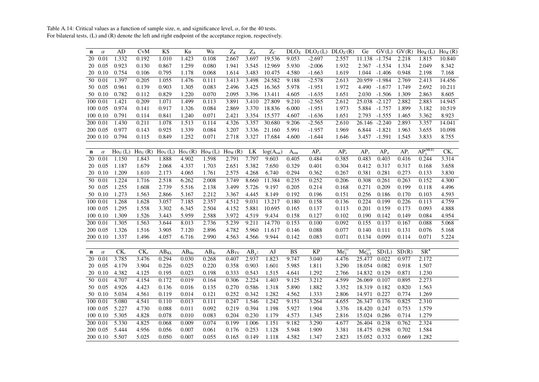<span id="page-23-0"></span>Table A.14: Critical values as <sup>a</sup> function of sample size, *<sup>n</sup>*, and significance level, <sup>α</sup>, for the 40 tests. For bilateral tests, (L) and (R) denote the left and right endpoint of the acceptance region, respectively.

| n           | $\alpha$ | AD                       | CvM                       | KS                          | Ku                   | Wa                          | $Z_K$                              | $\mathbf{Z}_A$ | $Z_C$                  |                        | $DLO_X$ $DLO_Z(L)$ $DLO_Z(R)$ |                | Ge               |                  |                   | $GV(L)$ $GV(R)$ $Ho_K(L)$ $Ho_K(R)$ |                              |
|-------------|----------|--------------------------|---------------------------|-----------------------------|----------------------|-----------------------------|------------------------------------|----------------|------------------------|------------------------|-------------------------------|----------------|------------------|------------------|-------------------|-------------------------------------|------------------------------|
| 20          | 0.01     | 1.332                    | 0.192                     | 1.010                       | 1.423                | 0.108                       | 2.667                              | 3.697          | 19.536                 | 9.053                  | $-2.697$                      | 2.557          |                  | 11.138 -1.754    | 2.218             | 1.815                               | 10.840                       |
|             | 20 0.05  | 0.923                    | 0.130                     | 0.867                       | 1.259                | 0.080                       | 1.941                              | 3.545          | 12.969                 | 5.930                  | $-2.006$                      | 1.932          | 2.367            | $-1.534$         | 1.334             | 2.049                               | 8.342                        |
|             | 20 0.10  | 0.754                    | 0.106                     | 0.795                       | 1.178                | 0.068                       | 1.614                              | 3.483          | 10.475                 | 4.580                  | $-1.663$                      | 1.619          | 1.044            | $-1.406$         | 0.948             | 2.198                               | 7.168                        |
|             | 50 0.01  | 1.397                    | 0.205                     | 1.055                       | 1.476                | 0.111                       | 3.413                              | 3.498          | 24.582                 | 9.188                  | $-2.578$                      | 2.613          | 20.959 -1.984    |                  | 2.769             | 2.413                               | 14.456                       |
|             | 50 0.05  | 0.961                    | 0.139                     | 0.903                       | 1.305                | 0.083                       | 2.496                              | 3.425          | 16.365                 | 5.978                  | $-1.951$                      | 1.972          | 4.490            | $-1.677$         | 1.749             | 2.692                               | 10.211                       |
|             | 50 0.10  | 0.782                    | 0.112                     | 0.829                       | 1.220                | 0.070                       | 2.095                              | 3.396          | 13.411                 | 4.605                  | $-1.635$                      | 1.651          | 2.030            | $-1.506$         | 1.309             | 2.863                               | 8.605                        |
|             | 10000.01 | 1.421                    | 0.209                     | 1.071                       | 1.499                | 0.113                       | 3.891                              | 3.410          | 27.809                 | 9.210                  | $-2.565$                      | 2.612          | 25.038           | $-2.127$         | 2.882             | 2.883                               | 14.945                       |
|             | 100 0.05 | 0.974                    | 0.141                     | 0.917                       | 1.326                | 0.084                       | 2.869                              | 3.370          | 18.836                 | 6.000                  | $-1.951$                      | 1.973          |                  | 5.884 -1.757     | 1.899             | 3.182                               | 10.519                       |
|             | 100 0.10 | 0.791                    | 0.114                     | 0.841                       | 1.240                | 0.071                       | 2.421                              | 3.354          | 15.577                 | 4.607                  | $-1.636$                      | 1.651          | 2.793            | $-1.555$         | 1.465             | 3.362                               | 8.923                        |
|             | 200 0.01 | 1.430                    | 0.211                     | 1.078                       | 1.513                | 0.114                       | 4.326                              | 3.357          | 30.680                 | 9.206                  | $-2.565$                      | 2.610          |                  | $26.146 - 2.240$ | 2.893             | 3.357                               | 14.041                       |
|             | 200 0.05 | 0.977                    | 0.143                     | 0.925                       | 1.339                | 0.084                       | 3.207                              | 3.336          | 21.160                 | 5.991                  | $-1.957$                      | 1.969          | 6.844            | $-1.821$         | 1.963             | 3.655                               | 10.098                       |
|             | 200 0.10 | 0.794                    | 0.115                     | 0.849                       | 1.252                | 0.071                       | 2.718                              | 3.327          | 17.684                 | 4.600                  | $-1.644$                      | 1.646          | 3.457            | $-1.591$         | 1.545             | 3.833                               | 8.755                        |
|             |          |                          |                           |                             |                      |                             |                                    |                |                        |                        |                               |                |                  |                  |                   |                                     |                              |
| $\mathbf n$ | $\alpha$ | $Ho_U(L)$                | $\text{Ho}_U(\mathsf{R})$ | $\overline{\text{Ho}_V(L)}$ | $\overline{Ho_V(R)}$ | $\overline{\text{Ho}_W(L)}$ | $\text{Ho}_W(\overline{\text{R})}$ | LK             | log(A <sub>rat</sub> ) | A <sub>ent</sub>       | $\overline{AP_{\nu}}$         | $AP_e$         | $AP_v$           | $AP_a$           | $\overline{AP_z}$ | $AP_v^{\text{(MLE)}}$               | $\overline{\text{CK}_{\nu}}$ |
| 20          | 0.01     | 1.150                    | 1.843                     | 1.888                       | 4.902                | 1.598                       | 2.791                              | 7.797          | 9.603                  | 0.405                  | 0.484                         | 0.385          | 0.483            | 0.403            | 0.416             | 0.244                               | 3.314                        |
| 20          | 0.05     | 1.187                    | 1.679                     | 2.068                       | 4.337                | 1.703                       | 2.651                              | 5.382          | 7.650                  | 0.329                  | 0.401                         | 0.304          | 0.412            | 0.317            | 0.317             | 0.168                               | 3.658                        |
|             | 20 0.10  | 1.209                    | 1.610                     | 2.173                       | 4.065                | 1.761                       | 2.575                              | 4.268          | 6.740                  | 0.294                  | 0.362                         | 0.267          | 0.381            | 0.281            | 0.273             | 0.133                               | 3.830                        |
| 50          | 0.01     | 1.224                    | 1.716                     | 2.518                       | 6.262                | 2.008                       | 3.749                              | 8.660          | 11.384                 | 0.235                  | 0.252                         | 0.206          | 0.308            | 0.261            | 0.263             | 0.152                               | 4.300                        |
|             | 50 0.05  | 1.255                    | 1.608                     | 2.739                       | 5.516                | 2.138                       | 3.499                              | 5.726          | 9.197                  | 0.205                  | 0.214                         | 0.168          | 0.271            | 0.209            | 0.199             | 0.118                               | 4.496                        |
|             | 50 0.10  | 1.273                    | 1.563                     | 2.866                       | 5.167                | 2.212                       | 3.367                              | 4.445          | 8.149                  | 0.192                  | 0.196                         | 0.151          | 0.256            | 0.186            | 0.170             | 0.103                               | 4.593                        |
|             | 100 0.01 | 1.268                    | 1.628                     | 3.057                       | 7.185                | 2.357                       | 4.512                              | 9.031          | 13.217                 | 0.180                  | 0.158                         | 0.136          | 0.224            | 0.199            | 0.226             | 0.113                               | 4.759                        |
|             | 100 0.05 | 1.295                    | 1.558                     | 3.302                       | 6.345                | 2.504                       | 4.152                              | 5.881          | 10.695                 | 0.165                  | 0.137                         | 0.113          | 0.201            | 0.159            | 0.173             | 0.093                               | 4.888                        |
|             | 100 0.10 | 1.309                    | 1.526                     | 3.443                       | 5.959                | 2.588                       | 3.972                              | 4.519          | 9.434                  | 0.158                  | 0.127                         | 0.102          | 0.190            | 0.142            | 0.149             | 0.084                               | 4.954                        |
|             | 200 0.01 | 1.305                    | 1.563                     | 3.644                       | 8.013                | 2.736                       | 5.239                              | 9.211          | 14.770                 | 0.153                  | 0.100                         | 0.092          | 0.155            | 0.137            | 0.167             | 0.088                               | 5.068                        |
|             | 200 0.05 | 1.326                    | 1.516                     | 3.905                       | 7.120                | 2.896                       | 4.782                              | 5.960          | 11.617                 | 0.146                  | 0.088                         | 0.077          | 0.140            | 0.111            | 0.131             | 0.076                               | 5.168                        |
|             | 200 0.10 | 1.337                    | 1.496                     | 4.057                       | 6.716                | 2.990                       | 4.563                              | 4.566          | 9.944                  | 0.142                  | 0.083                         | 0.071          | 0.134            | 0.099            | 0.114             | 0.071                               | 5.224                        |
|             |          |                          |                           |                             |                      |                             |                                    |                |                        |                        |                               |                |                  |                  |                   |                                     |                              |
| $\mathbf n$ | $\alpha$ | $\overline{\text{CK}_c}$ | $\overline{\text{CK}_e}$  | $\overline{AB}_{KL}$        | $AB_{He}$            | $AB_{Je}$                   | $AB_{TV}$                          | $AB_{y^2}$     | $\overline{AJ}$        | $\overline{\text{BS}}$ | $\overline{KP}$               | $Me_{2}^{(1)}$ | $Me_{0.5}^{(2)}$ | SD(L)            | SD(R)             | $\overline{\text{SR}^{\star}}$      |                              |
| 20          | 0.01     | 3.785                    | 3.476                     | 0.294                       | 0.030                | 0.268                       | 0.407                              | 2.937          | 1.823                  | 9.747                  | 3.040                         | 4.476          | 25.477           | 0.022            | 0.977             | 2.172                               |                              |
|             | 20 0.05  | 4.179                    | 3.904                     | 0.226                       | 0.025                | 0.220                       | 0.358                              | 0.903          | 1.601                  | 5.985                  | 1.811                         | 3.290          | 18.054           | 0.082            | 0.918             | 1.507                               |                              |
|             | 20 0.10  | 4.382                    | 4.125                     | 0.195                       | 0.023                | 0.198                       | 0.333                              | 0.543          | 1.515                  | 4.641                  | 1.292                         | 2.766          | 14.832 0.129     |                  | 0.871             | 1.230                               |                              |
|             | 50 0.01  | 4.707                    | 4.154                     | 0.172                       | 0.019                | 0.164                       | 0.306                              | 2.224          | 1.403                  | 9.125                  | 3.212                         | 4.599          | 26.069           | 0.107            | 0.895             | 2.273                               |                              |
|             | 50 0.05  | 4.926                    | 4.423                     | 0.136                       | 0.016                | 0.135                       | 0.270                              | 0.586          | 1.318                  | 5.890                  | 1.882                         | 3.352          | 18.319 0.182     |                  | 0.820             | 1.563                               |                              |
|             | 50 0.10  | 5.034                    | 4.561                     | 0.119                       | 0.014                | 0.121                       | 0.252                              | 0.342          | 1.282                  | 4.562                  | 1.333                         | 2.806          | 14.971           | 0.227            | 0.774             | 1.269                               |                              |
|             | 10000.01 | 5.080                    | 4.541                     | 0.110                       | 0.013                | 0.111                       | 0.247                              | 1.546          | 1.242                  | 9.151                  | 3.264                         | 4.655          | 26.347           | 0.176            | 0.825             | 2.310                               |                              |
|             | 100 0.05 | 5.227                    | 4.730                     | 0.088                       | 0.011                | 0.092                       | 0.219                              | 0.394          | 1.198                  | 5.927                  | 1.904                         | 3.376          | 18.420           | 0.247            | 0.753             | 1.579                               |                              |
|             | 100 0.10 | 5.305                    | 4.828                     | 0.078                       | 0.010                | 0.083                       | 0.204                              | 0.230          | 1.179                  | 4.573                  | 1.345                         | 2.816          | 15.024           | 0.286            | 0.714             | 1.279                               |                              |
|             | 200 0.01 | 5.330                    | 4.825                     | 0.068                       | 0.009                | 0.074                       | 0.199                              | 1.006          | 1.151                  | 9.182                  | 3.290                         | 4.677          | 26.404           | 0.238            | 0.762             | 2.324                               |                              |
|             | 200 0.05 | 5.444                    | 4.956                     | 0.056                       | 0.007                | 0.061                       | 0.176                              | 0.253          | 1.128                  | 5.948                  | 1.909                         | 3.381          | 18.475           | 0.298            | 0.702             | 1.584                               |                              |
|             | 200 0.10 | 5.507                    | 5.025                     | 0.050                       | 0.007                | 0.055                       | 0.165                              | 0.149          | 1.118                  | 4.582                  | 1.347                         | 2.823          | 15.052 0.332     |                  | 0.669             | 1.282                               |                              |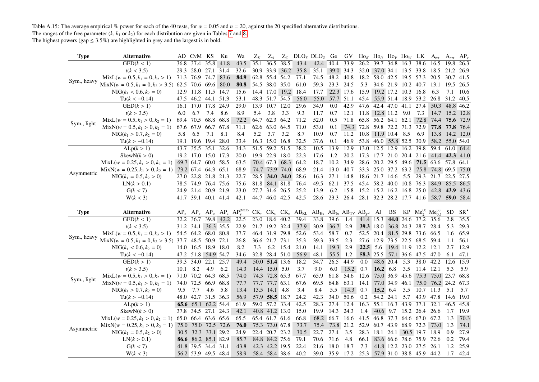Table A.15: The average empirical % power for each of the 40 tests, for  $\alpha = 0.05$  and  $n = 20$ , against the 20 specified alternative distributions. The ranges of the free parameter  $(k, k_1 \text{ or } k_2)$  for each distribution are given in Tables 7 and 8.

<span id="page-24-0"></span>

| Type        | <b>Alternative</b>                                        | AD.    | CvM KS              |                | Ku        | Wa                                  | $Z_K$          | $Z_A$            | $Z_C$          |                                | DLO <sub>X</sub> DLO <sub>Z</sub>                  | Ge             | GV                                                     |           | $\text{Ho}_K$ Ho <sub>U</sub> Ho <sub>V</sub> Ho <sub>W</sub> LK |           |                     |                                                         | $A_{rat}$                          | A <sub>ent</sub> | $AP_v$       |
|-------------|-----------------------------------------------------------|--------|---------------------|----------------|-----------|-------------------------------------|----------------|------------------|----------------|--------------------------------|----------------------------------------------------|----------------|--------------------------------------------------------|-----------|------------------------------------------------------------------|-----------|---------------------|---------------------------------------------------------|------------------------------------|------------------|--------------|
|             | $\overline{\text{GED}}(k<1)$                              | 36.8   | 37.4                | 35.8           | 41.8      | 43.5                                | 35.1           |                  | 36.5 38.5      | 43.4                           | 42.4                                               | 40.4           | 33.9                                                   | 26.2      | 39.7 34.8                                                        |           | 16.3 38.6           |                                                         | 16.5                               | 19.8             | 26.3         |
|             | t(k < 3.5)                                                | 29.3   | 28.0 27.1 31.4      |                |           | 32.6                                |                |                  |                | 30.9 33.9 36.2 35.8            | 35.1                                               | 39.0 34.3      |                                                        |           | 32.0 37.0 34.1 13.5 33.8                                         |           |                     |                                                         | 18.5                               | 21.2             | 26.9         |
|             | $MixL(w = 0.5, k_1 = 0, k_2 > 1)$                         |        | 71.3 76.9 74.7 83.6 |                |           | 84.9                                | 62.8 55.4 54.2 |                  |                | 77.1                           | 74.5                                               | 48.2           | 40.8                                                   |           | 18.2 58.0 42.5 19.5 57.3                                         |           |                     |                                                         | 20.5                               | 30.7             | 41.5         |
| Sym., heavy | $MixN(w = 0.5, k_1 = 0, k_2 > 3.5)$ 62.5 70.6 69.6 80.0   |        |                     |                |           | 80.8                                |                | 54.5 38.0 35.0   |                | 61.0                           | 59.3                                               | 23.3 24.5      |                                                        | 5.3       |                                                                  |           |                     | 34.6 21.9 10.2 40.7 13.1                                |                                    | 19.5 26.5        |              |
|             | $NIG(k_1 < 0.6, k_2 = 0)$                                 |        | 12.9 11.8 11.5 14.7 |                |           | 15.6                                |                |                  | 14.4 17.0 19.2 | 18.4                           | 17.7                                               | 22.3 17.6      |                                                        |           | 15.9 19.2 17.2 10.3 16.8                                         |           |                     |                                                         | 6.3                                | 7.1              | 10.6         |
|             | $Tu(k < -0.14)$                                           |        | 47.5 46.2 44.1 51.3 |                |           | 53.1                                |                | 48.3 51.7 54.5   |                | 56.0                           |                                                    | 55.0 57.7 51.1 |                                                        |           | 45.4 55.9 51.4 18.9 53.2                                         |           |                     |                                                         | 26.8                               | 31.2             | 40.5         |
|             | GED(k>1)                                                  | 16.1   |                     | 17.0 17.8      | 24.9      | 29.0                                | 13.9           | $10.7$ 12.0      |                | 29.6                           | 34.9                                               | 0.0            | 42.9                                                   | 47.6      | 42.4 47.0 41.1                                                   |           |                     | 27.4                                                    | 50.3                               | 48.8 46.2        |              |
|             | t(k > 3.5)                                                | 6.0    | 6.7                 | 7.4            | 8.6       | 8.9                                 | 5.4            | 3.8              | 3.3            | 9.3                            | 11.7                                               | 0.7            | 12.1                                                   |           | 11.8 12.8 11.2 9.0                                               |           |                     | 7.3                                                     |                                    | 14.7 15.2 12.8   |              |
|             | $MixL(w = 0.5, k_1 > 0, k_2 = 1)$                         |        | 69.4 70.5           | 68.8 68.8      |           | 72.2                                |                | 64.7 62.3 64.2   |                | 71.2                           | 52.0                                               | 0.5            | 71.8                                                   |           | 65.8 56.2 64.1 62.1 72.8                                         |           |                     |                                                         | 74.4                               |                  | 75.6 72.9    |
| Sym., light | $MixN(w = 0.5, k_1 > 0, k_2 = 1)$                         |        | 67.6 67.9           | 66.7 67.8      |           | 71.1                                |                | 62.6 63.0 64.5   |                | 71.0                           | 53.0                                               | 0.1            |                                                        |           | 74.3 72.8 59.8 72.2 71.3 72.9                                    |           |                     |                                                         | 77.8                               | 77.8 76.4        |              |
|             | $NIG(k_1 > 0.7, k_2 = 0)$                                 | 5.8    | 6.5                 | 7.1            | 8.1       | 8.4                                 | 5.2            | 3.7              | 3.2            | 8.7                            | 10.9                                               | 0.7            | 11.2                                                   |           | 10.8 11.9 10.4 8.5                                               |           |                     | 6.9                                                     | 13.8                               | 14.2             | 12.0         |
|             | $Tu(k > -0.14)$                                           |        | 19.1 19.6 19.4 28.0 |                |           | 33.4                                |                | 16.3 15.0 16.8   |                | 32.5                           | 37.6                                               | 0.1            | 46.9                                                   |           | 53.8 46.0 55.8 52.5 30.9                                         |           |                     |                                                         |                                    | 58.2 55.0 54.0   |              |
|             | ALp(k > 1)                                                |        | 43.7 35.5 35.1 32.6 |                |           | 34.3                                |                | 51.5 59.2 51.5   |                | 38.2                           | 10.5                                               | 13.9           | 12.9                                                   | 13.0      | 12.5 12.9 16.2 39.8                                              |           |                     |                                                         | 59.4                               | 61.0             | 64.4         |
|             | SkewN(k > 0)                                              |        | 19.2 17.0 15.0 17.3 |                |           | 20.0                                |                | 19.9 22.9 18.0   |                | 22.3                           | 17.6                                               | 1.2            | 20.2                                                   |           | 17.3 17.7 21.0 20.4 21.6                                         |           |                     |                                                         |                                    | 41.4 42.3 41.0   |              |
|             | $MixL(w = 0.25, k_1 > 0, k_2 = 1)$ 69.7 64.7 60.0 58.5    |        |                     |                |           | 63.5                                |                |                  |                | 70.4 67.3 68.3 64.2            | 18.7                                               | 10.2           | 34.9                                                   |           |                                                                  |           |                     |                                                         | 28.6 20.2 29.5 49.6 71.5 63.6 57.8 |                  | 64.1         |
| Asymmetric  | MixN( $w = 0.25, k_1 > 0, k_2 = 1$ ) 73.2 67.4 64.3 65.1  |        |                     |                |           | 68.9                                |                |                  | 74.7 73.9 74.0 | 68.9                           | 21.4                                               | 13.0           | 40.7                                                   |           |                                                                  |           |                     |                                                         | 33.3 25.0 37.2 63.2 75.8 74.8 69.5 |                  | 75.0         |
|             | $NIG(k_1 = 0.5, k_2 > 0)$                                 |        | 27.0 22.8 21.8 21.3 |                |           | 22.7                                |                |                  | 28.5 34.0 34.0 | 28.6                           | 16.3                                               | 27.1           | 14.8                                                   |           | 18.6 21.7 14.6 5.5 29.3                                          |           |                     |                                                         |                                    | 21.7 22.5 27.5   |              |
|             | LN(k > 0.1)                                               |        | 78.5 74.9 76.4 75.6 |                |           | 75.6                                | 81.8           |                  | 84.1 81.8      | 76.4                           | 49.5                                               | 62.1           | 37.5                                                   |           | 45.4 58.2 40.0 10.8 76.3                                         |           |                     |                                                         |                                    | 84.9 85.5        | 86.5         |
|             | G(k < 7)                                                  |        | 24.9 21.4 20.9 21.9 |                |           | 23.0                                |                | 27.7 31.6 26.5   |                | 25.2                           | 13.9                                               | 6.2            | 15.8                                                   |           | 15.2 15.2 16.2 16.8 25.0                                         |           |                     |                                                         | 42.8                               | 43.9 43.6        |              |
|             | W(k < 3)                                                  |        | 41.7 39.1 40.1 41.4 |                |           | 42.1                                |                |                  | 44.7 46.0 42.5 | 42.5                           |                                                    |                | 28.6 23.3 26.4 28.1 32.3 28.2 17.7 41.6 58.7 59.0 58.4 |           |                                                                  |           |                     |                                                         |                                    |                  |              |
|             |                                                           |        |                     |                |           |                                     |                |                  |                |                                |                                                    |                |                                                        |           |                                                                  |           |                     |                                                         |                                    |                  |              |
|             |                                                           |        |                     |                |           |                                     |                |                  |                |                                |                                                    |                |                                                        |           |                                                                  |           |                     |                                                         |                                    |                  |              |
| <b>Type</b> | <b>Alternative</b>                                        | $AP_e$ | $AP_v$              |                |           | $AP_a$ $AP_z$ $AP_v^{\text{(MLE)}}$ |                |                  |                | $CK_v$ $CK_c$ $CK_e$ $AB_{KL}$ | $AB_{He}$ $AB_{Je}$ $AB_{TV}$ $AB_{\gamma^2}$ $AJ$ |                |                                                        |           |                                                                  | BS        |                     | $KP$ Me <sup>(1)</sup> Me <sup>(2)</sup> <sub>0.5</sub> |                                    | SD               | $SR^{\star}$ |
|             | $\overline{\text{GED}}(k<1)$                              | 32.2   | 36.7                |                | 39.8 42.2 | 22.5                                |                | 23.0 18.6 40.2   |                | 39.4                           | 33.8                                               | 39.6           | 1.4                                                    |           | 41.4 15.3                                                        |           |                     | 44.0 24.6 37.2                                          | 35.6                               | 2.8              | 35.5         |
|             | t(k < 3.5)                                                |        | 31.2 34.1 36.3 35.5 |                |           | 22.9                                |                | 21.7 19.2 32.4   |                | 37.9                           | 30.9                                               | 36.7           | 2.9                                                    |           | 39.3 18.0                                                        |           |                     | 36.8 24.3 28.7 28.4                                     |                                    | 5.3              | 29.3         |
|             | $MixL(w = 0.5, k_1 = 0, k_2 > 1)$                         |        | 54.5 64.2 68.0 80.8 |                |           | 37.7                                |                | 46.4 31.9 79.8   |                | 52.6                           | 53.4                                               | 58.7           | 0.7                                                    | 52.5 20.4 |                                                                  |           |                     | 81.5 29.8 73.6 66.5                                     |                                    | 1.6              | 65.9         |
| Sym., heavy | MixN( $w = 0.5, k_1 = 0, k_2 > 3.5$ ) 37.7 48.5 50.9 72.1 |        |                     |                |           | 26.8                                |                | 36.6 21.7 73.1   |                | 35.3                           | 39.3                                               | 39.5           | 2.3                                                    |           | 27.6 12.9                                                        |           |                     | 73.5 22.5 68.5 59.4                                     |                                    | 1.1              | 56.1         |
|             | $NIG(k_1 < 0.6, k_2 = 0)$                                 |        | 14.0 16.5 18.9 18.0 |                |           | 8.2                                 | 7.3            | 6.2              | 15.4           | 21.0                           | 14.1                                               | 19.3           | 2.9                                                    |           | $22.5$ 5.6                                                       |           | 19.4 11.9 12.2      |                                                         | 12.1                               | 2.7              | 12.9         |
|             | $Tu(k < -0.14)$                                           |        | 47.2 51.8 54.9 54.7 |                |           | 34.6                                |                | 32.8 28.4 51.0   |                | 56.9                           | 48.1                                               | 55.5           | 1.2                                                    |           | 58.3 25.5 57.1 36.6 47.5 47.0                                    |           |                     |                                                         |                                    | 6.1              | 47.1         |
|             | GED(k>1)                                                  |        | 39.3 34.0           | 22.1 25.7      |           | 49.4                                |                | $50.0$ 51.4 13.6 |                | 18.2                           | 34.7                                               | 26.5           | 44.9                                                   | 0.0       | 48.6 20.4                                                        |           | 5.3                 | 38.0                                                    | 42.2                               | 12.6             | 15.9         |
|             | t(k > 3.5)                                                | 10.1   | 8.2                 | 4.9            | 6.2       | 14.3                                |                | 14.4 15.0 5.0    |                | 3.7                            | 9.0                                                | 6.0            | 15.2                                                   | 0.7       | 16.2 6.8                                                         |           | 3.5                 | 11.4 12.1                                               |                                    | 5.3              | 5.9          |
|             | $MixL(w = 0.5, k_1 > 0, k_2 = 1)$                         |        | 71.0 70.2 64.3 68.5 |                |           | 74.0                                |                | 74.3 72.8 65.3   |                | 67.7                           | 65.9                                               | 61.8           | 54.6                                                   | 12.6      |                                                                  |           |                     | 75.0 36.9 45.6 75.3                                     | 75.0 23.7                          |                  | 68.8         |
| Sym., light | $MixN(w = 0.5, k_1 > 0, k_2 = 1)$                         | 74.0   | 72.5                | 66.9 68.8      |           | 77.7                                |                | 77.7 77.7 63.1   |                | 67.6                           | 69.5                                               | 64.8           | 63.1                                                   | 14.1      |                                                                  | 77.0 34.9 |                     |                                                         | 46.1 75.0 76.2 24.2 67.3           |                  |              |
|             | $NIG(k_1 > 0.7, k_2 = 0)$                                 | 9.5    | 7.7                 | 4.6            | 5.8       | 13.4                                |                | 13.5 14.1 4.8    |                | 3.4                            | 8.4                                                | 5.5            | 14.3                                                   | 0.7       | 15.2 6.4                                                         |           | 3.5                 | 10.7                                                    | 11.3                               | 5.1              | 5.7          |
|             | $Tu(k > -0.14)$                                           |        | 48.0 42.7 31.5 36.3 |                |           | 56.9                                |                | 57.9 58.5 18.7   |                | 24.2                           | 42.3                                               | 34.0           | 50.6                                                   | 0.2       | 54.2 24.1                                                        |           | 5.7                 | 43.9                                                    | 47.8                               | 14.6             | 19.0         |
|             | ALp(k > 1)                                                |        | 65.6 65.1 62.2 54.4 |                |           | 61.9                                |                | 59.0 57.2 33.4   |                | 42.5                           | 28.3                                               | 27.4           | 12.4                                                   | 16.3      | 55.1 16.3                                                        |           | 43.9                | 37.1                                                    | 32.1                               | 46.5             | 45.8         |
|             | SkewN(k > 0)                                              | 37.8   |                     | 34.5 27.1 24.3 |           | 42.1                                |                | 40.8 41.2 13.0   |                | 15.0                           | 19.9                                               | 14.3 24.3      |                                                        | 1.4       |                                                                  |           |                     | 40.6 9.7 15.2 26.4 26.6                                 |                                    | 1.7              | 19.9         |
|             | $MixL(w = 0.25, k_1 > 0, k_2 = 1)$ 65.0 66.4 63.6 65.6    |        |                     |                |           | 65.5                                |                | 65.4 61.7 61.6   |                | 66.8                           |                                                    | 68.2 66.7 16.6 |                                                        |           | 41.5 46.8 37.3 64.6 67.0 67.2                                    |           |                     |                                                         |                                    | 1.3              | 70.3         |
|             | $MixN(w = 0.25, k_1 > 0, k_2 = 1)$                        |        | 75.0 75.0 72.5 72.6 |                |           | 76.0                                |                | 75.3 73.0 67.8   |                | 73.7                           | 75.4                                               | 73.8 21.2      |                                                        |           | 52.9 60.7 43.9 68.9 72.3                                         |           |                     |                                                         | 73.0                               | 1.3              | 74.1         |
| Asymmetric  | $NIG(k_1 = 0.5, k_2 > 0)$                                 | 30.5   | 32.3 33.1 29.2      |                |           | 24.9                                |                | 22.4 20.7 23.2   |                | 30.5                           | 22.7                                               | 27.4           | 3.5                                                    | 28.3      | 18.1 24.1 30.5 19.7 18.9                                         |           |                     |                                                         |                                    | 0.9              | 27.9         |
|             | LN(k > 0.1)                                               |        | 86.6 86.2 85.1 82.9 |                |           | 85.7                                |                | 84.8 84.2 75.6   |                | 79.1                           | 70.6                                               | 71.6           | 4.8                                                    | 66.1      |                                                                  |           | 83.6 66.6 78.6 75.9 |                                                         | - 72.6                             | 0.2              | 79.4         |
|             | G(k < 7)                                                  |        | 41.8 39.5 34.4 31.1 |                |           | 43.8                                |                | 42.3 42.2 19.5   |                | 22.4                           | 21.6                                               | 18.0 18.7      |                                                        | 7.3       |                                                                  |           | 41.8 12.2 23.0 27.5 |                                                         | 26.1                               | 1.2              | 25.9         |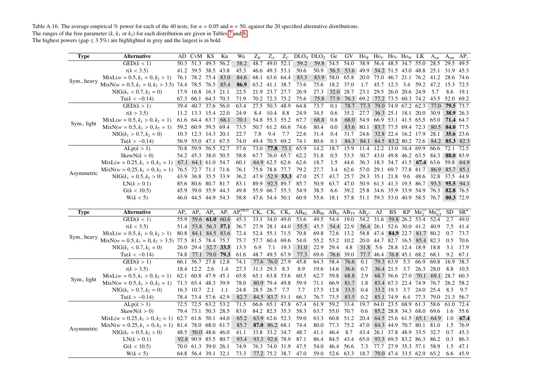Table A.16: The average empirical % power for each of the 40 tests, for  $\alpha = 0.05$  and  $n = 50$ , against the 20 specified alternative distributions.

The ranges of the free parameter  $(k, k_1 \text{ or } k_2)$  for each distribution are given in Tables 7 and 8.<br>The highest powers (gap  $\leq 3.5\%$ ) are highlighted in grey and the largest is in bold.

<span id="page-25-0"></span>

| <b>Type</b> | Alternative                                            |          | AD CvM KS           |                | Ku             | Wa                          | $Z_K$     | $Z_A$                            |          |      | $Z_c$ DLO <sub>x</sub> DLO <sub>z</sub>                                      | Ge        | GV        | $\text{Ho}_K$ Ho <sub>V</sub> Ho <sub>V</sub> Ho <sub>W</sub> LK |                                      |               |                     |                          | $A_{rat}$                                | A <sub>ent</sub> | $AP_v$           |
|-------------|--------------------------------------------------------|----------|---------------------|----------------|----------------|-----------------------------|-----------|----------------------------------|----------|------|------------------------------------------------------------------------------|-----------|-----------|------------------------------------------------------------------|--------------------------------------|---------------|---------------------|--------------------------|------------------------------------------|------------------|------------------|
|             | GED(k < 1)                                             | 50.3     | 51.3                | 49.3           | 56.2           | 58.2                        | 48.7      | 49.0 52.1                        |          | 59.2 | 59.8 54.5                                                                    |           | 54.0      | 38.9                                                             | 56.4 48.5 34.7 55.0                  |               |                     |                          | 28.5                                     | 29.5             | 49.5             |
|             | t(k < 3.5)                                             |          | 41.2 39.5 38.5 43.8 |                |                | 45.3                        |           | 46.6 49.3 53.1                   |          | 50.6 | 50.9                                                                         | 56.5      | 53.6      | 49.9                                                             |                                      |               |                     |                          | 54.2 51.5 43.0 48.8 25.1                 | 31.9             | 45.3             |
|             | $MixL(w = 0.5, k_1 = 0, k_2 > 1)$                      |          | 76.1 78.2 75.4      |                | 83.0           | 84.6                        |           | 68.1 63.6 64.4                   |          | 83.3 |                                                                              | 83.9 58.0 | 65.8      | 20.0                                                             |                                      |               |                     |                          | 75.0 46.7 21.1 76.2 41.2                 | 28.6             | 74.6             |
| Sym., heavy | $MixN(w = 0.5, k_1 = 0, k_2 > 3.5)$ 74.4 78.5 76.5     |          |                     |                | 85.4           | 86.9                        |           | 63.2 41.1 38.7                   |          | 73.6 | 75.6                                                                         | 18.2      | 37.0      | 1.7                                                              | 45.7 12.3 3.4                        |               |                     |                          | 59.2 47.2                                | 15.3 72.5        |                  |
|             | $NIG(k_1 < 0.7, k_2 = 0)$                              |          | 17.9 16.8 16.3 21.1 |                |                | 22.5                        |           | 21.9 23.7 27.7                   |          | 26.9 | 27.3                                                                         |           | 32.0 28.7 |                                                                  | 23.1 29.5 26.0 20.6 24.9             |               |                     |                          | 5.7                                      | 8.6              | 19.1             |
|             | $Tu(k < -0.14)$                                        | 67.3     | 66.1 64.3 70.3      |                |                | 71.9                        |           | 70.2 72.3 75.2                   |          | 75.6 | 75.8                                                                         | 77.9      |           | 76.3 69.2 77.2 73.5 60.3 74.2 43.5                               |                                      |               |                     |                          |                                          |                  | 52.0 69.2        |
|             | GED(k > 1)                                             | 39.4     | 40.7                | $37.6$ 56.0    |                | 63.4                        |           | 27.5 50.3 48.9                   |          | 64.8 | 73.7                                                                         | 0.1       | 78.7      | 77.3                                                             |                                      |               |                     | 79.0 74.9 67.2 62.3      | 77.0                                     |                  | 79.5 73.7        |
|             | t(k > 3.5)                                             |          | 11.2 13.3 15.4 22.0 |                |                | 24.9                        | 8.4       | 10.4                             | 8.8      | 24.9 | 34.5                                                                         | 0.6       | 35.2      | 27.7                                                             |                                      |               |                     | 36.3 25.1 18.1 20.0 30.9 |                                          |                  | 38.9 26.3        |
| Sym., light | $MixL(w = 0.5, k_1 > 0, k_2 = 1)$                      |          | 61.6 64.4 63.7 68.1 |                |                | 70.1                        |           | 54.8 55.3 55.2                   |          | 67.7 | 68.8                                                                         | 0.8       |           | 68.0 54.9                                                        | 66.9 53.1 41.5 65.5 65.0             |               |                     |                          |                                          |                  | 71.4 64.7        |
|             | $MixN(w = 0.5, k_1 > 0, k_2 = 1)$                      |          | 59.2 60.9 59.5 69.4 |                |                | 73.5                        |           | 50.7 61.2 60.6                   |          | 74.6 | 80.4                                                                         | 0.0       |           | 83.6 80.1                                                        |                                      |               |                     |                          | 83.7 77.5 69.4 72.3 80.5                 |                  | 84.0 77.5        |
|             | $NIG(k_1 > 0.7, k_2 = 0)$                              |          | 10.3 12.3 14.3 20.1 |                |                | 22.7                        | 7.8       | 9.4                              | 7.7      | 22.6 | 31.4                                                                         | 0.4       | 31.7      | 24.6                                                             |                                      |               |                     | 32.8 22.4 16.2 17.9 28.1 |                                          |                  | <b>35.6</b> 23.6 |
|             | $Tu(k > -0.14)$                                        |          | 56.9 55.0 47.1 67.5 |                |                | 74.0                        |           | 49.4 70.5 69.2                   |          | 74.1 | 80.6                                                                         | 0.1       | 84.3      |                                                                  |                                      |               |                     |                          | 84.1 84.5 83.2 80.2 72.6 84.2 85.3 82.3  |                  |                  |
|             | ALp(k > 1)                                             | 70.8     | 59.9 56.5 52.7      |                |                | 57.6                        |           | 73.0 77.8 75.1                   |          | 65.9 | 14.2                                                                         | 18.7      | 15.9      | 11.4                                                             |                                      |               | 12.2 13.0 16.4 69.9 |                          | 66.6                                     |                  | 72.1 72.5        |
|             | SkewN(k > 0)                                           |          | 54.2 45.3 38.0 50.5 |                |                | 58.8                        |           | 67.7 76.0 65.7                   |          | 62.2 | 51.8                                                                         | 0.5       | 53.3      | 30.7                                                             | 43.0 49.8 46.2 63.5 84.3             |               |                     |                          |                                          |                  | 88.0 83.9        |
|             | $MixL(w = 0.25, k_1 > 0, k_2 = 1)$ 67.1 64.1 61.0 54.7 |          |                     |                |                | 60.1                        |           | 64.9 62.5 62.6                   |          | 62.6 | 18.7                                                                         | 1.5       | 44.6      | 36.3                                                             | 18.3 34.7 41.5 67.4 63.6             |               |                     |                          |                                          | 59.8 64.9        |                  |
| Asymmetric  | $MixN(w = 0.25, k_1 > 0, k_2 = 1)$                     |          | 76.5 72.7 71.1 71.6 |                |                | 76.1                        |           | 75.8 78.8 77.7                   |          | 79.2 | 27.7                                                                         | 3.4       |           | 62.6 57.0 29.1 69.7 77.8 81.7                                    |                                      |               |                     |                          |                                          | 86.9 85.7 85.1   |                  |
|             | $NIG(k_1 = 0.5, k_2 > 0)$                              | 43.9     | 36.8 35.5 33.9      |                |                | 36.2                        |           | 47.9 52.9 53.3                   |          | 47.0 | 25.7                                                                         | 43.7      | 25.7      | 29.3                                                             | 35.1 21.8 9.6                        |               |                     | 48.6 32.8                |                                          |                  | 37.5 44.9        |
|             | LN(k > 0.1)                                            | 85.6     | 80.6 80.7 81.7      |                |                | 83.1                        | 89.9      | 92.5 89.7                        |          | 85.7 | 50.9                                                                         | 63.7      | 47.0      | 50.9                                                             | 61.3 41.3 19.5 86.7                  |               |                     |                          | 93.3                                     |                  | 95.5 94.1        |
|             | G(k < 10.5)                                            | 45.9     | 39.0 35.9 44.3      |                |                | 49.8                        |           | 55.9 66.7 55.3                   |          | 54.9 | 38.5                                                                         | 6.6       | 39.2      | 25.8                                                             | 34.6 35.9 33.9 54.9 76.3             |               |                     |                          |                                          |                  | 82.8 76.5        |
|             | W(k < 5)                                               |          | 46.0 44.5 44.9 54.3 |                |                | 58.8                        |           | 47.6 54.4 50.1                   |          | 60.9 | 55.6                                                                         |           |           |                                                                  |                                      |               |                     |                          | 18.1 57.8 51.1 59.3 53.0 40.9 58.5 76.7  |                  | 80.3 72.9        |
|             |                                                        |          |                     |                |                |                             |           |                                  |          |      |                                                                              |           |           |                                                                  |                                      |               |                     |                          |                                          |                  |                  |
|             |                                                        |          |                     |                |                |                             |           |                                  |          |      |                                                                              |           |           |                                                                  |                                      |               |                     |                          |                                          |                  |                  |
| <b>Type</b> | <b>Alternative</b>                                     | $AP_{e}$ |                     |                |                | $AP_v$ $AP_a$ $AP_z$ $AP_v$ |           |                                  |          |      | $CK_v$ $CK_c$ $CK_e$ $AB_{KL}$ $AB_{He}$ $AB_{Je}$ $AB_{TV}$ $AB_{v^2}$ $AJ$ |           |           |                                                                  |                                      | BS.           |                     |                          | $KP$ Me <sup>(1)</sup> Me <sup>(2)</sup> | SD               | $SR^{\star}$     |
|             | GED(k < 1)                                             | 55.9     |                     |                | 59.6 61.0 60.6 | 45.3                        |           | 33.1 34.0 49.0                   |          | 53.6 | 49.5                                                                         | 54.4      | 19.0      |                                                                  | 54.2 31.6 59.8 26.2 53.4 52.4        |               |                     |                          |                                          | 2.7              | 49.0             |
|             | t(k < 3.5)                                             | 51.4     |                     |                | 53.8 56.3 57.1 | 36.7                        |           | 27.9 28.1 44.0                   |          | 55.5 | 45.5                                                                         |           | 54.4 22.9 |                                                                  | 56.4 26.1 52.6 30.0 41.2 40.9        |               |                     |                          |                                          | 7.5              | 41.4             |
|             | $MixL(w = 0.5, k_1 = 0, k_2 > 1)$                      | 80.8     |                     |                | 84.1 84.5 83.6 | 72.4                        |           | 52.4 55.1 71.5                   |          | 70.8 | 69.8                                                                         | 72.6      | 13.2      |                                                                  | 58.8 47.4 <b>84.9</b> 22.7 81.7 80.2 |               |                     |                          |                                          | 0.7              | 73.7             |
| Sym., heavy | $MixN(w = 0.5, k_1 = 0, k_2 > 3.5)$                    | 77.5     | 81.5 78.4 75.7      |                |                | 75.7                        |           | 57.7 60.4 69.6                   |          | 54.0 | 55.2                                                                         | 53.2      | 10.2      |                                                                  | 20.0 44.7 82.7 16.5 85.4 82.3        |               |                     |                          |                                          | 0.5              | 70.6             |
|             | $NIG(k_1 < 0.7, k_2 = 0)$                              | 26.0     | 29.4 32.7 33.5      |                |                | 13.3                        | 6.9       |                                  | 7.1 19.3 | 31.0 | 22.9                                                                         | 29.4      | 4.8       |                                                                  | 31.8 5.6                             |               |                     | 28.8 12.4 18.9 18.8      |                                          | 3.1              | 17.9             |
|             | $Tu(k < -0.14)$                                        |          | 74.8 77.1 79.0 79.3 |                |                | 61.6                        |           | 48.7 49.5 67.9                   |          | 77.3 | 69.6                                                                         |           | 76.6 39.0 |                                                                  | 77.7 46.4 76.8 45.1 68.2 68.1        |               |                     |                          |                                          |                  | 9.2 67.1         |
|             | GED(k > 1)                                             |          | 66.1 56.7 27.8 12.8 |                |                | 74.1                        |           | 77.6 76.0 27.9                   |          | 45.8 | 64.3                                                                         | 58.4      | 76.6      | 0.1                                                              |                                      | 79.3 63.9     | 5.3                 | 66.9                     | 69.8                                     | 16.9             | 38.3             |
|             | t(k > 3.5)                                             |          | 18.4 12.2 2.6       |                | 1.4            | 27.3                        | 31.3 29.3 |                                  | 8.3      | 8.9  | 19.6                                                                         | 14.6      | 36.6      | 0.7                                                              |                                      | 36.4 21.5 3.7 |                     |                          | 26.3 28.0                                | 8.8              | 10.5             |
|             | $MixL(w = 0.5, k_1 > 0, k_2 = 1)$                      | 62.1     | 60.8 47.9 45.1      |                |                | 65.8                        |           | 65.1 63.8 53.6                   |          | 60.5 | 62.7                                                                         | 59.8      | 68.8      | 2.9                                                              |                                      |               |                     | 68.7 56.6 27.0 70.1      | 69.1 28.7                                |                  | 60.3             |
| Sym., light | $MixN(w = 0.5, k_1 > 0, k_2 = 1)$                      |          | 71.3 65.4 48.3 39.9 |                |                | 78.0                        |           | 80.9 79.4 49.8                   |          | 59.9 | 71.1                                                                         | 66.9      | 81.7      | 1.8                                                              |                                      |               |                     | 83.4 67.3 22.4 74.9      | 76.7                                     | 26.2 58.2        |                  |
|             | $NIG(k_1 > 0.7, k_2 = 0)$                              |          | 16.3 10.7 2.1       |                | -1.1           | 24.8                        |           | 28.5 26.7 7.7                    |          | 7.7  | 17.5                                                                         | 12.8      | 33.5      | 0.4                                                              |                                      |               | 33.2 19.3 3.7       |                          | 24.0 25.4                                | 8.3              | 9.7              |
|             | $Tu(k > -0.14)$                                        |          | 78.4 73.4 57.6 42.9 |                |                | 82.7                        |           | 84.5 83.7 51.1                   |          | 66.3 | 76.7                                                                         | 73.5      | 83.5      | 0.2                                                              |                                      | 85.1 74.9 6.4 |                     |                          | 77.3 79.0 21.3 56.7                      |                  |                  |
|             | ALp(k > 1)                                             | 72.5     | 72.5 63.2           |                | 53.2           | 71.5                        |           | 66.6 65.1 47.8                   |          | 67.4 | 61.9                                                                         | 59.2      | 33.4      | 19.7                                                             | 64.0 23.5 68.9                       |               |                     | 61.3                     | 58.6                                     | 61.0             | 72.4             |
|             | SkewN(k > 0)                                           |          | 79.4 73.1 50.3 28.5 |                |                | 83.0                        |           | 84.2 82.5 35.3                   |          | 58.3 | 63.7                                                                         | 55.0      | 70.7      | 0.6                                                              |                                      |               |                     | 85.2 28.8 34.3 68.0 69.6 |                                          | 1.6              | 55.6             |
|             | $MixL(w = 0.25, k_1 > 0, k_2 = 1)$                     |          | 62.7 61.6 50.1 44.0 |                |                | 65.2                        |           | 63.9 62.6 52.3                   |          | 59.0 | 63.3                                                                         | 60.8      | 51.2      | 20.4                                                             |                                      |               |                     |                          | 64.5 25.6 61.5 65.1 64.9                 | 1.0              | 67.4             |
|             | $MixN(w = 0.25, k_1 > 0, k_2 = 1)$ 81.4 78.0 68.0 61.7 |          |                     |                |                | 85.7                        |           | 87.0 86.2 68.1                   |          | 74.4 | 80.0                                                                         | 77.3      | 75.2      | 47.0                                                             |                                      |               |                     | 84.3 44.9 70.7 80.1 81.0 |                                          | 1.5              | 76.9             |
| Asymmetric  | $NIG(k_1 = 0.5, k_2 > 0)$                              | 48.5     |                     | 50.0 48.6 46.0 |                | 41.1                        |           | 33.8 33.2 34.7                   |          | 48.7 | 41.1                                                                         | 46.4      | 8.7       | 43.4                                                             |                                      |               |                     | 26.1 37.8 48.9 33.5 32.7 |                                          | 0.7              | 45.3             |
|             | LN(k > 0.1)                                            |          | 92.8 90.9 85.5 80.7 |                |                | 93.4                        |           | 93.3 92.6 78.9                   |          | 87.1 | 86.4                                                                         | 84.5      | 43.4      | 65.0                                                             |                                      |               |                     | 93.3 69.5 83.2 86.3 86.2 |                                          | 0.3              | 86.3             |
|             | G(k < 10.5)                                            |          | 70.0 61.3 39.0 26.1 |                |                | 74.9<br>73.3                |           | 76.3 74.0 31.9<br>77.2 75.2 38.7 |          | 47.5 | 54.0                                                                         | 46.4      | 56.6      | 7.3<br>18.7                                                      |                                      |               |                     | 77.7 27.9 35.3 57.1 58.9 |                                          | 1.5              | 47.1             |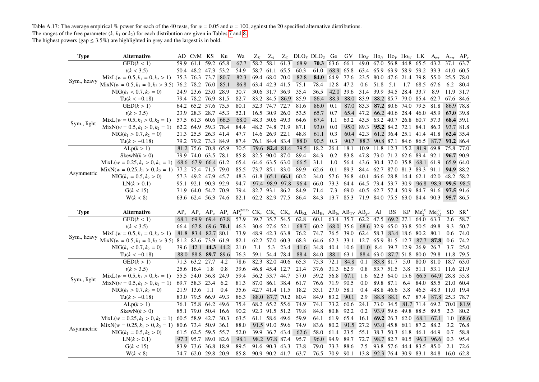Table A.17: The average empirical % power for each of the 40 tests, for  $\alpha = 0.05$  and  $n = 100$ , against the 20 specified alternative distributions. The ranges of the free parameter  $(k, k_1 \text{ or } k_2)$  for each distribution are given in Tables 7 and 8.<br>The highest powers (gap  $\leq 3.5\%$ ) are highlighted in grey and the largest is in bold.

<span id="page-26-0"></span>

| Type        | <b>Alternative</b>                                        |      | AD CvM KS            |           | Ku   | Wa                               | $Z_K$ | $Z_A$          |                |      | $Z_C$ DLO <sub>X</sub> DLO <sub>Z</sub> Ge                              |           | GV        |           |           |               | $\rm Ho_K$ $\rm Ho_U$ $\rm Ho_V$ $\rm Ho_W$ LK |                                    | $A_{rat}$                                              | A <sub>ent</sub> | $AP_v$       |
|-------------|-----------------------------------------------------------|------|----------------------|-----------|------|----------------------------------|-------|----------------|----------------|------|-------------------------------------------------------------------------|-----------|-----------|-----------|-----------|---------------|------------------------------------------------|------------------------------------|--------------------------------------------------------|------------------|--------------|
|             | GED(k < 1)                                                | 59.9 | 61.1 59.2            |           | 65.8 | 67.7                             |       | 58.2 58.1 61.3 |                | 68.9 | $70.3 \quad 63.6$                                                       |           | 66.1      | 49.0      |           |               | 67.0 56.8 44.8 65.5                            |                                    | 43.2                                                   | 37.1             | 63.7         |
|             | t(k < 3.5)                                                | 50.4 | 48.2 47.3 53.2       |           |      | 54.9                             |       | 58.7 61.1 65.5 |                | 60.3 | 61.0                                                                    | 68.9      | 65.8      |           |           |               | 63.4 65.9 63.9 58.9 59.2 33.3                  |                                    |                                                        | 41.0             | 60.5         |
| Sym., heavy | $MixL(w = 0.5, k_1 = 0, k_2 > 1)$                         | 75.3 | 76.3 73.7            |           | 80.7 | 82.3                             |       | 69.4 68.0 70.0 |                | 82.8 | 84.0 64.9                                                               |           | 77.6      |           |           |               | 23.5 80.0 47.6 21.4 79.8 55.0                  |                                    |                                                        | 25.5             | 78.0         |
|             | MixN( $w = 0.5, k_1 = 0, k_2 > 3.5$ ) 76.2 78.2 76.0 85.1 |      |                      |           |      | 86.8                             |       | 63.4 42.3 41.5 |                | 75.1 | 78.4                                                                    | 12.8      | 47.2      | 0.6       | 51.8      | 5.1           | 1.7                                            | 68.5 67.6                          |                                                        | 6.2              | 80.4         |
|             | $NIG(k_1 < 0.7, k_2 = 0)$                                 |      | 24.9 23.6 23.0 28.9  |           |      | 30.7                             |       | 30.6 31.7 36.9 |                | 35.4 | 36.5                                                                    |           | 42.0 39.6 |           |           |               | 31.4 39.9 34.5 28.4 33.7                       |                                    | 8.9                                                    | 11.9             | 31.7         |
|             | $Tu(k < -0.18)$                                           |      | 79.4 78.2 76.9 81.5  |           |      | 82.7                             |       |                | 83.2 84.5 86.9 | 85.9 | 86.4                                                                    | 88.9      | 88.0 83.9 |           |           |               | 88.2 85.7 79.0 85.4 62.7                       |                                    |                                                        | 67.6 84.6        |              |
|             | GED(k > 1)                                                |      | 64.2 65.2 57.6 75.5  |           |      | 80.1                             |       | 52.3 74.7 72.7 |                | 81.6 | 86.0                                                                    | 0.1       |           | 87.0 83.3 |           |               | 87.2 80.6 74.0                                 | 79.5 81.8                          |                                                        |                  | 86.9 78.8    |
|             | t(k > 3.5)                                                |      | 23.9 28.3 28.7 45.3  |           |      | 52.1                             |       | 16.5 30.9 26.0 |                | 53.5 | 65.7                                                                    | 0.7       |           | 65.4 47.2 |           |               | 66.2 40.6 28.4 46.0 45.9                       |                                    |                                                        |                  | 67.0 39.8    |
| Sym., light | $MixL(w = 0.5, k_1 > 0, k_2 = 1)$                         | 57.5 | 61.3 60.6 66.5       |           |      | 68.0                             |       | 48.3 50.6 49.3 |                | 64.6 | 67.4                                                                    | 1.1       | 63.2      |           |           |               | 43.5 63.2 40.7 26.8 60.7 57.3                  |                                    |                                                        |                  | 68.4 59.1    |
|             | $MixN(w = 0.5, k_1 > 0, k_2 = 1)$                         |      | 62.2 64.9 59.3 78.4  |           |      | 84.4                             |       | 48.2 74.8 71.9 |                | 87.1 | 93.0                                                                    | 0.0       |           | 95.0 89.3 |           |               | 95.2 84.2 72.1 84.1 86.3                       |                                    |                                                        |                  | 93.7 81.8    |
|             | $NIG(k_1 > 0.7, k_2 = 0)$                                 |      | 21.3 25.5 26.3 41.4  |           |      | 47.7                             |       | 14.6 26.9 22.1 |                | 48.8 | 61.1                                                                    | 0.3       |           | 60.4 42.3 |           |               | 61.2 36.4 25.1 41.4 41.8                       |                                    |                                                        |                  | 62.4 35.4    |
|             | $Tu(k > -0.18)$                                           |      | 79.2 79.2 73.3 84.9  |           |      | 87.4                             |       | 76.1 84.4 83.4 |                | 88.0 | 90.5                                                                    | 0.3       | 90.7      | 88.3      |           |               |                                                |                                    | 90.8 87.1 84.6 86.5 87.7 91.2 86.4                     |                  |              |
|             | ALp(k > 1)                                                |      | 81.2 75.6 70.8 65.9  |           |      | 70.5                             |       | 79.6 82.4 81.4 |                | 79.5 | 18.2                                                                    | 26.4      | 18.1      | 10.9      |           |               | 11.8 12.3 15.2                                 |                                    | 81.9 69.8                                              |                  | 75.8 77.0    |
|             | SkewN(k > 0)                                              |      | 79.9 74.0 63.5 78.1  |           |      | 85.8                             |       | 82.5 90.0 87.0 |                | 89.4 | 84.3                                                                    | 0.2       | 83.8      | 47.8      |           |               | 73.0 71.2 62.6 89.4 92.1                       |                                    |                                                        |                  | 96.7 90.9    |
|             | $MixL(w = 0.25, k_1 > 0, k_2 = 1)$ 68.6 67.9 66.4 61.2    |      |                      |           |      | 65.4                             |       | 64.6 63.5 63.0 |                | 66.5 | 31.1                                                                    | 1.0       | 56.4      | 43.6      |           |               | 30.4 37.0 35.8 68.1 61.9                       |                                    |                                                        |                  | 65.9 64.0    |
| Asymmetric  | $MixN(w = 0.25, k_1 > 0, k_2 = 1)$                        |      | 77.2 75.4 71.5 79.0  |           |      | 85.5                             |       | 73.7 85.1 83.0 |                | 89.9 | 62.6                                                                    | 0.1       | 89.3      |           |           |               | 84.4 62.7 87.0 81.3 89.3 91.1                  |                                    |                                                        |                  | 94.9 88.2    |
|             | $NIG(k_1 = 0.5, k_2 > 0)$                                 |      | 57.3 49.2 47.9 45.7  |           |      | 48.3                             |       |                | 61.8 65.1 66.1 | 60.2 | 34.0                                                                    | 57.6      | 36.8      |           |           |               | 40.1 46.6 28.8 14.4 62.1 42.0                  |                                    |                                                        |                  | 48.2 58.2    |
|             | LN(k > 0.1)                                               |      | 95.1 92.1 90.3 92.9  |           |      | 94.7                             |       | 97.4 98.9 97.8 |                | 96.4 | 66.0                                                                    | 73.3      | 64.4      |           |           |               | 64.5 73.4 53.7 30.9 96.8 98.3                  |                                    |                                                        |                  | 99.5 98.5    |
|             | G(k < 15)                                                 | 71.9 | 64.0 54.2 70.9       |           |      | 79.4                             |       | 82.7 93.1 86.2 |                | 84.9 | 71.4                                                                    | 7.3       | 69.0      |           |           |               | 40.5 62.7 57.4 50.9 84.7 91.6                  |                                    |                                                        |                  | 97.5 91.6    |
|             | W(k < 8)                                                  |      | 63.6 62.4 56.3 74.6  |           |      | 82.1                             |       |                | 62.2 82.9 77.5 | 86.4 |                                                                         |           |           |           |           |               |                                                |                                    | 84.3 13.7 85.3 71.9 84.0 75.5 63.0 84.4 90.3 95.7 86.5 |                  |              |
|             |                                                           |      |                      |           |      |                                  |       |                |                |      |                                                                         |           |           |           |           |               |                                                |                                    |                                                        |                  |              |
|             |                                                           |      |                      |           |      |                                  |       |                |                |      |                                                                         |           |           |           |           |               |                                                |                                    |                                                        |                  |              |
| <b>Type</b> | <b>Alternative</b>                                        |      | $AP_e$ $AP_v$ $AP_a$ |           |      | $AP_z$ $\overline{AP_v^{(MLE)}}$ |       |                |                |      | $CK_v$ $CK_e$ $CK_e$ $AB_{KL}$ $AB_{He}$ $AB_{Je}$ $AB_{TV}$ $AB_{v^2}$ |           |           |           | AJ        | BS            |                                                | $KP$ $Me_2^{(1)}$ $Me_{0.5}^{(2)}$ |                                                        | <b>SD</b>        | $SR^{\star}$ |
|             | GED(k < 1)                                                |      | 68.1 69.9 69.4 67.8  |           |      | 57.9                             |       | 39.7 35.7 54.5 |                | 62.8 | 60.1                                                                    | 63.4      | 35.7      |           | 62.2 47.5 |               | 69.2 27.1                                      | 64.0                               | 63.3                                                   | 2.6              | 58.7         |
|             | t(k < 3.5)                                                |      | 66.4 67.8 69.6 70.1  |           |      | 46.3                             |       | 30.6 27.6 52.1 |                | 68.7 | 60.2                                                                    |           | 68.0 35.6 |           |           |               | 68.6 32.9 65.0 33.8 50.5 49.8                  |                                    |                                                        | 9.3              | 50.7         |
|             | $MixL(w = 0.5, k_1 = 0, k_2 > 1)$                         |      | 81.8 83.4 82.7 80.1  |           |      | 73.9                             |       | 48.9 42.3 63.8 |                | 76.2 | 74.7                                                                    | 76.5      | 39.0      |           |           |               | 62.4 58.3 83.4 18.6 80.2 80.1                  |                                    |                                                        | 0.6              | 74.0         |
| Sym., heavy | $MixN(w = 0.5, k_1 = 0, k_2 > 3.5)$ 81.2 82.6 73.9 61.9   |      |                      |           |      | 82.1                             |       | 62.2 57.0 60.3 |                | 68.3 | 64.6                                                                    | 62.3      | 33.1      |           |           |               |                                                |                                    | 12.7 65.9 81.5 12.7 87.7 87.8                          | 0.6              | 74.2         |
|             | $NIG(k_1 < 0.7, k_2 = 0)$                                 |      | 39.6 42.1 44.3 44.2  |           |      | 21.0                             | 7.1   | 5.3            | 23.4           | 41.6 | 34.8                                                                    | 40.4      | 10.6      |           | 41.0 8.4  |               | 39.7 12.9                                      | 26.9 26.7                          |                                                        | 3.7              | 25.0         |
|             | $Tu(k < -0.18)$                                           |      | 88.0 88.8 89.7 89.6  |           |      | 76.3                             |       | 59.1 54.4 78.4 |                | 88.4 | 84.0                                                                    |           | 88.1 63.1 |           |           |               |                                                |                                    | 88.4 63.0 87.7 51.8 80.0 79.8 11.8                     |                  | 79.5         |
|             | GED(k > 1)                                                |      | 71.3 63.2            | 27.7      | 4.2  | 78.6                             |       | 82.3 82.0      | 40.6           | 65.3 | 75.3                                                                    | 72.1      | 84.8      | 0.1       |           | 83.8 81.7     | 5.0                                            | 80.0 81.0                          |                                                        | 18.7             | 63.0         |
|             | t(k > 3.5)                                                | 25.6 | 16.4                 | 1.8       | 0.8  | 39.6                             |       | 46.8 45.4 12.7 |                | 21.4 | 37.6                                                                    | 31.3      | 62.9      | 0.8       | 53.7 51.5 |               | 3.8                                            | 51.1 53.1                          |                                                        | 11.6 21.9        |              |
|             | $MixL(w = 0.5, k_1 > 0, k_2 = 1)$                         | 55.5 | 54.0                 | 36.8      | 24.9 | 59.4                             |       | 56.2 53.7 44.7 |                | 57.0 | 59.2                                                                    | 56.8      | 67.1      | 1.6       |           |               | 62.3 64.0 15.6                                 | 66.5                               | 64.9 28.8 55.8                                         |                  |              |
| Sym., light | $MixN(w = 0.5, k_1 > 0, k_2 = 1)$                         |      | 69.7 58.3 23.4       |           | 6.2  | 81.3                             |       | 87.0 86.1 38.4 |                | 61.7 | 76.6                                                                    | 71.9      | 90.5      | 0.0       | 89.8 87.1 |               | 6.4                                            |                                    | 84.0 85.5 21.0 60.4                                    |                  |              |
|             | $NIG(k_1 > 0.7, k_2 = 0)$                                 |      | 21.9 13.6            | 1.1       | 0.4  | 35.6                             |       | 42.7 41.4 11.5 |                | 18.2 | 33.1                                                                    | 27.0      | 58.1      | 0.4       | 48.8 46.6 |               | 3.8                                            | 46.5                               | 48.3                                                   | 11.0             | 19.4         |
|             | $Tu(k > -0.18)$                                           |      | 83.0 79.5 66.9       |           | 49.3 | 86.3                             |       | 88.0 87.7 70.2 |                | 80.4 | 84.9                                                                    | 83.2      | 90.1      | 2.9       |           | 88.8 88.1 6.7 |                                                |                                    | 87.4 87.8 25.3                                         |                  | 78.7         |
|             | ALp(k > 1)                                                | 76.1 | 75.8                 | 64.2      | 49.6 | 75.4                             |       | 68.2 65.2 55.6 |                | 74.9 | 74.1                                                                    | 73.2      | 60.6      | 24.1      | 73.0      |               | 34.5 81.7 71.4                                 |                                    | 69.2                                                   | 70.0             | 81.9         |
|             | SkewN(k > 0)                                              |      | 85.1 79.0 50.4 16.6  |           |      | 90.2                             |       | 92.3 91.5 51.2 |                | 79.8 | 84.8                                                                    | 80.8 92.2 |           | 0.2       |           |               | 93.9 59.6 49.8 88.5 89.5                       |                                    |                                                        | 2.3              | 80.2         |
|             | $MixL(w = 0.25, k_1 > 0, k_2 = 1)$                        | 60.5 | 58.9 42.7 30.3       |           |      | 63.5                             |       | 61.1 58.6 49.6 |                | 59.9 | 64.1                                                                    | 61.9      | 65.4      | 16.1      |           |               | 69.2 26.3 62.0 68.1                            |                                    | 67.1                                                   | $\vert$ 1.0      | 68.6         |
|             | $MixN(w = 0.25, k_1 > 0, k_2 = 1)$ 80.6                   |      | 73.4 50.9 36.1       |           |      | 88.0                             |       | 91.5 91.0 59.6 |                | 74.9 | 83.6                                                                    | 80.2      | 91.5      | 27.2      |           |               | 93.0 45.8 60.1 87.2 88.2                       |                                    |                                                        | 3.2              | 76.8         |
| Asymmetric  | $NIG(k_1 = 0.5, k_2 > 0)$                                 |      | 61.5 62.5 59.5 55.7  |           |      | 52.0                             |       | 39.9 36.7 43.4 |                | 62.6 | 58.0                                                                    | 61.4      | 23.5      | 55.1      |           |               | 38.3 50.3 61.8 46.1                            |                                    | 44.9                                                   | 0.7              | 58.8         |
|             | LN(k > 0.1)                                               |      | 97.3 95.7 89.0 82.6  |           |      | 98.1                             |       | 98.2 97.8 87.4 |                | 95.7 |                                                                         | 96.0 94.9 | 89.7      | 72.7      |           |               | 98.7 82.7 90.5 96.3                            |                                    | 96.6                                                   | 0.3              | 95.4         |
|             | G(k < 15)                                                 | 83.9 | 73.6                 | 36.8 18.9 |      | 89.5                             |       | 91.6 90.3 43.3 |                | 73.8 | 79.0                                                                    | 73.3      | 88.6      | 7.5       |           |               | 93.8 57.6 44.4 83.5                            |                                    | 85.0                                                   | 2.1              | 72.6         |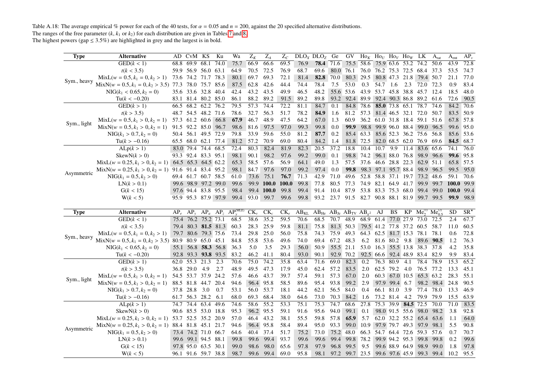Table A.18: The average empirical % power for each of the 40 tests, for  $\alpha = 0.05$  and  $n = 200$ , against the 20 specified alternative distributions. The ranges of the free parameter  $(k, k_1 \text{ or } k_2)$  for each distribution are given in Tables 7 and 8.

<span id="page-27-0"></span>

| <b>Type</b> | <b>Alternative</b>                                       |      | AD CvM KS           |           | Ku   | Wa                                 | $Z_K$          | $\mathbf{Z}_A$    | $Z_C$        |      | DLO <sub>x</sub> DLO <sub>z</sub>                         | Ge        | <b>GV</b>                                    |           | $\text{Ho}_K$ Ho <sub>U</sub> Ho <sub>V</sub> Ho <sub>W</sub> LK |                |                     |                               | $A_{rat}$ | $A_{ent}$    | $AP_v$ |
|-------------|----------------------------------------------------------|------|---------------------|-----------|------|------------------------------------|----------------|-------------------|--------------|------|-----------------------------------------------------------|-----------|----------------------------------------------|-----------|------------------------------------------------------------------|----------------|---------------------|-------------------------------|-----------|--------------|--------|
|             | GED(k < 1)                                               | 68.8 | 69.9                | 68.1      | 74.0 | 75.7                               | 66.9           | 66.6              | 69.5         | 76.9 | 78.4                                                      | 71.6      | 75.5                                         | 58.6      | 75.9 63.6 53.2 74.2                                              |                |                     |                               | 50.6      | 43.9         | 72.8   |
|             | t(k < 3.5)                                               |      | 59.9 56.9 56.0 63.1 |           |      | 64.9                               | 70.5           | 72.5              | 76.9         | 68.7 | 69.6                                                      | 80.0 76.1 |                                              |           |                                                                  |                |                     | 76.0 76.2 75.3 72.5 68.4 37.3 |           | 53.5         | 74.7   |
| Sym., heavy | $MixL(w = 0.5, k_1 = 0, k_2 > 1)$                        |      | 73.6 74.2 71.7      |           | 78.3 | 80.1                               | 69.7           | 69.3              | 72.1         | 81.4 | 82.8                                                      | 70.0      | 80.3                                         | 29.5      |                                                                  |                |                     | 80.8 47.3 21.8 79.4 50.7      |           | 21.1         | 77.0   |
|             | $MixN(w = 0.5, k_1 = 0, k_2 > 3.5)$ 77.3                 |      | 78.0                | 75.7 85.6 |      | 87.5                               | 62.8           | 42.6              | 44.4         | 74.4 | 78.4                                                      | 7.5       | 53.0                                         | 0.3       | 54.7                                                             | 1.6            | 2.3                 | 72.0 72.3                     |           | 0.9          | 83.4   |
|             | $NIG(k_1 < 0.65, k_2 = 0)$                               |      | 35.6 33.6 32.8 40.4 |           |      | 42.4                               | 43.2           | 43.5              | 49.9         | 46.5 | 48.2                                                      |           | 55.6 53.6                                    |           |                                                                  |                |                     | 43.9 53.7 45.8 38.8 45.7 12.4 |           | 18.5         | 48.0   |
|             | $Tu(k < -0.20)$                                          |      | 83.1 81.4 80.2 85.0 |           |      | 86.1                               | 88.2           | 89.2              | 91.5         | 89.2 | 89.8                                                      | 93.2      | 92.4                                         | 89.9      |                                                                  |                |                     | 92.4 90.3 86.8 89.2 61.6      |           | 72.6         | 90.5   |
|             | GED(k > 1)                                               |      | 66.5 68.2 62.2 76.2 |           |      | 79.5                               | 57.3           | 74.4              | 72.2         | 81.1 | 84.7                                                      | 0.1       | 84.8                                         | 78.6      | 85.0 73.8 65.1                                                   |                |                     | 78.7                          | 74.6      | 84.2         | 70.6   |
|             | t(k > 3.5)                                               |      | 48.7 54.5 48.2 71.6 |           |      | 78.6                               | 32.7           | 56.3              | 51.7         | 78.2 | 84.9                                                      | 1.6       | 81.2                                         | 57.3      |                                                                  |                |                     | 81.4 46.5 32.1 72.0 50.7      |           | 83.5         | 50.9   |
| Sym., light | $MixL(w = 0.5, k_1 > 0, k_2 = 1)$                        |      | 57.3 61.2 60.6 66.8 |           |      | 67.9                               | 46.7           | 48.9              | 47.5         | 64.2 | 67.0                                                      | 1.3       | 60.9                                         |           |                                                                  |                |                     | 36.2 61.0 31.8 18.4 59.1 51.6 |           | 67.8         | 57.8   |
|             | $MixN(w = 0.5, k_1 > 0, k_2 = 1)$                        |      | 91.5 92.2 85.0 96.7 |           |      | 98.6                               | 81.6           | 97.5              | 97.0         | 99.3 | 99.8                                                      | 0.0       | 99.9                                         |           |                                                                  |                |                     | 98.8 99.9 96.0 88.4 99.0 96.5 |           | 99.6         | 95.0   |
|             | $NIG(k_1 > 0.7, k_2 = 0)$                                |      | 50.4 56.1 49.5 72.9 |           |      | 79.8                               | 33.9           | 59.6              | 55.0         | 81.2 | 87.7                                                      | 0.2       |                                              | 85.4 63.3 |                                                                  |                |                     | 85.6 52.3 36.2 75.6 56.8      |           | 85.6         | 53.6   |
|             | $Tu(k > -0.16)$                                          |      | 65.5 68.0 62.1 77.4 |           |      | 81.2                               | 57.2           | 70.9              | 69.0         | 80.4 | 84.2                                                      | 1.4       | 81.8                                         | 72.5      |                                                                  |                |                     | 82.0 68.5 62.0 76.9 69.6      |           | 84.5         | 68.7   |
|             | ALp(k > 1)                                               |      | 83.0 79.4 74.4 68.5 |           |      | 72.4                               | 80.3           | 82.4              | 81.9         | 82.3 | $20.\overline{5}$                                         | 37.2      | 18.8                                         | 10.4      | 10.7                                                             | 9.9            |                     | 11.4 83.6                     | 65.6      | 74.1         | 76.0   |
|             | SkewN(k > 0)                                             |      | 93.3 92.4 83.3 95.1 |           |      | 98.1                               | 90.1           | 98.2              | 97.6         | 99.2 | 99.0                                                      | 0.1       | 98.8                                         | 74.2      |                                                                  | 96.1 88.0 76.8 |                     | 98.9                          | 96.6      | 99.6 95.8    |        |
|             | $MixL(w = 0.25, k_1 > 0, k_2 = 1)$ 64.5 65.3 64.5 62.2   |      |                     |           |      | 65.3                               | 58.5           | 57.6              | 56.9         | 64.1 | 49.0                                                      | 1.3       | 57.5                                         |           |                                                                  |                |                     | 37.6 46.6 28.8 22.3 62.9 51.1 |           | 65.8         | 57.5   |
| Asymmetric  | MixN( $w = 0.25, k_1 > 0, k_2 = 1$ ) 91.6 91.4 83.4 95.2 |      |                     |           |      | 98.1                               | 84.7           | 97.6              | 97.0         | 99.2 | 97.4                                                      | $0.0\,$   | 99.8                                         |           | 98.3 97.1 95.7 88.4                                              |                |                     | 98.9                          | 96.5      | 99.5         | 95.0   |
|             | $NIG(k_1 = 0.5, k_2 > 0)$                                |      | 69.4 61.7 60.7 58.5 |           |      | 61.0                               | 73.6           | 75.1              | 76.7         | 71.3 | 42.9                                                      | 71.0      | 49.6                                         |           |                                                                  |                |                     | 52.8 58.8 37.1 19.7 73.2 48.6 |           | 59.1         | 70.6   |
|             | LN(k > 0.1)                                              |      | 99.6 98.9 97.2 99.0 |           |      | 99.6                               | 99.9           | <b>100.0</b>      | <b>100.0</b> | 99.8 | 77.8                                                      | 80.5      | 77.3                                         |           | 74.9 82.1 64.9 41.7                                              |                |                     | 99.9                          | 99.7      | <b>100.0</b> | 99.9   |
|             | G(k < 15)                                                |      | 97.6 94.4 83.8 95.5 |           |      | 98.4                               |                | 99.4 100.0        | 99.8         | 99.4 | 91.4                                                      | 10.4      | 87.9                                         |           | 53.8 83.3 75.3 68.0                                              |                |                     | 99.4                          | 99.0      | 100.0        | 99.4   |
|             | W(k < 5)                                                 |      | 95.9 95.3 87.9 97.9 |           |      |                                    | 99.4 93.0 99.7 |                   | 99.6         | 99.8 |                                                           |           | 93.2 23.7 91.5 82.7 90.8 88.1 81.9 99.7 99.5 |           |                                                                  |                |                     |                               |           | 99.9         | 98.9   |
|             |                                                          |      |                     |           |      |                                    |                |                   |              |      |                                                           |           |                                              |           |                                                                  |                |                     |                               |           |              |        |
|             |                                                          |      |                     |           |      |                                    |                |                   |              |      |                                                           |           |                                              |           |                                                                  |                |                     |                               |           |              |        |
| <b>Type</b> | <b>Alternative</b>                                       |      |                     |           |      | $AP_e$ $AP_y$ $AP_a$ $AP_z$ $AP_z$ | $CK_{\nu}$     | $CK_c$            | $CK_e$       |      | $AB_{KL}$ $AB_{He}$ $AB_{Je}$ $AB_{TV}$ $AB_{\nu^2}$ $AJ$ |           |                                              |           |                                                                  | BS             | KP                  | $Me_2^{(1)}$ $Me_{0.5}^{(2)}$ |           | <b>SD</b>    | $SR^*$ |
|             | GED(k < 1)                                               |      | 75.4 76.2 75.2 73.1 |           |      | 68.5                               | 38.6           | 35.2              | 59.5         | 70.6 | 68.5                                                      | 70.7      | 48.9                                         |           | 68.9 61.4 77.0 27.9                                              |                |                     | 73.0                          | 72.5      | 2.4          | 67.7   |
|             | t(k < 3.5)                                               |      | 79.4 80.3 81.5 81.3 |           |      | 60.3                               | 28.3           | 25.9              | 59.8         | 81.1 | 75.8                                                      | 81.3 50.3 |                                              |           |                                                                  |                |                     | 79.5 41.2 77.8 37.2 60.5 58.7 |           | 11.0         | 60.5   |
|             | $MixL(w = 0.5, k_1 = 0, k_2 > 1)$                        |      | 79.7 80.6 79.3 75.6 |           |      | 73.4                               | 29.8           | 25.0              | 56.0         | 75.8 | 74.3                                                      | 75.9      | 49.3                                         |           |                                                                  |                |                     | 64.3 62.5 81.7 15.3 78.1 78.1 |           | 0.6          | 72.8   |
| Sym., heavy | $MixN(w = 0.5, k_1 = 0, k_2 > 3.5)$ 80.9 80.9 65.0 45.1  |      |                     |           |      | 84.8                               | 55.8           | 53.6              | 49.6         | 74.0 | 69.4                                                      | 67.2      | 48.3                                         | 6.2       |                                                                  | 81.6 80.2 9.8  |                     | 89.6                          | 90.5      | 1.2          | 76.3   |
|             | $NIG(k_1 < 0.65, k_2 = 0)$                               |      | 55.1 56.8 58.3 56.8 |           |      | 36.3                               | 5.0            | 3.5               | 29.3         | 56.0 | 50.9                                                      | 55.5 21.1 |                                              |           |                                                                  |                |                     | 53.0 16.3 55.5 13.8 38.3 37.8 |           | 4.2          | 35.8   |
|             | $Tu(k < -0.20)$                                          |      | 92.8 93.3 93.8 93.5 |           |      | 83.2                               | 46.2           | 41.1              | 80.4         | 93.0 | 90.1                                                      | 92.9 70.2 |                                              |           |                                                                  |                |                     | 92.5 66.6 92.4 48.9 83.4      | 82.9      | 9.9          | 83.4   |
|             | GED(k > 1)                                               |      | 62.0 55.3 21.3      |           | 2.3  | 70.6                               | 75.0           | 74.2              | 35.8         | 63.4 | 71.6                                                      | 69.0      | 82.3                                         | 0.2       | 76.3 80.9                                                        |                | 4.1                 | 78.4                          | 78.9      | 15.3         | 65.2   |
|             | t(k > 3.5)                                               |      | 36.8 29.0 4.9       |           | 2.7  | 48.9                               | 49.5           | 47.3              | 17.9         | 45.0 | 62.4                                                      | 57.2      | 83.5                                         | 2.0       |                                                                  | 62.5 79.2 4.0  |                     | 76.5 77.2                     |           | 13.3         | 45.1   |
|             | $MixL(w = 0.5, k_1 > 0, k_2 = 1)$                        |      | 54.5 53.7 37.9 24.2 |           |      | 57.6                               | 46.6           | 43.7              | 39.7         | 57.4 | 59.1                                                      | 57.3      | 67.0                                         | 2.0       |                                                                  | 60.3 67.0 10.5 |                     | 65.3 63.2                     |           | 28.3         | 55.1   |
| Sym., light | $MixN(w = 0.5, k_1 > 0, k_2 = 1)$                        |      | 88.5 81.8 44.7      |           | 20.4 | 94.6                               | 96.4           | 95.8              | 58.5         | 89.6 | 95.4                                                      | 93.8      | 99.2                                         | 2.9       |                                                                  | 97.9 99.4 6.7  |                     | 98.2                          | 98.4      | 24.8         | 90.5   |
|             | $NIG(k_1 > 0.7, k_2 = 0)$                                |      | 37.8 28.8 3.0       |           | 0.7  | 53.1                               | 56.0           | 53.7              | 18.1         | 44.2 | 62.1                                                      | 56.5      | 84.0                                         | 0.4       |                                                                  | 66.1 81.0      | 3.9                 | 77.4                          | 78.0      | 13.3         | 46.9   |
|             | $Tu(k > -0.16)$                                          |      | 61.7 56.3 28.2      |           | 6.1  | 68.0                               | 69.3           | 68.4              | 38.0         | 64.6 | 73.0                                                      | 70.3      | 84.2                                         | 1.6       | 73.2 81.4                                                        |                | 4.2                 | 79.9 79.9                     |           | 15.5         | 63.9   |
|             | ALp(k > 1)                                               | 74.7 | $74.4$ 63.4         |           | 49.6 | 74.6                               | 58.6           | $\overline{55.2}$ | 53.3         | 75.1 | 75.3                                                      | 74.7      | 68.6                                         | 27.8      |                                                                  |                | 75.3 39.9 84.5 72.5 |                               | 70.0      | 71.0         | 83.5   |
|             | SkewN(k > 0)                                             |      | 90.6 85.5 53.0 18.8 |           |      | 95.3                               |                | 96.2 95.5         | 59.1         | 91.6 | 95.6                                                      | 94.0      | 99.1                                         | 0.1       |                                                                  |                | 98.0 91.5 55.6      | 98.0                          | 98.2      | 3.8          | 92.8   |
|             | $MixL(w = 0.25, k_1 > 0, k_2 = 1)$ 53.7 52.5 35.2 20.9   |      |                     |           |      | 57.0                               | 46.4           | 43.2              | 38.1         | 55.5 | 59.8                                                      | 57.8      | 65.9                                         | 5.7       |                                                                  |                | 62.0 32.2 55.2 65.4 |                               | 63.6      | 1.1          | 64.0   |
|             | $MixN(w = 0.25, k_1 > 0, k_2 = 1)$ 88.4 81.8 45.1 21.7   |      |                     |           |      | 94.6                               | 96.4           | 95.8              | 58.4         | 89.4 | 95.0                                                      | 93.3      | 99.0                                         | 10.9      | 97.9 79.7 49.3 97.9                                              |                |                     |                               | 98.1      | 5.5          | 90.8   |
| Asymmetric  | $NIG(k_1 = 0.5, k_2 > 0)$                                |      | 73.4 74.2 71.0 66.7 |           |      | 64.6                               | 40.4           | 37.4              | 51.7         | 75.2 | 73.0                                                      | 75.2 48.0 |                                              |           | 66.3 54.7 64.4 72.6 59.3                                         |                |                     |                               | 57.6      | 0.7          | 70.7   |
|             | LN(k > 0.1)                                              |      | 99.6 99.1 94.5 88.1 |           |      | 99.8                               | 99.6           | 99.4              | 93.7         | 99.6 | 99.6                                                      | 99.4      | 99.8                                         | 78.2      |                                                                  |                | 99.9 94.2 95.3      | 99.8                          | 99.8      | 0.2          | 99.6   |
|             | G(k < 15)                                                |      | 97.8 95.0 63.5 30.1 |           |      | 99.0                               | 98.6           | 98.0              | 65.6         | 97.8 | 97.9                                                      | 96.8      | 99.5                                         | 9.5       |                                                                  | 99.6 88.9 64.9 | 99.6 97.6 45.9      | 98.9                          | 99.0      | 1.8          | 97.8   |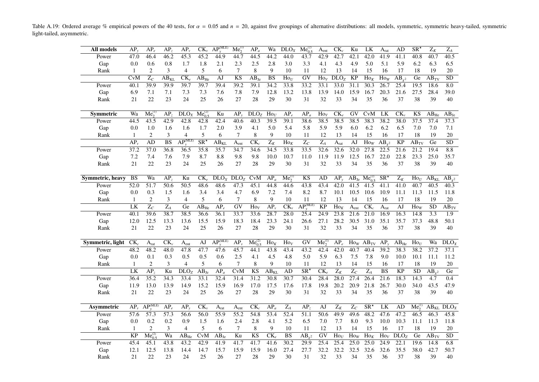Table A.19: Ordered average % empirical powers of the 40 tests, for  $\alpha = 0.05$  and  $n = 20$ , against five groupings of alternative distributions: all models, symmetric, symmetric heavy-tailed, symmetric light-tailed, asymmetric.

<span id="page-28-0"></span>

| All models       | $AP_v$          | $AP_e$                    | AP <sub>z</sub>              | $AP_{v}$                             | $CK_{\nu}$                     | $AP_v^{\text{(MLE)}}$ | $Me_2^{(1)}$              | $AP_a$                   | Wa                     | $\overline{D}LO_X$           | $Me_{0.5}^{(2)}$               | A <sub>ent</sub>               | $CK_c$            | Ku                   | LK                                 | $A_{rat}$                     | AD                   | $\overline{\text{SR}^*}$ | $Z_K$                | $\overline{Z_A}$     |
|------------------|-----------------|---------------------------|------------------------------|--------------------------------------|--------------------------------|-----------------------|---------------------------|--------------------------|------------------------|------------------------------|--------------------------------|--------------------------------|-------------------|----------------------|------------------------------------|-------------------------------|----------------------|--------------------------|----------------------|----------------------|
| Power            | 47.0            | 46.4                      | 46.2                         | 45.3                                 | 45.2                           | 44.9                  | 44.7                      | 44.5                     | 44.2                   | 44.0                         | 43.7                           | 42.9                           | 42.7              | 42.1                 | 42.0                               | 41.9                          | 41.1                 | 40.8                     | 40.7                 | 40.5                 |
| Gap              | 0.0             | 0.6                       | $0.8\,$                      | 1.7                                  | 1.8                            | 2.1                   | 2.3                       | 2.5                      | 2.8                    | 3.0                          | 3.3                            | 4.1                            | 4.3               | 4.9                  | 5.0                                | 5.1                           | 5.9                  | 6.2                      | 6.3                  | 6.5                  |
| Rank             |                 | 2                         | 3                            | 4                                    | 5                              | 6                     | 7                         | 8                        | 9                      | 10                           | 11                             | 12                             | 13                | 14                   | 15                                 | 16                            | 17                   | 18                       | 19                   | 20                   |
|                  | <b>CvM</b>      | $\overline{Z_C}$          | $\overline{AB}_{KL}$         | $\overline{\text{CK}_e}$             | $AB_{He}$                      | AJ                    | <b>KS</b>                 | $AB_{Je}$                | $\overline{\text{BS}}$ | $\text{Ho}_{U}$              | $\overline{GV}$                | $\text{Ho}_V$                  | DLO <sub>7</sub>  | <b>KP</b>            | $\text{Ho}_K$                      | $\overline{H}$ O <sub>W</sub> | $AB_{v^2}$           | Ge                       | $AB_{TV}$            | $\overline{SD}$      |
| Power            | 40.1            | 39.9                      | 39.9                         | 39.7                                 | 39.7                           | 39.4                  | 39.2                      | 39.1                     | 34.2                   | 33.8                         | 33.2                           | 33.1                           | 33.0              | 31.1                 | 30.3                               | 26.7                          | 25.4                 | 19.5                     | 18.6                 | 8.0                  |
| Gap              | 6.9             | 7.1                       | 7.1                          | 7.3                                  | 7.3                            | 7.6                   | 7.8                       | 7.9                      | 12.8                   | 13.2                         | 13.8                           | 13.9                           | 14.0              | 15.9                 | 16.7                               | 20.3                          | 21.6                 | 27.5                     | 28.4                 | 39.0                 |
| Rank             | 21              | 22                        | 23                           | 24                                   | 25                             | 26                    | 27                        | 28                       | 29                     | 30                           | 31                             | 32                             | 33                | 34                   | 35                                 | 36                            | 37                   | 38                       | 39                   | 40                   |
|                  |                 |                           |                              |                                      |                                |                       |                           |                          |                        |                              |                                |                                |                   |                      |                                    |                               |                      |                          |                      |                      |
| <b>Symmetric</b> | Wa              | $Me_2^{(1)}$              | AP,                          | DLO <sub>X</sub>                     | $Me_{0.5}^{(2)}$               | Ku                    | AP <sub>v</sub>           | DLO <sub>z</sub>         | $\text{Ho}_U$          | $AP_{e}$                     | $AP_a$                         | $\text{Ho}_V$                  | $CK_e$            | GV                   | CvM                                | LK                            | $CK_{\nu}$           | KS                       | $AB_{He}$            | $AB_{Je}$            |
| Power            | 44.5            | 43.5                      | 42.9                         | 42.8                                 | 42.8                           | 42.4                  | 40.6                      | 40.3                     | 39.5                   | 39.1                         | 38.6                           | 38.5                           | 38.5              | 38.5                 | 38.3                               | 38.2                          | 38.0                 | $\overline{37.5}$        | 37.4                 | 37.3                 |
| Gap              | 0.0             | 1.0                       | 1.6                          | 1.6                                  | 1.7                            | 2.0                   | 3.9                       | 4.1                      | 5.0                    | 5.4                          | 5.8                            | 5.9                            | 5.9               | 6.0                  | 6.2                                | 6.2                           | 6.5                  | 7.0                      | 7.0                  | 7.1                  |
| Rank             | 1               | 2                         | 3                            | 4                                    | 5                              | 6                     | 7                         | 8                        | 9                      | 10                           | 11                             | 12                             | 13                | 14                   | 15                                 | 16                            | 17                   | 18                       | 19                   | 20                   |
|                  | $AP_v$          | AD                        | $\overline{\text{BS}}$       | $\widehat{AP_{\cdot \cdot}^{(MLE)}}$ | $\overline{\text{SR}^{\star}}$ | $AB_{KL}$             | A <sub>ent</sub>          | $\overline{\text{CK}_c}$ | $\overline{Z_K}$       | $\overline{\text{Ho}_K}$     | $\overline{Z_C}$               | $\overline{Z_A}$               | A <sub>rat</sub>  | AJ                   | $\overline{Ho}_W$                  | $\overline{AB_{\nu^2}}$       | $\overline{KP}$      | $AB_{TV}$                | Ge                   | $\overline{SD}$      |
| Power            | 37.2            | 37.0                      | 36.8                         | 36.5                                 | 35.8                           | 35.7                  | 34.7                      | 34.6                     | 34.5                   | 33.8                         | 33.5                           | 32.6                           | 32.6              | 32.0                 | 27.8                               | 22.5                          | 21.6                 | 21.2                     | 19.4                 | 8.8                  |
| Gap              | 7.2             | 7.4                       | 7.6                          | 7.9                                  | 8.7                            | 8.8                   | 9.8                       | 9.8                      | 10.0                   | 10.7                         | 11.0                           | 11.9                           | 11.9              | 12.5                 | 16.7                               | 22.0                          | 22.8                 | 23.3                     | 25.0                 | 35.7                 |
| Rank             | 21              | 22                        | 23                           | 24                                   | 25                             | 26                    | 27                        | 28                       | 29                     | 30                           | 31                             | 32                             | 33                | 34                   | 35                                 | 36                            | 37                   | 38                       | 39                   | 40                   |
|                  |                 |                           |                              |                                      |                                |                       |                           |                          |                        |                              |                                |                                |                   |                      |                                    |                               |                      |                          |                      |                      |
| Symmetric, heavy | <b>BS</b>       | Wa                        | AP <sub>z</sub>              | Ku                                   | $CK_{e}$                       | DLO <sub>x</sub>      | DLO <sub>7</sub>          | CvM                      | $AP_a$                 | $Me^{(1)}_{2}$               | KS                             | AD                             | $AP_{v}$          | $\overline{AB}_{Je}$ | $Me_{0.5}^{(2)}$                   | $SR^*$                        | $Z_K$                | $\text{Ho}_{U}$          | $\overline{AB}_{KL}$ | $AB_{\chi^2}$        |
| Power            | 52.0            | 51.7                      | 50.6                         | $\overline{50.5}$                    | 48.6                           | 48.6                  | 47.3                      | 45.1                     | 44.8                   | 44.6                         | 43.8                           | 43.4                           | 42.0              | 41.5                 | 41.5                               | 41.1                          | 41.0                 | 40.7                     | 40.5                 | 40.3                 |
| Gap              | 0.0             | 0.3                       | 1.5                          | 1.6                                  | 3.4                            | 3.4                   | 4.7                       | 6.9                      | 7.2                    | 7.4                          | 8.2                            | 8.7                            | 10.1              | 10.5                 | 10.6                               | 10.9                          | 11.1                 | 11.3                     | 11.5                 | 11.8                 |
| Rank             | $\mathbf{1}$    | $\overline{2}$            | 3                            | $\overline{4}$                       | 5                              | 6                     | $7\phantom{.0}$           | $\,$ 8 $\,$              | 9                      | 10                           | 11                             | 12                             | 13                | 14                   | 15                                 | 16                            | 17                   | 18                       | 19                   | $20\,$               |
|                  | LK              | $Z_C$                     | $\overline{Z_A}$             | Ge                                   | $AB_{He}$                      | $AP_e$                | GV                        | $\text{Ho}_V$            | AP <sub>v</sub>        | $\overline{\text{CK}_{\nu}}$ | $\overline{AP_{\nu}^{(MLE)}}$  | <b>KP</b>                      | $\text{Ho}_K$     | A <sub>ent</sub>     | $\overline{\text{CK}_c}$           | A <sub>rat</sub>              | AJ                   | $\text{How}$             | <b>SD</b>            | $\overline{AB}_{TV}$ |
| Power            | 40.1            | 39.6                      | 38.7                         | 38.5                                 | 36.6                           | 36.1                  | 33.7                      | 33.6                     | 28.7                   | 28.0                         | 25.4                           | 24.9                           | 23.8              | 21.6                 | $\overline{21.0}$                  | 16.9                          | 16.3                 | 14.8                     | 3.3                  | 1.9                  |
| Gap              | 12.0            | 12.5                      | 13.3                         | 13.6                                 | 15.5                           | 15.9                  | 18.3                      | 18.4                     | 23.3                   | 24.1                         | 26.6                           | 27.1                           | 28.2              | 30.5                 | 31.0                               | 35.1                          | 35.7                 | 37.3                     | 48.8                 | 50.1                 |
| Rank             | 21              | $22\,$                    | 23                           | 24                                   | 25                             | 26                    | 27                        | 28                       | 29                     | 30                           | 31                             | 32                             | 33                | 34                   | 35                                 | 36                            | 37                   | 38                       | 39                   | 40                   |
|                  |                 |                           |                              |                                      |                                |                       |                           |                          |                        |                              |                                |                                |                   |                      |                                    |                               |                      |                          |                      |                      |
| Symmetric, light | $CK_c$          | $A_{rat}$                 | $\overline{\text{CK}_{\nu}}$ | $\mathbf{A}_{ent}$                   | AJ                             | $AP_{v}^{(MLE)}$      | $AP_{v}$                  | $Me_{0.5}^{(2)}$         | $\text{Ho}_K$          | $\overline{Ho_V}$            | GV                             | Me <sub>2</sub> <sup>(1)</sup> | $AP_{e}$          |                      | $\overline{Ho}_W$ AB <sub>TV</sub> | $AP_v$                        | $\overline{AB}_{He}$ | $\overline{Ho}_U$        | Wa                   | $\overline{D}LO_X$   |
| Power            | 48.2            | 48.2                      | 48.0                         | 47.8                                 | 47.7                           | 47.6                  | 45.7                      | 44.1                     | 43.8                   | 43.4                         | 43.2                           | 42.4                           | 42.0              | 40.7                 | 40.4                               | 39.2                          | 38.3                 | 38.2                     | 37.2                 | 37.1                 |
| Gap              | 0.0             | 0.1                       | 0.3                          | 0.5                                  | 0.5                            | 0.6                   | 2.5                       | 4.1                      | 4.5                    | 4.8                          | 5.0                            | 5.9                            | 6.3               | 7.5                  | 7.8                                | 9.0                           | 10.0                 | 10.1                     | 11.1                 | 11.2                 |
| Rank             | 1               | 2                         | 3                            | 4                                    | 5                              | 6                     | $\overline{7}$            | $\,$ 8 $\,$              | 9                      | 10                           | 11                             | 12                             | 13                | 14                   | 15                                 | 16                            | 17                   | 18                       | 19                   | $20\,$               |
|                  | LK              | AP <sub>z</sub>           | Ku                           | DLO <sub>Z</sub>                     | $AB_{Je}$                      | $AP_a$                | $\overline{\text{CvM}}$   | $\overline{\text{KS}}$   | $AB_{KL}$              | AD                           | $\overline{\text{SR}^{\star}}$ | $\overline{\text{CK}_e}$       | $\overline{Z_K}$  | $\overline{Z_C}$     | $\overline{Z_A}$                   | $\overline{\text{BS}}$        | $\overline{KP}$      | <b>SD</b>                | $AB_{v^2}$           | Ge                   |
| Power            | 36.4            | 35.2                      | 34.3                         | 33.4                                 | 33.1                           | 32.4                  | 31.4                      | 31.2                     | 30.8                   | 30.7                         | 30.4                           | 28.4                           | 28.0              | 27.4                 | $\overline{26.4}$                  | 21.6                          | 18.3                 | 14.3                     | 4.7                  | 0.4                  |
| Gap              | 11.9            | 13.0                      | 13.9                         | 14.9                                 | 15.2                           | 15.9                  | 16.9                      | 17.0                     | 17.5                   | 17.6                         | 17.8                           | 19.8                           | 20.2              | 20.9                 | 21.8                               | 26.7                          | 30.0                 | 34.0                     | 43.5                 | 47.9                 |
| Rank             | 21              | 22                        | 23                           | 24                                   | 25                             | 26                    | 27                        | 28                       | 29                     | 30                           | 31                             | 32                             | 33                | 34                   | 35                                 | 36                            | 37                   | 38                       | 39                   | 40                   |
|                  |                 |                           |                              |                                      |                                |                       |                           |                          |                        |                              |                                |                                |                   |                      |                                    |                               |                      |                          |                      |                      |
| Asymmetric       | $AP_{\nu}$      | $\overline{AP_v^{(MLE)}}$ | $AP_{e}$                     | AP,                                  | $CK_{\nu}$                     | A <sub>rat</sub>      | $\mathbf{A}_{\text{ent}}$ | $CK_c$                   | $AP_a$                 | $\overline{Z_A}$             | AP <sub>z</sub>                | AJ                             | $\overline{Z_K}$  | $\overline{Z_C}$     | $SR^*$                             | LK                            | AD                   | $Me^{(1)}_{\alpha}$      | $\rm{A}B_{KL}$       | $\overline{D}LO_X$   |
| Power            | 57.6            | 57.3                      | 57.3                         | 56.6                                 | 56.0                           | 55.9                  | $\overline{55.2}$         | 54.8                     | 53.4                   | 52.4                         | 51.1                           | 50.6                           | 49.9              | 49.6                 | 48.2                               | 47.6                          | 47.2                 | 46.5                     | 46.3                 | 45.8                 |
| Gap              | 0.0             | 0.2                       | 0.2                          | 0.9                                  | 1.5                            | 1.6                   | 2.4                       | 2.8                      | 4.1                    | 5.2                          | 6.5                            | 7.0                            | 7.7               | 8.0                  | 9.3                                | 10.0                          | 10.3                 | 11.1                     | 11.3                 | 11.8                 |
| Rank             | 1               | $\overline{c}$            | 3                            | $\overline{4}$                       | 5                              | 6                     | 7                         | 8                        | 9                      | 10                           | 11                             | 12                             | 13                | 14                   | 15                                 | 16                            | 17                   | 18                       | 19                   | 20                   |
|                  | $\overline{KP}$ | $Me_{0.5}^{(2)}$          | Wa                           | $\overline{AB}_{He}$                 | CvM                            | $AB_{Je}$             | Ku                        | <b>KS</b>                | $CK_e$                 | $\overline{\text{BS}}$       | $AB_{v^2}$                     | $\overline{GV}$                | $\overline{Ho_U}$ | $\text{Ho}_W$        | $Ho_K$                             | $\overline{Ho}_V$             | DLO <sub>z</sub>     | Ge                       | $\overline{AB}_{TV}$ | SD                   |
| Power            | 45.4            | 45.1                      | 43.8                         | 43.2                                 | 42.9                           | 41.9                  | 41.7                      | 41.7                     | 41.6                   | 30.2                         | 29.9                           | 25.4                           | 25.4              | 25.0                 | 25.0                               | 24.9                          | 22.1                 | 19.6                     | 14.8                 | 6.8                  |
| Gap              | 12.1            | 12.5                      | 13.8                         | 14.4                                 | 14.7                           | 15.7                  | 15.9                      | 15.9                     | 16.0                   | 27.4                         | 27.7                           | 32.2                           | 32.2              | 32.5                 | 32.6                               | 32.6                          | 35.5                 | 38.0                     | 42.7                 | 50.7                 |
| Rank             | 21              | 22                        | 23                           | 24                                   | 25                             | 26                    | 27                        | 28                       | 29                     | 30                           | 31                             | 32                             | 33                | 34                   | 35                                 | 36                            | 37                   | 38                       | 39                   | 40                   |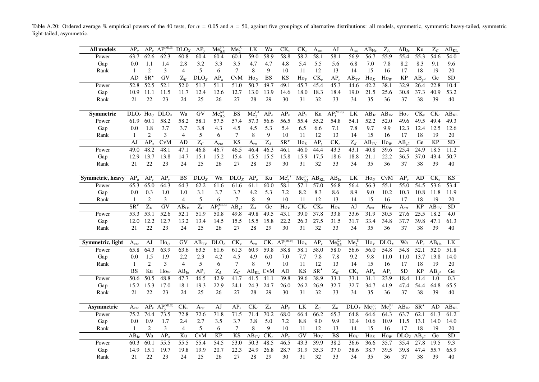Table A.20: Ordered average % empirical powers of the 40 tests, for  $\alpha = 0.05$  and  $n = 50$ , against five groupings of alternative distributions: all models, symmetric, symmetric heavy-tailed, symmetric light-tailed, asymmetric.

<span id="page-29-0"></span>

| All models       | $AP_{v}$                            |                 | $AP_e$ $AP_v^{(MLE)}$         | DLO <sub>X</sub>  | $AP_{v}$          | $Me_0^{(2)}$          | $Me_{2}^{(1)}$         | LK                   | Wa               | $CK_{v}$                       | $CK_c$                 | $A_{ent}$                      | AJ                               | $A_{rat}$                      | $AB_{He}$                | $Z_A$                    | $AB_{Je}$               | Ku                    | $Z_C$           | $\overline{AB_{KL}}$                      |
|------------------|-------------------------------------|-----------------|-------------------------------|-------------------|-------------------|-----------------------|------------------------|----------------------|------------------|--------------------------------|------------------------|--------------------------------|----------------------------------|--------------------------------|--------------------------|--------------------------|-------------------------|-----------------------|-----------------|-------------------------------------------|
| Power            | 63.7                                | 62.6            | 62.3                          | 60.8              | 60.4              | 60.4                  | 60.1                   | 59.0                 | 58.9             | 58.8                           | 58.2                   | 58.1                           | 58.1                             | 56.9                           | 56.7                     | 55.9                     | 55.4                    | $\overline{55.3}$     | 54.6            | 54.0                                      |
| Gap              | 0.0                                 | 1.1             | 1.4                           | 2.8               | 3.2               | 3.3                   | 3.5                    | 4.7                  | 4.7              | 4.8                            | 5.4                    | 5.5                            | 5.6                              | 6.8                            | 7.0                      | 7.8                      | 8.2                     | 8.3                   | 9.1             | 9.6                                       |
| Rank             | 1                                   | 2               | 3                             | 4                 | 5                 | 6                     | $\tau$                 | 8                    | 9                | 10                             | 11                     | 12                             | 13                               | 14                             | 15                       | 16                       | 17                      | 18                    | 19              | 20                                        |
|                  | AD                                  | $SR^{\star}$    | GV                            | $\overline{Z_K}$  | DLO <sub>Z</sub>  | $AP_a$                | CvM                    | $\overline{Ho}_U$    | <b>BS</b>        | $\overline{\text{KS}}$         | $\text{Ho}_V$          | CK <sub>e</sub>                | AP.                              | $\overline{AB}_{TV}$           | $Ho_K$                   | $\overline{Ho}_W$        | $\overline{KP}$         | $\overline{AB}_{v^2}$ | Ge              | <b>SD</b>                                 |
| Power            | 52.8                                | 52.5            | 52.1                          | 52.0              | 51.3              | 51.1                  | 51.0                   | 50.7                 | 49.7             | 49.1                           | 45.7                   | 45.4                           | 45.3                             | 44.6                           | 42.2                     | 38.1                     | 32.9                    | 26.4                  | 22.8            | 10.4                                      |
| Gap              | 10.9                                | 11.1            | 11.5                          | 11.7              | 12.4              | 12.6                  | 12.7                   | 13.0                 | 13.9             | 14.6                           | 18.0                   | 18.3                           | 18.4                             | 19.0                           | 21.5                     | 25.6                     | 30.8                    | 37.3                  | 40.9            | 53.2                                      |
| Rank             | 21                                  | 22              | 23                            | 24                | 25                | 26                    | 27                     | 28                   | 29               | 30                             | 31                     | 32                             | 33                               | 34                             | 35                       | 36                       | 37                      | 38                    | 39              | 40                                        |
| <b>Symmetric</b> | $DLOZ$ Ho <sub><math>U</math></sub> |                 | DLO <sub>X</sub>              | Wa                | GV                | $Me_{0.5}^{(2)}$      | BS                     | $Me_2^{(1)}$         | $AP_e$           | $AP_{v}$                       | $AP_v$                 | Ku                             | AP <sub>v</sub> <sup>(MLE)</sup> | LK                             | $AB_{Je}$                | $AB_{He}$                | $\text{Ho}_V$           | $CK_{\nu}$            | $CK_c$          | $\overline{\text{A}}\text{B}_{\text{KL}}$ |
| Power            | 61.9                                | 60.1            | 58.2                          | 58.2              | 58.1              | 57.5                  | 57.4                   | 57.3                 | 56.6             | 56.5                           | 55.4                   | 55.2                           | 54.8                             | 54.1                           | 52.2                     | 52.0                     | 49.6                    | 49.5                  | 49.4            | 49.3                                      |
| Gap              | 0.0                                 | 1.8             | 3.7                           | 3.7               | 3.8               | 4.3                   | 4.5                    | 4.5                  | 5.3              | 5.4                            | 6.5                    | 6.6                            | 7.1                              | 7.8                            | 9.7                      | 9.9                      | 12.3                    | 12.4                  | 12.5            | 12.6                                      |
| Rank             | 1                                   | 2               | 3                             | $\overline{4}$    | 5                 | 6                     | 7                      | 8                    | 9                | 10                             | 11                     | 12                             | 13                               | 14                             | 15                       | 16                       | 17                      | 18                    | 19              | 20                                        |
|                  | AJ                                  | $AP_a$          | <b>CvM</b>                    | AD                | $\overline{Z_C}$  | A <sub>ent</sub>      | $\overline{\text{KS}}$ | A <sub>rat</sub>     | $\overline{Z_A}$ | $\overline{\text{SR}^{\star}}$ | $\overline{Ho_K}$      | $\overline{AP_z}$              | $\overline{\text{CK}_e}$         | $\overline{Z_K}$               | $\overline{AB_{TV}}$     | $\overline{\text{Ho}_W}$ | $\overline{AB}_{\nu^2}$ | $\overline{Ge}$       | $\overline{KP}$ | $\overline{SD}$                           |
| Power            | 49.0                                | 48.2            | 48.1                          | 47.1              | 46.8              | 46.7                  | 46.5                   | 46.4                 | 46.3             | 46.1                           | 46.0                   | 44.4                           | 43.3                             | 43.1                           | 40.8                     | 39.6                     | 25.4                    | $\overline{24.9}$     | 18.5            | 11.2                                      |
| Gap              | 12.9                                | 13.7            | 13.8                          | 14.7              | 15.1              | 15.2                  | 15.4                   | 15.5                 | 15.5             | 15.8                           | 15.9                   | 17.5                           | 18.6                             | 18.8                           | 21.1                     | 22.2                     | 36.5                    | 37.0                  | 43.4            | 50.7                                      |
| Rank             | 21                                  | 22              | 23                            | 24                | 25                | 26                    | 27                     | 28                   | 29               | 30                             | 31                     | 32                             | 33                               | 34                             | 35                       | 36                       | 37                      | 38                    | 39              | 40                                        |
|                  |                                     |                 |                               |                   |                   |                       |                        |                      |                  |                                |                        |                                |                                  |                                |                          |                          |                         |                       |                 |                                           |
| Symmetric, heavy | $AP_a$                              | AP <sub>z</sub> | AP                            | <b>BS</b>         | DLO <sub>7</sub>  | Wa                    | DLO <sub>x</sub>       | $AP_e$               | Ku               | $Me^{(1)}_{2}$                 | $Me_{0.5}^{(2)}$       | $\overline{AB}_{KL}$           | $AB_{Je}$                        | LK                             | $\text{Ho}_{U}$          | CvM                      | $\overline{AP_{\nu}}$   | AD                    | $CK_e$          | <b>KS</b>                                 |
| Power            | 65.3                                | 65.0            | 64.3                          | 64.3              | 62.2              | 61.6                  | 61.6                   | 61.1                 | 60.0             | 58.1                           | 57.1                   | 57.0                           | 56.8                             | 56.4                           | 56.3                     | 55.1                     | $\overline{55.0}$       | 54.5                  | 53.6            | 53.4                                      |
| Gap              | 0.0                                 | 0.3             | 1.0                           | 1.0               | 3.1<br>5          | 3.7                   | 3.7                    | 4.2                  | 5.3<br>9         | 7.2                            | 8.2                    | 8.3                            | 8.6                              | 8.9                            | 9.0                      | 10.2                     | 10.3                    | 10.8                  | 11.8            | 11.9                                      |
| Rank             | 1                                   | $\overline{2}$  | 3                             | $\overline{4}$    |                   | 6                     | 7                      | $\,8\,$              |                  | 10                             | 11                     | 12                             | 13                               | 14                             | 15                       | 16                       | 17                      | 18                    | 19              | 20                                        |
|                  | $\text{SR}^{\star}$                 | $Z_K$           | GV                            | $AB_{He}$         | $\overline{Z_C}$  | $AP_v^{\text{(MLE)}}$ | $AB_{v^2}$             | $\overline{Z_A}$     | Ge               | $\text{Ho}_V$                  | $CK_c$                 | $CK_{\nu}$                     | $\text{Ho}_K$                    | AJ                             | $\rm A_{rat}$            | $\text{Ho}_W$            | $A_{\text{ent}}$        | <b>KP</b>             | $AB_{TV}$       | <b>SD</b>                                 |
| Power            | 53.3                                | 53.1            | 52.6                          | 52.1              | $\overline{51.9}$ | 50.8                  | 49.8                   | 49.8                 | 49.5             | 43.1                           | 39.0                   | 37.8                           | 33.8                             | 33.6                           | 31.9                     | 30.5                     | 27.6                    | 25.5                  | 18.2            | 4.0                                       |
| Gap              | 12.0                                | 12.2            | 12.7                          | 13.2              | 13.4              | 14.5                  | 15.5                   | 15.5                 | 15.8             | 22.2                           | 26.3                   | 27.5                           | 31.5                             | 31.7                           | 33.4                     | 34.8                     | 37.7                    | 39.8                  | 47.1            | 61.3                                      |
| Rank             | 21                                  | 22              | 23                            | 24                | 25                | 26                    | 27                     | 28                   | 29               | 30                             | 31                     | 32                             | 33                               | 34                             | 35                       | 36                       | 37                      | 38                    | 39              | 40                                        |
| Symmetric, light | A <sub>ent</sub>                    | AJ              | $\text{Ho}_{U}$               | GV                | $AB_{TV}$         | DLO <sub>Z</sub>      | $CK_{\nu}$             | $A_{rat}$            | $CK_c$           | $AP_v^{\text{(MLE)}}$          | $Ho_K$                 | $AP_{v}$                       | $Me_{0.5}^{(2)}$                 | Me <sub>2</sub> <sup>(1)</sup> | $\text{Ho}_V$            | DLO <sub>X</sub>         | Wa                      | $AP_e$                | $AB_{He}$       | LK                                        |
| Power            | 65.8                                | 64.3            | 63.9                          | 63.6              | 63.5              | 61.6                  | 61.3                   | 60.9                 | 59.8             | 58.8                           | 58.1                   | 58.0                           | 58.0                             | 56.6                           | 56.0                     | 54.8                     | 54.8                    | 52.1                  | 52.0            | 51.8                                      |
| Gap              | 0.0                                 | 1.5             | 1.9                           | 2.2               | 2.3               | 4.2                   | 4.5                    | 4.9                  | 6.0              | 7.0                            | 7.7                    | 7.8                            | 7.8                              | 9.2                            | 9.8                      | 11.0                     | 11.0                    | 13.7                  | 13.8            | 14.0                                      |
| Rank             | 1                                   | $\overline{2}$  | 3                             | $\overline{4}$    | 5                 | 6                     | 7                      | 8                    | 9                | 10                             | 11                     | 12                             | 13                               | 14                             | 15                       | 16                       | 17                      | 18                    | 19              | 20                                        |
|                  | <b>BS</b>                           | Ku              | $\text{How}$                  | $AB_{Je}$         | $AP_{v}$          | $Z_A$                 | $Z_C$                  | $\overline{AB_{KL}}$ | CvM              | AD                             | $\overline{\text{KS}}$ | $\overline{\text{SR}^{\star}}$ | $Z_K$                            | $CK_e$                         | $AP_a$                   | AP <sub>z</sub>          | $\overline{SD}$         | <b>KP</b>             | $AB_{v^2}$      | Ge                                        |
| Power            | 50.6                                | 50.5            | 48.8                          | 47.7              | 46.5              | $\overline{42.9}$     | 41.7                   | 41.5                 | 41.1             | 39.8                           | 39.6                   | 38.9                           | 33.1                             | 33.1                           | 31.1                     | $\overline{23.9}$        | 18.4                    | 11.4                  | 1.0             | 0.3                                       |
| Gap              | 15.2                                | 15.3            | 17.0                          | 18.1              | 19.3              | 22.9                  | 24.1                   | 24.3                 | 24.7             | 26.0                           | 26.2                   | 26.9                           | 32.7                             | 32.7                           | 34.7                     | 41.9                     | 47.4                    | 54.4                  | 64.8            | 65.5                                      |
| Rank             | 21                                  | 22              | 23                            | 24                | 25                | 26                    | 27                     | 28                   | 29               | 30                             | 31                     | 32                             | 33                               | 34                             | 35                       | 36                       | 37                      | 38                    | 39              | 40                                        |
|                  |                                     |                 |                               |                   |                   |                       |                        |                      |                  |                                |                        |                                |                                  |                                |                          |                          |                         |                       |                 |                                           |
| Asymmetric       | A <sub>ent</sub>                    |                 | $AP_{\nu}$ $AP_{\nu}^{(MLE)}$ | $CK_{v}$          | $A_{rat}$         | AJ                    | $AP_e$                 | $CK_c$               | $\mathbf{Z}_A$   | $AP_v$                         | LK                     | $Z_C$                          | $Z_K$                            |                                | $DLO_X$ $Me^{(2)}_{0.5}$ | $Me^{(1)}_{2}$           | $\overline{AB}_{He}$    | $SR^*$                | AD              | $\overline{AB}_{KL}$                      |
| Power            | 75.2                                | 74.4            | 73.5                          | 72.8              | 72.6              | 71.8                  | 71.5                   | 71.4                 | 70.2             | 68.0                           | 66.4                   | 66.2                           | 65.3                             | 64.8                           | 64.6                     | 64.3                     | 63.7                    | 62.1                  | 61.3            | 61.2                                      |
| Gap              | 0.0                                 | 0.9             | 1.7                           | 2.4               | 2.7               | 3.5                   | 3.7                    | 3.8                  | 5.0              | 7.2                            | 8.8                    | 9.0                            | 9.9                              | 10.4                           | 10.6                     | 10.9                     | 11.5                    | 13.1                  | 14.0            | 14.0                                      |
| Rank             |                                     | $\overline{c}$  | 3                             | $\overline{4}$    | 5                 | 6                     | 7                      | 8                    | 9                | 10                             | 11                     | 12                             | 13                               | 14                             | 15                       | 16                       | 17                      | 18                    | 19              | 20                                        |
|                  | $\overline{AB}_{Je}$                | Wa              | $AP_a$                        | Ku                | <b>CvM</b>        | <b>KP</b>             | KS                     | $AB_{TV}$            | CK               | AP <sub>2</sub>                | GV                     | $\text{Ho}_V$                  | <b>BS</b>                        | $\text{Ho}_U$                  | $\text{Ho}_K$            | $\text{Ho}_W$            | $DLOZ$ $ABv2$           |                       | Ge              | $\overline{SD}$                           |
| Power            | 60.3                                | 60.1            | $\overline{55.5}$             | $\overline{55.5}$ | 55.4              | $\overline{54.5}$     | $\overline{53.0}$      | 50.3                 | 48.5             | $\overline{46.5}$              | 43.3                   | 39.9                           | 38.2                             | 36.6                           | 36.6                     | 35.7                     | 35.4                    | $\overline{27.8}$     | 19.5            | $\overline{9.3}$                          |
| Gap              | 14.9                                | 15.1            | 19.7                          | 19.8              | 19.9              | 20.7                  | 22.3                   | 24.9                 | 26.8             | 28.7                           | 31.9                   | 35.3                           | 37.0                             | 38.6                           | 38.7                     | 39.5                     | 39.8                    | 47.4                  | 55.7            | 65.9                                      |
| Rank             | 21                                  | 22              | 23                            | 24                | 25                | 26                    | 27                     | 28                   | 29               | 30                             | 31                     | 32                             | 33                               | 34                             | 35                       | 36                       | 37                      | 38                    | 39              | 40                                        |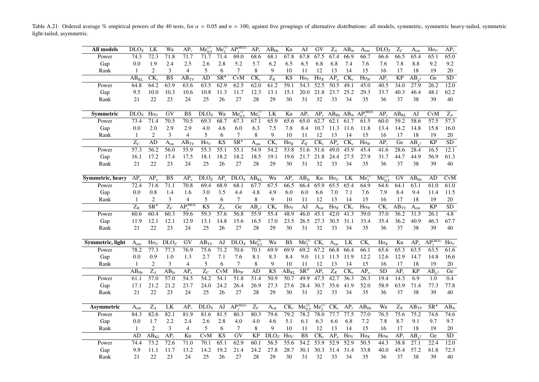Table A.21: Ordered average % empirical powers of the 40 tests, for  $\alpha = 0.05$  and  $n = 100$ , against five groupings of alternative distributions: all models, symmetric, symmetric heavy-tailed, symmetric light-tailed, asymmetric.

<span id="page-30-0"></span>

| All models       | DLO <sub>X</sub> | LK                       | Wa               | $\overline{AP_{\nu}}$ | $Me_{0.5}^{(2)}$   | $Me_2^{(1)}$                   | $AP_v^{\text{(MLE)}}$          | $AP_e$                   | $AB_{He}$              | Ku                | AJ                                              | GV                | $Z_A$            | $AB_{Je}$                | $A_{\text{ent}}$                                     | DLO <sub>Z</sub> | $Z_C$           | $A_{\rm rat}$         | $\overline{Ho}_U$            | $AP_v$            |
|------------------|------------------|--------------------------|------------------|-----------------------|--------------------|--------------------------------|--------------------------------|--------------------------|------------------------|-------------------|-------------------------------------------------|-------------------|------------------|--------------------------|------------------------------------------------------|------------------|-----------------|-----------------------|------------------------------|-------------------|
| Power            | 74.3             | 72.3                     | 71.8             | 71.7                  | 71.7               | 71.4                           | 69.0                           | 68.6                     | 68.1                   | 67.8              | 67.8                                            | 67.5              | 67.4             | 66.9                     | 66.7                                                 | 66.6             | 66.5            | 65.4                  | 65.1                         | 65.0              |
| Gap              | 0.0              | 1.9                      | 2.4              | 2.5                   | 2.6                | 2.8                            | 5.2                            | 5.7                      | 6.2                    | 6.5               | 6.5                                             | 6.8               | 6.8              | 7.4                      | 7.6                                                  | 7.6              | 7.8             | $8.8\,$               | 9.2                          | 9.2               |
| Rank             | 1                | 2                        | 3                | $\overline{4}$        | 5                  | 6                              | $\tau$                         | 8                        | 9                      | 10                | 11                                              | 12                | 13               | 14                       | 15                                                   | 16               | 17              | 18                    | 19                           | 20                |
|                  | $AB_{KL}$        | $CK_{v}$                 | <b>BS</b>        | $\overline{AB_{TV}}$  | AD                 | $\overline{\text{SR}^{\star}}$ | CvM                            | $\overline{\text{CK}_c}$ | $\overline{Z_K}$       | KS                | $\text{Ho}_V$                                   | $\overline{Ho_K}$ | $AP_a$           | $CK_{e}$                 | $\overline{\text{Ho}_W}$                             | AP.              | <b>KP</b>       | $AB_{\nu^2}$          | Ge                           | $\overline{SD}$   |
| Power            | 64.8             | 64.2                     | 63.9             | 63.6                  | 63.5               | 62.9                           | 62.5                           | 62.0                     | 61.2                   | 59.1              | 54.3                                            | $\overline{52.5}$ | 50.5             | 49.1                     | 45.0                                                 | 40.5             | 34.0            | 27.9                  | 26.2                         | 12.0              |
| Gap              | 9.5              | 10.0                     | 10.3             | 10.6                  | 10.8               | 11.3                           | 11.7                           | 12.3                     | 13.1                   | 15.1              | 20.0                                            | 21.8              | 23.7             | 25.2                     | 29.3                                                 | 33.7             | 40.3            | 46.4                  | 48.1                         | 62.2              |
| Rank             | 21               | 22                       | 23               | 24                    | 25                 | 26                             | 27                             | 28                       | 29                     | 30                | 31                                              | 32                | 33               | 34                       | 35                                                   | 36               | 37              | 38                    | 39                           | 40                |
|                  |                  |                          |                  |                       |                    |                                |                                |                          |                        |                   |                                                 |                   |                  |                          |                                                      |                  |                 |                       |                              |                   |
| <b>Symmetric</b> | DLO <sub>Z</sub> | $\text{Ho}_U$            | GV               | BS                    | DLO <sub>X</sub>   | Wa                             | $Me_{0.5}^{(2)}$               | $Me_2^{(1)}$             | LK                     | Ku                | $AP_{v}$                                        |                   |                  |                          | $AP_e$ $AB_{He}$ $\overline{AB_{Je}}$ $AP_v^{(MLE)}$ | AP <sub>1</sub>  | $AB_{KL}$       | AJ                    | CvM                          | $\mathbf{Z}_A$    |
| Power            | 73.4             | 71.4                     | 70.5             | 70.5                  | 69.3               | 68.7                           | 67.3                           | 67.1                     | 65.9                   | 65.6              | 65.0                                            | 62.7              | 62.1             | 61.7                     | 61.5                                                 | 60.0             | 59.2            | 58.6                  | 57.5                         | 57.3              |
| Gap              | 0.0              | 2.0                      | 2.9              | 2.9                   | 4.0                | 4.6                            | 6.0                            | 6.3                      | 7.5                    | 7.8               | 8.4                                             | 10.7              | 11.3             | 11.6                     | 11.8                                                 | 13.4             | 14.2            | 14.8                  | 15.8                         | 16.0              |
| Rank             | 1                | $\mathbf{2}$             | 3                | $\overline{4}$        | 5                  | 6                              | 7                              | 8                        | 9                      | 10                | 11                                              | 12                | 13               | 14                       | 15                                                   | 16               | 17              | 18                    | 19                           | 20                |
|                  | $\overline{Z_C}$ | AD                       | A <sub>rat</sub> | $\overline{AB_{TV}}$  | $\text{Ho}_V$      | K <sub>S</sub>                 | $\overline{\text{SR}^{\star}}$ | $\bar{A}_{ent}$          | $CK_{\nu}$             | $\overline{Ho}_K$ | $\overline{Z_K}$                                | $CK_c$            | $AP_a$           | $CK_e$                   | $\overline{Ho}_W$                                    | AP <sub>z</sub>  | Ge              | $\overline{AB}_{v^2}$ | $\overline{KP}$              | $\overline{SD}$   |
| Power            | 57.3             | 56.2                     | 56.0             | 55.9                  | 55.3               | 55.1                           | 55.1                           | 54.9                     | 54.2                   | 53.8              | 51.6                                            | 51.6              | 49.0             | 45.9                     | 45.4                                                 | 41.6             | 28.6            | 28.4                  | 16.5                         | 12.1              |
| Gap              | 16.1             | 17.2                     | 17.4             | 17.5                  | 18.1               | 18.2                           | 18.2                           | 18.5                     | 19.1                   | 19.6              | 21.7                                            | 21.8              | 24.4             | 27.5                     | 27.9                                                 | 31.7             | 44.7            | 44.9                  | 56.9                         | 61.3              |
| Rank             | 21               | 22                       | 23               | 24                    | 25                 | 26                             | 27                             | 28                       | 29                     | 30                | 31                                              | 32                | 33               | 34                       | 35                                                   | 36               | 37              | 38                    | 39                           | 40                |
|                  |                  |                          |                  |                       |                    |                                |                                |                          |                        |                   |                                                 |                   |                  |                          |                                                      |                  |                 |                       |                              |                   |
| Symmetric, heavy | AP               | $AP_a$                   | <b>BS</b>        | $AP_e$                | DLO <sub>Z</sub>   | AP <sub>z</sub>                | DLO <sub>X</sub>               | $AB_{KL}$                | Wa                     | $AP_v$            | $AB_{Je}$                                       | Ku                | $\text{Ho}_{U}$  | LK                       | $Me_2^{(1)}$                                         | $Me_{0.5}^{(2)}$ | GV              | $\overline{AB}_{He}$  | AD                           | CvM               |
| Power            | 72.4             | 71.6                     | 71.1             | 70.8                  | 69.4               | 68.9                           | 68.1                           | 67.7                     | 67.5                   | 66.5              | 66.4                                            | 65.9              | 65.5             | 65.4                     | 64.9                                                 | 64.6             | 64.1            | 63.1                  | 61.0                         | 61.0              |
| Gap              | 0.0              | 0.8                      | 1.4              | 1.6                   | 3.0                | 3.5                            | 4.4                            | 4.8                      | 4.9                    | 6.0               | 6.0                                             | 6.6               | 7.0              | 7.1                      | 7.6                                                  | 7.9              | 8.4             | 9.4                   | 11.4                         | 11.5              |
| Rank             | 1                | $\mathbf{2}$             | 3                | $\overline{4}$        | 5                  | 6                              | $7\phantom{.0}$                | $\,8\,$                  | 9                      | 10                | 11                                              | 12                | 13               | 14                       | 15                                                   | 16               | 17              | 18                    | 19                           | $20\,$            |
|                  | $Z_K$            | $\overline{\text{SR}^*}$ | $\overline{Z_C}$ | $AP_v^{\text{(MLE)}}$ | <b>KS</b>          | $\overline{Z_A}$               | Ge                             | $AB_{v^2}$               | $CK_e$                 | $\text{Ho}_V$     | AJ                                              | $A_{rat}$         | $\text{Ho}_K$    | $CK_{v}$                 | $\text{Ho}_W$                                        | $CK_c$           | $AB_{TV}$       | A <sub>ent</sub>      | <b>KP</b>                    | $\overline{SD}$   |
| Power            | 60.6             | 60.4                     | 60.3             | 59.6                  | 59.3               | 57.6                           | 56.8                           | 55.9                     | 55.4                   | 48.9              | 46.0                                            | 45.1              | 42.0             | 41.3                     | 39.0                                                 | 37.0             | 36.2            | 31.5                  | 26.1                         | $\overline{4.8}$  |
| Gap              | 11.9             | 12.1                     | 12.1             | 12.9                  | 13.1               | 14.8                           | 15.6                           | 16.5                     | 17.0                   | 23.5              | 26.5                                            | 27.3              | 30.5             | 31.1                     | 33.4                                                 | 35.4             | 36.2            | 40.9                  | 46.3                         | 67.7              |
| Rank             | 21               | 22                       | 23               | 24                    | 25                 | 26                             | 27                             | 28                       | 29                     | 30                | 31                                              | 32                | 33               | 34                       | 35                                                   | 36               | 37              | 38                    | 39                           | 40                |
|                  |                  |                          |                  |                       |                    |                                |                                |                          |                        |                   |                                                 |                   |                  |                          |                                                      |                  |                 |                       |                              |                   |
| Symmetric, light | A <sub>ent</sub> | $\text{Ho}_{U}$          | DLO <sub>z</sub> | GV                    | $AB_{TV}$          | AJ                             | DLO <sub>X</sub>               | $Me^{(2)}_{0.5}$         | Wa                     | <b>BS</b>         | $Me_{2}^{(1)}$                                  | $CK_{v}$          | A <sub>rat</sub> | <b>LK</b>                | $CK_c$                                               | $\text{Ho}_K$    | Ku              | $AP_{\nu}$            | AP <sub>W</sub> <sub>W</sub> | $\overline{Ho}_V$ |
| Power            | 78.2             | 77.3                     | 77.3             | 76.9                  | 75.6               | 71.2                           | 70.6                           | 70.1                     | 69.9                   | 69.9              | 69.2                                            | 67.2              | 66.8             | 66.4                     | 66.1                                                 | 65.6             | 65.3            | 63.5                  | 63.5                         | 61.6              |
| Gap              | 0.0              | 0.9                      | 1.0              | 1.3                   | 2.7                | 7.1                            | 7.6                            | 8.1                      | 8.3                    | 8.4               | 9.0                                             | 11.1              | 11.5             | 11.9                     | 12.2                                                 | 12.6             | 12.9            | 14.7                  | 14.8                         | 16.6              |
| Rank             | 1                |                          |                  |                       |                    |                                |                                |                          |                        |                   |                                                 |                   |                  |                          |                                                      |                  |                 |                       |                              |                   |
|                  |                  | 2                        | 3                | 4                     | 5                  | 6                              | 7                              | $\,8\,$                  | 9                      | 10                | 11                                              | 12                | 13               | 14                       | 15                                                   | 16               | 17              | 18                    | 19                           | 20                |
|                  | $AB_{He}$        | $\overline{Z_A}$         | $AB_{Je}$        | $AP_e$                | $\overline{Z_C}$   | <b>CvM</b>                     | $\text{How}$                   | AD                       | $\overline{\text{KS}}$ | $AB_{KL}$         | SR'                                             | $AP_{v}$          | $\overline{Z_K}$ | $\overline{\text{CK}_e}$ | $\overline{AP_a}$                                    | $\overline{SD}$  | AP <sub>2</sub> | $\overline{KP}$       | $AB_{v^2}$                   | $\overline{Ge}$   |
| Power            | 61.1             | $\overline{57.0}$        | 57.0             | 54.5                  | 54.2               | 54.1                           | 51.8                           | 51.4                     | 50.9                   | 50.7              | 49.9                                            | 47.5              | 42.7             | 36.3                     | 26.3                                                 | 19.4             | 14.3            | 6.9                   | 1.0                          | 0.4               |
| Gap              | 17.1             | 21.2                     | 21.2             | 23.7                  | 24.0               | 24.2                           | 26.4                           | 26.9                     | 27.3                   | 27.6              | 28.4                                            | 30.7              | 35.6             | 41.9                     | 52.0                                                 | 58.9             | 63.9            | 71.4                  | 77.3                         | 77.8              |
| Rank             | 21               | $22\,$                   | 23               | 24                    | 25                 | 26                             | 27                             | 28                       | 29                     | 30                | 31                                              | 32                | 33               | 34                       | 35                                                   | 36               | 37              | 38                    | 39                           | 40                |
|                  |                  |                          |                  |                       |                    |                                |                                |                          |                        |                   |                                                 |                   |                  |                          |                                                      |                  |                 |                       |                              |                   |
| Asymmetric       | A <sub>ent</sub> | $Z_A$                    | LK               | $AP_{\nu}$            | $\overline{D}LO_X$ | AJ                             | $AP_v^{\text{(MLE)}}$          | $\overline{Z_C}$         | $A_{rat}$              | $CK_{\nu}$        | $Me_{0.5}^{(2)}$ Me <sub>2</sub> <sup>(1)</sup> |                   | $CK_c$           | $AP_e$                   | $AB_{He}$                                            | Wa               | $Z_K$           | $\overline{AB}_{TV}$  | $SR^{\star}$                 | $AB_{Je}$         |
| Power            | 84.3             | 82.6                     | 82.1             | 81.9                  | 81.6               | 81.5                           | 80.3                           | 80.3                     | 79.6                   | 79.2              | 78.2                                            | 78.0              | 77.7             | 77.5                     | 77.0                                                 | 76.5             | 75.6            | 75.2                  | 74.6                         | 74.6              |
| Gap              | 0.0              | 1.7                      | 2.2              | 2.4                   | 2.6                | 2.8                            | 4.0                            | 4.0                      | 4.6                    | 5.1               | 6.1                                             | 6.3               | 6.6              | 6.8                      | 7.2                                                  | 7.8              | 8.7             | 9.1                   | 9.7                          | 9.7               |
| Rank             | 1                | 2                        | 3                | $\overline{4}$        | 5                  | 6                              | 7                              | 8                        | 9                      | 10                | 11                                              | 12                | 13               | 14                       | 15                                                   | 16               | 17              | 18                    | 19                           | 20                |
|                  | AD               | $AB_{KL}$                | $AP_v$           | Ku                    | CvM                | <b>KS</b>                      | $\overline{GV}$                | <b>KP</b>                | DLO <sub>Z</sub>       | $\text{Ho}_U$     | $\overline{\text{BS}}$                          | $CK_e$            | $AP_a$           | $\text{Ho}_V$            | $\text{Ho}_K$                                        | $\text{How}$     | AP <sub>z</sub> | $AB_{\nu^2}$          | Ge                           | SD                |
| Power            | 74.4             | 73.2                     | 72.6             | 71.0                  | 70.1               | 65.1                           | 62.9                           | 60.1                     | 56.5                   | 55.6              | 54.2                                            | 53.9              | 52.9             | 52.9                     | $\overline{50.5}$                                    | 44.3             | 38.8            | 27.1                  | 22.4                         | 12.0              |
| Gap              | 9.9              | 11.1                     | 11.7             | 13.2                  | 14.2               | 19.2                           | 21.4                           | 24.2                     | 27.8                   | 28.7              | 30.1                                            | 30.3              | 31.4             | 31.4                     | 33.8                                                 | 40.0             | 45.4            | 57.2<br>38            | 61.8                         | 72.3              |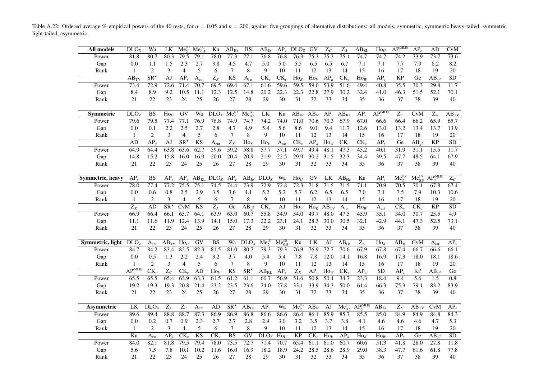Table A.22: Ordered average % empirical powers of the 40 tests, for  $\alpha = 0.05$  and  $n = 200$ , against five groupings of alternative distributions: all models, symmetric, symmetric heavy-tailed, symmetric light-tailed, asymmetric.

<span id="page-31-0"></span>

| All models       | DLO <sub>X</sub>                  | Wa                             | LK                        | $Me_2^{(1)}$             | $Me_0^{(2)}$     | Ku                | $AB_{He}$              | <b>BS</b>                      | $AB_{Je}$            | $AP_v$           | $DLO_Z$                      | GV                            | $\overline{Z_C}$         | $\overline{Z_A}$                   | $AB_{KL}$                | $\overline{Ho}_U$         | $\overline{AP_v^{(MLE)}}$ | $AP_e$                | AD              | CvM              |
|------------------|-----------------------------------|--------------------------------|---------------------------|--------------------------|------------------|-------------------|------------------------|--------------------------------|----------------------|------------------|------------------------------|-------------------------------|--------------------------|------------------------------------|--------------------------|---------------------------|---------------------------|-----------------------|-----------------|------------------|
| Power            | 81.8                              | 80.7                           | 80.3                      | 79.5                     | 79.1             | 78.0              | 77.3                   | 77.1                           | 76.8                 | 76.8             | 76.3                         | 75.3                          | 75.3                     | 75.1                               | 74.7                     | 74.7                      | 74.2                      | 73.9                  | 73.7            | 73.6             |
| Gap              | 0.0                               | 1.1                            | 1.5                       | 2.3                      | 2.7              | 3.8               | 4.5                    | 4.7                            | 5.0                  | 5.0              | 5.5                          | 6.5                           | 6.5                      | 6.7                                | 7.1                      | 7.1                       | 7.7                       | 7.9                   | 8.2             | 8.2              |
| Rank             | 1                                 | $\overline{2}$                 | 3                         | $\overline{4}$           | 5                | 6                 | 7                      | 8                              | 9                    | 10               | 11                           | 12                            | 13                       | 14                                 | 15                       | 16                        | 17                        | 18                    | 19              | 20               |
|                  | $AB_{TV}$                         | $\overline{\text{SR}^{\star}}$ | AJ                        | $AP_v$                   | A <sub>ent</sub> | $\overline{Z_K}$  | $\overline{\text{KS}}$ | $\bar{A}_{rat}$                | $CK_{v}$             | $CK_c$           | $\text{Ho}_K$                | $\text{Ho}_V$                 | $AP_a$                   | $\overline{\text{CK}_e}$           | $\text{Ho}_W$            | AP <sub>2</sub>           | <b>KP</b>                 | Ge                    | $AB_{v^2}$      | $\overline{SD}$  |
| Power            | 73.4                              | 72.9                           | 72.6                      | 71.4                     | 70.7             | 69.5              | 69.4                   | 67.1                           | 61.6                 | 59.6             | 59.5                         | 59.0                          | 53.9                     | 51.6                               | 49.4                     | 40.8                      | 35.5                      | 30.3                  | 29.8            | 11.7             |
| Gap              | 8.4                               | 8.9                            | 9.2                       | 10.5                     | 11.1             | 12.3              | 12.5                   | 14.8                           | 20.2                 | 22.3             | 22.3                         | 22.8                          | 27.9                     | 30.2                               | 32.4                     | 41.0                      | 46.3                      | 51.5                  | 52.1            | 70.1             |
| Rank             | 21                                | 22                             | 23                        | 24                       | 25               | 26                | 27                     | 28                             | 29                   | 30               | 31                           | 32                            | 33                       | 34                                 | 35                       | 36                        | 37                        | 38                    | 39              | 40               |
|                  |                                   |                                |                           |                          |                  |                   |                        |                                |                      |                  |                              |                               |                          |                                    |                          |                           |                           |                       |                 |                  |
| Symmetric        | DLO <sub>z</sub>                  | BS                             | $\text{Ho}_U$             | GV                       | Wa               | DLO <sub>X</sub>  | $Me_2^0$               | $Me_{0.5}^{(2)}$               | LK                   | Ku               | $AB_{He}$                    | $AB_{Je}$                     | $AP_{v}$                 | $\overline{AB}_{KL}$               | $AP_e$                   | $AP_{v}^{(MLE)}$          | $Z_C$                     | <b>CvM</b>            | $Z_A$           | $AB_{TV}$        |
| Power            | 79.6                              | 79.5                           | 77.4                      | 77.1                     | 76.9             | 76.8              | 74.9                   | 74.7                           | 74.2                 | 74.0             | 71.0                         | 70.6                          | 70.3                     | 67.9                               | 67.0                     | 66.6                      | 66.4                      | 66.2                  | 65.9            | 65.7             |
| Gap              | 0.0                               | 0.1                            | 2.2                       | 2.5                      | 2.7              | 2.8               | 4.7                    | 4.9                            | 5.4                  | 5.6              | 8.6                          | 9.0                           | 9.4                      | 11.7                               | 12.6                     | 13.0                      | 13.2                      | 13.4                  | 13.7            | 13.9             |
| Rank             | 1                                 | $\overline{2}$                 | 3                         | $\overline{4}$           | 5                | 6                 | 7                      | 8                              | 9                    | 10               | 11                           | 12                            | 13                       | 14                                 | 15                       | 16                        | 17                        | 18                    | 19              | 20               |
|                  | AD                                | AP <sub>v</sub>                | $\overline{AJ}$           | $\overline{\text{SR}^*}$ | $\overline{KS}$  | A <sub>ent</sub>  | $\overline{Z_K}$       | $\overline{Ho}_K$              | $\overline{Ho_V}$    | A <sub>rat</sub> | $\overline{\text{CK}_{\nu}}$ | $\overline{AP_a}$             | $\overline{\text{Ho}_W}$ | $\overline{\text{CK}_c}$           | $\overline{\text{CK}_e}$ | $\overline{AP_z}$         | Ge                        | $\overline{AB_{y^2}}$ | $\overline{KP}$ | $\overline{SD}$  |
| Power            | 64.9                              | 64.4                           | 63.8                      | 63.6                     | 62.7             | 59.6              | 59.2                   | 58.8                           | 57.7                 | 57.1             | 49.7                         | 49.4                          | 48.1                     | 47.3                               | 45.2                     | 40.1                      | 31.9                      | 31.1                  | 15.5            | 11.7             |
| Gap              | 14.8                              | 15.2                           | 15.8                      | 16.0                     | 16.9             | 20.0              | 20.4                   | 20.9                           | 21.9                 | 22.5             | 29.9                         | 30.2                          | 31.5                     | 32.3                               | 34.4                     | 39.5                      | 47.7                      | 48.5                  | 64.1            | 67.9             |
| Rank             | 21                                | 22                             | 23                        | 24                       | 25               | 26                | 27                     | 28                             | 29                   | 30               | 31                           | 32                            | 33                       | 34                                 | 35                       | 36                        | 37                        | 38                    | 39              | 40               |
|                  |                                   |                                |                           |                          |                  |                   |                        |                                |                      |                  |                              |                               |                          |                                    |                          |                           |                           |                       |                 |                  |
| Symmetric, heavy | $AP_{v}$                          | BS                             | $AP_e$                    | $AP_a$                   | $AB_{KL}$        | DLO <sub>Z</sub>  | $AP_{v}$               | $\overline{AB}_{Je}$           | DLO <sub>x</sub>     | Wa               | $\text{Ho}_U$                | GV                            | LK                       | $\overline{AB}_{He}$               | Ku                       | AP <sub>z</sub>           | $Me_2^{(1)}$              | $Me^{(2)}_{0.5}$      | $AP_v^{(MLE)}$  | $Z_C$            |
| Power            | 78.0                              | 77.4                           | 77.2                      | 75.5                     | 75.1             | 74.5              | 74.4                   | 73.9                           | 72.9                 | 72.8             | 72.3                         | 71.8                          | 71.5                     | 71.5                               | 71.1                     | 70.9                      | 70.5                      | 70.1                  | 67.8            | 67.4             |
| Gap              | 0.0                               | 0.6                            | 0.8                       | 2.5                      | 2.9              | 3.5               | 3.6                    | 4.1                            | 5.2                  | 5.2              | 5.7                          | 6.2                           | 6.5                      | 6.5                                | 7.0                      | 7.1                       | 7.5                       | 7.9                   | 10.3            | 10.6             |
| Rank             | $\mathbf{1}$                      | $\mathbf{2}$                   | 3                         | $\overline{4}$           | 5                | 6                 | $\tau$                 | 8                              | 9                    | 10               | 11                           | 12                            | 13                       | 14                                 | 15                       | 16                        | 17                        | 18                    | 19              | 20               |
|                  | $Z_K$                             | AD                             | $SR^*$                    | CvM                      | KS               | $\overline{Z_A}$  | Ge                     | $AB_{v^2}$                     | $CK_{\rho}$          | AJ               | $\text{Ho}_V$                | $\overline{H}$ O <sub>K</sub> | $AB_{TV}$                | A <sub>rat</sub>                   | $\text{Ho}_W$            | $\mathbf{A}_{\text{ent}}$ | $CK_{v}$                  | $CK_c$                | <b>KP</b>       | $\overline{SD}$  |
| Power            | 66.9                              | 66.4                           | 66.1                      | 65.7                     | 64.1             | 63.9              | 63.0                   | 60.7                           | 55.8                 | 54.9             | 54.0                         | 49.7                          | 48.0                     | 47.5                               | 45.9                     | 35.1                      | 34.0                      | 30.7                  | 25.5            | $\overline{4.9}$ |
| Gap              | 11.1                              | 11.6                           | 11.9                      | 12.4                     | 13.9             | 14.1              | 15.0                   | 17.3                           | 22.2                 | 23.1             | 24.1                         | 28.3                          | 30.0                     | 30.5                               | 32.1                     | 42.9                      | 44.1                      | 47.3                  | 52.5            | 73.1             |
| Rank             | 21                                | 22                             | 23                        | 24                       | 25               | 26                | 27                     | 28                             | 29                   | 30               | 31                           | 32                            | 33                       | 34                                 | 35                       | 36                        | 37                        | 38                    | 39              | 40               |
|                  |                                   |                                |                           |                          |                  |                   |                        |                                |                      |                  |                              |                               |                          |                                    |                          |                           |                           |                       |                 |                  |
| Symmetric, light | DLO <sub>Z</sub>                  | $\mathbf{A}_{ent}$             | $AB_{TV}$ Ho <sub>U</sub> |                          | $\overline{GV}$  | BS                | Wa                     | $\overline{D}$ LO <sub>x</sub> | $Me_{2}^{(1)}$       | $Me_0^{(2)}$     | Ku                           | LK                            | AJ                       | $\overline{AB}_{He}$               | $Z_A$                    | $Ho_K$                    | $AB_{Je}$                 | CvM                   | $A_{rat}$       | $AP_{\nu}$       |
| Power            | 84.7                              | 84.2                           | 83.4                      | 82.5                     | 82.3             | 81.5              | 81.0                   | 80.7                           | 79.3                 | 79.3             | 76.9                         | 76.9                          | 72.7                     | 70.6                               | 67.9                     | 67.8                      | 67.4                      | 66.7                  | 66.6            | 66.1             |
| Gap              | 0.0                               | 0.5                            | 1.3                       | 2.2                      | 2.4              | 3.2               | 3.7                    | 4.0                            | 5.4                  | 5.4              | 7.8                          | 7.8                           | 12.0                     | 14.1                               | 16.8                     | 16.9                      | 17.3                      | 18.0                  | 18.1            | 18.6             |
| Rank             | 1                                 | $\overline{2}$                 | 3                         | $\overline{4}$           | 5                | 6                 | 7                      | 8                              | 9                    | 10               | 11                           | 12                            | 13                       | 14                                 | 15                       | 16                        | 17                        | 18                    | 19              | 20               |
|                  | AP <sub>II</sub> <sup>(MLE)</sup> | $\overline{\text{CK}_{\nu}}$   | $\overline{Z_C}$          | $\overline{\text{CK}_c}$ | AD               | $\overline{Ho_V}$ | K <sub>S</sub>         | $\overline{\text{SR}^*}$       | $\overline{AB_{KI}}$ | $AP_e$           | $\overline{Z_K}$             | AP <sub>v</sub>               | $\text{Ho}_W$            | $CK_{e}$                           | $AP_a$                   | <b>SD</b>                 | AP <sub>z</sub>           | <b>KP</b>             | $AB_{v^2}$      | Ge               |
| Power            | 65.5                              | 65.5                           | 65.4                      | 63.9                     | 63.3             | 61.5              | 61.2                   | 61.1                           | 60.7                 | 56.9             | $\overline{51.6}$            | 50.8                          | $\overline{50.4}$        | 34.7                               | $\overline{23.3}$        | 18.4                      | 9.4                       | $\overline{5.6}$      | 1.5             | $\overline{0.8}$ |
| Gap              | 19.2                              | 19.3                           | 19.3                      | 20.8                     | 21.4             | 23.2              | 23.5                   | 23.6                           | 24.0                 | 27.8             | 33.1                         | 33.9                          | 34.3                     | 50.0                               | 61.4                     | 66.3                      | 75.3                      | 79.1                  | 83.2            | 83.9             |
| Rank             | 21                                | 22                             | 23                        | 24                       | 25               | 26                | 27                     | 28                             | 29                   | 30               | 31                           | 32                            | 33                       | 34                                 | 35                       | 36                        | 37                        | 38                    | 39              | 40               |
|                  |                                   |                                |                           |                          |                  |                   |                        |                                |                      |                  |                              |                               |                          |                                    |                          |                           |                           |                       |                 |                  |
| Asymmetric       | LK                                | DLO <sub>X</sub>               | $Z_A$                     | $Z_C$                    | A <sub>ent</sub> | AD                | $SR^*$                 | $\overline{AB}_{He}$           | $AP_{\nu}$           | Wa               | $Me_2^{(1)}$                 | $AB_{Je}$                     | AJ                       | $\overline{\text{Me}_{0.5}^{(2)}}$ | $AP_v^{\text{(MLE)}}$    | $\overline{AB}_{KL}$      | $\mathbf{Z}_K$            | $AB_{TV}$             | CvM             | $AP_e$           |
| Power            | 89.6                              | 89.4                           | 88.8                      | 88.7                     | 87.3             | 86.9              | 86.9                   | 86.8                           | 86.6                 | 86.6             | 86.4                         | 86.1                          | 85.9                     | 85.7                               | 85.5                     | 85.0                      | 84.9                      | 84.9                  | 84.8            | 84.3             |
| Gap              | 0.0                               | 0.2                            | 0.7                       | 0.9                      | 2.3              | 2.7               | 2.7                    | 2.8                            | 2.9                  | 3.0              | 3.2                          | 3.5                           | 3.7                      | 3.8                                | 4.1                      | 4.6                       | 4.6                       | 4.6                   | 4.7             | 5.3              |
| Rank             | 1                                 | $\overline{2}$                 | 3                         | $\overline{4}$           | 5                | 6                 | 7                      | 8                              | 9                    | 10               | 11                           | 12                            | 13                       | 14                                 | 15                       | 16                        | 17                        | 18                    | 19              | 20               |
|                  | Ku                                | A <sub>rat</sub>               | $AP_v$                    | $CK_{\nu}$               | <b>KS</b>        | $CK_c$            | $\overline{\text{BS}}$ | $\overline{GV}$                | DLO <sub>Z</sub>     | $\text{Ho}_U$    | KP                           | $CK_e$                        | $\text{Ho}_V$            | $AP_a$                             | $\text{Ho}_K$            | $\text{How}$              | AP <sub>z</sub>           | Ge                    | $AB_{v^2}$      | SD               |
| Power            | 84.0                              | 82.1                           | 81.8                      | 79.5                     | 79.4             | 78.0              | 73.5                   | 72.7                           | 71.4                 | 70.7             | 65.4                         | 61.1                          | 61.0                     | 60.7                               | 60.6                     | 51.3                      | 41.8                      | 28.0                  | 27.8            | 11.8             |
| Gap              | 5.6                               | 7.5                            | 7.8                       | 10.1                     | 10.2             | 11.6              | 16.0                   | 16.9                           | 18.2                 | 18.9             | 24.2                         | 28.5                          | 28.6                     | 28.9                               | 29.0                     | 38.3                      | 47.7                      | 61.6                  | 61.8            | 77.8             |
| Rank             | 21                                | 22                             | 23                        | 24                       | 25               | 26                | 27                     | 28                             | 29                   | 30               | 31                           | 32                            | 33                       | 34                                 | 35                       | 36                        | 37                        | 38                    | 39              | 40               |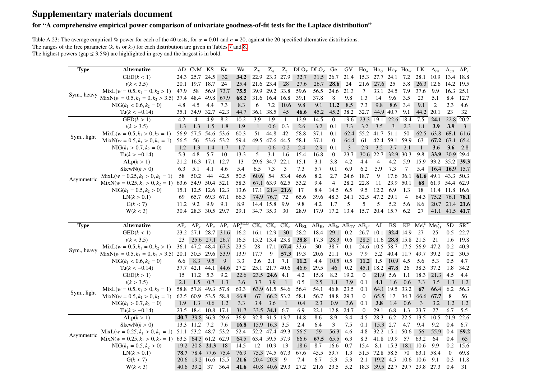## Supplementary materials document

#### for "A comprehensive empirical power comparison of univariate goodness-of-fit tests for the Laplace distribution"

Table A.23: The average empirical % power for each of the 40 tests, for  $\alpha = 0.01$  and  $n = 20$ , against the 20 specified alternative distributions. The ranges of the free parameter  $(k, k_1 \text{ or } k_2)$  for each distribution are given in Tables [7](#page-14-2) and [8.](#page-15-1) The highest powers (gap  $\leq 3.5\%$ ) are highlighted in grey and the largest is in bold.

<span id="page-32-0"></span>

| <b>Type</b> | <b>Alternative</b>                       | AD.    | CvM KS              |                  | Ku              | Wa                    | $Z_K$          | $Z_A$                       | $Z_C$        |             | DLO <sub>X</sub> DLO <sub>Z</sub>                                       | Ge                           | GV               |                | $\text{Ho}_K$ Ho <sub>U</sub> Ho <sub>V</sub> Ho <sub>W</sub> |                   |                             | LK.                           | A <sub>rat</sub> | A <sub>ent</sub> | $AP_v$       |
|-------------|------------------------------------------|--------|---------------------|------------------|-----------------|-----------------------|----------------|-----------------------------|--------------|-------------|-------------------------------------------------------------------------|------------------------------|------------------|----------------|---------------------------------------------------------------|-------------------|-----------------------------|-------------------------------|------------------|------------------|--------------|
|             | GED(k < 1)                               | 24.3   | 25.7                | 24.5             | 32              | 34.2                  | 22.9           | 23.3                        | 27.9         | 32.7        | 31.5                                                                    | 26.7                         | 21.4             | 15.3           | 27.7                                                          | 24.1              | 7.2                         | 28.1                          | 10.9             | 13.4             | 18.8         |
|             | t(k < 3.5)                               | 20.1   | 19.7 18.7           |                  | 24              | 25.4                  |                | 21.6 23.4                   | 28           | 27.6        | 26.7                                                                    | 28.6                         | 24               | 21.6           | 27.6                                                          | 25                | 5.8                         | 26.3 12.6                     |                  | 14.2             | 19.5         |
| Sym., heavy | $MixL(w = 0.5, k_1 = 0, k_2 > 1)$        | 47.9   | 58                  | 56.9             | 73.7            | 75.5                  | 39.9           | 29.2 33.8                   |              | 59.6        | 56.5                                                                    | 24.6                         | 21.3             | 7              | 33.1                                                          | 24.5              | 7.9                         | 37.6                          | 9.9              | 16.3             | 25.1         |
|             | $MixN(w = 0.5, k_1 = 0, k_2 > 3.5)$ 37.4 |        | 48.4                | 49.8             | 67.9            | 68.2                  | 31.6           | 16.4                        | 16.8         | 39.1        | 37.8                                                                    | 8                            | 9.8              | 1.3            | 14                                                            | 9.6               | 3.5                         | 23                            | 5.1              | 8.4              | 12.7         |
|             | $NIG(k_1 < 0.6, k_2 = 0)$                | 4.8    | 4.5                 | 4.4              | 7.3             | 8.3                   | 6              | 7.2                         | 10.6         | 9.8         | 9.1                                                                     | 11.2                         | 8.5              | 7.3            | 9.8                                                           | 8.6               | 3.4                         | 9.1                           | 2                | 2.3              | 4.6          |
|             | $Tu(k < -0.14)$                          | 35.1   | 34.9                | 32.7             | 42.3            | 44.7                  | 36.1           | 38.5                        | 45           | 46.6        | 45.2                                                                    | 45.2 38.2                    |                  | 32.7           | 44.9 40.7                                                     |                   | 9.1                         | 44.2 20.1                     |                  | 23               | 32           |
|             | GED(k>1)                                 | 4.2    | $\overline{4}$      | 4.9              | 8.2             | 10.2                  | 3.9            | 1.9                         | -1           | 12.9        | 14.5                                                                    | $\mathbf{0}$                 | 19.6             | 23.3           | 19.1                                                          |                   | 22.6 18.4                   | 7.5                           | 24.1             | 22.8             | 20.2         |
|             | t(k > 3.5)                               | 1.3    | 1.3                 | 1.5              | 1.8             | 1.9                   | $\mathbf{1}$   | $0.6\,$                     | 0.3          | 2.6         | 3.2                                                                     | 0.1                          | 3.3              | 3.2            | 3.5                                                           | $\mathfrak{Z}$    | 2.3                         | 1.1                           | 3.9              | 3.9              | 3            |
| Sym., light | $MixL(w = 0.5, k_1 > 0, k_2 = 1)$        | 56.9   | 57.5                | 54.6 53.6        |                 | 60.3                  | 51             | 44.8                        | 42           | 58.8        | 37.1                                                                    | 0.1                          | 62.4             | 55.2           | 41.7 51.1                                                     |                   | 50                          | 62.5                          | 63.8             |                  | 65.1 61.6    |
|             | $MixN(w = 0.5, k_1 > 0, k_2 = 1)$        | 56.5   | 56                  | 53.6 53.2        |                 | 59.4                  | 49.5           | 47.6                        | 44.5         | 58.1        | 37.1                                                                    | $\mathbf{0}$                 | 64.4             | 61             |                                                               | 42.4 59.1 59.9    |                             | 63                            | 67.2             | 67.1             | 65.4         |
|             | $NIG(k_1 > 0.7, k_2 = 0)$                | 1.2    | 1.3                 | 1.4              | 1.7             | 1.7                   | $\mathbf{1}$   | 0.6                         | 0.2          | 2.4         | 2.9                                                                     | 0.1                          | 3                | 2.9            | 3.2                                                           | 2.7               | 2.1                         | $\mathbf{1}$                  | 3.6              | 3.6              | 2.8          |
|             | $Tu(k > -0.14)$                          | 5.3    | 4.8                 | 5.7              | 10              | 13.3                  | 5              | 3.1                         | 1.6          | 15.4        | 16.8                                                                    | $\mathbf{0}$                 | 23.7             | 30.6           | 22.7                                                          |                   | 32.9 30.3                   | 9.8                           | 33.9             | 30.9 29.4        |              |
|             | ALp(k > 1)                               | 21.2   | 16.3                | 17.1             | 12.7            | $\overline{13}$       | 29.6           | 34.7                        | 22.1         | 15.1        | $\overline{3.1}$                                                        | $\overline{3.8}$             | $\overline{4.2}$ | 4.4            | $\overline{4}$                                                | 4.2               | $\overline{5.9}$            | 15.9                          | 33.2             | $35.2$ 39.3      |              |
|             | SkewN(k > 0)                             | 6.3    | 5.1                 | 4.1              | 4.6             | 5.4                   | 6.5            | 7.3                         | 3            | 7.3         | 5.7                                                                     | 0.1                          | 6.9              | 6.2            | 5.9                                                           | 7.3               | $\tau$                      | 5.4                           |                  | 16.4 16.9        | 15.7         |
| Asymmetric  | $MixL(w = 0.25, k_1 > 0, k_2 = 1)$       | 58     | 50.2                | 44               | 42.5            | 50.5                  | 60.6           | 54                          | 53.4         | 46.6        | 8.2                                                                     | 2.7                          | 24.6             | 18.7           | 9                                                             | 17.6              | 36.1                        |                               | 61.6 49.1        | 43.3 50.3        |              |
|             | $MixN(w = 0.25, k_1 > 0, k_2 = 1)$       | 63.6   | 54.9 50.4 52.1      |                  |                 | 58.3                  |                | 67.1 63.9 62.5              |              | 53.2        | 9.4                                                                     | $\overline{4}$               | 28.2             | 22.8           | 11                                                            | 23.9              | 50.1                        | 68                            |                  | 61.9 54.4 62.9   |              |
|             | $NIG(k_1 = 0.5, k_2 > 0)$                | 15.1   | 12.5 12.6 12.3      |                  |                 | 13.6                  | 17.1           |                             | 21.4 21.6    | 17          | 8.4                                                                     | 14.5                         | 6.5              | 9.5            | 12.2                                                          | 6.9               | 1.3                         | 18                            | 11.4 11.8        |                  | -16.6        |
|             | LN(k > 0.1)                              | 69     |                     | 65.7 69.3 67.1   |                 | 66.3                  |                | 74.9 76.7                   | 72           | 65.6        | 39.6                                                                    | 48.3                         | 24.1             | 32.5           | 47.2                                                          | 29.1              | $\overline{4}$              | 64.3                          | 75.2             | 76.1             | 78.1         |
|             | G(k < 7)                                 | 11.2   | 9.2                 | 9.9              | 9.1             | 8.9                   | 14.4           | 15.8                        | 9.9          | 9.8         | 4.2                                                                     | 1.7                          | 5                | 5              | 5                                                             | 5.2               | 5.6                         | 8.6                           | 20.7             | 21.4 21.6        |              |
|             | W(k < 3)                                 |        | 30.4 28.3 30.5 29.7 |                  |                 | 29.1                  |                | 34.7 35.3                   | 30           | 28.9        | 17.9                                                                    | 17.2 13.4 15.7 20.4 15.7 6.2 |                  |                |                                                               |                   |                             | 27                            |                  | 41.1 41.5 41.7   |              |
|             |                                          |        |                     |                  |                 |                       |                |                             |              |             |                                                                         |                              |                  |                |                                                               |                   |                             |                               |                  |                  |              |
|             |                                          |        |                     |                  |                 |                       |                |                             |              |             |                                                                         |                              |                  |                |                                                               |                   |                             |                               |                  |                  |              |
| <b>Type</b> | <b>Alternative</b>                       | $AP_e$ | $AP_v$              | $AP_a$           | AP <sub>z</sub> | $AP_v^{\text{(MLE)}}$ |                |                             |              |             | $CK_v$ $CK_e$ $CK_e$ $AB_{KL}$ $AB_{He}$ $AB_{Je}$ $AB_{TV}$ $AB_{v^2}$ |                              |                  |                | AJ                                                            | BS                | KP                          | $Me_2^{(1)}$ $Me_{0.5}^{(2)}$ |                  | SD               | $SR^{\star}$ |
|             | $\overline{\text{GED}(k<1)}$             | 23.2   | 27.1                | 28.7             | 31.6            | 16.2                  | 16.1           | 12.9                        | 30           | 28.2        | 18.4                                                                    | 29.1                         | 0.2              | 26.7           | 10.1                                                          |                   | $32.4 \overline{14.9}$      | 27                            | 25               | 0.5              | 22.7         |
|             | t(k < 3.5)                               | 23     |                     | 25.6 27.1 26.7   |                 | 16.5                  |                | 15.2 13.4 23.8              |              | 28.8        | 17.3                                                                    | 28.3                         | 0.6              |                | 28.5 11.6                                                     |                   | 28.8 15.8 21.5              |                               | 21               | 1.6              | 19.8         |
|             | $MixL(w = 0.5, k_1 = 0, k_2 > 1)$        |        | 36.1 47.2 48.4      |                  | 67.3            | 23.5                  | 28             | 17.1                        | 67.4         | 33.6        | 30                                                                      | 38.7                         | 0.1              | 24.6           | 10.5                                                          |                   | 58.7 17.5                   | 56.9                          | 47.2             | 0.2              | 40.3         |
| Sym., heavy | $MixN(w = 0.5, k_1 = 0, k_2 > 3.5)$      |        | 20.1 30.5 29.6 53.9 |                  |                 | 13.9                  | 17.7           | 9                           | 57.3         | 19.3        | 20.6                                                                    | 21.1                         | 0.5              | 7.9            | 5.2                                                           |                   | 40.4 11.7                   | 49.7                          | 39.2             | 0.2              | 30.5         |
|             | $NIG(k_1 < 0.6, k_2 = 0)$                | 6.6    | 8.3                 | 9.5              | 9               | 3.3                   | 2.6            | 2.1                         | 7.1          | 11.2        | 4.4                                                                     | 10.5                         | 0.5              | 11.2           | 1.5                                                           |                   | 10.9 4.5                    | 5.6                           | 5.3              | 0.5              | 4.7          |
|             | $Tu(k < -0.14)$                          | 37.7   | 42.1                | 44.1             | 44.6            | 27.2                  | 25.1           | 21.7                        | 40.6         | 46.6        | 29.5                                                                    | 46                           | 0.2              |                | 45.1 18.2                                                     | 47.8              | 26                          | 38.3                          | 37.2             | 1.8              | 34.2         |
|             | GED(k > 1)                               | 15     | 11.2                | $\overline{5.3}$ | 9.2             | 22.6                  |                | $\overline{23.5}$ 24.6      | 4.1          | 4.2         | 15.8                                                                    | 8.2                          | 19.2             | $\mathbf{0}$   | 21.9                                                          | 5.6               | 1.1                         | 18.3                          | 21.3             | 4.5              | 4.4          |
|             | t(k > 3.5)                               | 2.1    | 1.5                 | 0.7              | 1.3             | 3.6                   | 3.7            | 3.9                         | 1            | 0.5         | 2.5                                                                     | 1.1                          | 3.9              | 0.1            | 4.1                                                           | 1.6               | 0.6                         | 3.3                           | 3.5              | 1.3              | 1.2          |
|             | $MixL(w = 0.5, k_1 > 0, k_2 = 1)$        | 58.8   | 57.8                | 49.3 57.8        |                 | 63.3                  |                | 63.9 61.5 54.6              |              | 56.4        | 54.1                                                                    | 46.8                         | 23.5             | 0.1            |                                                               | 64.1 19.5         | 33.2                        | 67                            | 66.4             | 6.2              | 56.3         |
| Sym., light | $MixN(w = 0.5, k_1 > 0, k_2 = 1)$        | 62.5   | 60.9 53.5 58.8      |                  |                 | 66.8                  | 67             |                             | 66.2 53.2    | 58.1        | 56.7                                                                    | 48.8                         | 29.3             | $\mathbf 0$    | 65.5                                                          | 17                | 34.3                        | 66.6                          | 67.7             | 8                | 56           |
|             | $NIG(k_1 > 0.7, k_2 = 0)$                | 1.9    | 1.3                 | 0.6              | 1.2             | 3.3                   | 3.4            | 3.6                         | $\mathbf{1}$ | 0.4         | 2.3                                                                     | 0.9                          | 3.6              | 0.1            | 3.8                                                           | 1.4               | 0.6                         | 3                             | 3.2              | 1.2              | 1.2          |
|             | $Tu(k > -0.14)$                          |        | 23.5 18.4 10.8 17.1 |                  |                 | 31.7                  |                | 33.5 34.1 6.7               |              | 6.9         | 22.1                                                                    | 12.8                         | 24.7             | $\overline{0}$ | 29.1                                                          | 6.8               | 1.3                         | 23.7                          | 27               | 6.7              | 5.5          |
|             | ALp(k > 1)                               |        | 40.7 39.8 36.3 29.6 |                  |                 | 36.9                  |                | 32.8 31.5 13.7              |              | 14.8        | 8.6                                                                     | 8.9                          | 3.4              | 4.5            | 28.3                                                          | 6.2               | 22.5                        | 13.5                          | 10.5             | 21.9             | 22.6         |
|             | SkewN(k > 0)                             |        | 13.3 11.2 7.2       |                  | 7.6             | 16.8                  |                | 15.9 16.3 3.5               |              | 2.4         | 6.4                                                                     | 3                            | 7.5              | 0.1            | 15.3 2.7                                                      |                   | 4.7                         | 9.4                           | 9.2              | 0.4              | 6.7          |
|             | $MixL(w = 0.25, k_1 > 0, k_2 = 1)$ 51.1  |        |                     | 53.2 48.7 53.2   |                 | 52.4                  |                | 52.2 47.4 49.3              |              | 56.5        | 59                                                                      | 56.3                         | 4.6              | 4.8            |                                                               | $32.2 \quad 15.1$ | 50.6                        | 56                            | 55.9             | 0.4              | 59.2         |
| Asymmetric  | $MixN(w = 0.25, k_1 > 0, k_2 = 1)$       | 63.5   |                     | 64.3 61.2 62.9   |                 | 64.5                  | 63.4 59.5 57.9 |                             |              | 66.6        | 67.5                                                                    | 65.5                         | 6.3              | 8.3            | 41.8                                                          | 19.9              | 57                          | 63.2                          | 64               | 0.4              | 65           |
|             | $NIG(k_1 = 0.5, k_2 > 0)$                | 19.2   | 20.8 21.3           |                  | -18             | 14.5                  | 12             | 10.9                        | 13           | 18.6        | 8.7                                                                     | 16.6                         | 0.7              | 15.4           | 8.1                                                           | 15.3              | 18.1 10.6                   |                               | 9.9              | 0.2              | 15.6         |
|             | LN(k > 0.1)                              |        | 78.7 78.4 77.6 75.4 |                  |                 | 76.9                  |                | 75.3 74.5 67.3              |              | 67.6        | 45.5                                                                    | 59.7                         | 1.3              | 51.5           | 72.8 58.5                                                     |                   | 70                          | 63.1                          | 58.4             | $\boldsymbol{0}$ | 69.8         |
|             | G(k < 7)                                 | 20.6   | 40.6 39.2 37        | 19.2 16.6 15.5   | 36.4            | 21.6<br>41.6          |                | 20.4 20.3<br>40.8 40.6 29.3 | 9            | 7.4<br>27.2 | 6.7<br>21.6                                                             | 5.3<br>23.5                  | 5.3<br>5.2       | 2.1<br>18.3    | 19.2 4.5                                                      |                   | 10.6<br>39.5 22.7 29.7 29.8 | - 10.6                        | 9.1<br>27.3      | 0.3<br>0.4       | 11.8<br>31   |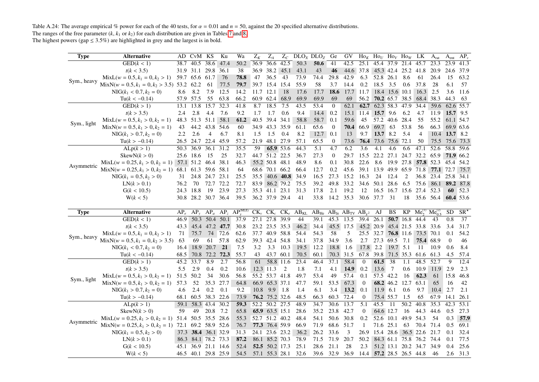Table A.24: The average empirical % power for each of the 40 tests, for  $\alpha = 0.01$  and  $n = 50$ , against the 20 specified alternative distributions. The ranges of the free parameter  $(k, k_1 \text{ or } k_2)$  for each distribution are given in Tables 7 and 8.

| <b>Type</b> | <b>Alternative</b>                                     |        | AD CvM KS           |                | Ku             | Wa                                                   | $Z_K$     | $Z_A$          |           |                                | $Z_c$ DLO <sub>X</sub> DLO <sub>Z</sub>         | Ge                | GV        | $\rm Ho_K$ $\rm Ho_U$ $\rm Ho_V$ $\rm Ho_W$ LK |                |                        |                     |                                 | $A_{rat}$ | $A_{ent}$    | $AP_v$       |
|-------------|--------------------------------------------------------|--------|---------------------|----------------|----------------|------------------------------------------------------|-----------|----------------|-----------|--------------------------------|-------------------------------------------------|-------------------|-----------|------------------------------------------------|----------------|------------------------|---------------------|---------------------------------|-----------|--------------|--------------|
|             | GED(k < 1)                                             | 38.7   | 40.5                | 38.6           | 47.4           | 50.2                                                 | 36.9      | 36.6           | 42.5      | 50.3                           | 50.6                                            | 41                | 42.5      | 25.1                                           |                | 45.4 37.9 21.4         |                     | 45.7                            | 23.3      | 23.9         | 41.3         |
|             | t(k < 3.5)                                             |        | 31.9 31.1 29.8      |                | 36.1           | 38                                                   | 36.9      | 38.2           | 45.1      | 43.1                           | 43                                              | 46                | 44.6      | 37.8                                           |                |                        | 45.3 42.4 25.2 41.8 |                                 | 20.9      | 24.6         | 37.9         |
|             | $MixL(w = 0.5, k_1 = 0, k_2 > 1)$                      |        | 59.7 65.6 61.7      |                | 76             | 78.8                                                 | 47        | 36.5           | 43        | 73.9                           | 74.4                                            | 29.8              | 42.9      | 6.3                                            | 52.8           | 26.1                   | 8.6                 | 61                              | 26.4      | 15           | 63.2         |
| Sym., heavy | $MixN(w = 0.5, k_1 = 0, k_2 > 3.5)$ 53.2 62.2          |        |                     | 61             | 77.5           | 79.7                                                 |           | 39.7 15.4 15.4 |           | 55.9                           | 58                                              | 3.7               | 14.4      | 0.2                                            | 18.5           | 3.5                    | 0.6                 | 37.8                            | 28        | 6.1          | 57           |
|             | $NIG(k_1 < 0.7, k_2 = 0)$                              | 8.6    | 8.2                 | 7.9            | 12.5           | 14.2                                                 | 11.7 12.1 |                | 18        | 17.6                           | 17.7                                            | 18.6              | 17.7      | 11.7                                           |                |                        |                     | 18.4 15.6 10.1 16.3             | 2.5       | 3.6          | 11.6         |
|             | $Tu(k < -0.14)$                                        |        | 57.9 57.5           | 55             | 63.8           | 66.2                                                 |           | 60.9 62.4      | 68.9      | 69.9                           | 69.9                                            | 69                | 69        | 56.2                                           |                | $70.2$ 65.7 38.5       |                     | 68.4 38.3                       |           | 44.3         | 63           |
|             | GED(k>1)                                               | 13.1   | 13.8                | 15.7           | 32.3           | 41.8                                                 | 8.7       | 18.5           | 7.5       | 43.5                           | 53.4                                            | $\theta$          | 62.1      | 62.7                                           |                | $62.3 \overline{58.3}$ | 47.9                | 34.4                            | 59.6      | 62.6 55.7    |              |
|             | t(k > 3.5)                                             | 2.4    | 2.8                 | 4.4            | 7.6            | 9.2                                                  | 1.7       | 1.7            | 0.6       | 9.4                            | 14.4                                            | 0.2               |           | 15.1 11.4                                      | 15.7 9.6       |                        | 6.2                 | 4.7                             | 11.9      | 15.7 9.5     |              |
| Sym., light | $MixL(w = 0.5, k_1 > 0, k_2 = 1)$                      | 48.3   | 51.3                | 51.1 58.1      |                | 61.2                                                 |           | 40.5 39.4 34.1 |           | 58.8                           | 58.7                                            | 0.1               | 59.6      | 45                                             | 57.2 40.6 28.4 |                        |                     | 55                              | 55.2      |              | 61.1 54.7    |
|             | $MixN(w = 0.5, k_1 > 0, k_2 = 1)$                      | 43     | 44.2                | 43.8           | 54.6           | 60                                                   |           | 34.9 43.3 35.9 |           | 61.1                           | 65.6                                            | $\mathbf{0}$      | 70.4      | 66.9                                           | 69.7           | 63                     | 53.8                | 56                              | 66.3      |              | 69.9 63.6    |
|             | $NIG(k_1 > 0.7, k_2 = 0)$                              | 2.2    | 2.6                 | $\overline{4}$ | 6.7            | 8.1                                                  | 1.5       | 1.5            | 0.4       | 8.2                            | 12.7                                            | 0.1               | 13        | 9.7                                            | 13.7 8.2       |                        | 5.4                 | $\overline{4}$                  | 10.4      | 13.7 8.2     |              |
|             | $Tu(k > -0.14)$                                        |        | 26.5 24.7 22.4 45.9 |                |                | 57.2                                                 | 21.9      | 48.1 27.9      |           | 57.1                           | 65.5                                            | $\mathbf{0}$      | 73.6      | 76.4                                           |                | 73.6 75.6 72.1         |                     | 50                              | 75.5      | 75.6         | 73.3         |
|             | ALp(k > 1)                                             |        | 50.3 36.9           | 36.1           | 31.2           | 35.5                                                 | 59        | 65.9 53.6      |           | 44.3                           | $\overline{5.1}$                                | 4.7               | 6.2       | 3.6                                            | 4.1            | 4.6                    | 6.6                 | 47.1                            | 52.6      | 58.8 59.6    |              |
|             | SkewN(k > 0)                                           |        | 25.6 18.6           | 15             | 25             | 32.7                                                 |           | 44.7 51.2 22.5 |           | 36.7                           | 27.3                                            | $\mathbf{0}$      | 29.7      | 15.5                                           | 22.2 27.1      |                        |                     | 24.7 32.2 65.9                  |           | 71.9 66.2    |              |
| Asymmetric  | $MixL(w = 0.25, k_1 > 0, k_2 = 1)$ 57.1 51.2 46.4      |        |                     |                | 38.1           | 46.3                                                 |           | 55.2 50.8 48.1 |           | 48.9                           | 8.6                                             | 0.1               | 30.8      | 22.6                                           | 8.6            | 19.9 27.8              |                     | 57.8 52.3                       |           | 45.4         | 54.2         |
|             | $MixN(w = 0.25, k_1 > 0, k_2 = 1)$                     |        | 68.1 61.3 59.6 58.1 |                |                | 64                                                   |           | 68.6 70.1 66.2 |           | 66.4                           | 12.7                                            | 0.2               | 45.6      | 39.1                                           | 13.9 49.9 65.9 |                        |                     | 71.8 77.1 72.7                  |           |              | 75.7         |
|             | $NIG(k_1 = 0.5, k_2 > 0)$                              | 31     |                     | 24.8 24.7 23.1 |                | 25.5                                                 | 35.5      |                | 40.6 40.8 | 34.9                           | 16.5                                            | 27.3              | 15.2      | 16.3                                           | 24             | 12.4                   | 2                   | 36.8                            | 23.4      | 25.8 34.1    |              |
|             | LN(k > 0.1)                                            | 76.2   | 70                  | 72.7 72.2      |                | 72.7                                                 |           | 83.9 86.2 79.2 |           | 75.5                           | 39.2                                            | 49.8              | 33.2      | 34.6                                           | 50.1 28.6      |                        | 6.5                 | 75.6                            | 86.1      |              | 89.2 87.8    |
|             | G(k < 10.5)                                            | 24.3   | 18.8                | 19             | 23.9           | 27.3                                                 |           | 35.3 41.1 23.1 |           | 31.3                           | 17.8                                            | 2.1               | 19.2      | 12                                             | 16.5 16.7      |                        | 15.6                | 27.4                            | 52.3      | 60           | 52.3         |
|             | W(k < 5)                                               |        | 30.8 28.2 30.7 36.4 |                |                | 39.5                                                 |           | 36.2 37.9 29.4 |           | 41                             | 33.8                                            |                   | 14.2 35.3 | 30.6 37.7 31                                   |                |                        | 18                  | 35.6 56.4                       |           | 60.4 53.6    |              |
|             |                                                        |        |                     |                |                |                                                      |           |                |           |                                |                                                 |                   |           |                                                |                |                        |                     |                                 |           |              |              |
|             |                                                        |        |                     |                |                |                                                      |           |                |           |                                |                                                 |                   |           |                                                |                |                        |                     |                                 |           |              |              |
| <b>Type</b> | Alternative                                            | $AP_e$ |                     |                |                | $AP_{y}$ $AP_{a}$ $AP_{z}$ $AP_{v}$ <sup>(MLE)</sup> |           |                |           | $CK_v$ $CK_c$ $CK_e$ $AB_{KL}$ | $AB_{He}$ $AB_{Je}$ $AB_{TV}$ $AB_{\nu^2}$ $AJ$ |                   |           |                                                |                | BS                     | KP                  | $Me^{(1)}_{2}$ $Me^{(2)}_{0.5}$ |           | SD           | $SR^{\star}$ |
|             | $\overline{\text{GED}(k\lt 1)}$                        | 46.9   |                     |                | 50.3 50.4 50.1 | 37.9                                                 |           | 27.1 27.8 39.9 |           | 44                             | 39.1                                            | 45.3 13.5         |           | 39.4 26.1                                      |                |                        | 50.7 16.8           | 44.4                            | 43        | 0.8          | 37           |
|             | t(k < 3.5)                                             | 43.3   |                     |                | 45.4 47.2 47.7 | 30.8                                                 |           | 23.2 23.5 35.3 |           | 46.2                           | 34.4                                            | 45.5 17.5         |           | 45.2 20.9                                      |                |                        | 45.4 21.5           | 33.8 33.6                       |           | 3.4          | 31.7         |
|             | $MixL(w = 0.5, k_1 = 0, k_2 > 1)$                      | 71     | 75.7                |                | 74 72.6        | 62.6                                                 |           | 37.7 40.9 58.8 |           | 54.4                           | 54.3                                            | 58                | 5         | 25.5 32.7                                      |                |                        |                     | 76.8 11.6 73.5 70.1             |           | 0.1          | 54.2         |
| Sym., heavy | $MixN(w = 0.5, k_1 = 0, k_2 > 3.5)$                    | 63     | 69                  | 61             | 57.8           | 62.9                                                 |           | 39.3 42.4 54.8 |           | 34.1                           | 37.8                                            | 34.9              | 3.6       | 2.7                                            | 27.3           | 69.5 7.1               |                     | 75.4 68.9                       |           | $\mathbf{0}$ | 46           |
|             | $NIG(k_1 < 0.7, k_2 = 0)$                              | 16.4   | 18.9                | 20.7           | 21             | 7.5                                                  | 3.2       | 3.3            | 10.3      | 19.5                           | 12.2                                            | 18.8              | 1.6       | 17.8                                           | 2.2            | 19.7 5.1               |                     | 11                              | 10.9      | 0.6          | 8.4          |
|             | $Tu(k < -0.14)$                                        | 68.5   | 70.8                | 72.2 72.3      |                | 55.7                                                 | 43        | 43.7 60.1      |           | 70.5                           | 60.1                                            | 70.3              | 31.5      | 67.8                                           | 39.8           |                        | 71.5 35.3           | 61.6 61.3                       |           | 4.5          | 57.4         |
|             | GED(k > 1)                                             | 45.2   | 33.7                | 8.9            | 2.7            | 56.8                                                 | 61        | 58.8 11.6      |           | 23.4                           | 46.4                                            | 37.1              | 58.4      | $\overline{0}$                                 | 61.5           | 38                     | 1.1                 | 48.5 52.7                       |           | 9            | 12.4         |
|             | t(k > 3.5)                                             | 5.5    | 2.9                 | 0.4            | 0.2            | 10.6                                                 | 12.3 11.3 |                | 2         | 1.8                            | 7.1                                             | 4.1               | 14.9      | 0.2                                            | 13.6           | 7                      | 0.6                 | 10.9                            | 11.9      | 2.9          | 2.3          |
|             | $MixL(w = 0.5, k_1 > 0, k_2 = 1)$                      | 51.5   | 50.2                | 34             | 30.6           | 56.8                                                 |           | 55.2 53.7 41.8 |           | 49.7                           | 53.4                                            | 49                | 57.4      | 0.1                                            | 57.5 42.2      |                        | 16                  | 62.3                            | 61        | 15.8         | 46.8         |
| Sym., light | $MixN(w = 0.5, k_1 > 0, k_2 = 1)$                      | 57.3   | 52                  | 35.3 27.7      |                | 64.8                                                 |           | 66.9 65.3 37.1 |           | 47.7                           | 59.1                                            | 53.5              | 67.3      | $\overline{0}$                                 |                | 68.2 46.2              | 12.7                | 63.1                            | 65        | 16           | 42           |
|             | $NIG(k_1 > 0.7, k_2 = 0)$                              | 4.6    | 2.4                 | 0.2            | 0.1            | 9.2                                                  | 10.8      | 9.9 1.8        |           | 1.4                            | 6.1                                             | 3.4               | 13.2      | 0.1                                            | $11.9$ 6.1     |                        | 0.6                 | 9.7                             | 10.4      | 2.7          | 2.1          |
|             | $Tu(k > -0.14)$                                        | 68.1   | 60.5                | 38.3 22.6      |                | 73.9                                                 |           | 76.2 75.2 32.6 |           | 48.5                           | 66.3                                            | 60.3              | 72.4      | $\mathbf{0}$                                   |                | 75.4 55.7              | 1.5                 | 65                              | 67.9      | 14.1         | 26.1         |
|             | ALp(k > 1)                                             | 59.1   | 58.3 43.4 30.2      |                |                | 59.3                                                 |           | 52.2 50.2 27.5 |           | 48.9                           | 34.7                                            | 30.6              | 13.7      | $\overline{5.1}$                               | 45.5           | 11                     | 50.2                | 40.8                            | 35.3      | 42.3         | 53.1         |
|             | SkewN(k > 0)                                           | 59     | 49                  | 20.8           | 7.2            | 65.8                                                 |           | 65.9 63.5 15.1 |           | 28.6                           | 35.2                                            | 23.8              | 42.7      | $\mathbf{0}$                                   | 64.6 12.7      |                        | -16                 | 44.3                            | 44.6      | 0.5          | 27.3         |
|             | $MixL(w = 0.25, k_1 > 0, k_2 = 1)$ 51.4 50.5 35.5 28.6 |        |                     |                |                | 55.3                                                 |           | 52.7 51.2 40.2 |           | 48.4                           | 54.1                                            | 50.6              | 30.8      | 0.2                                            | 52.6 10.1      |                        | 49.9 54.3           |                                 | 54        | 0.3          | 57.9         |
| Asymmetric  | $MixN(w = 0.25, k_1 > 0, k_2 = 1)$ 72.1 69.2 58.9 52.6 |        |                     |                |                | 76.7                                                 |           | 77.3 76.4 59.9 |           | 66.9                           | 71.9                                            | 68.6 51.7         |           | -1                                             | 71.6 25.1      |                        | 63                  | 70.4 71.4                       |           | 0.5          | 69.1         |
|             | $NIG(k_1 = 0.5, k_2 > 0)$                              |        | 37.3 38.4 36.1 32.9 |                |                | 31.3                                                 | 24.1      | 23.6 23.2      |           | 36.2                           | 26.2                                            | 33.6              | 3         | 26.9                                           | 15.4           |                        |                     | 28.6 36.5 22.6                  | 21.7      | 0.1          | 32.4         |
|             | LN(k > 0.1)                                            | 86.3   | 84.1 78.2 73.3      |                |                | 87.2                                                 |           | 86.1 85.2 70.3 |           | 78.9                           | 71.5                                            | 71.9              | 20.7      | 50.2                                           |                |                        |                     | 84.3 61.1 75.8 76.2 74.4        |           | 0.1          | 77.5         |
|             | G(k < 10.5)                                            |        | 45.1 36.9 21.1 14.6 |                |                | 52.4                                                 |           | 52.5 50.2 17.3 |           | 25.1                           | 28.6                                            | 21.1<br>39.6 32.9 | 28        | 2.3                                            |                |                        |                     | 51.2 13.1 20.2 34.7             | 34.9      | 0.4          | 25.6         |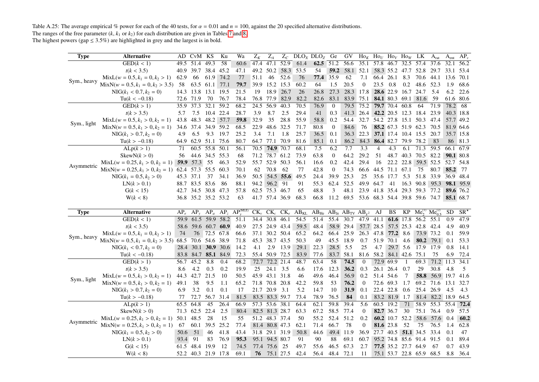Table A.25: The average empirical % power for each of the 40 tests, for  $\alpha = 0.01$  and  $n = 100$ , against the 20 specified alternative distributions. The ranges of the free parameter  $(k, k_1 \text{ or } k_2)$  for each distribution are given in Tables 7 and 8.

| <b>Type</b> | <b>Alternative</b>                       |        | AD CvM KS                        |                | Ku   | Wa                                         | $Z_K$     | $Z_A$                  |      | $Z_C$ DLO <sub>X</sub> DLO <sub>Z</sub> Ge                                   |              |                  | GV                                 | $\text{Ho}_K$ Ho <sub>V</sub> Ho <sub>V</sub> Ho <sub>W</sub> LK |                     |                |                     |                                          | $A_{rat}$      | A <sub>ent</sub> | $AP_v$           |
|-------------|------------------------------------------|--------|----------------------------------|----------------|------|--------------------------------------------|-----------|------------------------|------|------------------------------------------------------------------------------|--------------|------------------|------------------------------------|------------------------------------------------------------------|---------------------|----------------|---------------------|------------------------------------------|----------------|------------------|------------------|
|             | GED(k < 1)                               | 49.5   | 51.4                             | 49.3           | 58   | 60.6                                       | 47.4      | 47.1                   | 52.9 | 61.4                                                                         |              | 62.5 51.2        | 56.6                               | 35.1                                                             | 57.8 46.7 32.5 57.4 |                |                     |                                          | 37.6           |                  | 32.1 56.2        |
|             | t(k < 3.5)                               | 40.9   | 39.7                             | 38.4 45.2      |      | 47.1                                       |           | 49.2 50.2 58.3         |      | 53.5                                                                         | 54           | 59.2             | 58.1 52.1                          |                                                                  |                     |                |                     | 58.3 55.2 47.7 52.8 29.7                 |                | 33.1             | 53.4             |
|             | $MixL(w = 0.5, k_1 = 0, k_2 > 1)$        | 62.9   | 66                               | 61.9 74.2      |      | 77                                         | 51.1      | 46                     | 52.6 | 76                                                                           | 77.4 35.9    |                  | 62                                 | 7.1                                                              | 66.4                | 26.1           | 8.3                 | 70.6                                     | 44.1           | 13.6             | 70.1             |
| Sym., heavy | $MixN(w = 0.5, k_1 = 0, k_2 > 3.5)$      | -58    | 63.5                             | 61.1 77.1      |      | 79.7                                       |           | 39.9 15.2 15.3         |      | 60.2                                                                         | 64           | 1.5              | 20.5                               | $\overline{0}$                                                   | 23.5                | 0.8            | $0.2\,$             | 48.6 52.3                                |                | 1.9              | 68.6             |
|             | $NIG(k_1 < 0.7, k_2 = 0)$                |        | 14.3 13.8 13.1 19.5              |                |      | 21.5                                       | 19        | 18.9                   | 26.7 | 26                                                                           | 26.8         | 27.3             |                                    | 28.3 17.8                                                        |                     |                | 28.6 22.9 16.7 24.7 |                                          | - 5.4          | 6.2              | 22.6             |
|             | $Tu(k < -0.18)$                          |        | 72.6 71.9                        | 70             | 76.7 | 78.4                                       |           | 76.8 77.9              | 82.9 | 82.2                                                                         | 82.6         | 83.1             | 83.9                               | 75.1                                                             |                     |                |                     | 84.1 80.3 69.1 81.6                      | - 59           |                  | 61.6 80.6        |
|             | GED(k > 1)                               | 35.9   | 37.3                             | 32.1           | 59.2 | 68.2                                       | 24.5 56.9 |                        | 40.3 | 70.5                                                                         | 76.9         | $\overline{0}$   | 79.5                               | 75.2                                                             |                     | 79.7 70.4 60.8 |                     | 64                                       | 71.9           | 78.2             | 68               |
|             | t(k > 3.5)                               | 5.7    | 7.5                              | 10.4 22.4      |      | 28.7                                       | 3.9       | 8.7                    | 2.5  | 29.4                                                                         | 41           | 0.3              |                                    | 41.3 26.4                                                        |                     |                |                     | 42.2 20.5 12.3 18.4 23.9                 |                |                  | 40.3 18.8        |
|             | $MixL(w = 0.5, k_1 > 0, k_2 = 1)$        | 43.8   | 48.3                             | 48.2 57.7      |      | 59.8                                       | 32.9      | 35                     | 28.8 | 55.9                                                                         | 58.8         | 0.2              | 54.4                               | 32.7                                                             |                     |                |                     | 54.2 27.8 15.1 50.3 47.4                 |                |                  | 57.7 49.2        |
| Sym., light | $MixN(w = 0.5, k_1 > 0, k_2 = 1)$        | 34.6   | 37.4 34.9 59.2                   |                |      | 68.5                                       |           | 22.9 48.6 32.5         |      | 71.7                                                                         | 80.8         | $\boldsymbol{0}$ | 84.6                               | 76                                                               |                     |                |                     | 85.2 67.3 51.9 62.3 70.5                 |                |                  | 81.9 64.6        |
|             | $NIG(k_1 > 0.7, k_2 = 0)$                | 4.9    | 6.5                              | 9.3            | 19.7 | 25.2                                       | 3.4       | 7.1                    | 1.8  | 25.7                                                                         | 36.5         | 0.1              |                                    | 36.3 22.3                                                        |                     |                |                     | 37.1 17.4 10.4 15.5 20.7                 |                |                  | 35.7 15.8        |
|             | $Tu(k > -0.18)$                          | 64.9   |                                  | 62.9 51.1 75.6 |      | 80.7                                       |           | 64.7 77.1 70.9         |      | 81.6                                                                         | 85.1         | 0.1              |                                    | 86.2 84.3                                                        |                     | 86.4 82.7      |                     | 79.9 78.2                                | 83             |                  | 86 81.3          |
|             | ALp(k > 1)                               | 71     | 60.5                             | 55.8 50.1      |      | 56.1                                       |           | 70.5 74.9 70.7         |      | 68.1                                                                         | 7.5          | 6.2              | 7.7                                | 3.3                                                              | 4                   | 4.3            | 6.1                 | 71.3 59.5                                |                |                  | 66.1 67.9        |
|             | SkewN(k > 0)                             | 56     |                                  | 44.6 34.5 55.3 |      | 68                                         |           | 71.2 78.7 61.2         |      | 73.9                                                                         | 63.8         | $\boldsymbol{0}$ | 64.2                               | 29.2                                                             | 51                  |                | 48.7 40.3           | 70.5 82.2                                |                |                  | 90.1 80.8        |
| Asymmetric  | $MixL(w = 0.25, k_1 > 0, k_2 = 1)$ 59.9  |        | 57.3                             | 55             | 46.3 | 52.9                                       |           | 55.7 52.9 50.3         |      | 56.1                                                                         | 16.6         | 0.2              | 42.4                               | 29.4                                                             | 16                  |                | 22.2 22.8           | 59.5 52.5                                |                | 52.7 54.8        |                  |
|             | $MixN(w = 0.25, k_1 > 0, k_2 = 1)$       | 62.4   | 57.3 55.5 60.3                   |                |      | 70.1                                       | 62        | 70.8                   | 62   | 77                                                                           | 42.8         | $\boldsymbol{0}$ | 74.3                               | 66.6                                                             | 44.5 71.1 67.1      |                |                     | 75                                       | 80.7           | 85.2 77          |                  |
|             | $NIG(k_1 = 0.5, k_2 > 0)$                |        | 45.3 37.1                        | 37             | 34.1 | 36.9                                       | 50.5      | 54.5                   | 55.6 | 49.5                                                                         | 24.4         | 39.9             | 25.3                               | 25                                                               |                     | 35.6 17.7      | 5.3                 | 51.8 33.9                                |                |                  | 36.9 48.4        |
|             | LN(k > 0.1)                              |        | 88.7 83.5 83.6                   |                | -86  | 88.1                                       | 94.2      | 96.2 91                |      | 91                                                                           | 55.3         | 62.4             | 52.5                               | 49.9                                                             | 64.7                | 41             |                     | 16.3 90.8 95.3                           |                |                  | <b>98.1</b> 95.9 |
|             | G(k < 15)                                | 42.7   | 34.5 30.8 47.3                   |                |      | 57.8                                       |           | 62.5 75.3 46.7         |      | 65                                                                           | 48.8         | 3                | 48.1                               | 23.9                                                             |                     |                |                     | 41.8 35.4 29.3 59.3 77.2                 |                |                  | 89.6 76.2        |
|             | W(k < 8)                                 |        | 36.8 35.2 35.2 53.2              |                |      | 63                                         |           | 41.7 57.4 36.9         |      | 68.3                                                                         | 66.8         | 11.2             | 69.5 53.6 68.3 54.4 39.8 59.6 74.7 |                                                                  |                     |                |                     |                                          |                |                  | 85.1 68.7        |
|             |                                          |        |                                  |                |      |                                            |           |                        |      |                                                                              |              |                  |                                    |                                                                  |                     |                |                     |                                          |                |                  |                  |
|             |                                          |        |                                  |                |      |                                            |           |                        |      |                                                                              |              |                  |                                    |                                                                  |                     |                |                     |                                          |                |                  |                  |
| <b>Type</b> | <b>Alternative</b>                       | $AP_e$ |                                  |                |      | $AP_y$ $AP_a$ $AP_z$ $AP_v^{\text{(MLE)}}$ |           |                        |      | $CK_v$ $CK_c$ $CK_e$ $AB_{KL}$ $AB_{He}$ $AB_{Je}$ $AB_{TV}$ $AB_{v^2}$ $AJ$ |              |                  |                                    |                                                                  |                     | BS             |                     | $KP$ Me <sup>(1)</sup> Me <sup>(2)</sup> |                | SD               | $SR^{\star}$     |
|             | GED(k < 1)                               | 59.9   |                                  | 61.5 59.9 58.2 |      | 51.1                                       | 34.4      | 30.8                   | 46.1 | $\overline{54.5}$                                                            | 51.4         | 55.4             | 30.7                               |                                                                  |                     |                |                     | 47.9 41.1 61.6 17.8 56.2 55.1            |                | 0.9              | 47.9             |
|             | t(k < 3.5)                               | 58.6   |                                  | 59.6 60.7 60.9 |      | 40.9                                       |           | 27.5 24.9 43.4         |      | 59.5                                                                         | 48.4         |                  | 58.9 29.4                          |                                                                  | 57.7 28.5           |                | 57.5 25.3           | 42.8 42.4                                |                | 4.9              | 40.9             |
|             | $MixL(w = 0.5, k_1 = 0, k_2 > 1)$        | 74     | 76                               | 72.5 67.8      |      | 66.6                                       |           | 37.1 30.2 50.4         |      | 65.2                                                                         | 64.2         | 66.4             | 25.9                               |                                                                  | 26.3 47.8           | 77.2 8.6       |                     | 73.9 73.2                                |                | 0.1              | 59.9             |
| Sym., heavy | $MixN(w = 0.5, k_1 = 0, k_2 > 3.5)$ 68.5 |        |                                  | 70.6 54.6 38.9 |      | 71.8                                       |           | 45.3 38.7 43.5         |      | 50.3                                                                         | 49           | 45.5             | 18.9                               | 0.7                                                              | 51.9                | 70.1           | 4.6                 | 80.2 79.1                                |                | 0.1              | 53.3             |
|             | $NIG(k_1 < 0.7, k_2 = 0)$                |        | 28.4 30.1 30.9 30.6              |                |      | 14.2                                       | 4.1       | 2.9                    | 13.9 | 29.1                                                                         | 22.3         | 28.5             | 5.5                                | 25                                                               | 4.7                 |                | 29.7 5.6            | 17.9 17.9                                |                | 0.8              | 14.1             |
|             | $Tu(k < -0.18)$                          |        | 83.8 84.7 <b>85.1</b> 84.9       |                |      | 72.3                                       |           | 55.4 50.9 72.5         |      | 83.9                                                                         | 77.6         | 83.7             | 58.1                               | 81.6                                                             |                     |                | 58.2 84.1 42.6 75.1 |                                          | 75             | 6.9              | 72.4             |
|             | GED(k > 1)                               | 56.7   | 45.2                             | 8.8            | 0.4  | 68.2                                       |           | 72.7 72.2 21.4         |      | 48.7                                                                         | 63.4         | 58               | 74.5                               | $\overline{0}$                                                   | 72.9 69.9           |                | -1                  | 69.3                                     | 71.2           | 11.3             | 34.1             |
|             | t(k > 3.5)                               | 8.6    | 4.2                              | 0.3            | 0.2  | 19.9                                       | 25        | 24.1 3.5               |      | 6.6                                                                          | 17.6         | 12.3             | 36.2                               | 0.3                                                              | 26.1                | 26.4           | 0.7                 | 29                                       | 30.8           | 4.8              | 5                |
|             | $MixL(w = 0.5, k_1 > 0, k_2 = 1)$        | 44.3   | 42.7                             | 21.5           | 10   | 50.5                                       |           | 45.9 43.1 31.8         |      | 46                                                                           | 49.6         | 46.4             | 56.9                               | 0.2                                                              | 51.4                | 54.6           | 7                   | 58.8                                     | 56.9 19.7      |                  | 41.6             |
| Sym., light | $MixN(w = 0.5, k_1 > 0, k_2 = 1)$        | 49.1   | 38                               | 9.5            | 1.1  | 65.2                                       |           | 71.8 70.8 20.8         |      | 42.2                                                                         | 59.8         | 53               | 76.2                               | $\theta$                                                         | 72.6 69.3           |                | 1.7                 | 69.2 71.6                                |                | 13.1             | 32.7             |
|             | $NIG(k_1 > 0.7, k_2 = 0)$                | 6.9    | 3.2                              | 0.1            | 0.1  | 17                                         |           | 21.7 20.9              | 3.1  | 5.2                                                                          | 14.7         | 10               | 31.9                               | 0.1                                                              |                     | 22.4 22.8      | 0.6                 | 25.4 26.9                                |                | 4.5              | 4.3              |
|             | $Tu(k > -0.18)$                          | 77     | 72.7                             | 56.7 31.4      |      | 81.5                                       |           | 83.5 83.3 59.7         |      | 73.4                                                                         | 78.9         | 76.5             | 84                                 | 0.1                                                              |                     | 83.2 81.9 1.7  |                     |                                          | 81.4 82.2 18.9 |                  | 64.5             |
|             | ALp(k > 1)                               | 65.5   | 64.8                             | 45             | 26.4 | 66.9                                       |           | 57.3 53.6 38.1         |      | 64.4                                                                         | 62.1         | 59.8             | 39.4                               | 5.6                                                              | 60.5 19.2           |                | 71                  | 58.9 55.3                                |                | 55.4             | 72.4             |
|             | SkewN(k > 0)                             |        | 71.3 62.5 22.4                   |                | 2.5  | 80.4                                       |           | 82.5 81.3 28.7         |      | 63.3                                                                         | 67.2         | 58.5             | 77.4                               | $\theta$                                                         |                     | 82.7 36.7      | 30                  | 75.1 76.4                                |                | 0.9              | 57.5             |
|             | $MixL(w = 0.25, k_1 > 0, k_2 = 1)$       |        | 50.1 48.5                        | 28             | 15   | 55                                         |           | 51.2 48.3 37.4         |      | 50                                                                           | 55.2         | 52.4             | 51.2                               | 0.2                                                              |                     |                | 60.2 10.7 52.2      |                                          | 58.6 57.6 0.4  |                  | 60.2             |
| Asymmetric  | $MixN(w = 0.25, k_1 > 0, k_2 = 1)$       | 67     | 60.1                             | 39.5 25.2      |      | 77.4                                       |           | 81.4 80.8 47.3         |      | 62.1                                                                         | 71.4         | 66.7             | 78                                 | $\overline{0}$                                                   |                     | 81.6 23.8      | 52                  | 75                                       | 76.5           | 1.4              | 62.8             |
|             | $NIG(k_1 = 0.5, k_2 > 0)$                | 50.6   | 51                               | 46             | 41.8 | 43.4                                       |           | 31.8 29.1 31.9         |      | 50.8                                                                         | 44.6         | 49.4 11.9        |                                    | 36.9                                                             |                     |                | 27.7 40.5 51.1 34.5 |                                          | 33.4           | 0.1              | 47               |
|             | LN(k > 0.1)                              | 93.4   | 91                               | 83             | 76.9 | 95.3                                       |           | 95.1 94.5 80.7         |      | 91                                                                           | 90           | 88               | 69.1                               | 60.7                                                             |                     |                |                     | 95.2 74.8 85.6 91.4 91.5                 |                | 0.1              | 89.4             |
|             | G(k < 15)                                |        | 61.5 48.4<br>52.2 40.3 21.9 17.8 | 19.9           | 12   | 74.5<br>69.1                               | 76        | 77.4 75.6<br>75.1 27.5 | 25   | 49.7<br>42.4                                                                 | 55.6<br>56.4 | 46.5<br>48.4     | 67.3<br>72.1                       | 2.7<br>11                                                        |                     |                | 77.5 35.2 27.7 64.9 | 75.1 53.7 22.8 65.9 68.5                 | 67             | 0.7<br>8.8       | 43.9<br>36.4     |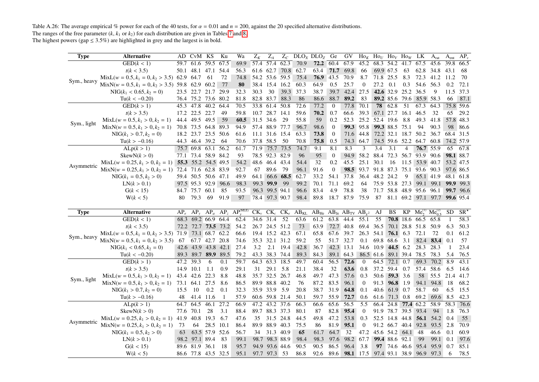Table A.26: The average empirical % power for each of the 40 tests, for  $\alpha = 0.01$  and  $n = 200$ , against the 20 specified alternative distributions. The ranges of the free parameter  $(k, k_1 \text{ or } k_2)$  for each distribution are given in Tables 7 and 8.

<span id="page-35-0"></span>

| Type        | Alternative                                        |           | AD CvM KS                             |                | Ku                | Wa                                                   | $Z_K$          | $Z_A$                       | $Z_C$     |              | $DLO_X$ $DLO_Z$                                                         | Ge               | GV             | $\text{Ho}_K$    | $\text{Ho}_U$ Ho <sub>v</sub> Ho <sub>w</sub> |                |                                | LK.                                | A <sub>rat</sub>              | A <sub>ent</sub> | $AP_v$           |
|-------------|----------------------------------------------------|-----------|---------------------------------------|----------------|-------------------|------------------------------------------------------|----------------|-----------------------------|-----------|--------------|-------------------------------------------------------------------------|------------------|----------------|------------------|-----------------------------------------------|----------------|--------------------------------|------------------------------------|-------------------------------|------------------|------------------|
|             | GED(k < 1)                                         |           | 59.7 61.6 59.5 67.5                   |                |                   | 69.9                                                 | 57.4 57.4      |                             | 62.3      | 70.9         | 72.2                                                                    | 60.4             | 67.9           | 45.2             | $68.\overline{3}$ 54.2                        |                | 41.7                           | 67.5                               | 45.6                          | 39.8             | 66.5             |
|             | t(k < 3.5)                                         | 50.1      | 48.1 47.1 54.4                        |                |                   | 56.3                                                 |                | 61.6 62.7                   | 70.8      | 62.7         | 63.4                                                                    | 71.7             | 69.8           | 66               |                                               | 69.9 67.5      | 63                             | 62.8                               | 34.8                          | 43.1             | 68               |
| Sym., heavy | $MixL(w = 0.5, k_1 = 0, k_2 > 3.5)$ 62.9 64.7      |           |                                       | 61             | 72                | 74.8                                                 |                | 54.2 53.6 59.5              |           | 75.4         | 76.9 43.5                                                               |                  | 70.9           | 8.7              | 71.8                                          | 25.5           | 8.3                            | 72.3 41.2                          |                               | 11.2             | 70               |
|             | $MixN(w = 0.5, k_1 = 0, k_2 > 3.5)$ 59.8 62.9 60.2 |           |                                       |                | 77                | 80                                                   |                | 38.4 15.4 16.2              |           | 60.3         | 64.9                                                                    | 0.5              | 25.7           | $\mathbf{0}$     | 27.2 0.1                                      |                | 0.3                            | 54.6 56.3                          |                               | 0.2              | 72.1             |
|             | $NIG(k_1 < 0.65, k_2 = 0)$                         |           | 23.5 22.7 21.7 29.9                   |                |                   | 32.3                                                 | 30.3           | 30                          | 39.3      | 37.3         | 38.7                                                                    | 39.7             | 42.4 27.5      |                  |                                               |                | 42.6 32.9 25.2 36.5            |                                    | 9                             | 11.5 37.3        |                  |
|             | $Tu(k < -0.20)$                                    |           | 76.4 75.2 73.6 80.2                   |                |                   | 81.8                                                 |                | 82.8 83.7 88.3              |           | 86           | 86.6                                                                    | 88.7             | 89.2           | 83               |                                               |                |                                | 89.2 85.6 79.6 85.9 58.3           |                               | 66               | 87.1             |
|             | GED(k > 1)                                         | 45.3      | 47.8                                  | 40.2           | 64.4              | $\overline{70.5}$                                    |                | 33.8 61.4                   | 50.8      | 72.6         | 77.2                                                                    | $\boldsymbol{0}$ | 77.8 70.1      |                  |                                               | 78 $62.8$      | 51                             | 67.3 64.3                          |                               |                  | 75.8 59.6        |
|             | t(k > 3.5)                                         |           | 17.2 22.5 22.7                        |                | 49                | 59.8                                                 |                | 10.7 28.7 14.1              |           | 59.6         | 70.2                                                                    | 0.7              | 66.6           | 39.3             |                                               |                | 67.1 27.7 16.1                 | 46.5                               | 32                            | 65               | 29.2             |
| Sym., light | $MixL(w = 0.5, k_1 > 0, k_2 = 1)$                  | 44.4      | 49.5 49.5                             |                | 59                | 60.5                                                 | 31.5 34.6      |                             | 29        | 55.8         | 59                                                                      | 0.2              | 52.3           |                  | $25.2$ $\overline{52.4}$ 19.6                 |                | 8.8                            | 49.3 41.8                          |                               |                  | 57.8 48.3        |
|             | $MixN(w = 0.5, k_1 > 0, k_2 = 1)$                  |           | 70.8 73.5 64.8 89.3                   |                |                   | 94.9                                                 |                | 57.4 88.9 77.7              |           | 96.7         | 98.6                                                                    | $\boldsymbol{0}$ |                | 99.3 95.8        |                                               | 99.3 88.5 75.1 |                                | 94                                 | 90.3                          | 98               | 86.6             |
|             | $NIG(k_1 > 0.7, k_2 = 0)$                          | 18.2      | 23.7 23.5 50.6                        |                |                   | 61.6                                                 |                | 11.1 31.6 15.4              |           | 63.3         | 73.8                                                                    | $\boldsymbol{0}$ |                | 71.6 44.8        |                                               |                |                                | 72.2 32.1 18.7 50.2 36.7           |                               | 68.4             | 31.5             |
|             | Tu( $k > -0.16$ )                                  |           | 44.3 46.4 39.2                        |                | -64               | 70.6                                                 |                | 37.8 58.5                   | - 50      | 70.8         | 75.8                                                                    | 0.5              | 74.3 64.7      |                  |                                               |                |                                | 74.5 59.6 52.2 64.7 60.8           |                               |                  | 74.2 57.9        |
|             | ALp(k > 1)                                         |           | $75.7$ 69.8 63.1 56.2                 |                |                   | 61.7                                                 | 71.9           | 75.7 73.5                   |           | 74.7         | 9.1                                                                     | 8.1              | 8.3            | 3                | 3.4                                           | 3.1            | 4                              | 76.7 55.9                          |                               | 65               | 67.8             |
|             | SkewN(k > 0)                                       |           | 77.1 73.4 58.9 84.2                   |                |                   | 93                                                   |                | 78.5 92.3 82.9              |           | 96           | 95                                                                      | $\boldsymbol{0}$ | 94.9           | 58.2             |                                               |                |                                | 88.4 72.3 56.7 93.9 90.6           |                               |                  | 98.1 88.7        |
| Asymmetric  | $MixL(w = 0.25, k_1 > 0, k_2 = 1)$                 |           | 55.3 55.2 54.5 49.5                   |                |                   | 54.2                                                 | 48.6 46.4 43.4 |                             |           | 54.4         | 32                                                                      | 0.2              | 45.5           | 25.1             | 30.1                                          | -16            |                                | 11.5 53.9 40.7                     |                               |                  | 53.2 47.5        |
|             | $MixN(w = 0.25, k_1 > 0, k_2 = 1)$                 |           | 72.4 71.6 62.8 83.9                   |                |                   | 92.7                                                 | 67             | 89.6                        | -79       | 96.1         | 91.6                                                                    | $\mathbf{0}$     |                |                  | 98.5 93.7 91.8 87.3 75.1                      |                |                                | 93.6 90.3                          |                               |                  | 97.6 86.5        |
|             | $NIG(k_1 = 0.5, k_2 > 0)$                          |           | 59.4 50.5 50.6 47.1                   |                |                   | 49.9                                                 | 64.1           |                             | 66.6 68.5 | 62.7         | 33.2                                                                    | 54.1             | 37.8           | 36.4             | 48.2 24.2                                     |                | 9                              |                                    | 65.1 41.9                     |                  | 48.1 61.8        |
|             | LN(k > 0.1)                                        |           | 97.5 95.3 92.9                        |                | 96.6              | 98.3                                                 |                | 99.3 99.9                   | 99        | 99.2         | 70.1                                                                    | 71.1             | 69.2           | 64               |                                               |                | 75.9 53.8 27.3                 | 99.1 99.1                          |                               |                  | 99.9 99.3        |
|             | G(k < 15)                                          |           | 84.7 75.7 60.1                        |                | 85                | 93.5                                                 |                | 96.3 99.5 94.1              |           | 96.6         | 83.4                                                                    | 4.9              | 78.8           | 38               | 71.7                                          |                |                                | 58.8 48.9 95.6 96.1                |                               |                  | <b>99.7</b> 96.6 |
|             | W(k < 5)                                           | 80        | 79.3                                  | 69             | 91.9              | 97                                                   |                | 78.4 97.3 90.7              |           | 98.4         | 89.8                                                                    |                  | 18.7 87.9 75.9 |                  | 87                                            |                |                                |                                    | 81.1 69.2 97.1 97.7 99.6 95.4 |                  |                  |
|             |                                                    |           |                                       |                |                   |                                                      |                |                             |           |              |                                                                         |                  |                |                  |                                               |                |                                |                                    |                               |                  |                  |
|             |                                                    |           |                                       |                |                   |                                                      |                |                             |           |              |                                                                         |                  |                |                  |                                               |                |                                |                                    |                               |                  |                  |
| <b>Type</b> | <b>Alternative</b>                                 | $AP_e$    |                                       |                |                   | $AP_{y}$ $AP_{a}$ $AP_{z}$ $AP_{v}$ <sup>(MLE)</sup> |                |                             |           |              | $CK_v$ $CK_e$ $CK_e$ $AB_{KL}$ $AB_{He}$ $AB_{Je}$ $AB_{TV}$ $AB_{v^2}$ |                  |                |                  | AJ                                            | BS             |                                | $KP$ $Me_2^{(1)}$ $Me_{0.5}^{(2)}$ |                               | SD               | $SR^{\star}$     |
|             | $\overline{\text{GED}(k<1)}$                       | 68.3      | 69.2 66.9 64.4                        |                |                   | 62.4                                                 | 34.6 31.4      |                             | 52        | 63.6         | 61.2                                                                    | 63.8             | 44.4           | 55.1             | 55                                            |                |                                | 70.8 18.6 66.5 65.8                |                               | -1               | 58.3             |
|             | t(k < 3.5)                                         |           | 72.2 72.7 73.5 73.2                   |                |                   | 54.2                                                 |                | 26.7 24.5 51.2              |           | 73           | 63.9                                                                    |                  | 72.7 40.8      | 69.4             | 36.5                                          |                |                                | 70.1 28.8 51.8 50.9                |                               | 6.3              | 50.3             |
|             | $MixL(w = 0.5, k_1 = 0, k_2 > 3.5)$ 71.9           |           |                                       | 73.1 68.7 62.2 |                   | 66.6                                                 |                | 19.4 15.2 42.3              |           | 67.1         | 65.8                                                                    | 67.6             | 39.7           | 26.3             | 54.1                                          | $76.1 \t6.3$   |                                | 72.1                               | - 72                          | 0.1              | 61.2             |
| Sym., heavy | $MixN(w = 0.5, k_1 = 0, k_2 > 3.5)$                | 67        |                                       | 67.7 42.7 20.8 |                   | 74.6                                                 |                | 35.3 32.1 31.2              |           | 59.2         | 55                                                                      | 51.7             | 32.7           | 0.1              | 69.8 68.6                                     |                | 3.1                            | 82.4                               | 83.4                          | 0.1              | 57               |
|             | $NIG(k_1 < 0.65, k_2 = 0)$                         |           | 42.6 43.9 43.8 42.1                   |                |                   | 27.4                                                 | 3.2            | 2.1                         | 19.4      | 42.8         | 36.7                                                                    | 42.3 13.1        |                |                  | 34.6 10.9                                     | 44.5 6.2       |                                | 28.3                               | 28.3                          | -1               | 23.4             |
|             | $Tu(k < -0.20)$                                    |           | 89.3 89.7 89.9 89.5                   |                |                   | 79.2                                                 |                | 43.3 38.3 74.4              |           | 89.3         | 84.3                                                                    | 89.1             | 64.3           |                  | 86.5 61.6                                     |                |                                | 89.1 39.4 78.5 78.3                |                               | 5.4              | 76.5             |
|             | GED(k > 1)                                         | 47.2 39.3 |                                       | 6              | 0.1               | 59.7                                                 |                | 64.3 63.3 18.5              |           | 49.7         | 60.4                                                                    | 56.5             | 72.6           | $\overline{0}$   |                                               | 64.5 72.1 0.7  |                                |                                    | 69.3 70.2                     | 8.9              | 43.1             |
|             | t(k > 3.5)                                         | 14.9 10.1 |                                       | 1.1            | 0.9               | 29.1                                                 | 31             | 29.1                        | 5.8       | 21.1         | 38.4                                                                    | 32               | 63.6           | 0.8              | 37.2 59.4                                     |                | 0.7                            | 57.4 58.6                          |                               | 6.5              | 14.6             |
|             | $MixL(w = 0.5, k_1 > 0, k_2 = 1)$                  | 43.4      | 42.6                                  | 22.3           | 8.8               | 48.8                                                 |                | 35.7 32.5 26.7              |           | 46.8         | 49.7                                                                    | 47.3             | 57.6           | 0.3              | 50.6                                          | 59.3 $3.6$     |                                | 58                                 | 55.5                          | 21.4             | 41.7             |
| Sym., light | $MixN(w = 0.5, k_1 > 0, k_2 = 1)$                  | 73.1      | 64.1 27.5                             |                | 8.6               | 86.5                                                 |                | 89.9 88.8 40.2              |           | 76           | 87.2                                                                    | 83.5             | 96.1           | $\overline{0}$   | 91.3                                          | 96.8 1.9       |                                | 94.1                               | 94.8                          | 18               | 68.2             |
|             | $NIG(k_1 > 0.7, k_2 = 0)$                          | 15.5      | - 10                                  | 0.2            | 0.1               | 32.3                                                 |                | 35.9 33.9 5.9               |           | 20.8         | 38.7                                                                    | 31.9             | 64.8           | 0.1              | 40.6                                          | 61.9 0.7       |                                | 58.7                               | 60                            | 6.5              | 15.5             |
|             | $Tu(k > -0.16)$                                    | 48        | 41.4 11.6                             |                | -1                | 57.9                                                 |                | 60.6 59.8 21.4              |           | 50.1         | 59.7                                                                    | 55.9             | 72.7           | 0.6              |                                               | 61.6 71.3 0.8  |                                | 69.2                               | 69.6                          | 8.5              | 42.3             |
|             | ALp(k > 1)                                         | 64.7      | 64.5                                  | 46.1           | $\overline{27.2}$ | 66.9                                                 | 47.2           | $43.2$ 37.6                 |           | 66.3         | 66.6                                                                    | 65.6             | 56.5           | 5.5              |                                               |                |                                | 66.4 24.8 77.4 62.2 58.9           |                               | 58.3             | 76.6             |
|             | SkewN(k > 0)                                       | 77.6      | 70.1                                  | 28             | 3.1               | 88.4                                                 |                | 89.7 88.3 37.3              |           | 80.1         | 87                                                                      | 82.8             | 95.4           | $\overline{0}$   |                                               |                | 91.9 78.7 39.5                 | 93.4                               | 94                            | 1.8              | 76.3             |
|             | $MixL(w = 0.25, k_1 > 0, k_2 = 1)$                 | 41.9      | 40.8                                  | 19.3           | 6.7               | 47.6                                                 | 35             | 31.5 24.8                   |           | 44.5         | 49.8                                                                    | 47.2             | 53.8           | 0.3              |                                               |                | 52.5 14.8 44.8                 |                                    | 56.1 54.2                     | 0.4              | 55               |
| Asymmetric  | $MixN(w = 0.25, k_1 > 0, k_2 = 1)$                 | 73        | 64                                    | 28.5           | 10.1              | 86.4                                                 |                | 89.9 88.9 40.3              |           | 75.5         | 86                                                                      | 81.9             | 95.1           | $\theta$         |                                               |                | 91.2 66.7 40.4                 | 92.8                               | 93.5                          | 2.8              | 70.9             |
|             | $NIG(k_1 = 0.5, k_2 > 0)$                          | 63        |                                       | 63.5 57.9      | 52.6              | 56.7                                                 | 34             | 31.3 40.9                   |           | 65           | 61.7                                                                    | 64.7             | 32             | 47.2             | 45.6 54.2 64.1                                |                |                                | 48                                 | 46.6                          | 0.1              | 60.9             |
|             | LN(k > 0.1)                                        |           | 98.2 97.1 89.4                        |                | 83                | 99.1                                                 |                | 98.7 98.3 88.9              |           | 98.4         | 98.3                                                                    | 97.6             |                | 98.2 67.7        |                                               | 99.4 88.6 92.1 |                                | 99                                 | 99.1                          | 0.1              | 97.6             |
|             | G(k < 15)                                          |           | 89.6 81.9 36.1<br>86.6 77.8 43.5 32.5 |                | 18                | 95.7<br>95.1                                         |                | 94.9 93.6 44.6<br>97.7 97.3 |           | 90.5<br>86.8 | 90.5                                                                    | 86.5             | 96.4           | 3.8<br>98.1 17.5 |                                               |                | 97 74.6 46.6<br>97.4 93.1 38.9 | 95.4                               | 95.9                          | 0.7              | 85.1<br>78.5     |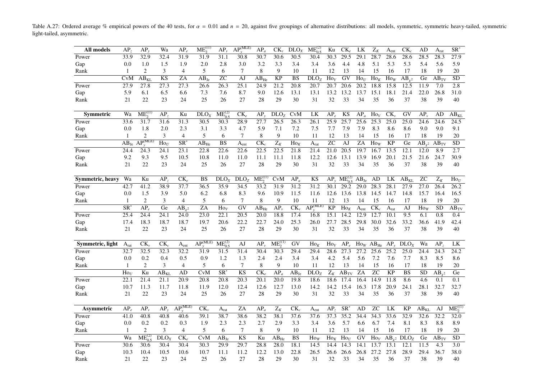Table A.27: Ordered average % empirical powers of the 40 tests, for  $\alpha = 0.01$  and  $n = 20$ , against five groupings of alternative distributions: all models, symmetric, symmetric heavy-tailed, symmetric light-tailed, asymmetric.

<span id="page-36-0"></span>

| All models       | AP,                  | AP <sub>1</sub>      | Wa                     | $AP_e$                          | $ME_2^{(1)}$              | $AP_{v}$                 | $AP_v^{(MLE)}$         | $AP_a$                       | $\text{CK}_{\nu}$ | DLO <sub>X</sub> | $ME_{0.5}^{(2)}$        | Ku               | $CK_e$                        | LK                | $Z_K$                    | A <sub>ent</sub>  | $CK_{c}$                    | AD                | A <sub>rat</sub> | $SR^*$               |
|------------------|----------------------|----------------------|------------------------|---------------------------------|---------------------------|--------------------------|------------------------|------------------------------|-------------------|------------------|-------------------------|------------------|-------------------------------|-------------------|--------------------------|-------------------|-----------------------------|-------------------|------------------|----------------------|
| Power            | 33.9                 | 32.9                 | 32.4                   | 31.9                            | 31.9                      | 31.1                     | 30.8                   | 30.7                         | 30.6              | 30.5             | 30.4                    | 30.3             | $\overline{29.5}$             | $\overline{29.1}$ | 28.7                     | 28.6              | 28.6                        | 28.5              | 28.3             | 27.9                 |
| Gap              | 0.0                  | 1.0                  | 1.5                    | 1.9                             | 2.0                       | 2.8                      | 3.0                    | 3.2                          | 3.3               | 3.4              | 3.4                     | 3.6              | 4.4                           | 4.8               | 5.1                      | 5.3               | 5.3                         | 5.4               | 5.6              | 5.9                  |
| Rank             | 1                    | 2                    | 3                      | $\overline{4}$                  | 5                         | 6                        | 7                      | 8                            | 9                 | 10               | 11                      | 12               | 13                            | 14                | 15                       | 16                | 17                          | 18                | 19               | 20                   |
|                  | CvM                  | $AB_{KI}$            | $\overline{\text{KS}}$ | ZA                              | $AB_{1e}$                 | <b>ZC</b>                | AJ                     | $\overline{AB}_{He}$         | $\overline{KP}$   | <b>BS</b>        | DLO <sub>Z</sub>        | $\text{Ho}_V$    | GV                            | $\text{Ho}_{U}$   | $\overline{Ho_K}$        | $\text{Ho}_W$     | $AB_{,2}$                   | Ge                | $AB_{TV}$        | $\overline{SD}$      |
| Power            | 27.9                 | 27.8                 | 27.3                   | 27.3                            | 26.6                      | 26.3                     | $\overline{25.1}$      | 24.9                         | 21.2              | 20.8             | 20.7                    | 20.7             | 20.6                          | 20.2              | 18.8                     | 15.8              | 12.5                        | 11.9              | 7.0              | 2.8                  |
| Gap              | 5.9                  | 6.1                  | 6.5                    | 6.6                             | 7.3                       | 7.6                      | 8.7                    | 9.0                          | 12.6              | 13.1             | 13.1                    | 13.2             | 13.2                          | 13.7              | 15.1                     | 18.1              | 21.4                        | 22.0              | 26.8             | 31.0                 |
| Rank             | 21                   | 22                   | 23                     | 24                              | 25                        | 26                       | 27                     | 28                           | 29                | 30               | 31                      | 32               | 33                            | 34                | 35                       | 36                | 37                          | 38                | 39               | 40                   |
|                  |                      |                      |                        |                                 |                           |                          |                        |                              |                   |                  |                         |                  |                               |                   |                          |                   |                             |                   |                  |                      |
| <b>Symmetric</b> | Wa                   | $ME_2^{(1)}$         | AP <sub>2</sub>        | Ku                              | DLO <sub>X</sub>          | $ME_{0.5}^{(2)}$         | $CK_e$                 | $AP_{v}$                     | DLO <sub>z</sub>  | CvM              | LK                      | $AP_{e}$         | KS                            | $AP_a$            | $\text{Ho}_V$            | $CK_{\nu}$        | GV                          | AP <sub>1</sub>   | AD               | $AB_{KL}$            |
| Power            | 33.6                 | 31.7                 | 31.6                   | 31.3                            | 30.5                      | 30.3                     | 28.9                   | $\overline{27.7}$            | $\overline{26.5}$ | 26.3             | 26.1                    | 25.9             | 25.7                          | 25.6              | $\overline{25.3}$        | $\overline{25.0}$ | $\overline{25.0}$           | 24.6              | 24.6             | $\overline{24.5}$    |
| Gap              | 0.0                  | 1.8                  | 2.0                    | 2.3                             | 3.1                       | 3.3                      | 4.7                    | 5.9                          | 7.1               | 7.2              | 7.5                     | 7.7              | 7.9                           | 7.9               | 8.3                      | 8.6               | 8.6                         | 9.0               | 9.0              | 9.1                  |
| Rank             | 1                    | 2                    | 3                      | 4                               | 5                         | 6                        | 7                      | 8                            | 9                 | 10               | 11                      | 12               | 13                            | 14                | 15                       | 16                | 17                          | 18                | 19               | 20                   |
|                  | $\overline{AB}_{Je}$ | $AP_{\cdot}^{(MLE)}$ | $\text{Ho}_U$          | $SR^*$                          | $AB_{He}$                 | $\overline{\text{BS}}$   | $A_{\rm ent}$          | $CK_c$                       | $\overline{Z_K}$  | $Ho_K$           | A <sub>rat</sub>        | $\overline{z}$   | AJ                            | $\overline{ZA}$   | $\overline{Ho}_W$        | $\overline{KP}$   | Ge                          | $AB_{v^2}$        | $AB_{TV}$        | $\overline{SD}$      |
| Power            | 24.4                 | 24.3                 | 24.1                   | 23.1                            | 22.8                      | 22.6                     | 22.6                   | 22.5                         | 22.5              | 21.8             | 21.4                    | 21.0             | 20.5                          | 19.7              | 16.7                     | 13.5              | 12.1                        | 12.0              | 8.9              | 2.7                  |
| Gap              | 9.2                  | 9.3                  | 9.5                    | 10.5                            | 10.8                      | 11.0                     | 11.0                   | 11.1                         | 11.1              | 11.8             | 12.2                    | 12.6             | 13.1                          | 13.9              | 16.9                     | 20.1              | 21.5                        | 21.6              | 24.7             | 30.9                 |
| Rank             | 21                   | 22                   | 23                     | 24                              | 25                        | 26                       | 27                     | 28                           | 29                | 30               | 31                      | 32               | 33                            | 34                | 35                       | 36                | 37                          | 38                | 39               | 40                   |
|                  |                      |                      |                        |                                 |                           |                          |                        |                              |                   |                  |                         |                  |                               |                   |                          |                   |                             |                   |                  |                      |
| Symmetric, heavy | Wa                   | Ku                   | AP,                    | $CK_e$                          | <b>BS</b>                 | DLO <sub>X</sub>         | DLO <sub>Z</sub>       | $ME^{\text{(1)}}_{2}$        | <b>CvM</b>        | $AP_a$           | KS                      | $AP_v$           | $ME_{0.5}^{(2)}$              | $\rm AB_{\rm Je}$ | AD                       | LK                | $AB_{KL}$                   | <b>ZC</b>         | $\mathbf{Z}_K$   | $\text{Ho}_U$        |
| Power            | 42.7                 | 41.2                 | 38.9                   | 37.7                            | 36.5                      | 35.9                     | 34.5                   | 33.2                         | 31.9              | 31.2             | 31.2                    | 30.1             | 29.2                          | 29.0              | 28.3                     | 28.1              | 27.9                        | 27.0              | 26.4             | 26.2                 |
| Gap              | 0.0                  | 1.5                  | 3.9                    | 5.0                             | 6.2                       | 6.8                      | 8.3                    | 9.6                          | 10.9              | 11.5             | 11.6                    | 12.6             | 13.6                          | 13.8              | 14.5                     | 14.7              | 14.8                        | 15.7              | 16.4             | 16.5                 |
| Rank             | $\mathbf{1}$         | $\overline{c}$       | 3                      | $\overline{4}$                  | 5                         | 6                        | $\tau$                 | 8                            | 9                 | 10               | 11                      | 12               | 13                            | 14                | 15                       | 16                | 17                          | 18                | 19               | $20\,$               |
|                  | SR <sup>®</sup>      | $AP_{e}$             | Ge                     | $AB_{v^2}$                      | ZA                        | $\overline{Ho}_V$        | GV                     | $\overline{\rm AB}_{\rm He}$ | $AP_{v}$          | $CK_{\nu}$       | $\overline{AP}^{(MLE)}$ | <b>KP</b>        | $\overline{H}$ O <sub>K</sub> | A <sub>ent</sub>  | $\overline{\text{CK}_c}$ | A <sub>rat</sub>  | AJ                          | $\overline{Ho}_W$ | <b>SD</b>        | $\overline{AB}_{TV}$ |
| Power            | 25.4                 | 24.4                 | 24.1                   | $\overline{24.0}$               | 23.0                      | $\overline{22.1}$        | 20.5                   | 20.0                         | 18.8              | 17.4             | 16.8                    | 15.1             | 14.2                          | 12.9              | 12.7                     | 10.1              | 9.5                         | 6.1               | 0.8              | 0.4                  |
| Gap              | 17.4                 | 18.3                 | 18.7                   | 18.7                            | 19.7                      | 20.6                     | 22.2                   | 22.7                         | 24.0              | 25.3             | 26.0                    | 27.7             | 28.5                          | 29.8              | 30.0                     | 32.6              | 33.2                        | 36.6              | 41.9             | 42.4                 |
| Rank             | 21                   | 22                   | 23                     | 24                              | 25                        | 26                       | 27                     | 28                           | 29                | 30               | 31                      | 32               | 33                            | 34                | 35                       | 36                | 37                          | 38                | 39               | 40                   |
|                  |                      |                      |                        |                                 |                           |                          |                        |                              |                   |                  |                         |                  |                               |                   |                          |                   |                             |                   |                  |                      |
| Symmetric, light | $A_{rat}$            | $CK_{\nu}$           | $CK_c$                 | $A_{ent}$                       | $\overline{AP_v^{(MLE)}}$ | $ME_{0.5}^{(2)}$         | AJ                     | $AP_{\nu}$                   | $ME_2^{(1)}$      | GV               | $\text{Ho}_K$           | $\text{Ho}_V$    | $AP_{e}$                      |                   | $\text{Ho}_W$ $AB_{He}$  | $AP_v$            | DLO <sub>X</sub>            | Wa                | AP <sub>z</sub>  | ${\rm LK}$           |
| Power            | 32.7                 | 32.5                 | 32.3                   | 32.2                            | 31.9                      | 31.5                     | 31.4                   | 30.4                         | 30.3              | 29.4             | 29.4                    | 28.6             | 27.3                          | 27.2              | 25.6                     | 25.2              | $\overline{25.0}$           | 24.4              | 24.3             | 24.2                 |
| Gap              | 0.0                  | 0.2                  | 0.4                    | 0.5                             | 0.9                       | 1.2                      | 1.3                    | 2.4                          | 2.4               | 3.4              | 3.4                     | 4.2              | 5.4                           | 5.6               | 7.2                      | 7.6               | 7.7                         | 8.3               | 8.5              | 8.6                  |
| Rank             | 1                    | 2                    | 3                      | $\overline{4}$                  | 5                         | 6                        | 7                      | 8                            | 9                 | 10               | 11                      | 12               | 13                            | 14                | 15                       | 16                | 17                          | 18                | 19               | 20                   |
|                  | $\text{Ho}_U$        | Ku                   | $\overline{AB_{KL}}$   | AD                              | <b>CvM</b>                | $\overline{\text{SR}^*}$ | $\overline{\text{KS}}$ | $CK_{e}$                     | $AP_a$            | $AB_{Je}$        | DLO <sub>z</sub>        | $\overline{Z}_K$ | $AB_{TV}$                     | ZA                | $\overline{z}$ C         | <b>KP</b>         | <b>BS</b>                   | <b>SD</b>         | $AB_{v^2}$       | $\overline{Ge}$      |
| Power            | 22.1                 | 21.4                 | 21.1                   | 20.9                            | 20.8                      | 20.8                     | 20.3                   | 20.1                         | 20.0              | 19.8             | 18.6                    | 18.6             | 17.4                          | 16.4              | 14.9                     | 11.8              | 8.6                         | 4.6               | 0.1              | $\overline{0.1}$     |
| Gap              | 10.7                 | 11.3                 | 11.7                   | 11.8                            | 11.9                      | 12.0                     | 12.4                   | 12.6                         | 12.7              | 13.0             | 14.2                    | 14.2             | 15.4                          | 16.3              | 17.8                     | 20.9              | 24.1                        | 28.1              | 32.7             | 32.7                 |
| Rank             | 21                   | 22                   | 23                     | 24                              | 25                        | 26                       | 27                     | 28                           | 29                | 30               | 31                      | 32               | 33                            | 34                | 35                       | 36                | 37                          | 38                | 39               | 40                   |
|                  |                      |                      |                        |                                 |                           |                          |                        |                              |                   |                  |                         |                  |                               |                   |                          |                   |                             |                   |                  |                      |
| Asymmetric       | AP                   | $AP_{\nu}$           | AP,                    | AP <sub></sub> <sup>(MLE)</sup> | $CK_{v}$                  | A <sub>rat</sub>         | ZA                     | $AP_a$                       | $Z_K$             | $CK_c$           | A <sub>ent</sub>        | AP <sub>z</sub>  | $SR^*$                        | AD                | <b>ZC</b>                | LK                | <b>KP</b>                   | $AB_{KL}$         | AJ               | $ME_2^{(1)}$         |
| Power            | 41.0                 | 40.8                 | 40.8                   | 40.6                            | 39.1                      | 38.7                     | 38.6                   | 38.2                         | 38.1              | 37.6             | 37.6                    | 37.3             | 35.2                          | 34.4              | 34.3                     | 33.6              | 32.9                        | 32.6              | 32.2             | 32.0                 |
| Gap              | 0.0                  | 0.2                  | 0.2                    | 0.3                             | 1.9                       | 2.3                      | 2.3                    | 2.7                          | 2.9               | 3.3              | 3.4                     | 3.6              | 5.7                           | 6.6               | 6.7                      | 7.4               | 8.1                         | 8.3               | 8.8              | 8.9                  |
| Rank             | 1                    | $\overline{2}$       | 3                      | 4                               | 5                         | 6                        | 7                      | 8                            | 9                 | 10               | 11                      | 12               | 13                            | 14                | 15                       | 16                | 17                          | 18                | 19               | 20                   |
|                  | Wa                   | $ME_{0.5}^{(2)}$     | DLO <sub>x</sub>       | $CK_e$                          | CvM                       | $\overline{AB}_{Je}$     | KS                     | Ku                           | $AB_{He}$         | <b>BS</b>        | $\text{Ho}_W$           | $Ho_K$           | $\text{Ho}_{U}$               | GV                | $\text{Ho}_V$            |                   | $AB_{v^2}$ DLO <sub>Z</sub> | Ge                | $AB_{TV}$        | SD                   |
| Power            | 30.6                 | 30.6                 | 30.4                   | 30.4                            | 30.3                      | 29.9                     | 29.7                   | 28.8                         | 28.0              | 18.1             | 14.5                    | 14.4             | 14.3                          | 14.1              | 13.7                     | 13.1              | 12.1                        | 11.5              | 4.3              | 3.0                  |
| Gap              | 10.3                 | 10.4                 | 10.5                   | 10.6                            | 10.7                      | 11.1                     | 11.2                   | 12.2                         | 13.0              | 22.8             | 26.5                    | 26.6             | 26.6                          | 26.8              | 27.2                     | 27.8              | 28.9                        | 29.4              | 36.7             | 38.0                 |
| Rank             | 21                   | 22                   | 23                     | 24                              | 25                        | 26                       | 27                     | 28                           | 29                | 30               | 31                      | 32               | 33                            | 34                | 35                       | 36                | 37                          | 38                | 39               | 40                   |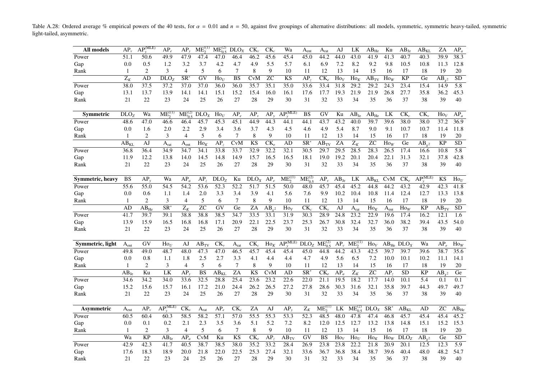Table A.28: Ordered average % empirical powers of the 40 tests, for  $\alpha = 0.01$  and  $n = 50$ , against five groupings of alternative distributions: all models, symmetric, symmetric heavy-tailed, symmetric light-tailed, asymmetric.

| All models       | $AP_{\nu}$                | $AP_{\cdot}^{(MLE)}$ | $AP_e$                   | $AP_{v}$                 | $ME_2^{(1)}$           | $ME^{(2)}_{0.5}$  | DLO <sub>X</sub>        | $CK_{v}$                 | $CK_c$                   | Wa                                          | $A_{\rm ent}$            | $A_{rat}$                    | AJ                | LK                | $AB_{He}$                | Ku                        | AB <sub>Je</sub>           | $AB_{KL}$             | ZA              | $AP_a$           |
|------------------|---------------------------|----------------------|--------------------------|--------------------------|------------------------|-------------------|-------------------------|--------------------------|--------------------------|---------------------------------------------|--------------------------|------------------------------|-------------------|-------------------|--------------------------|---------------------------|----------------------------|-----------------------|-----------------|------------------|
| Power            | 51.1                      | 50.6                 | 49.9                     | 47.9                     | 47.4                   | 47.0              | 46.4                    | 46.2                     | 45.6                     | 45.4                                        | 45.0                     | 44.2                         | 44.0              | 43.0              | 41.9                     | 41.3                      | 40.7                       | 40.3                  | 39.9            | 38.3             |
| Gap              | 0.0                       | 0.5                  | 1.2                      | 3.2                      | 3.7                    | 4.2               | 4.7                     | 4.9                      | 5.5                      | 5.7                                         | 6.1                      | 6.9                          | 7.2               | 8.2               | 9.2                      | 9.8                       | 10.5                       | 10.8                  | 11.3            | 12.8             |
| Rank             | 1                         | $\overline{2}$       | 3                        | $\overline{4}$           | 5                      | 6                 | $\tau$                  | 8                        | 9                        | 10                                          | 11                       | 12                           | 13                | 14                | 15                       | 16                        | 17                         | 18                    | 19              | 20               |
|                  | $\overline{Z_K}$          | AD                   | DLO <sub>z</sub>         | $\overline{\text{SR}^2}$ | $\overline{GV}$        | $\text{Ho}_U$     | <b>BS</b>               | <b>CvM</b>               | <b>ZC</b>                | <b>KS</b>                                   | AP <sub>z</sub>          | $CK_{e}$                     | $\text{Ho}_V$     | $\text{Ho}_K$     | $AB$ <sub>TV</sub>       | $\text{Ho}_W$             | <b>KP</b>                  | Ge                    | $AB_{v^2}$      | $\overline{SD}$  |
| Power            | 38.0                      | 37.5                 | 37.2                     | 37.0                     | 37.0                   | 36.0              | 36.0                    | 35.7                     | 35.1                     | 35.0                                        | 33.6                     | 33.4                         | 31.8              | 29.2              | 29.2                     | 24.3                      | 23.4                       | 15.4                  | 14.9            | 5.8              |
| Gap              | 13.1                      | 13.7                 | 13.9                     | 14.1                     | 14.1                   | 15.1              | 15.2                    | 15.4                     | 16.0                     | 16.1                                        | 17.6                     | 17.7                         | 19.3              | 21.9              | 21.9                     | 26.8                      | 27.7                       | 35.8                  | 36.2            | 45.3             |
| Rank             | 21                        | 22                   | 23                       | 24                       | 25                     | 26                | 27                      | 28                       | 29                       | 30                                          | 31                       | 32                           | 33                | 34                | 35                       | 36                        | 37                         | 38                    | 39              | 40               |
| <b>Symmetric</b> | DLO <sub>z</sub>          | Wa                   | $ME_2^{(1)}$             | $ME_{0.5}^{(2)}$         | DLO <sub>X</sub>       | $\text{Ho}_U$     | $AP_{e}$                | $AP_{v}$                 | $AP_v$                   | $AP_{\cdot\cdot}^{(\overline{\text{MLE}})}$ | <b>BS</b>                | GV                           | Ku                | $AB_{Je}$         | $\rm AB_{He}$            | LK                        | $CK_c$                     | $CK_{v}$              | $\text{Ho}_V$   | $AP_a$           |
| Power            | 48.6                      | 47.0                 | 46.6                     | 46.4                     | 45.7                   | 45.3              | 45.1                    | 44.9                     | 44.3                     | 44.1                                        | 44.1                     | 43.7                         | 43.2              | 40.0              | 39.7                     | 39.6                      | 38.0                       | 38.0                  | 37.2            | 36.9             |
| Gap              | 0.0                       | 1.6                  | 2.0                      | 2.2                      | 2.9                    | 3.4               | 3.6                     | 3.7                      | 4.3                      | 4.5                                         | 4.6                      | 4.9                          | 5.4               | 8.7               | 9.0                      | 9.1                       | 10.7                       | 10.7                  | 11.4            | 11.8             |
| Rank             | 1                         | 2                    | 3                        | $\overline{4}$           | 5                      | 6                 | $\tau$                  | 8                        | 9                        | 10                                          | 11                       | 12                           | 13                | 14                | 15                       | 16                        | 17                         | 18                    | 19              | 20               |
|                  | $\overline{AB}_{KL}$      | $\overline{AJ}$      | A <sub>rat</sub>         | $A_{\rm ent}$            | $\text{Ho}_K$          | AP <sub>z</sub>   | $\overline{\text{CvM}}$ | $\overline{\text{KS}}$   | $\overline{\text{CK}_e}$ | AD                                          | $\overline{\text{SR}^2}$ | $AB$ <sub>TV</sub>           | $\overline{ZA}$   | $\overline{Z_K}$  | $\overline{z}$ C         | $\overline{Ho_W}$         | Ge                         | $\overline{AB_{v^2}}$ | $\overline{KP}$ | $\overline{SD}$  |
| Power            | 36.8                      | 36.4                 | 34.9                     | 34.7                     | 34.1                   | 33.8              | 33.7                    | 32.9                     | 32.2                     | 32.1                                        | 30.5                     | 29.7                         | 29.5              | 28.5              | 28.3                     | 26.5                      | 17.4                       | 16.6                  | 10.8            | $\overline{5.8}$ |
| Gap              | 11.9                      | 12.2                 | 13.8                     | 14.0                     | 14.5                   | 14.8              | 14.9                    | 15.7                     | 16.5                     | 16.5                                        | 18.1                     | 19.0                         | 19.2              | 20.1              | 20.4                     | 22.1                      | 31.3                       | 32.1                  | 37.8            | 42.8             |
| Rank             | 21                        | 22                   | 23                       | 24                       | 25                     | 26                | 27                      | 28                       | 29                       | 30                                          | 31                       | 32                           | 33                | 34                | 35                       | 36                        | 37                         | 38                    | 39              | 40               |
|                  |                           |                      |                          |                          |                        |                   |                         |                          |                          |                                             |                          |                              |                   |                   |                          |                           |                            |                       |                 |                  |
| Symmetric, heavy | <b>BS</b>                 | $AP_v$               | Wa                       | $AP_a$                   | AP <sub>z</sub>        | DLO <sub>Z</sub>  | Ku                      | DLO <sub>X</sub>         | $AP_e$                   | $ME_2^{(1)}$                                | $ME_0^{(2)}$             | $AP_{\nu}$                   | $AB_{Je}$         | LK                | $AB_{KL}$                | CvM                       | $CK_{e}$                   | $AP_v^{(MLE)}$        | KS              | $\text{Ho}_U$    |
| Power            | $\overline{55.6}$         | 55.0                 | 54.5                     | 54.2                     | 53.6                   | $\overline{52.3}$ | $\overline{52.2}$       | 51.7                     | $\overline{51.5}$        | 50.0                                        | 48.0                     | 45.7                         | 45.4              | 45.2              | 44.8                     | 44.2                      | 43.2                       | 42.9                  | 42.3            | 41.8             |
| Gap              | 0.0                       | 0.6                  | 1.1                      | 1.4                      | 2.0                    | 3.3               | 3.4                     | 3.9                      | 4.1                      | 5.6                                         | 7.6                      | 9.9                          | 10.2              | 10.4              | 10.8                     | 11.4                      | 12.4                       | 12.7                  | 13.3            | 13.8             |
| Rank             | $\mathbf{1}$              | 2                    | 3                        | 4                        | 5                      | 6                 | 7                       | $\,8\,$                  | 9                        | 10                                          | 11                       | 12                           | 13                | 14                | 15                       | 16                        | 17                         | 18                    | 19              | 20               |
|                  | AD                        | $AB_{He}$            | $\overline{\text{SR}^*}$ | $Z_K$                    | $\overline{z}$ C       | $\overline{GV}$   | Ge                      | ZA                       | $AB_{v^2}$               | $\text{Ho}_V$                               | $CK_c$                   | $CK_{\nu}$                   | $\overline{AJ}$   | A <sub>rat</sub>  | $\overline{\text{Ho}_K}$ | $\mathbf{A}_{\text{ent}}$ | $\overline{Ho}_W$          | KP                    | $AB_{TV}$       | $\overline{SD}$  |
| Power            | 41.7                      | 39.7                 | 39.1                     | 38.8                     | 38.8                   | 38.5              | 34.7                    | 33.5                     | 33.1                     | 31.9                                        | 30.3                     | 28.9                         | 24.8              | 23.2              | 22.9                     | 19.6                      | 17.4                       | 16.2                  | 12.1            | 1.6              |
| Gap              | 13.9                      | 15.9                 | 16.5                     | 16.8                     | 16.8                   | 17.1              | 20.9                    | 22.1                     | 22.5                     | 23.7                                        | 25.3                     | 26.7                         | 30.8              | 32.4              | 32.7                     | 36.0                      | 38.2                       | 39.4                  | 43.5            | 54.0             |
| Rank             | 21                        | 22                   | 23                       | 24                       | 25                     | 26                | 27                      | 28                       | 29                       | 30                                          | 31                       | 32                           | 33                | 34                | 35                       | 36                        | 37                         | 38                    | 39              | 40               |
|                  |                           |                      |                          |                          |                        |                   |                         |                          |                          |                                             |                          |                              |                   |                   |                          |                           |                            |                       |                 |                  |
| Symmetric, light | A <sub>ent</sub>          | GV                   | $\text{Ho}_U$            | AJ                       | AB <sub>TV</sub>       | $CK_{\nu}$        | A <sub>rat</sub>        | $CK_c$                   | $\text{Ho}_K$            | $AP_{\cdot\cdot}^{(MLE)}$                   | DLO <sub>Z</sub>         | $ME_{0.5}^{(2)}$             | $AP_{v}$          | $ME_2^{(1)}$      | $\text{Ho}_V$            |                           | $AB_{He}$ DLO <sub>X</sub> | Wa                    | $AP_e$          | $\text{Ho}_W$    |
| Power            | 49.8                      | 49.0                 | 48.7                     | 48.0                     | 47.3                   | 47.0              | 46.5                    | 45.7                     | 45.4                     | 45.4                                        | 45.0                     | 44.8                         | 44.2              | 43.3              | 42.5                     | 39.7                      | 39.7                       | 39.6                  | 38.7            | 35.6             |
| Gap              | 0.0                       | 0.8                  | 1.1                      | 1.8                      | 2.5                    | 2.7               | 3.3                     | 4.1                      | 4.4                      | 4.4                                         | 4.7                      | 4.9                          | 5.6               | 6.5               | 7.2                      | 10.0                      | 10.1                       | 10.2                  | 11.1            | 14.1             |
| Rank             | $\mathbf{1}$              | $\overline{2}$       | 3                        | $\overline{4}$           | 5                      | 6                 | $\tau$                  | 8                        | 9                        | 10                                          | 11                       | 12                           | 13                | 14                | 15                       | 16                        | 17                         | 18                    | 19              | 20               |
|                  | $AB_{Je}$                 | Ku                   | LK                       | $AP_v$                   | $\overline{\text{BS}}$ | $AB_{KL}$         | ZA                      | <b>KS</b>                | <b>CvM</b>               | AD                                          | $\overline{\text{SR}^2}$ | $\overline{\text{CK}_e}$     | $AP_a$            | $\overline{Z_K}$  | ZC                       | AP <sub>z</sub>           | $\overline{SD}$            | <b>KP</b>             | $AB_{v^2}$      | Ge               |
| Power            | 34.6                      | 34.2                 | 34.0                     | 33.6                     | 32.5                   | 28.8              | 25.4                    | 23.6                     | $\overline{23.2}$        | $\overline{22.6}$                           | $\overline{22.0}$        | 21.1                         | 19.5              | 18.2              | 17.7                     | 14.0                      | 10.1                       | 5.4                   | 0.1             | 0.1              |
| Gap              | 15.2                      | 15.6                 | 15.7                     | 16.1                     | 17.2                   | 21.0              | 24.4                    | 26.2                     | 26.5                     | 27.2                                        | 27.8                     | 28.6                         | 30.3              | 31.6              | 32.1                     | 35.8                      | 39.7                       | 44.3                  | 49.7            | 49.7             |
| Rank             | 21                        | 22                   | 23                       | 24                       | 25                     | 26                | 27                      | 28                       | 29                       | 30                                          | 31                       | 32                           | 33                | 34                | 35                       | 36                        | 37                         | 38                    | 39              | 40               |
| Asymmetric       | $\mathbf{A}_{\text{ent}}$ | $AP_{v}$             | $\widehat{AP_v^{(MLE)}}$ | $CK_{v}$                 | $A_{rat}$              | $AP_e$            | $CK_c$                  | ZA                       | AJ                       | $AP_{v}$                                    | $Z_K$                    | $ME^{\text{(1)}}_{\text{2}}$ | LK                | $ME_{0.5}^{(2)}$  | $\overline{D}LO_X$       | $SR^*$                    | $AB_{KL}$                  | AD                    | ${\rm ZC}$      | $AB_{He}$        |
| Power            | 60.5                      | 60.4                 | 60.3                     | 58.5                     | 58.2                   | $\overline{57.1}$ | $\overline{57.0}$       | $\overline{55.5}$        | $\overline{55.3}$        | $\overline{53.3}$                           | $\overline{52.3}$        | 48.5                         | 48.0              | 47.8              | 47.4                     | 46.8                      | 45.7                       | 45.4                  | 45.4            | 45.2             |
| Gap              | 0.0                       | 0.1                  | 0.2                      | 2.1                      | 2.3                    | 3.5               | 3.6                     | 5.1                      | 5.2                      | 7.2                                         | 8.2                      | 12.0                         | 12.5              | 12.7              | 13.2                     | 13.8                      | 14.8                       | 15.1                  | 15.2            | 15.3             |
| Rank             | 1                         | 2                    | 3                        | $\overline{4}$           | 5                      | 6                 | 7                       | $\,8\,$                  | 9                        | 10                                          | 11                       | 12                           | 13                | 14                | 15                       | 16                        | 17                         | 18                    | 19              | 20               |
|                  | Wa                        | $\overline{KP}$      | $AB_{Je}$                | $AP_a$                   | <b>CvM</b>             | Ku                | K <sub>S</sub>          | $\overline{\text{CK}_e}$ | AP <sub>z</sub>          | $\overline{AB}_{TV}$                        | $\overline{GV}$          | $\overline{\text{BS}}$       | $\overline{Ho_V}$ | $\overline{Ho_U}$ | $\text{Ho}_K$            | $\overline{\text{Ho}_W}$  | DLO <sub>Z</sub>           | $AB_{v^2}$            | Ge              | <b>SD</b>        |
| Power            | 42.9                      | 42.3                 | 41.7                     | 40.5                     | 38.7                   | 38.5              | 38.0                    | 35.2                     | 33.2                     | 28.4                                        | 26.9                     | 23.8                         | $\overline{23.8}$ | 22.2              | 21.8                     | $\overline{20.9}$         | 20.1                       | 12.5                  | 12.3            | $\overline{5.9}$ |
| Gap              | 17.6                      | 18.3                 | 18.9                     | 20.0                     | 21.8                   | 22.0              | 22.5                    | 25.3                     | 27.4                     | 32.1                                        | 33.6                     | 36.7                         | 36.8              | 38.4              | 38.7                     | 39.6                      | 40.4                       | 48.0                  | 48.2            | 54.7             |
| Rank             | 21                        | 22                   | 23                       | 24                       | 25                     | 26                | 27                      | 28                       | 29                       | 30                                          | 31                       | 32                           | 33                | 34                | 35                       | 36                        | 37                         | 38                    | 39              | 40               |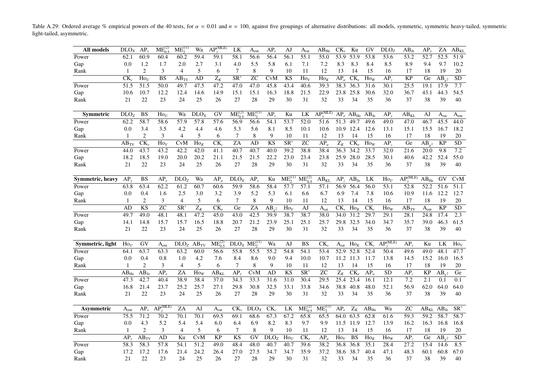Table A.29: Ordered average % empirical powers of the 40 tests, for  $\alpha = 0.01$  and  $n = 100$ , against five groupings of alternative distributions: all models, symmetric, symmetric heavy-tailed, symmetric light-tailed, asymmetric.

| All models       | DLO <sub>X</sub>            | $AP_{\nu}$                   | $ME_{0.5}^{(2)}$         | $ME_2^{(1)}$             | Wa                | $AP_v^{(MLE)}$   | LK               | $A_{\rm ent}$              | $AP_e$                 | AJ                       | A <sub>rat</sub>                 | $AB_{He}$                            | $CK_{\nu}$                | Ku                     | GV                | DLO <sub>z</sub>  | $AB_{Je}$         | AP,                     | $\rm ZA$          | $AB_{KL}$         |
|------------------|-----------------------------|------------------------------|--------------------------|--------------------------|-------------------|------------------|------------------|----------------------------|------------------------|--------------------------|----------------------------------|--------------------------------------|---------------------------|------------------------|-------------------|-------------------|-------------------|-------------------------|-------------------|-------------------|
| Power            | 62.1                        | 60.9                         | 60.4                     | 60.2                     | 59.4              | 59.1             | 58.1             | 56.6                       | 56.4                   | 56.1                     | 55.1                             | 55.0                                 | 53.9                      | 53.9                   | $\overline{53.8}$ | 53.6              | $\overline{53.2}$ | 52.7                    | $\overline{52.5}$ | $\overline{51.9}$ |
| Gap              | 0.0                         | 1.2                          | 1.7                      | 2.0                      | 2.7               | 3.1              | 4.0              | 5.5                        | 5.8                    | 6.1                      | 7.1                              | 7.2                                  | 8.3                       | 8.3                    | 8.4               | 8.5               | 8.9               | 9.4                     | 9.7               | 10.2              |
| Rank             | 1                           | 2                            | 3                        | $\overline{4}$           | 5                 | 6                | 7                | 8                          | 9                      | 10                       | 11                               | 12                                   | 13                        | 14                     | 15                | 16                | 17                | 18                      | 19                | 20                |
|                  | $CK_c$                      | $\text{Ho}_U$                | <b>BS</b>                | $AB_{\rm TV}$            | AD                | $\overline{Z_K}$ | SR <sup>*</sup>  | ZС                         | CvM                    | <b>KS</b>                | $\text{Ho}_V$                    | $\text{Ho}_K$                        | $AP_a$                    | $CK_{e}$               | How               | AP <sub>2</sub>   | <b>KP</b>         | Ge                      | $AB_{v^2}$        | <b>SD</b>         |
| Power            | 51.5                        | $\overline{51.5}$            | 50.0                     | 49.7                     | 47.5              | 47.2             | 47.0             | 47.0                       | 45.8                   | 43.4                     | 40.6                             | 39.3                                 | 38.3                      | 36.3                   | 31.6              | 30.1              | 25.5              | 19.1                    | 17.9              | 7.7               |
| Gap              | 10.6                        | 10.7                         | 12.2                     | 12.4                     | 14.6              | 14.9             | 15.1             | 15.1                       | 16.3                   | 18.8                     | 21.5                             | 22.9                                 | 23.8                      | 25.8                   | 30.6              | 32.0              | 36.7              | 43.1                    | 44.3              | 54.5              |
| Rank             | 21                          | 22                           | 23                       | 24                       | 25                | 26               | 27               | 28                         | 29                     | 30                       | 31                               | 32                                   | 33                        | 34                     | 35                | 36                | 37                | 38                      | 39                | 40                |
|                  |                             |                              |                          |                          |                   |                  |                  |                            |                        |                          |                                  |                                      |                           |                        |                   |                   |                   |                         |                   |                   |
| Symmetric        | DLO <sub>Z</sub>            | BS                           | $\text{Ho}_U$            | Wa                       | DLO <sub>X</sub>  | GV               | $ME_{0.5}^{(2)}$ | $ME_{2}^{(1)}$             | $AP_{v}$               | Ku                       | LK                               | $AP_{\cdot\cdot}^{\overline{(MLE)}}$ | $AP_e$                    | $AB_{He}$              | $AB_{Je}$         | $AP_{v}$          | $\rm{AB}_{KL}$    | AJ                      | A <sub>rat</sub>  | $\rm A_{ent}$     |
| Power            | 62.2                        | 58.7                         | 58.6                     | 57.9                     | 57.8              | 57.6             | 56.9             | 56.6                       | 54.1                   | 53.7                     | 52.0                             | 51.6                                 | 51.3                      | 49.7                   | 49.6              | 49.0              | 47.0              | 46.7                    | 45.5              | 44.0              |
| Gap              | 0.0                         | 3.4                          | 3.5                      | 4.2                      | 4.4               | 4.6              | 5.3              | 5.6                        | 8.1                    | 8.5                      | 10.1                             | 10.6                                 | 10.9                      | 12.4                   | 12.6              | 13.1              | 15.1              | 15.5                    | 16.7              | 18.2              |
| Rank             | 1                           | 2                            | 3                        | $\overline{4}$           | 5                 | 6                | $\tau$           | 8                          | 9                      | 10                       | 11                               | 12                                   | 13                        | 14                     | 15                | 16                | 17                | 18                      | 19                | 20                |
|                  | $\overline{AB}_{\text{TV}}$ | $\overline{\text{CK}_{\nu}}$ | $\text{Ho}_V$            | <b>CvM</b>               | $\overline{Ho}_K$ | $CK_c$           | $\overline{ZA}$  | AD                         | $\overline{\text{KS}}$ | $\overline{\text{SR}^*}$ | $\overline{z}$ C                 | $AP_a$                               | $Z_K$                     | $CK_e$                 | $\overline{Ho}_W$ | $\overline{AP_z}$ | Ge                | $\overline{AB}_{\nu^2}$ | <b>KP</b>         | SD                |
| Power            | 44.0                        | 43.7                         | 43.2                     | 42.2                     | 42.0              | 41.1             | 40.7             | 40.7                       | 40.0                   | 39.2                     | 38.8                             | 38.4                                 | 36.3                      | 34.2                   | 33.7              | 32.0              | 21.6              | 20.0                    | 9.8               | 7.2               |
| Gap              | 18.2                        | 18.5                         | 19.0                     | 20.0                     | 20.2              | 21.1             | 21.5             | 21.5                       | 22.2                   | 23.0                     | 23.4                             | 23.8                                 | 25.9                      | 28.0                   | 28.5              | 30.1              | 40.6              | 42.2                    | 52.4              | 55.0              |
| Rank             | 21                          | 22                           | 23                       | 24                       | 25                | 26               | 27               | 28                         | 29                     | 30                       | 31                               | 32                                   | 33                        | 34                     | 35                | 36                | 37                | 38                      | 39                | 40                |
|                  |                             |                              |                          |                          |                   |                  |                  |                            |                        |                          |                                  |                                      |                           |                        |                   |                   |                   |                         |                   |                   |
| Symmetric, heavy | $AP_{v}$                    | <b>BS</b>                    | $AP_e$                   | DLO <sub>z</sub>         | Wa                | $AP_a$           | DLO <sub>X</sub> | $AP_v$                     | Ku                     | $ME_2^{(1)}$             | ME <sub>0.5</sub> <sup>(2)</sup> | $AB_{KL}$                            | AP <sub>z</sub>           | $AB_{Je}$              | LK                | $\text{Ho}_U$     | $AP_{v}^{(MLE)}$  | $AB_{He}$               | GV                | CvM               |
| Power            | 63.8                        | 63.4                         | 62.2                     | 61.2                     | 60.7              | 60.6             | 59.9             | 58.6                       | 58.4                   | 57.7                     | 57.1                             | 57.1                                 | 56.9                      | 56.4                   | 56.0              | 53.1              | 52.8              | 52.2                    | $\overline{51.6}$ | 51.1              |
| Gap              | 0.0                         | 0.4                          | 1.6                      | 2.5                      | 3.0               | 3.2              | 3.9              | 5.2                        | 5.3                    | 6.1                      | 6.6                              | 6.7                                  | 6.9                       | 7.4                    | 7.8               | 10.6              | 10.9              | 11.6                    | 12.2              | 12.7              |
| Rank             | $\mathbf{1}$                | 2                            | 3                        | $\overline{4}$           | 5                 | 6                | $\tau$           | $\,8\,$                    | 9                      | 10                       | 11                               | 12                                   | 13                        | 14                     | 15                | 16                | 17                | 18                      | 19                | 20                |
|                  | AD                          | $\overline{\text{KS}}$       | $\overline{z}$ C         | $\overline{\text{SR}^*}$ | $\overline{Z_K}$  | $CK_{\rho}$      | Ge               | ZA                         | $AB_{\nu^2}$           | $\text{Ho}_V$            | AJ                               | A <sub>rat</sub>                     | $CK_{v}$                  | $Ho_K$                 | $CK_c$            | $\text{Ho}_W$     | $AB_{TV}$         | A <sub>ent</sub>        | <b>KP</b>         | $\overline{SD}$   |
| Power            | 49.7                        | 49.0                         | 48.1                     | 48.1                     | 47.2              | 45.0             | 43.0             | 42.5                       | 39.9                   | 38.7                     | 38.7                             | 38.0                                 | 34.0                      | 31.2                   | 29.7              | 29.1              | 28.1              | 24.8                    | 17.4              | $\overline{2.3}$  |
| Gap              | 14.1                        | 14.8                         | 15.7                     | 15.7                     | 16.5              | 18.8             | 20.7             | 21.2                       | 23.9                   | 25.1                     | 25.1                             | 25.7                                 | 29.8                      | 32.5                   | 34.0              | 34.7              | 35.7              | 39.0                    | 46.3              | 61.5              |
| Rank             | 21                          | 22                           | 23                       | 24                       | 25                | 26               | 27               | 28                         | 29                     | 30                       | 31                               | 32                                   | 33                        | 34                     | 35                | 36                | 37                | 38                      | 39                | 40                |
|                  |                             |                              |                          |                          |                   |                  |                  |                            |                        |                          |                                  |                                      |                           |                        |                   |                   |                   |                         |                   |                   |
| Symmetric, light | $\text{Ho}_U$               | GV                           | A <sub>ent</sub>         | DLO <sub>Z</sub>         | $AB_{TV}$         | $ME_{0.5}^{(2)}$ | DLO <sub>X</sub> | $ME_{2}^{(\left(1\right)}$ | Wa                     | AJ                       | <b>BS</b>                        | $CK_{v}$                             | $\mathbf{A}_{\text{rat}}$ | $Ho_K$                 | $CK_c$            | $AP_v^{(MLE)}$    | $AP_{v}$          | Ku                      | LK                | $\text{Ho}_V$     |
| Power            | 64.1                        | 63.7                         | 63.3                     | 63.2                     | 60.0              | 56.6             | 55.8             | 55.5                       | 55.2                   | 54.8                     | 54.1                             | 53.4                                 | 52.9                      | 52.8                   | 52.4              | 50.4              | 49.6              | 49.0                    | 48.1              | 47.7              |
| Gap              | 0.0                         | 0.4                          | 0.8                      | 1.0                      | 4.2               | 7.6              | 8.4              | 8.6                        | 9.0                    | 9.4                      | 10.0                             | 10.7                                 |                           | 11.2 11.3              | 11.7              | 13.8              | 14.5              | 15.2                    | 16.0              | 16.5              |
| Rank             | 1                           | 2                            | 3                        | $\overline{4}$           | 5                 | 6                | 7                | 8                          | 9                      | 10                       | 11                               | 12                                   | 13                        | 14                     | 15                | 16                | 17                | 18                      | 19                | 20                |
|                  | $AB_{He}$                   | $AB_{Je}$                    | $AP_e$                   | ZA                       | $\mathrm{Ho}_W$   | $AB_{KL}$        | AP,              | <b>CvM</b>                 | AD                     | <b>KS</b>                | $\overline{\text{SR}^*}$         | $\overline{z}$                       | $Z_K$                     | $CK_e$                 | $AP_a$            | $\overline{SD}$   | AP <sub>z</sub>   | <b>KP</b>               | $AB_{v^2}$        | Ge                |
| Power            | 47.3                        | 42.7                         | 40.4                     | 38.9                     | 38.4              | 37.0             | 34.3             | 33.3                       | 31.6                   | 31.0                     | 30.4                             | 29.5                                 | 25.4                      | 23.4                   | 16.1              | 12.1              | 7.2               | 2.1                     | 0.1               | 0.1               |
| Gap              | 16.8                        | 21.4                         | 23.7                     | 25.2                     | 25.7              | 27.1             | 29.8             | 30.8                       | 32.5                   | 33.1                     | 33.8                             | 34.6                                 | 38.8                      | 40.8                   | 48.0              | 52.1              | 56.9              | 62.0                    | 64.0              | 64.0              |
| Rank             | 21                          | $22\,$                       | 23                       | 24                       | 25                | 26               | 27               | 28                         | 29                     | 30                       | 31                               | 32                                   | 33                        | 34                     | 35                | 36                | 37                | 38                      | 39                | 40                |
|                  |                             |                              |                          |                          |                   |                  |                  |                            |                        |                          |                                  |                                      |                           |                        |                   |                   |                   |                         |                   |                   |
| Asymmetric       | $\rm A_{ent}$               | $AP_{v}$                     | $\widehat{AP_v^{(MLE)}}$ | $\overline{ZA}$          | AJ                | $A_{rat}$        | $CK_{v}$         | DLO <sub>X</sub>           | $CK_c$                 | LK                       | $ME_0^{(2)}$                     | $ME_2^{(1)}$                         | AP <sub>e</sub>           | $Z_K$                  | $AB_{He}$         | Wa                | <b>ZC</b>         | $AB_{KL}$ $AB_{Je}$     |                   | $SR^*$            |
| Power            | 75.5                        | 71.2                         | 70.2                     | 70.1                     | 70.1              | 69.5             | 69.1             | 68.6                       | 67.3                   | 67.2                     | 65.8                             | 65.5                                 | 64.0                      | 63.5                   | 62.8              | 61.6              | 59.3              | 59.2                    | 58.7              | 58.7              |
| Gap              | 0.0                         | 4.3                          | 5.2                      | 5.4                      | 5.4               | 6.0              | 6.4              | 6.9                        | 8.2                    | 8.3                      | 9.7                              | 9.9                                  | 11.5                      | 11.9                   | 12.7              | 13.9              | 16.2              | 16.3                    | 16.8              | 16.8              |
| Rank             | 1                           | 2                            | 3                        | $\overline{4}$           | 5                 | 6                | $\tau$           | 8                          | 9                      | 10                       | 11                               | 12                                   | 13                        | 14                     | 15                | 16                | 17                | 18                      | 19                | 20                |
|                  | AP                          | $AB_{TV}$                    | AD                       | Ku                       | <b>CvM</b>        | <b>KP</b>        | <b>KS</b>        | GV                         | DLO <sub>Z</sub>       | $\text{Ho}_U$            | $CK_e$                           | $AP_a$                               | $\text{Ho}_V$             | $\overline{\text{BS}}$ | $\text{Ho}_K$     | $\text{Ho}_W$     | AP <sub>z</sub>   | Ge                      | $AB_{v^2}$        | SD                |
| Power            | 58.3                        | $\overline{58.3}$            | 57.8                     | 54.1                     | 51.2              | 49.0             | 48.4             | 48.0                       | 40.7                   | 40.7                     | 39.6                             | 38.2                                 | 36.8                      | 36.8                   | 35.1              | 28.4              | 27.2              | 15.4                    | 14.6              | 8.5               |
| Gap              | 17.2                        | 17.2                         | 17.6                     | 21.4                     | 24.2              | 26.4             | 27.0             | 27.5                       | 34.7                   | 34.7                     | 35.9                             | 37.2                                 | 38.6                      | 38.7                   | 40.4              | 47.1              | 48.3              | 60.1                    | 60.8              | 67.0              |
| Rank             | 21                          | 22                           | 23                       | 24                       | 25                | 26               | 27               | 28                         | 29                     | 30                       | 31                               | 32                                   | 33                        | 34                     | 35                | 36                | 37                | 38                      | 39                | 40                |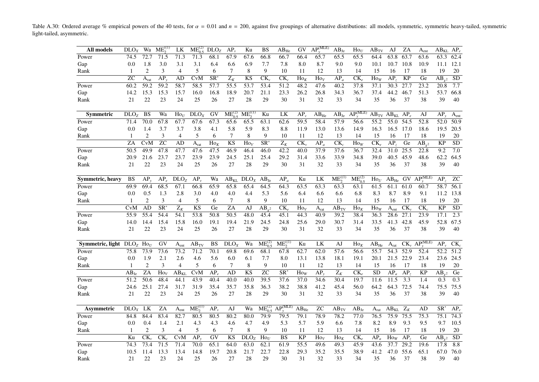Table A.30: Ordered average % empirical powers of the 40 tests, for  $\alpha = 0.01$  and  $n = 200$ , against five groupings of alternative distributions: all models, symmetric, symmetric heavy-tailed, symmetric light-tailed, asymmetric.

<span id="page-39-0"></span>

| All models              | DLO <sub>X</sub> | Wa               | $ME_{2}^{(1)}$           | LK               | $ME_{0.5}^{(2)}$       | DLO <sub>Z</sub>              | $AP_{1}$          | Ku               | BS                           | $AB_{He}$                | GV                           | $AP_v^{(\overline{MLE})}$ | $AB_{Je}$         | $\text{Ho}_U$             | $AB_{TV}$     | AJ                         | ZA                | $\rm A_{ent}$                | $AB_{KL}$ $AP_e$      |                  |
|-------------------------|------------------|------------------|--------------------------|------------------|------------------------|-------------------------------|-------------------|------------------|------------------------------|--------------------------|------------------------------|---------------------------|-------------------|---------------------------|---------------|----------------------------|-------------------|------------------------------|-----------------------|------------------|
| Power                   | 74.5             | 72.7             | 71.5                     | 71.3             | 71.3                   | 68.1                          | 67.9              | 67.6             | 66.8                         | 66.7                     | 66.4                         | 65.7                      | 65.5              | 65.5                      | 64.4          | 63.8                       | 63.7              | 63.6                         | 63.3                  | 62.4             |
| Gap                     | 0.0              | 1.8              | 3.0                      | 3.1              | 3.1                    | 6.4                           | 6.6               | 6.9              | 7.7                          | 7.8                      | 8.0                          | 8.7                       | 9.0               | 9.0                       | 10.1          | 10.7                       | 10.8              | 10.9                         | 11.1                  | 12.1             |
| Rank                    | $\mathbf{1}$     | $\overline{2}$   | 3                        | $\overline{4}$   | 5                      | 6                             | 7                 | 8                | 9                            | 10                       | 11                           | 12                        | 13                | 14                        | 15            | 16                         | 17                | 18                           | 19                    | 20               |
|                         | $\overline{z}$ C | A <sub>rat</sub> | AP <sub>1</sub>          | AD               | CvM                    | $\overline{\text{SR}^*}$      | $\overline{Z_K}$  | <b>KS</b>        | $\overline{\text{CK}_{\nu}}$ | $\overline{\text{CK}_c}$ | $\text{Ho}_K$                | $\text{Ho}_V$             | $\overline{AP_a}$ | $CK_{e}$                  | $\text{How}$  | AP <sub>2</sub>            | <b>KP</b>         | Ge                           | $\overline{AB_{v^2}}$ | $\overline{SD}$  |
| Power                   | 60.2             | 59.2             | 59.2                     | 58.7             | 58.5                   | 57.7                          | $\overline{55.5}$ | 53.7             | 53.4                         | 51.2                     | 48.2                         | 47.6                      | 40.2              | 37.8                      | 37.1          | 30.3                       | 27.7              | 23.2                         | 20.8                  | 7.7              |
| Gap                     | 14.2             | 15.3             | 15.3                     | 15.7             | 16.0                   | 16.8                          | 18.9              | 20.7             | 21.1                         | 23.3                     | 26.2                         | 26.8                      | 34.3              | 36.7                      | 37.4          | 44.2                       | 46.7              | 51.3                         | 53.7                  | 66.8             |
| Rank                    | 21               | 22               | 23                       | 24               | 25                     | 26                            | 27                | 28               | 29                           | 30                       | 31                           | 32                        | 33                | 34                        | 35            | 36                         | 37                | 38                           | 39                    | 40               |
| <b>Symmetric</b>        | DLO <sub>z</sub> | BS               | Wa                       | $\text{Ho}_U$    | DLO <sub>X</sub>       | GV                            | $ME_{0.5}^{(2)}$  | $ME_2^{(1)}$     | Ku                           | LK                       | $AP_v$                       | $\rm AB_{He}$             | $AB_{Je}$         | $AP_v^{\overline{(MLE)}}$ |               | $AB_{TV}$ $AB_{KL}$ $AP_e$ |                   | AJ                           | $AP_v$                | A <sub>ent</sub> |
| Power                   | 71.4             | 70.0             | 67.8                     | 67.7             | 67.6                   | 67.3                          | 65.6              | 65.5             | 63.1                         | 62.6                     | 59.5                         | 58.4                      | 57.9              | 56.6                      | 55.2          | 55.0                       | 54.5              | 52.8                         | 52.0                  | 50.9             |
| Gap                     | 0.0              | 1.4              | 3.7                      | 3.7              | 3.8                    | 4.1                           | 5.8               | 5.9              | 8.3                          | 8.8                      | 11.9                         | 13.0                      | 13.6              | 14.9                      | 16.3          | 16.5                       | 17.0              | 18.6                         | 19.5                  | 20.5             |
| Rank                    | $\mathbf{1}$     | $\overline{c}$   | 3                        | $\overline{4}$   | 5                      | 6                             | 7                 | 8                | 9                            | 10                       | 11                           | 12                        | 13                | 14                        | 15            | 16                         | 17                | 18                           | 19                    | 20               |
|                         | ZA               | CvM              | $\overline{z}$ C         | AD               | A <sub>rat</sub>       | $\overline{H}$ o <sub>K</sub> | <b>KS</b>         | $\text{Ho}_V$    | $\overline{\text{SR}^*}$     | $Z_K$                    | $\overline{\text{CK}_{\nu}}$ | $\overline{AP_a}$         | $CK_c$            | $\overline{Ho}_W$         | $CK_e$        | AP <sub>z</sub>            | Ge                | $AB_{v^2}$                   | <b>KP</b>             | SD               |
| Power                   | 50.5             | 49.9             | 47.8                     | 47.7             | 47.6                   | 47.5                          | 46.9              | 46.4             | 46.0                         | 42.2                     | 40.0                         | 37.9                      | 37.6              | 36.7                      | 32.4          | 31.0                       | 25.5              | 22.8                         | 9.2                   | 7.0              |
| Gap                     | 20.9             | 21.6             | 23.7                     | 23.7             | 23.9                   | 23.9                          | 24.5              | 25.1             | 25.4                         | 29.2                     | 31.4                         | 33.6                      | 33.9              | 34.8                      | 39.0          | 40.5                       | 45.9              | 48.6                         | 62.2                  | 64.5             |
| Rank                    | 21               | 22               | 23                       | 24               | 25                     | 26                            | 27                | 28               | 29                           | 30                       | 31                           | 32                        | 33                | 34                        | 35            | 36                         | 37                | 38                           | 39                    | 40               |
| Symmetric, heavy        | <b>BS</b>        | $AP_v$           | $AP_e$                   | DLO <sub>Z</sub> | $AP_{v}$               | Wa                            | $AB_{KL}$         | DLO <sub>X</sub> | $AB_{Je}$                    | $AP_a$                   | Ku                           | LK                        | $ME_2^{(1)}$      | $ME_{0.5}^{(2)}$          | $\text{Ho}_U$ | $\rm AB_{He}$              | GV                | $\overline{AP_v^{(MLE)}}$    | AP <sub>z</sub>       | ${\rm ZC}$       |
| Power                   | 69.9             | 69.4             | 68.5                     | 67.1             | 66.8                   | 65.9                          | 65.8              | 65.4             | 64.5                         | 64.3                     | 63.5                         | 63.3                      | 63.3              | 63.1                      | 61.5          | 61.1                       | 61.0              | 60.7                         | 58.7                  | 56.1             |
| Gap                     | 0.0              | 0.5              | 1.3                      | 2.8              | 3.0                    | 4.0                           | 4.0               | 4.4              | 5.3                          | 5.6                      | 6.4                          | 6.6                       | 6.6               | 6.8                       | 8.3           | 8.7                        | 8.9               | 9.1                          | 11.2                  | 13.8             |
| Rank                    | 1                | $\overline{c}$   | 3                        | $\overline{4}$   | 5                      | 6                             | $\tau$            | 8                | 9                            | 10                       | 11                           | 12                        | 13                | 14                        | 15            | 16                         | 17                | 18                           | 19                    | 20               |
|                         | <b>CvM</b>       | <b>AD</b>        | $\overline{\text{SR}^*}$ | $\overline{Z_K}$ | $\overline{\text{KS}}$ | Ge                            | ZA                | AJ               | $AB_{v^2}$                   | $\overline{\text{CK}_e}$ | $\text{Ho}_V$                | $A_{rat}$                 | $AB_{TV}$         | $\text{Ho}_K$             | $\text{Ho}_W$ | A <sub>ent</sub>           | $CK_{v}$          | $CK_c$                       | $\overline{KP}$       | $\overline{SD}$  |
| Power                   | 55.9             | 55.4             | 54.4                     | 54.1             | 53.8                   | 50.8                          | 50.5              | 48.0             | 45.4                         | 45.1                     | 44.3                         | 40.9                      | 39.2              | 38.4                      | 36.3          | 28.6                       | $\overline{27.1}$ | 23.9                         | 17.1                  | 2.3              |
| Gap                     | 14.0             | 14.4             | 15.4                     | 15.8             | 16.0                   | 19.1                          | 19.4              | 21.9             | 24.5                         | 24.8                     | 25.6                         | 29.0                      | 30.7              | 31.4                      | 33.5          | 41.3                       | 42.8              | 45.9                         | 52.8                  | 67.5             |
| Rank                    | 21               | 22               | 23                       | 24               | 25                     | 26                            | 27                | 28               | 29                           | 30                       | 31                           | 32                        | 33                | 34                        | 35            | 36                         | 37                | 38                           | 39                    | 40               |
| Symmetric, light $DLOZ$ |                  | $\text{Ho}_U$    | GV                       | A <sub>ent</sub> | $AB_{TV}$              | BS                            | DLO <sub>X</sub>  | Wa               | $ME_{0.5}^{(2)}$             | $ME_2^{(1)}$             | Ku                           | LK                        | AJ                | $\text{Ho}_K$             | $AB_{He}$     | A <sub>rat</sub>           |                   | $CK_v$ $AP_v^{\text{(MLE)}}$ | $AP_{v}$              | $CK_c$           |
| Power                   | 75.8             | 73.9             | 73.6                     | 73.2             | 71.2                   | 70.1                          | 69.8              | 69.6             | 68.1                         | 67.8                     | 62.7                         | 62.0                      | 57.6              | 56.6                      | 55.7          | 54.3                       | 52.9              | 52.4                         | 52.2                  | 51.2             |
| Gap                     | 0.0              | 1.9              | 2.1                      | 2.6              | 4.6                    | 5.6                           | 6.0               | 6.1              | 7.7                          | 8.0                      | 13.1                         | 13.8                      | 18.1              | 19.1                      | 20.1          | 21.5                       | 22.9              | 23.4                         | 23.6                  | 24.5             |
| Rank                    | $\overline{1}$   | $\overline{c}$   | 3                        | $\overline{4}$   | 5                      | 6                             | 7                 | 8                | 9                            | 10                       | 11                           | 12                        | 13                | 14                        | 15            | 16                         | 17                | 18                           | 19                    | 20               |
|                         | $AB_{Ie}$        | ZA               | $\text{Ho}_V$            | AB <sub>KL</sub> | <b>C</b> vM            | $AP_{e}$                      | AD                | <b>KS</b>        | $\overline{z}$ C             | $SR^*$                   | How                          | $AP_{v}$                  | $Z_K$             | $CK_{e}$                  | <b>SD</b>     | $AP_a$                     | AP <sub>z</sub>   | <b>KP</b>                    | $AB_{v^2}$            | Ge               |
| Power                   | 51.2             | 50.6             | 48.4                     | 44.1             | 43.9                   | 40.4                          | 40.0              | 40.0             | 39.5                         | 37.6                     | 37.0                         | 34.6                      | 30.4              | 19.7                      | 11.6          | 11.5                       | 3.3               | 1.4                          | 0.3                   | 0.3              |
| Gap                     | 24.6             | 25.1             | 27.4                     | 31.7             | 31.9                   | 35.4                          | 35.7              | 35.8             | 36.3                         | 38.2                     | 38.8                         | 41.2                      | 45.4              | 56.0                      | 64.2          | 64.3                       | 72.5              | 74.4                         | 75.5                  | 75.5             |
| Rank                    | 21               | 22               | 23                       | 24               | 25                     | 26                            | 27                | 28               | 29                           | 30                       | 31                           | 32                        | 33                | 34                        | 35            | 36                         | 37                | 38                           | 39                    | 40               |
| Asymmetric              | DLO <sub>y</sub> | LK               | ZA                       | $A_{ent}$        | $ME^{(1)}_2$           | $AP_{\nu}$                    | AJ                | Wa               | $ME_{0.5}^{(2)}$             | $\widehat{AP_v^{(MLE)}}$ | $AB_{He}$                    | <b>ZC</b>                 | $AB_{TV}$         | $AB_{Je}$                 | $A_{rat}$     | $AB_{KL}$                  | $Z_K$             | AD                           | $SR^*$                | $AP_e$           |
| Power                   | 84.8             | 84.4             | 83.4                     | 82.7             | 80.5                   | 80.5                          | 80.2              | 80.0             | 79.9                         | 79.5                     | 79.1                         | 78.9                      | 78.2              | 77.0                      | 76.5          | 75.9                       | 75.5              | 75.3                         | 75.1                  | 74.3             |
| Gap                     | 0.0              | 0.4              | 1.4                      | 2.1              | 4.3                    | 4.3                           | 4.6               | 4.7              | 4.9                          | 5.3                      | 5.7                          | 5.9                       | 6.6               | 7.8                       | 8.2           | 8.9                        | 9.3               | 9.5                          | 9.7                   | 10.5             |
| Rank                    | 1                | $\overline{c}$   | 3                        | $\overline{4}$   | 5                      | 6                             | $\tau$            | $\,8\,$          | 9                            | 10                       | 11                           | 12                        | 13                | 14                        | 15            | 16                         | 17                | 18                           | 19                    | 20               |
|                         | Ku               | $CK_{\nu}$       | $\overline{\text{CK}_c}$ | CvM              | $AP_{v}$               | GV                            | <b>KS</b>         | DLO <sub>Z</sub> | $\text{Ho}_U$                | <b>BS</b>                | <b>KP</b>                    | $\text{Ho}_V$             | $\text{Ho}_K$     | $CK_{e}$                  | $AP_a$        | $\text{How}$               | AP <sub>2</sub>   | Ge                           | $AB_{v^2}$            | <b>SD</b>        |
| Power                   | 74.3             | 73.4             | 71.5                     | 71.4             | 70.0                   | 65.1                          | 64.0              | 63.0             | 62.1                         | 61.9                     | $\overline{55.5}$            | 49.6                      | 49.3              | 45.9                      | 43.6          | 37.7                       | 29.2              | 19.6                         | 17.8                  | 8.8              |
| Gap                     | 10.5             | 11.4             | 13.3                     | 13.4             | 14.8                   | 19.7                          | 20.8              | 21.7             | 22.7                         | 22.8                     | 29.3                         | 35.2                      | 35.5              | 38.9                      | 41.2          | 47.0                       | 55.6              | 65.1                         | 67.0                  | 76.0             |
| Rank                    | 21               | 22               | 23                       | 24               | 25                     | 26                            | 27                | 28               | 29                           | 30                       | 31                           | 32                        | 33                | 34                        | 35            | 36                         | 37                | 38                           | 39                    | 40               |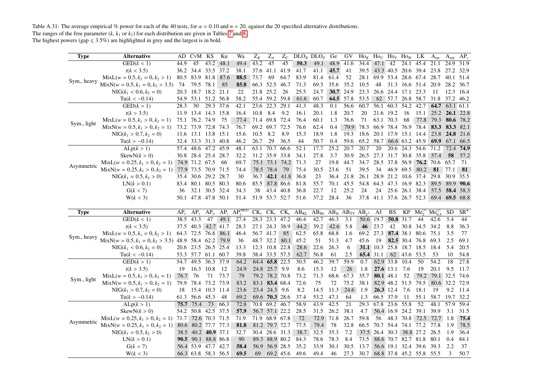Table A.31: The average empirical % power for each of the 40 tests, for  $\alpha = 0.10$  and  $n = 20$ , against the 20 specified alternative distributions. The ranges of the free parameter  $(k, k_1 \text{ or } k_2)$  for each distribution are given in Tables 7 and 8.

<span id="page-40-0"></span>

| <b>Type</b> | <b>Alternative</b>                                        |      | AD CvM KS           |                | Ku   | Wa                                                | $Z_K$     | $Z_A$          | $Z_C$          |              | DLO <sub>X</sub> DLO <sub>Z</sub>                                            | Ge                | GV        | $\rm Ho_K$ $\rm Ho_U$ $\rm Ho_V$ $\rm Ho_W$ LK |                          |                |                |                               | $A_{rat}$         | $A_{ent}$      | $AP_v$       |
|-------------|-----------------------------------------------------------|------|---------------------|----------------|------|---------------------------------------------------|-----------|----------------|----------------|--------------|------------------------------------------------------------------------------|-------------------|-----------|------------------------------------------------|--------------------------|----------------|----------------|-------------------------------|-------------------|----------------|--------------|
|             | GED(k < 1)                                                | 44.9 | 45                  | 43.2           | 48.1 | 49.4                                              | 43.2      | 45             | 45             | 50.3         | 49.1                                                                         | 48.9 41.6         |           | 34.4                                           | 47.1 42                  |                |                | 24.1 45.4                     | 21.1              | 24.9 31.9      |              |
|             | t(k < 3.5)                                                |      | 36.2 34.4 33.5      |                | 37.2 | 38.1                                              | 37.6 41.1 |                | 41.9           | 41.7         | 41.1                                                                         | 45.7              | 41        | 39.5                                           |                          |                |                | 43.3 40.5 20.6 39.4 23.8      |                   | 27.2 32.9      |              |
|             | $MixL(w = 0.5, k_1 = 0, k_2 > 1)$                         |      | 80.5 83.9 81.8 87.6 |                |      | 88.5                                              | 73.7      | 69             | 64.7           | 83.9         | 81.4                                                                         | 61.4              | 52        |                                                |                          |                |                | 28.1 69.9 53.4 28.6 67.4 28.7 |                   | 40.1           | 51.4         |
| Sym., heavy | $MixN(w = 0.5, k_1 = 0, k_2 > 3.5)$                       | 74   | 79.5 78.1           |                | 85   | 85.8                                              |           | 66.3 52.5 46.7 |                | 71.3         | 69.3                                                                         | 35.6              | 35.2      | 10.5                                           | 48                       |                |                | 31.3 16.6 51.4 20.9           |                   | 28.2 36.7      |              |
|             | $NIG(k_1 < 0.6, k_2 = 0)$                                 |      | 20.3 18.7 18.2 21.1 |                |      | 22                                                | 21.8 25.2 |                | 26             | 25.5         | 24.7                                                                         | <b>30.7</b>       | 24.9      |                                                | 23.3 26.6 24.4 17.1 23.3 |                |                |                               | -11               | 12.3 16.4      |              |
|             | $Tu(k < -0.14)$                                           |      | 54.9 53.1 51.2 56.8 |                |      | 58.2                                              |           | 55.4 59.2 59.8 |                | 61.6         | 60.7                                                                         |                   | 64.5 57.8 | 53.5                                           |                          |                |                | 62 57.7 26.8 58.7 31.8        |                   | 37.2 46.2      |              |
|             | GED(k > 1)                                                | 28.3 | 30                  | 29.3 37.6      |      | 42.1                                              | 23.6      | 22.3           | 29.1           | 41.3         | 48.3                                                                         | 0.1               | 56.6      | 60.7                                           | 56.1                     | 60.3           | 54.2           | 42.7                          | 64.7              | 63.1 61.1      |              |
|             | t(k > 3.5)                                                | 11.9 | 13.4 14.3 15.8      |                |      | 16.4                                              | 10.8      | 8.4            | 9.2            | 16.1         | 20.1                                                                         | 1.8               | 20.7      | 20                                             | 21.6 19.2                |                | 16             | 15.1                          | 25.2              |                | 26.1 22.8    |
|             | $MixL(w = 0.5, k_1 > 0, k_2 = 1)$                         |      | 75.1 76.2 74.9      |                | 75   | 77.4                                              |           | 71.4 69.8 72.4 |                | 76.4         | 60.1                                                                         | 1.3               | 76.6      | 71                                             | 63.1 70.3                |                | 68             | 77.8                          | 79.3              |                | 80.6 78.2    |
| Sym., light | $MixN(w = 0.5, k_1 > 0, k_2 = 1)$                         |      | 73.2 73.9 72.8 74.3 |                |      | 76.7                                              |           | 69.2 69.7 72.5 |                | 76.6         | 62.4                                                                         | 0.4               | 79.9      | 78.3 66.9 78.4 76.9 78.4                       |                          |                |                |                               | 83.3              | 83.3 82.1      |              |
|             | $NIG(k_1 > 0.7, k_2 = 0)$                                 |      | 11.6 13.1 13.8 15.1 |                |      | 15.6                                              | 10.5      | 8.2            | 8.9            | 15.3         | 18.9                                                                         | 1.8               | 19.3      |                                                | 18.6 20.1 17.9 15.1 14.4 |                |                |                               | 23.8              | 24.8           | 21.6         |
|             | $Tu(k > -0.14)$                                           |      | 32.4 33.3 31.3 40.8 |                |      | 46.2                                              | 26.7      | 29             | 36.5           | 44           | 50.7                                                                         | 0.4               | 59.6      | 65.2 58.7 66.6 63.2 45.9                       |                          |                |                |                               | <b>69.9</b>       | 67.1           | 66.5         |
|             | ALp(k > 1)                                                | 57.4 | 48.6 47.2 45.9      |                |      | 48.1                                              | 63.1      | 70.7           | 66.6           | 52.1         | 17.7                                                                         | $\overline{25.2}$ | 20.7      | 20.7                                           | 20                       |                | 20.6 24.3 54.6 |                               | 71.2              | 72.4           | 74.9         |
|             | SkewN(k > 0)                                              |      | 30.8 28.4 25.4 28.7 |                |      | 32.2                                              |           | 31.2 35.9 33.8 |                | 34.1         | 27.8                                                                         | 3.7               | 30.9      |                                                |                          |                |                | 26.5 27.3 31.7 30.8 35.8 57.4 |                   | 58             | 57.2         |
| Asymmetric  | $MixL(w = 0.25, k_1 > 0, k_2 = 1)$                        |      | 74.9 71.2 67.5      |                | -66  | 69.7                                              |           |                | 75.1 73.1 74.2 | 71.3         | 27                                                                           | 19.8              | 44.7      | 34.7                                           | 28.5                     |                |                | 37.8 56.9 76.2 70.6           |                   | 65.7           | 71           |
|             | $MixN(w = 0.25, k_1 > 0, k_2 = 1)$                        |      | 77.9 73.5 70.9 71.5 |                |      | 74.4                                              |           | 78.5 78.4      | 79             | 75.4         | 30.5                                                                         | 23.6              | 51        | 39.5                                           | 34                       | 46.9 69.5      |                | 80.2                          | 81                | 77.1           | 81           |
|             | $NIG(k_1 = 0.5, k_2 > 0)$                                 |      | 35.4 30.6 29.2 28.7 |                |      | 30                                                | 36.7      |                | 42.1 41.8      | 36.8         | 23                                                                           | 36.4              | 21.8      | 26.1                                           |                          |                |                | 28.9 21.2 10.6 37.4           | 29.8              | 30.9           | 35.5         |
|             | LN(k > 0.1)                                               | 83.4 | 80.1 80.5 80.3      |                |      | 80.6                                              | 85.5      |                | 87.8 86.6      | 81.8         | 55.7                                                                         | 70.1              | 45.5      |                                                |                          |                |                | 54.8 64.3 47.3 16.9 82.3      | 89.5              |                | 89.9 90.6    |
|             | G(k < 7)                                                  | 36   |                     | 32.1 30.5 32.4 |      | 34.3                                              | 38        | 43.4 40.8      |                | 36.8         | 22.7                                                                         | 12                | 25.2      | 24                                             | 24                       |                |                | 25.6 26.1 38.4                |                   | 57.5 58.4 58.3 |              |
|             | W(k < 3)                                                  |      | 50.1 47.8 47.8 50.1 |                |      | 51.4                                              |           |                | 51.9 53.7 52.7 | 51.6         | 37.2 28.4                                                                    |                   | 36        |                                                |                          |                |                | 37.8 41.1 37.6 26.7 52.3      |                   | 69.4 69.5 68.8 |              |
|             |                                                           |      |                     |                |      |                                                   |           |                |                |              |                                                                              |                   |           |                                                |                          |                |                |                               |                   |                |              |
|             |                                                           |      |                     |                |      |                                                   |           |                |                |              |                                                                              |                   |           |                                                |                          |                |                |                               |                   |                |              |
| <b>Type</b> | <b>Alternative</b>                                        |      |                     |                |      | $AP_e$ $AP_y$ $AP_a$ $AP_z$ $AP_v^{\text{(MLE)}}$ |           |                |                |              | $CK_v$ $CK_e$ $CK_e$ $AB_{KL}$ $AB_{He}$ $AB_{Je}$ $AB_{TV}$ $AB_{v^2}$ $AJ$ |                   |           |                                                |                          | BS             | KP             | $Me_2^{(1)}$ $Me_{0.5}^{(2)}$ |                   | SD.            | $SR^{\star}$ |
|             | GED(k < 1)                                                |      | 38.5 43.3           | 47             | 49.1 | 27.4                                              |           | 28.3 23.3 47.2 |                | 46.4         | 42.7                                                                         | 46.3              | 3.1       |                                                | 50.6 19.7                | 50.8 31.7      |                | 44                            | 42.6              | 5.4            | 44           |
|             | t(k < 3.5)                                                |      | 37.5 40.3 42.7 41.7 |                |      | 28.3                                              |           | 27.1 24.3 38.9 |                | 44.2         | 39.2                                                                         | 42.6              | 5.8       |                                                | 46 23.7                  | 42             |                | 30.8 34.5 34.2                |                   | 8.8            | 36.3         |
|             | $MixL(w = 0.5, k_1 = 0, k_2 > 1)$                         |      | 64.3 72.5 76.8 86.1 |                |      | 46.4                                              | 56.7 41.7 |                | 85             | 62.5         | 65.8                                                                         | 68.8              | 1.6       | 69.2 27.3                                      |                          |                |                | 87.4 38.1 80.6 75.1           |                   | 3.5            | 77           |
| Sym., heavy | MixN( $w = 0.5, k_1 = 0, k_2 > 3.5$ ) 48.9 58.4 62.2 79.9 |      |                     |                |      | 36                                                |           |                | 48.7 32.2 80.1 | 45.2         | 51                                                                           | 51.3              | 4.7       | 45.6                                           | 19                       |                |                | 82.5 30.4 76.8 69.3           |                   | 2.5            | 69.1         |
|             | $NIG(k_1 < 0.6, k_2 = 0)$                                 |      | 20.6 23.5 26.5 25.4 |                |      | 13.3                                              |           | 12.3 10.8 22.8 |                | 28.6         | 22.6                                                                         | 26.3              | 6         |                                                | 31.1 10.3 25.8 18.7 18.5 |                |                |                               | 18.4              | 5.4            | 20.5         |
|             | $Tu(k < -0.14)$                                           |      | 53.3 57.7 61.1 60.7 |                |      | 39.8                                              |           | 38.4 33.5 57.5 |                | 62.7         | 56.8                                                                         | 61                | 2.5       |                                                | 65.4 31.1                |                | 62 43.6 53.5   |                               | 53                | 10             | 54.8         |
|             | GED(k>1)                                                  |      | 54.7 49.5           | 36.3 37.9      |      | 64.2                                              |           | 64.4 65.8 22.5 |                | 30.5         | 46.2                                                                         | 39.7              | 59.9      | 0.7                                            |                          | 62.9 33.8      | 10.4           | 50                            | $\overline{54.2}$ | 18             | 27.8         |
|             | t(k > 3.5)                                                | 19   | 16.3                | 10.8           | -12  | 24.9                                              |           | 24.8 25.7 9.9  |                | 8.6          | 15.3                                                                         | 12                | 26        | 1.8                                            |                          | 27.6 13.1 7.6  |                | 19                            | 20.1              | 9.5            | 11.7         |
|             | $MixL(w = 0.5, k_1 > 0, k_2 = 1)$                         | 76.7 | -76                 | 71             | 73.7 | 79                                                |           | 79.2 78.2 70.8 |                | 73.2         | 71.3                                                                         | 68.6 67.3         |           | 35.7                                           | 80.1 48.1                |                | 52             | 79.2                          |                   | 79.1 32.5      | 74.6         |
| Sym., light | $MixN(w = 0.5, k_1 > 0, k_2 = 1)$                         | 79.9 | 78.4                | 73.2 73.9      |      | 83.2                                              |           | 83.1 83.4 68.4 |                | 72.6         | 75                                                                           | 72                | 75.2      | 38.1                                           |                          | 82.9 48.2 51.5 |                | 79.5                          |                   | 80.6 32.2 72.9 |              |
|             | $NIG(k_1 > 0.7, k_2 = 0)$                                 | 18   |                     | 15.4 10.3 11.4 |      | 23.6                                              |           | 23.4 24.3 9.6  |                | 8.2          | 14.5                                                                         | 11.3              | 24.6      | 1.9                                            |                          | 26.3 12.4      | 7.6            | 18.1                          | -19               | 9.2            | 11.4         |
|             | $Tu(k > -0.14)$                                           | 61.3 | 56.6 45.3           |                | 48   | 69.2                                              |           | 69.6 70.3 28.6 |                | 37.4         | 53.2                                                                         | 47.1              | 64        | 1.3                                            | 66.5 37.9                |                | -11            | 55.1                          | 58.7              | 19.7           | 32.2         |
|             | ALp(k > 1)                                                |      | 75.7 75.4           | 73             | 66.3 | 72.8                                              |           | 70.8 69.2 46.7 |                | 58.9         | 43.9                                                                         | 42.5              | 21        | 29.3                                           | 67.8                     | 23.6           | 55.8           | 52                            | 48.1              | 57.9           | 59.4         |
|             | SkewN(k > 0)                                              |      | 54.2 50.8 42.5 37.5 |                |      | 57.9                                              |           | 56.7 57.1 22.2 |                | 28.5         | 31.5                                                                         | 26.2              | 38.1      | 4.7                                            |                          |                |                | 56.4 16.9 24.2 39.1           | 39.9              | 3.1            | 31.5         |
|             | $MixL(w = 0.25, k_1 > 0, k_2 = 1)$ 71.7                   |      |                     | 72.6 70.3 71.5 |      | 71.9                                              |           | 71.9 68.9 67.8 |                | 72           | 72.9                                                                         | 71.8              | 26.7      | 59.8                                           | 56                       |                |                | 48.3 70.8 72.5 72.7           |                   | 1.8            | 75.4         |
| Asymmetric  | $MixN(w = 0.25, k_1 > 0, k_2 = 1)$                        |      | 80.6 80.2 77.7 77.3 |                |      | 81.8                                              |           | 81.2 79.7 72.7 |                | 77.5         | 79.4                                                                         | 78                | 32.8      | 66.5                                           |                          |                |                | 70.7 54.4 74.1 77.2 77.8      |                   | 1.9            | 78.5         |
|             | $NIG(k_1 = 0.5, k_2 > 0)$                                 |      | 38.5 40.2 40.9 37.1 |                |      | 32.7                                              |           | 30.4 28.6 31.3 |                | 38.7         | 32.5                                                                         | 35.3              | 7.2       |                                                |                          |                |                | 37.5 26.4 30.3 38.8 27.2 26.5 |                   | 1.9            | 36.4         |
|             | LN(k > 0.1)                                               |      | 90.5 90.1 88.8 86.8 |                |      | 90                                                |           | 89.3 88.9 80.2 |                | 84.3         | 78.6                                                                         | 78.3              | 8.4       | 73.5                                           |                          |                |                | 88.6 70.7 82.7 81.8 80.1      |                   | 0.4            | 84.1         |
|             | G(k < 7)                                                  |      | 56.4 53.9 47.7 42.7 |                |      | 58.4<br>69.5                                      |           | 56.9 56.9 28.5 |                | 35.2<br>49.6 | 33.9                                                                         | 30.1<br>46        | 30.5      | 13.7                                           |                          |                |                | 56.6 19.1 32.4 39.6 39.3      |                   | 2.2<br>3       | 37<br>50.7   |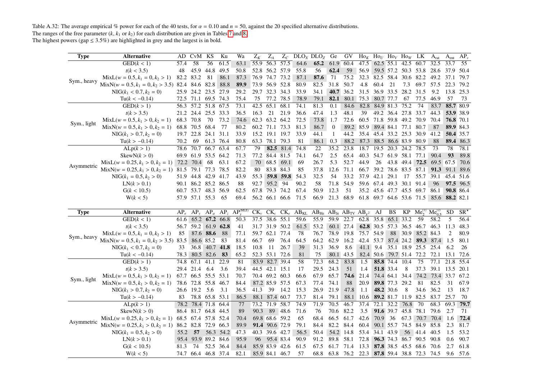Table A.32: The average empirical % power for each of the 40 tests, for  $\alpha = 0.10$  and  $n = 50$ , against the 20 specified alternative distributions. The ranges of the free parameter  $(k, k_1 \text{ or } k_2)$  for each distribution are given in Tables 7 and 8.

| <b>Type</b> | <b>Alternative</b>                                        |      | AD CvM KS           |           | Ku        | Wa                                                | $Z_K$ | $Z_A$            |             |                     | $Z_C$ DLO <sub>X</sub> DLO <sub>Z</sub>                                      | Ge           | GV                                                     | $\rm Ho_K$ $\rm Ho_U$ $\rm Ho_V$ $\rm Ho_W$ LK |                |                |                          |                                   | $A_{rat}$ | $A_{ent}$      | $AP_v$       |
|-------------|-----------------------------------------------------------|------|---------------------|-----------|-----------|---------------------------------------------------|-------|------------------|-------------|---------------------|------------------------------------------------------------------------------|--------------|--------------------------------------------------------|------------------------------------------------|----------------|----------------|--------------------------|-----------------------------------|-----------|----------------|--------------|
|             | GED(k < 1)                                                | 57.4 | 58                  | 56        | 61.5      | 63.1                                              |       | 55.9 56.3 57.5   |             | 64.6                | 65.2                                                                         | 61.9 60.4    |                                                        | 47.5                                           |                |                | 62.5 55.1 42.5 60.7      |                                   | 32.5      | 33.7           | 55           |
|             | t(k < 3.5)                                                | 48   | 45.9                | 44.8      | 49.5      | 50.8                                              |       | 52.8 56.2 57.9   |             | 55.8                | 56                                                                           | 62.4         | 59                                                     | 56.9                                           |                |                |                          | 59.5 57.2 50.3 53.8 28.6          |           | 37.9           | -50.4        |
|             | $MixL(w = 0.5, k_1 = 0, k_2 > 1)$                         | 82.2 | 83.2                | 81        | 86.1      | 87.3                                              |       | 76.9 74.7 73.2   |             | 87.1                | 87.6                                                                         | 71           | 75.2                                                   | 32.3                                           | 82.5 58.4      |                | 30.6 82.2                |                                   | 49.2      | 37.1           | 79.7         |
| Sym., heavy | MixN( $w = 0.5, k_1 = 0, k_2 > 3.5$ ) 82.4 84.6 82.8 88.8 |      |                     |           |           | 89.9                                              |       | 73.9 56.9 52.8   |             | 80.9                | 82.5                                                                         | 31.8         | 50.7                                                   | 4.8                                            | 60.4           | 21             | 7.3                      | 69.7 57.5                         |           | 22.3           | 79.2         |
|             | $NIG(k_1 < 0.7, k_2 = 0)$                                 |      | 25.9 24.2 23.5 27.9 |           |           | 29.2                                              |       | 29.7 32.3 34.3   |             | 33.9                | 34.1                                                                         | 40.7         | 36.2                                                   | 31.5 36.9 33.5 28.2 31.5                       |                |                |                          |                                   | 9.2       | 13.8 25.3      |              |
|             | $Tu(k < -0.14)$                                           |      | 72.5 71.1 69.5 74.3 |           |           | 75.4                                              | 75    | 77.2 78.5        |             | 78.9                | 79.1                                                                         | 82.1         |                                                        | 80.1 75.3 80.7 77.7                            |                |                | 67                       | 77.5                              | 46.9      | 57             | 73           |
|             | GED(k>1)                                                  |      | 56.3 57.2 51.8 67.5 |           |           | 73.1                                              | 42.5  | 65.1             | 68.1        | 74.1                | 81.3                                                                         | 0.1          | 84.6                                                   | 82.8                                           | 84.9 81.3      |                | 75.2                     | 74                                | 83.7      | $85.7$ 80.9    |              |
|             | t(k > 3.5)                                                |      | 21.2 24.4 25.5 33.3 |           |           | 36.5                                              | 16.3  | 21               | 21.9        | 36.6                | 47.4                                                                         | 1.3          | 48.1                                                   | 39                                             |                | 49.2 36.4 27.8 |                          | 33.7 44.3                         |           |                | 53.9 38.9    |
|             | $MixL(w = 0.5, k_1 > 0, k_2 = 1)$                         |      | 68.3 70.8           | 70        | 73.2      | 74.6                                              |       | 62.3 63.2 64.2   |             | 72.5                | 73.8                                                                         | 1.7          | 72.6                                                   |                                                |                |                |                          | 60.5 71.8 59.8 49.2 70.9 70.4     |           | 76.8 70.1      |              |
| Sym., light | $MixN(w = 0.5, k_1 > 0, k_2 = 1)$                         |      | 68.8 70.5           | 68.4      | 77        | 80.2                                              |       | 60.2 71.1 73.3   |             | 81.3                | 86.7                                                                         | $\mathbf{0}$ |                                                        |                                                |                |                |                          | 89.2 85.9 89.4 84.1 77.1 80.7     | 87        |                | 89.9 84.3    |
|             | $NIG(k_1 > 0.7, k_2 = 0)$                                 | 19.7 | 22.8                | 24.1 31.1 |           | 33.9                                              |       | 15.2 19.1 19.7   |             | 33.9                | 44.1                                                                         | 1            | 44.2                                                   |                                                |                |                |                          | 35.4 45.4 33.2 25.3 30.9 41.2     |           |                | 50.4 35.7    |
|             | $Tu(k > -0.14)$                                           | 70.2 | 69                  | 61.3 76.4 |           | 80.8                                              |       | 63.3 78.1 79.3   |             | 81                  | 86.1                                                                         | 0.3          | 88.2                                                   |                                                |                |                | 87.3 88.5 86.6 83.9 80.9 |                                   | 88        |                | 89.4 86.3    |
|             | ALp(k > 1)                                                |      | 78.6 70.7           | 66.7 63.4 |           | 67.7                                              | 79    |                  | $82.5$ 81.4 | 74.8                | 22                                                                           | 35.2         | 23.8                                                   | 18.7                                           |                |                | 19.5 20.3 24.2 78.5      |                                   | 73        | 78             | 78.1         |
|             | SkewN(k > 0)                                              |      | 69.9 61.9 53.5 64.2 |           |           | 71.3                                              |       | 77.2 84.4 81.5   |             | 74.1                | 64.7                                                                         | 2.5          | 65.4                                                   |                                                |                |                | 40.3 54.7 61.9 58.1 77.1 |                                   | 90.4      | 93             | 89.8         |
|             | $MixL(w = 0.25, k_1 > 0, k_2 = 1)$ 72.2 70.4              |      |                     | 68        | 63.1      | 67.2                                              | 70    | 68.5 69.1        |             | 69                  | 26.7                                                                         | 5.3          | 52.7                                                   | 44.9                                           | 26             |                | 43.8 49.4                | 72.5                              |           | 69.5 67.5 70.6 |              |
| Asymmetric  | $MixN(w = 0.25, k_1 > 0, k_2 = 1)$                        | 81.5 | 79.1 77.3 78.5      |           |           | 82.2                                              | 80    | 83.8 84.3        |             | 85                  | 37.8                                                                         | 12.6         | 71.1                                                   | 66.7 39.2 78.6 83.5                            |                |                |                          | 87.1                              |           | 91.3 91.1 89.6 |              |
|             | $NIG(k_1 = 0.5, k_2 > 0)$                                 |      | 51.9 44.8 42.9 41.7 |           |           | 43.9                                              | 55.3  |                  | 59.8 59.8   | 54.3                | 32.5                                                                         | 54           | 33.2                                                   |                                                | 37.9 42.1 29.1 |                | 17                       | 55.7 39.1                         |           | 45.4           | 51.6         |
|             | LN(k > 0.1)                                               |      | 90.1 86.2 85.2 86.5 |           |           | 88                                                | 92.7  | 95.2 94          |             | 90.2                | 58                                                                           | 71.8         | 54.9                                                   |                                                |                |                | 59.6 67.4 49.3 30.1 91.4 |                                   | 96        |                | 97.5 96.5    |
|             | G(k < 10.5)                                               |      | 60.7 53.7 48.3 56.9 |           |           | 62.5                                              |       | 67.8 79.3 74.2   |             | 67.4                | 50.9                                                                         | 12.3         | 51                                                     |                                                |                |                |                          | 35.2 45.6 47.7 45.5 69.7 86.1     |           |                | 90.8 86.4    |
|             | W(k < 5)                                                  |      | 57.9 57.1 55.3      |           | - 65      | 69.4                                              |       |                  |             | 56.2 66.1 66.6 71.5 |                                                                              |              | 66.9 21.3 68.9 61.8 69.7 64.6 53.6 71.5 85.6 88.2 82.1 |                                                |                |                |                          |                                   |           |                |              |
|             |                                                           |      |                     |           |           |                                                   |       |                  |             |                     |                                                                              |              |                                                        |                                                |                |                |                          |                                   |           |                |              |
|             |                                                           |      |                     |           |           |                                                   |       |                  |             |                     |                                                                              |              |                                                        |                                                |                |                |                          |                                   |           |                |              |
| <b>Type</b> | <b>Alternative</b>                                        |      |                     |           |           | $AP_e$ $AP_y$ $AP_a$ $AP_z$ $AP_v^{\text{(MLE)}}$ |       |                  |             |                     | $CK_v$ $CK_c$ $CK_e$ $AB_{KL}$ $AB_{He}$ $AB_{Je}$ $AB_{TV}$ $AB_{v^2}$ $AJ$ |              |                                                        |                                                |                | BS             | KP                       | $Me_2^{(1)}$ $Me_{0.5}^{(2)}$     |           | <b>SD</b>      | $SR^{\star}$ |
|             | GED(k < 1)                                                | 61.6 | 65.2 67.2 66.8      |           |           | 50.3                                              |       | $37.5$ 38.6 55.1 |             | 59.6                | 55.9                                                                         | 59.9 22.7    |                                                        | $62.8$ $35.8$ $65.1$ $33.2$                    |                |                |                          | 59                                | 58.2      | 5              | 56.4         |
|             | t(k < 3.5)                                                |      | 56.7 59.2           |           | 61.9 62.8 | 41                                                |       | 31.7 31.9 50.2   |             | 61.5                | 53.2                                                                         |              | 60.1 27.4                                              |                                                |                |                |                          | 62.8 30.5 57.3 36.5 46.7 46.3     |           | 11.3           | 48.3         |
|             | $MixL(w = 0.5, k_1 = 0, k_2 > 1)$                         | 85   |                     | 87.6 88.6 | 88        | 77.1                                              |       | 59.7 62.1 77.4   |             | 78                  | 76.7                                                                         | 78.9         | 19.8                                                   | 75.7 54.9                                      |                | 88             |                          | 30.9 85.2 84.3                    |           | 2              | 80.9         |
| Sym., heavy | $MixN(w = 0.5, k_1 = 0, k_2 > 3.5)$ 83.5                  |      |                     | 86.6 85.2 | 83        | 81.4                                              | 66.7  | 69               | 76.4        | 64.5                | 64.2                                                                         | 62.9         | 16.2                                                   |                                                |                |                |                          | 42.4 53.7 87.4 24.2 89.3 87.4 1.5 |           |                | 80.1         |
|             | $NIG(k_1 < 0.7, k_2 = 0)$                                 | 33   |                     | 36.8 40.7 | 41.8      | 18.5                                              | 10.8  | <b>11</b>        | 26.7        | 39                  | 31.3                                                                         | 36.9         | 8.6                                                    | 41.1 9.4                                       |                |                |                          | 35.1 18.9 25.5 25.4               |           | 6.2            | 26           |
|             | $Tu(k < -0.14)$                                           | 78.3 |                     | 80.5 82.6 | 83        | 65.2                                              |       | 52.3 53.1 72.6   |             | 81                  | 75                                                                           | 80.1         | 43.5                                                   |                                                |                |                |                          | 82.4 50.6 79.7 51.4 72.2 72.1     |           | 13.1           | 72.6         |
|             | GED(k>1)                                                  | 74.8 | 67.1                | 41.1      | 22.9      | 81                                                |       | 83.9 82.7 39.4   |             | 58                  | 72.3                                                                         | 68.2         | 83.8                                                   | 1.5                                            |                | 85.8 74.4 10.4 |                          | 75                                | 77.1      | 21.8 55.4      |              |
|             | t(k > 3.5)                                                |      | 29.4 21.4           | 6.4       | 3.6       | 39.4                                              |       | 44.5 42.1 15.1   |             | 17                  | 29.5                                                                         | 24.3         | 51                                                     | 1.4                                            | 51.8 33.4      |                | 8                        | 37.3 39.1                         |           | 13.5           | 20.1         |
|             | $MixL(w = 0.5, k_1 > 0, k_2 = 1)$                         |      | 67.7 66.5 55.5 53.1 |           |           | 70.7                                              |       | 70.4 69.2 60.3   |             | 66.6                | 67.9                                                                         | 65.7         | 74.6                                                   | 21.4                                           |                |                |                          | 74.4 64.1 34.4 74.2               | 73.4 33.7 |                | 67.2         |
| Sym., light | $MixN(w = 0.5, k_1 > 0, k_2 = 1)$                         | 78.6 | 72.8 55.8 46.7      |           |           | 84.4                                              |       | 87.2 85.9 57.5   |             | 67.3                | 77.4                                                                         | 74.1         | 88                                                     | 20.9                                           |                | 89.8 77.3 29.2 |                          | 81                                | 82.5      | 31             | 67.9         |
|             | $NIG(k_1 > 0.7, k_2 = 0)$                                 |      | 26.6 19.2 5.6       |           | 3.1       | 36.5                                              | 41.3  | 39               | 14.2        | 15.3                | 26.9                                                                         | 21.9         | 47.8                                                   | 1.1                                            |                | 48.2 30.6      | 8                        | 34.6 36.2                         |           | 13             | 18.7         |
|             | $Tu(k > -0.14)$                                           | 83   | 78.8 65.8 53.1      |           |           | 86.5                                              |       | 88.1 87.4 60.7   |             | 73.7                | 81.4                                                                         | 79.1         | 88.1                                                   | 10.6                                           |                |                | 89.2 81.7 11.9 82.5      |                                   | 83.7      | 25.7           | 70           |
|             | ALp(k > 1)                                                |      | 78.2 78.4 71.8 64.4 |           |           | 77                                                |       | 73.2 71.9 58.7   |             | 74.9                | 71.9                                                                         | 70.5         | 46.7                                                   | 37.4                                           |                |                | 72.1 32.2 76.8           | 70                                | 68.3      | 69.3           | 79.7         |
|             | SkewN(k > 0)                                              |      | 86.4 81.7 64.8 44.5 |           |           | 89                                                | 90.3  |                  | 89 48.6     | 71.6                | 76                                                                           | 70.6         | 82.2                                                   | 3.5                                            |                |                | 91.6 39.7 45.8 78.1      |                                   | 79.6      | 2.7            | 71           |
|             | $MixL(w = 0.25, k_1 > 0, k_2 = 1)$ 68.5 67.4 57.8 52.4    |      |                     |           |           | 70.4                                              |       | 69.8 68.6 59.2   |             | 65                  | 68.4                                                                         | 66.5         | 61.7                                                   | 42.6                                           | 70.9 36        |                |                          | 67.3 70.7 70.4                    |           | 1.6            | 72.4         |
| Asymmetric  | $MixN(w = 0.25, k_1 > 0, k_2 = 1)$                        |      | 86.2 82.8 72.9 66.3 |           |           | 89.9                                              |       | 91.4 90.6 72.9   |             | 79.1                | 84.4                                                                         | 82.2         | 84.4                                                   | 60.4                                           |                |                | 90.1 55.7 74.5 84.9      |                                   | 85.8      | 2.3            | 81.7         |
|             | $NIG(k_1 = 0.5, k_2 > 0)$                                 | 55.2 | 57                  |           | 56.3 54.2 | 47.3                                              |       | 40.3 39.6 42.7   |             | 56.5                | 50.4                                                                         | 54.2         | 14.8                                                   | 53.4 34.1 43.9                                 |                |                |                          | 56 41.4                           | 40.5      | 1.5            | 53.2         |
|             | LN(k > 0.1)                                               |      | 95.4 93.9 89.2 84.6 |           |           | 95.9                                              | 96    |                  | 95.4 83.4   | 90.9                | 91.2                                                                         | 89.8         | 58.1                                                   | 72.8                                           |                |                | 96.3 74.3 86.7 90.5      |                                   | 90.8      | 0.6            | 90.7         |
|             | G(k < 10.5)                                               | 81.3 | 74                  | 52.5 36.4 |           | 84.4                                              |       | 85.9 83.9 42.6   |             | 61.5                | 67.5                                                                         | 61.7         | 71.4                                                   | 13.3                                           |                |                |                          | 87.8 38.5 45.5 68.6 70.6          |           | 2.7            | 61.8         |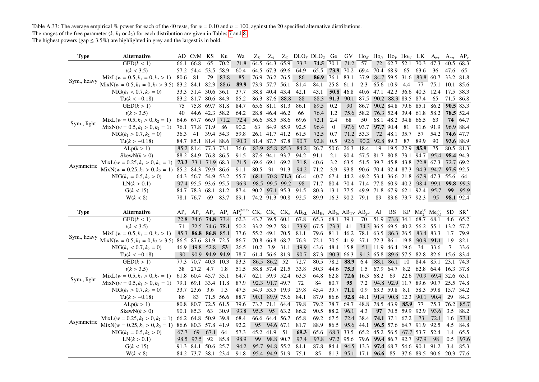Table A.33: The average empirical % power for each of the 40 tests, for  $\alpha = 0.10$  and  $n = 100$ , against the 20 specified alternative distributions. The ranges of the free parameter  $(k, k_1 \text{ or } k_2)$  for each distribution are given in Tables 7 and 8.

| <b>Type</b> | <b>Alternative</b>                                        |        | AD CvM KS                                  |                | Ku   | Wa                                         | $Z_K$          | $Z_A$                            |         |              | $Z_c$ DLO <sub>x</sub> DLO <sub>z</sub>                                 | Ge               | GV                | $\text{Ho}_K$ Ho <sub>U</sub> Ho <sub>V</sub> Ho <sub>W</sub> LK |                     |                |                     |                                          | $A_{rat}$ | A <sub>ent</sub> | $AP_v$       |
|-------------|-----------------------------------------------------------|--------|--------------------------------------------|----------------|------|--------------------------------------------|----------------|----------------------------------|---------|--------------|-------------------------------------------------------------------------|------------------|-------------------|------------------------------------------------------------------|---------------------|----------------|---------------------|------------------------------------------|-----------|------------------|--------------|
|             | GED(k < 1)                                                | 66.1   | 66.8                                       | 65             | 70.2 | 71.8                                       |                | 64.5 64.3 65.9                   |         | 73.3         | 74.5                                                                    | 70.1             | 71.2              | 57                                                               |                     | 72 62.7 52.1   |                     | 70.3                                     | 47.3      | 40.5             | 68.3         |
|             | t(k < 3.5)                                                |        | 57.2 54.4                                  | 53.5           | 58.9 | 60.4                                       |                | 64.5 67.3 69.6                   |         | 64.9         | 65.5                                                                    | 73.9             | 70.2              | 69.4                                                             | 70.4 68.9           |                | 65                  | 63.6                                     | 36        | 47.6             | 65           |
|             | $MixL(w = 0.5, k_1 = 0, k_2 > 1)$                         | 80.6   | 81                                         | 79             | 83.8 | 85                                         |                | 76.9 76.2 76.5                   |         | 86           | 86.9                                                                    | 76.1             | 83.1              | 37.9                                                             |                     | 84.7 59.5 31.6 |                     | 83.8 60.7                                |           | 33.2             | 81.8         |
| Sym., heavy | $MixN(w = 0.5, k_1 = 0, k_2 > 3.5)$ 83.2 84.1             |        |                                            | 82.3           | 88.6 | 89.9                                       |                | 73.9 57.7 56.1                   |         | 81.4         | 84.1                                                                    | 25.8             | 61.1              | 2.3                                                              | 65.6 10.9           |                | -4.4                | 77                                       | 75.1      | 10.1             | 85.6         |
|             | $NIG(k_1 < 0.7, k_2 = 0)$                                 |        | 33.3 31.4 30.6 36.1                        |                |      | 37.7                                       |                | 38.8 40.4 43.4                   |         | 42.1         | 43.1                                                                    |                  | 50.8 46.8         | 40.6                                                             |                     |                |                     | 47.1 42.3 36.6 40.3 12.4                 |           | 17.5 38.3        |              |
|             | $Tu(k < -0.18)$                                           |        | 83.2 81.7 80.6 84.3                        |                |      | 85.2                                       |                | 86.3 87.6 88.8                   |         | 88           | 88.3                                                                    | 91.3             | 90.1 87.5         |                                                                  |                     |                | 90.2 88.3 83.5 87.4 |                                          | 65        | 71.5 86.8        |              |
|             | GED(k > 1)                                                | 75     | 75.8                                       | 69.7 81.8      |      | 84.7                                       |                | 65.6 81.1 81.3                   |         | 86.1         | 89.5                                                                    | 0.2              | 90                | 86.7                                                             |                     | 90.2 84.8      |                     | 79.6 85.1                                | 86.2      | 90.5 83.3        |              |
|             | t(k > 3.5)                                                | 40     |                                            | 44.6 42.3 58.2 |      | 64.2                                       |                | 28.8 46.4 46.2                   |         | 66           | 76.4                                                                    | 1.2              |                   | 75.6 58.2                                                        |                     |                |                     | 76.3 52.4 39.4 61.8 58.2                 |           | 78.5 52.4        |              |
|             | $MixL(w = 0.5, k_1 > 0, k_2 = 1)$                         | 64.6   | 67.7 66.9 71.2                             |                |      | 72.4                                       |                | 56.6 58.5 58.6                   |         | 69.6         | 72.1                                                                    | 2.4              | 68                | 50                                                               |                     |                | 68.1 48.2 34.8 66.5 |                                          | -63       | 74               | 64.7         |
| Sym., light | $MixN(w = 0.5, k_1 > 0, k_2 = 1)$                         | 76.1   | 77.8                                       | 71.9           | 86   | 90.2                                       | 63             | 84.9 85.9                        |         | 92.5         | 96.4                                                                    | $\boldsymbol{0}$ |                   | 97.6 93.7                                                        |                     | 97.7 90.4      | 81                  | 91.6                                     | 91.9      | 96.9 88.4        |              |
|             | $NIG(k_1 > 0.7, k_2 = 0)$                                 | 36.3   | 41                                         | 39.4 54.3      |      | 59.8                                       |                | 26.1 41.7 41.2                   |         | 61.5         | 72.5                                                                    | 0.7              |                   | 71.2 53.3                                                        | 72                  | 48.1 35.7      |                     | 57                                       | 54.2      | 74.6 47.7        |              |
|             | $Tu(k > -0.18)$                                           |        | 84.7 85.1 81.4 88.6                        |                |      | 90.3                                       |                | 81.4 87.7 87.8                   |         | 90.7         | 92.8                                                                    | 0.5              | 92.6              | 90.2                                                             | 92.8 89.3           |                | 87                  | 89.9                                     | 90        | 93.6 88.9        |              |
|             | ALp(k > 1)                                                |        | 85.2 81.4                                  | 77.3 73.1      |      | 76.6                                       |                | 83.9 85.8 85.3                   |         | 84.2         | 26.7                                                                    | 50.6             | 26.3              | 18.4                                                             | 19                  | 19.5 22.9      |                     | 85.9                                     | 75        | 80.5 81.3        |              |
|             | SkewN(k > 0)                                              |        | 88.2 84.9 76.8 86.5                        |                |      | 91.5                                       |                | 87.6 94.1 93.7                   |         | 94.2         | 91.1                                                                    | 2.1              | 90.4              |                                                                  | 57.5 81.7 80.8 73.1 |                |                     | 94.7                                     | 95.4      | 98.4 94.3        |              |
| Asymmetric  | $MixL(w = 0.25, k_1 > 0, k_2 = 1)$ 73.3 73.1 71.9 68.3    |        |                                            |                |      | 71.5                                       | 69.6 69.1 69.2 |                                  |         | 71.8         | 40.6                                                                    | 3.2              | 63.5              | 51.5                                                             | 39.7 45.8 43.8      |                |                     | 72.8 67.3                                |           | 72.7 69.2        |              |
|             | $MixN(w = 0.25, k_1 > 0, k_2 = 1)$                        |        | 85.2 84.3 79.9 86.6                        |                |      | 91.1                                       | 80.5           | 91                               | 91.3    | 94.2         | 71.2                                                                    | 3.9              | 93.8              |                                                                  | 90.6 70.4 92.4 87.3 |                |                     |                                          | 94.3 94.7 | 97.5 92.5        |              |
|             | $NIG(k_1 = 0.5, k_2 > 0)$                                 |        | 64.3 56.7 54.9 53.2                        |                |      | 55.7                                       |                | 68.1 70.8 71.3                   |         | 66.4         | 40.7                                                                    | 67.4             | 44.2              | 49.2                                                             | 53.4 36.6 21.8      |                |                     | 67.9 47.3                                |           | 55.6             | -64          |
|             | LN(k > 0.1)                                               |        | 97.4 95.5 93.6 95.5                        |                |      | 96.9                                       |                | 98.5 99.5 99.2                   |         | 98           | 71.7                                                                    | 80.4             | 70.4              | 71.4                                                             |                     |                | 77.8 60.9 40.2      | 98.4                                     | 99.1      | 99.8 99.3        |              |
|             | G(k < 15)                                                 |        | 84.7 78.3 68.1 81.2                        |                |      | 87.4                                       | 90.2           | 97.1 95.3                        |         | 91.5         | 80.3                                                                    | 13.1             | 77.5              | 49.9                                                             | 71.8 67.9 62.1 92.4 |                |                     |                                          | 95.7      | 99               | 95.9         |
|             | W(k < 8)                                                  |        | 78.1 76.7                                  | 69             | 83.7 | 89.1                                       |                | 74.2 91.3 90.8                   |         | 92.5         | 89.9                                                                    |                  | 16.3 90.2 79.1    |                                                                  | 89                  |                | 83.6 73.7 92.3      |                                          | 95        | <b>98.1</b> 92.4 |              |
|             |                                                           |        |                                            |                |      |                                            |                |                                  |         |              |                                                                         |                  |                   |                                                                  |                     |                |                     |                                          |           |                  |              |
|             |                                                           |        |                                            |                |      |                                            |                |                                  |         |              |                                                                         |                  |                   |                                                                  |                     |                |                     |                                          |           |                  |              |
| <b>Type</b> | <b>Alternative</b>                                        | $AP_e$ |                                            |                |      | $AP_y$ $AP_a$ $AP_z$ $AP_v^{\text{(MLE)}}$ |                |                                  |         |              | $CK_v$ $CK_e$ $CK_e$ $AB_{KL}$ $AB_{He}$ $AB_{Je}$ $AB_{TV}$ $AB_{v^2}$ |                  |                   |                                                                  | AJ                  | BS             |                     | $KP$ Me <sup>(1)</sup> Me <sup>(2)</sup> |           | SD               | $SR^{\star}$ |
|             | $\overline{\text{GED}}(k<1)$                              | 72.8   | 74.6 74.8 73.4                             |                |      | 62.3                                       |                | 43.7 39.5 60.1                   |         | 67.8         | 65.3                                                                    | 68.1             | $\overline{39.1}$ | 70                                                               |                     |                |                     | 51.9 73.6 34.1 68.7 68.1                 |           | 4.6              | 65.2         |
|             | t(k < 3.5)                                                | 71     |                                            | 72.5 74.6 75.1 |      | 50.2                                       |                | 33.2 29.7 58.1                   |         | 73.9         | 67.5                                                                    | 73.3             | 41                |                                                                  |                     |                |                     | 74.3 36.5 69.5 40.2 56.2 55.1            |           | 13.2 57.7        |              |
|             | $MixL(w = 0.5, k_1 = 0, k_2 > 1)$                         | 85.3   |                                            | 86.8 86.8 85.1 |      | 77.6                                       |                | 55.2 49.1 70.5                   |         | 81.1         | 79.6                                                                    | 81.1             | 46.2              |                                                                  | 78.1 63.5 86.3 26.5 |                |                     | 83.4 83.3                                |           | 1.7              | 79.9         |
| Sym., heavy | MixN( $w = 0.5, k_1 = 0, k_2 > 3.5$ ) 86.5 87.6 81.9 72.5 |        |                                            |                |      | 86.7                                       |                | 70.8 66.8 68.7                   |         | 76.3         | 72.1                                                                    | 70.5             | 41.9              | 37.1                                                             |                     |                |                     | 72.3 86.1 19.8 90.9 91.1 1.9             |           |                  | 82.1         |
|             | $NIG(k_1 < 0.7, k_2 = 0)$                                 | 46.9   | 49.8 52.8                                  |                | 53   | 26.5                                       | 10.2           | 7.9                              | 31.1    | 49.9         | 43.6                                                                    | 48.4             | 15.8              |                                                                  | 51 11.9 46.4 19.6   |                |                     | 34                                       | 33.6      | 7                | 33.6         |
|             | $Tu(k < -0.18)$                                           | 90     |                                            | 90.9 91.9 91.9 |      | 78.7                                       |                | 61.4 56.6 81.9                   |         | 90.7         | 87.3                                                                    |                  | 90.3 66.3         |                                                                  |                     |                |                     | 91.3 65.8 89.6 57.5 82.8 82.6            |           | 15.6 83.4        |              |
|             | GED(k > 1)                                                | 77.3   | 70.7                                       | 40.3 10.3      |      | 83.3                                       |                | 86.5 86.2 52                     |         | 72.7         | 80.5                                                                    | 78.2             | 88.9              | 6.4                                                              |                     | 88.1 86.1      | -10                 | 84.4                                     | 85.1      | 23.1             | 74.3         |
|             | t(k > 3.5)                                                | 38     | 27.2                                       | 4.7            | 1.8  | 51.5                                       |                | 58.8 57.4 21.5                   |         | 33.8         | 50.3                                                                    | 44.6             | 75.3              | 1.5                                                              | 67.9 64.7           |                | 8.2                 | 62.8 64.4                                |           | 16.3 37.8        |              |
|             | $MixL(w = 0.5, k_1 > 0, k_2 = 1)$                         | 61.8   | 60.4 45.7                                  |                | 35.1 | 64.7                                       |                | 62.1 59.9 52.4                   |         | 63.3         | 64.8                                                                    | 62.8             |                   | 72.6 16.3                                                        | 68.2                | 69             | 22.6                | 70.9                                     | 69.4 32.6 |                  | 63.1         |
| Sym., light | $MixN(w = 0.5, k_1 > 0, k_2 = 1)$                         |        | 79.1 69.1 33.4 11.8                        |                |      | 87.9                                       |                | 92.3 91.7 49.7                   |         | 72           | 84                                                                      | 80.7             | 95                | 7.2                                                              |                     |                |                     | 94.8 92.9 11.7 89.6 90.7 25.5 74.8       |           |                  |              |
|             | $NIG(k_1 > 0.7, k_2 = 0)$                                 |        | 33.7 23.6                                  | 3.6            | 1.3  | 47.5                                       |                | 54.9 53.5 19.9                   |         | 29.8         | 45.4                                                                    | 39.7             | 71.1              | 0.9                                                              | 63.3 59.8 8.1       |                |                     | 58.3 59.8                                |           | 15.7             | 34.2         |
|             | $Tu(k > -0.18)$                                           | 86     | 83                                         | 71.5 56.6      |      | 88.7                                       |                | 90.1 89.9 75.6                   |         | 84.1         | 87.9                                                                    | 86.6             | 92.8 48.1         |                                                                  |                     | 91.4 90.8 12.3 |                     | 90.1 90.4                                |           | 29               | 84.3         |
|             | ALp(k > 1)                                                | 80.8   | 80.7                                       | 72.5           | 61.5 | 79.6                                       |                | 73.7 71.1 64.4                   |         | 79.8         | 79.2                                                                    | 78.7             | 69.7              | 48.8                                                             | 78.5                |                | 43.9 85.9           | 77                                       | 75.3      | 76.2             | 85.7         |
|             | SkewN(k > 0)                                              |        | 90.1 85.3                                  | 63             | 30.9 | 93.8                                       | 95.5           |                                  | 95 63.2 | 86.2         | 90.5                                                                    | 88.2             | 96.1 4.3          |                                                                  |                     |                | 97 70.5 59.9        | 92.9                                     | 93.6      | 3.5              | 88.2         |
|             | $MixL(w = 0.25, k_1 > 0, k_2 = 1)$ 66.2                   |        | 64.8 50.9 39.8                             |                |      | 68.4                                       |                | 66.6 64.4 56.7                   |         | 65.8         | 69.2                                                                    | 67.5             |                   | 72.4 38.4                                                        |                     | 74.1 37.1 67.2 |                     | 73                                       | 72.1      | 1.6              | 73.1         |
| Asymmetric  | $MixN(w = 0.25, k_1 > 0, k_2 = 1)$                        | 86.6   | 80.3                                       | 57.8 41.9      |      | 92.2                                       | 95             | 94.6 67.1                        |         | 81.7         | 88.9                                                                    | 86.5             | 95.6 44.1         |                                                                  |                     |                | 96.5 57.6 64.7 91.9 |                                          | 92.5      | 4.5              | 84.8         |
|             | $NIG(k_1 = 0.5, k_2 > 0)$                                 | 67.7   | 69                                         | 67.1 64        |      | 57.3                                       |                | 45.2 41.9                        | 51      | 69.3         | 65.6                                                                    |                  | 68.3 33.5         | 65.2                                                             |                     |                |                     | 45.2 56.5 67.7 53.7                      | 52.4      | 1.4              | 65.5         |
|             | LN(k > 0.1)                                               | 98.5   | 97.5                                       | 92             | 85.8 | 98.9                                       | 99             | 98.8 90.7                        |         | 97.4         | 97.8                                                                    | 97.2             | 95.6              | 79.6                                                             |                     |                | 99.4 86.7 92.7 97.9 |                                          | 98        | 0.5              | 97.6         |
|             | G(k < 15)<br>W(k < 8)                                     |        | 91.3 84.1 50.6 25.7<br>84.2 73.7 38.1 23.4 |                |      | 94.2<br>91.8                               |                | 95.7 94.8 55.2<br>95.4 94.9 51.9 |         | 84.1<br>75.1 | 87.8<br>85                                                              | 84.4<br>81.3     |                   | 94.5 13.3<br>95.1 17.1 96.6 85                                   |                     |                |                     | 97.4 68.7 54.6 90.1<br>37.6 89.5 90.6    | 91.2      | 3.4<br>20.3 77.6 | 85.3         |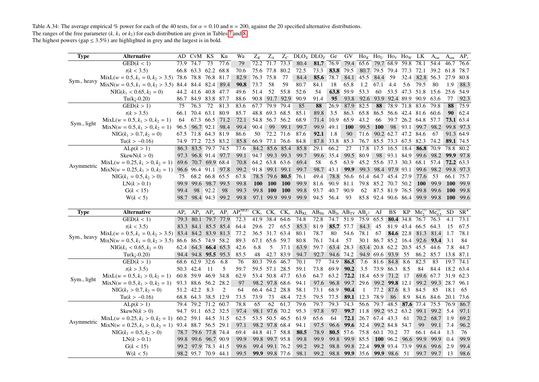Table A.34: The average empirical % power for each of the 40 tests, for  $\alpha = 0.10$  and  $n = 200$ , against the 20 specified alternative distributions. The ranges of the free parameter  $(k, k_1 \text{ or } k_2)$  for each distribution are given in Tables 7 and 8.

<span id="page-43-0"></span>

| <b>Type</b> | <b>Alternative</b>                                                          |      | AD CvM KS           |                | Ku                  | Wa                                                | $Z_K$      | $Z_A$          |            |      | $Z_c$ DLO <sub>x</sub> DLO <sub>z</sub>                                 | Ge           | GV         |                     | $\rm Ho_K$ $\rm Ho_U$ $\rm Ho_V$ $\rm Ho_W$ LK |                |                                                      |                                    | $A_{rat}$        | A <sub>ent</sub> | $AP_v$       |
|-------------|-----------------------------------------------------------------------------|------|---------------------|----------------|---------------------|---------------------------------------------------|------------|----------------|------------|------|-------------------------------------------------------------------------|--------------|------------|---------------------|------------------------------------------------|----------------|------------------------------------------------------|------------------------------------|------------------|------------------|--------------|
|             | GED(k < 1)                                                                  | 73.9 | 74.7                | 73             | 77.6                | 79                                                | 72.2       | 71.7           | 73.3       | 80.4 | 81.7                                                                    | 76.9         | 79.4       | 65.6                |                                                | 79.7 68.9 59.8 |                                                      | 78.1                               | 54.4             | 46.7             | 76.6         |
|             | t(k < 3.5)                                                                  | 66.8 | 63.3 62.2 68.8      |                |                     | 70.6                                              |            | 75.6 77.8      | 80.2       | 72.5 | 73.3                                                                    | 83.8         | 79.5       |                     |                                                |                |                                                      | 80.7 79.5 79.4 77.3 72.1           | 39.2             | 61.8             | 78.7         |
|             | $MixL(w = 0.5, k_1 = 0, k_2 > 3.5)$ 78.6 78.8 76.8 81.7                     |      |                     |                |                     | 82.9                                              | 76.3 75.8  |                | 77         | 84.4 | 85.6                                                                    | 78.7         |            | 84.1 45.5           | 84.4                                           | 59             |                                                      | 32.4 82.8 56.3                     |                  | 27.9             | 80.8         |
| Sym., heavy | MixN(w = 0.5, k <sub>1</sub> = 0, k <sub>2</sub> > 3.5) 84.4 84.4 82.4 89.4 |      |                     |                |                     | 90.8                                              | 73.7       | 58             | 59         | 80.7 | 84.1                                                                    | 18           | 65.8       | 1.2                 | 67.1                                           | 4.4            | 5.6                                                  | 79.5                               | 80               | 1.9              | 88.3         |
|             | $NIG(k_1 < 0.65, k_2 = 0)$                                                  |      | 44.2 41.6 40.8 47.7 |                |                     | 49.6                                              | 51.4       | 52             | 55.8       | 52.6 | 54                                                                      |              | 63.8 59.9  | 53.3                | 60                                             |                |                                                      | 53.5 47.3 51.8 15.6                |                  | 25.6             | 54.9         |
|             | $Tu(ki-0.20)$                                                               |      | 86.7 84.9 83.8 87.7 |                |                     | 88.6                                              |            | 90.8 91.7 92.9 |            | 90.9 | 91.4                                                                    | 95           | 93.8       | 92.6                |                                                |                |                                                      | 93.9 92.4 89.9 90.9 63.6           |                  | 77               | 92.3         |
|             | GED(k > 1)                                                                  | 75   | 76.3                | 72             | 81.3                | 83.6                                              |            | 67.7 79.9 79.4 |            | 85   | 88                                                                      | 26.9         | 87.9       | 82.5                | 88                                             |                | 78.9 71.8 83.6                                       |                                    | 79.8             | 88               | 75.9         |
|             | t(k > 3.5)                                                                  | 66.1 | 70.4                | 63.1 80.9      |                     | 85.7                                              |            | 48.8 69.3 68.5 |            | 85.1 | 89.8                                                                    | 3.5          | 86.3       | 65.8                | 86.5                                           |                |                                                      | 56.6 42.4 81.6 60.6                |                  | 90               | 62.4         |
|             | $MixL(w = 0.5, k_1 > 0, k_2 = 1)$                                           | 64   |                     | 67.3 66.5 71.2 |                     | 72.1                                              |            | 54.8 56.7 56.2 |            | 68.9 | 71.4                                                                    | 10.9         | 65.9       | 43.2                | 66                                             |                |                                                      | 39.7 26.2 64.8 57.7                |                  |                  | 73.1 63.4    |
| Sym., light | $MixN(w = 0.5, k_1 > 0, k_2 = 1)$                                           | 96.5 |                     | 96.7 92.1 98.4 |                     | 99.4                                              | 90.4       | 99             | 99.1       | 99.7 | 99.9                                                                    | 49.1         | <b>100</b> | 99.5                | <b>100</b>                                     | 98             |                                                      | 93.1 99.7 98.2                     |                  | 99.8 97.3        |              |
|             | $NIG(k_1 > 0.7, k_2 = 0)$                                                   |      | 67.5 71.8 64.3 81.9 |                |                     | 86.6                                              | 50         | 72.2 71.6      |            | 87.6 | 92.1                                                                    | 1.8          | 90         | 71.6                |                                                |                | 90.2 62.7 47.2 84.6                                  |                                    | 67               |                  | 91.3 64.9    |
|             | $Tu(k > -0.16)$                                                             | 74.9 | 77.2 72.5 83.2      |                |                     | 85.8                                              |            | 66.9 77.1 76.6 |            | 84.8 | 87.8                                                                    | 33.8         | 85.3       | 76.7                |                                                |                |                                                      | 85.5 73.3 67.5 82.3 74.2           |                  | 89.1 74.5        |              |
|             | ALp(k > 1)                                                                  |      | 86.3 83.5 79.7 74.5 |                |                     | 77.6                                              |            | 84.2 85.6 85.4 |            | 85.8 | 29.1                                                                    | 66.2         | 27         | 17.8                | 17.5                                           |                | 16.5 18.4                                            |                                    | 86.8 70.9        |                  | 78.8 80.2    |
|             | SkewN(k > 0)                                                                |      | 97.3 96.8 91.4 97.7 |                |                     | 99.1                                              | 94.7       |                | 99.3 99.3  | 99.7 | 99.6                                                                    | 35.4         | 99.5       | 80.9                | 98                                             | 93.1 84.9      |                                                      |                                    | 99.6 98.2        |                  | 99.9 97.8    |
|             | $MixL(w = 0.25, k_1 > 0, k_2 = 1)$                                          | 69.6 | 70.7 69.9 68.4      |                |                     | 70.8                                              |            | 64.2 63.8 63.6 |            | 69.4 | 58                                                                      | 6.5          | 63.9       | 45.2                |                                                |                |                                                      | 55.6 37.3 30.3 68.1 57.4           |                  |                  | 72.2 63.3    |
| Asymmetric  | $MixN(w = 0.25, k_1 > 0, k_2 = 1)$                                          |      | 96.6 96.4 91.1 97.8 |                |                     | 99.2                                              | 91.8       | 99.1           | 99.1       | 99.7 | 98.7                                                                    | 43.1         | 99.9       | 99.3                |                                                |                | 98.4 97.9 93.1                                       | 99.6                               | 98.2             |                  | 99.8 97.3    |
|             | $NIG(k_1 = 0.5, k_2 > 0)$                                                   | 75   |                     | 68.2 66.8 65.5 |                     | 67.8                                              |            | 78.5 79.6 80.5 |            | 76.1 | 49.4                                                                    |              | 78.8 56.6  | 61.4                | 64.7 45.4 27.9                                 |                |                                                      | 77.6                               | 53               | 66.1 75.7        |              |
|             | LN(k > 0.1)                                                                 | 99.9 |                     | 99.6 98.7 99.5 |                     | 99.8                                              | <b>100</b> | <b>100</b>     | <b>100</b> | 99.9 | 81.6                                                                    | 90.9         | 81.1       | 79.8                | 85.2 70.7 50.2                                 |                |                                                      | <b>100</b>                         | 99.9             | <b>100</b>       | 99.9         |
|             | G(k < 15)                                                                   | 99.4 | 98                  | 92.2           | 98                  | 99.3                                              | 99.8       | <b>100</b>     | <b>100</b> | 99.8 | 93.7                                                                    | 40.7         | 90.9       | 62                  | 87.5 81.9 76.5                                 |                |                                                      | 99.8                               | 99.6             | <b>100</b>       | 99.8         |
|             | W(k < 5)                                                                    |      | 98.7 98.4 94.3 99.2 |                |                     | 99.8                                              |            | 97.1 99.9 99.9 |            | 99.9 | 94.5                                                                    | 56.4         | 93         |                     |                                                |                |                                                      | 85.8 92.4 90.6 86.4 99.9 99.8      |                  | - 100            | - 99.6       |
|             |                                                                             |      |                     |                |                     |                                                   |            |                |            |      |                                                                         |              |            |                     |                                                |                |                                                      |                                    |                  |                  |              |
|             |                                                                             |      |                     |                |                     |                                                   |            |                |            |      |                                                                         |              |            |                     |                                                |                |                                                      |                                    |                  |                  |              |
| <b>Type</b> | <b>Alternative</b>                                                          |      |                     |                |                     | $AP_e$ $AP_y$ $AP_a$ $AP_z$ $AP_v^{\text{(MLE)}}$ |            |                |            |      | $CK_v$ $CK_e$ $CK_e$ $AB_{KL}$ $AB_{He}$ $AB_{Je}$ $AB_{TV}$ $AB_{v^2}$ |              |            |                     | AJ                                             | BS             |                                                      | $KP$ $Me_2^{(1)}$ $Me_{0.5}^{(2)}$ |                  | SD.              | $SR^{\star}$ |
|             | GED(k < 1)                                                                  |      |                     |                | 79.3 80.1 79.7 77.9 | 72.3                                              |            | 41.9 38.4 64.6 |            | 74.8 | 72.8                                                                    |              | 74.7 51.9  |                     | 75.9 65.5                                      |                |                                                      | 80.4 34.8 76.7 76.3                |                  | 4.1              | 73.1         |
|             | t(k < 3.5)                                                                  |      |                     |                | 83.3 84.1 85.5 85.4 | 64.4                                              | 29.6       | 27             | 65.5       | 85.3 | 81.9                                                                    |              | 85.7 57.7  | 84.3                | 45                                             |                | 81.9 43.4                                            | 66.5 64.3                          |                  | 15               | 67.5         |
|             | $MixL(w = 0.5, k_1 = 0, k_2 > 3.5)$ 83.4 84.2 83.9 81.3                     |      |                     |                |                     | 77.2                                              |            | 36.5 31.7 63.4 |            | 80.1 | 78.7                                                                    | 80           | 54.6       | 78.1                | 67                                             |                | 84.6 22.8                                            |                                    | 81.3 81.4        | 1.7              | 78.1         |
| Sym., heavy | $MixN(w = 0.5, k_1 = 0, k_2 > 3.5)$                                         |      | 86.6 86.5 74.9 58.2 |                |                     | 89.3                                              |            | 67.1 65.6 59.7 |            | 80.8 | 76.1                                                                    | 74.4         | 57         |                     | 30.1 86.7 85.2 16.4                            |                |                                                      |                                    | 92.6 93.4        | 3.1              | 84           |
|             | $NIG(k_1 < 0.65, k_2 = 0)$                                                  |      |                     |                | 62.4 64.3 66.4 65.3 | 42.6                                              | 6.8        | 5              | 37.1       | 63.9 | 59.7                                                                    | 63.4         | 28.3       |                     |                                                |                |                                                      | 63.4 20.8 62.2 20.5 45.5 44.6      |                  | 7.8              | 44.7         |
|             | $Tu(ki-0.20)$                                                               |      | 94.4 94.8 95.5 95.3 |                |                     | 85.5                                              | 48         | 42.7 83.9      |            | 94.7 | 92.7                                                                    | 94.6         | 74.2       |                     | 94.9 69.6 93.9 55                              |                |                                                      | 86.2 85.7                          |                  | 13.8             | 87.1         |
|             | GED(k>1)                                                                    | 68.6 | 62.9 32.6           |                | 6.8                 | 76                                                | 80.3       | 79.6           | 46.7       | 70.1 | 77                                                                      | 74.9         | 86.5       | 7.6                 | 81.6                                           | 84.8           | 8.6                                                  | 82.5                               | 83               | 19.7 74.1        |              |
|             | t(k > 3.5)                                                                  |      | 50.3 42.4           | -11            | 5                   | 59.7                                              |            | 59.5 57.1 28.5 |            | 59.1 | 73.8                                                                    | 69.9         | 90.2       | 3.5                 | 73.9 86.3                                      |                | 8.5                                                  | 84                                 | 84.4             | 18.2 63.4        |              |
|             | $MixL(w = 0.5, k_1 > 0, k_2 = 1)$                                           | 60.8 | 59.9 46.9           |                | 34.8                | 62.9                                              |            | 53.4 50.8 47.7 |            | 63.6 | 64.7                                                                    | 63.2         |            | 72.2 18.4           | 65.9 71.2                                      |                | 17                                                   |                                    | 69.6 67.7 31.9   |                  | 62.3         |
| Sym., light | $MixN(w = 0.5, k_1 > 0, k_2 = 1)$                                           |      | 93.3 88.6 56.2      |                | 28.2                | 97                                                |            | 98.2 97.8 68.6 |            | 94.1 | 97.6                                                                    | 96.8         |            | 99.7 29.6           |                                                | 99.2 99.8 12.1 |                                                      | 99.2                               | 99.3 28.7        |                  | 96.1         |
|             | $NIG(k_1 > 0.7, k_2 = 0)$                                                   |      | 51.2 42.2 8.3       |                | $\overline{2}$      | 64                                                |            | 66.4 64.2 28.8 |            | 58.1 | 73.1                                                                    | 68.9         | 90.4       | -1                  |                                                | 77.2 87.6 8.3  |                                                      | 84.5                               | 85               | 18.1             | 65           |
|             | $Tu(k > -0.16)$                                                             | 68.8 | 64.3 38.5 12.9      |                |                     | 73.5                                              | 73.9       | 73             | 48.4       | 72.5 | 79.5                                                                    | 77.5         |            | 89.1 12.3           | 78.9                                           | 86             | 8.9                                                  | 84.6 84.6                          |                  | 20.1             | 73.6         |
|             | ALp(k > 1)                                                                  |      | 79.4 79.2 71.2 60.7 |                |                     | 78.8                                              | 65         | 62             | 61.7       | 79.6 | 79.7                                                                    | 79.3         | 74.3       | $\overline{56.6}$   |                                                |                | $\overline{79.7}$ 48.5 <b>87.6</b> $\overline{77.4}$ |                                    | 75.5             | 76.9             | 86.7         |
|             | SkewN(k > 0)                                                                |      | 94.7 91.1 65.2 32.5 |                |                     | 97.4                                              | 98.1       | 97.6 70.2      |            | 95.3 | 97.8                                                                    | 97           |            | 99.7 11.8           |                                                | 99.2 95.2 63.2 |                                                      | 99.1                               | $99.2 \quad 5.4$ |                  | 97.1         |
|             | $MixL(w = 0.25, k_1 > 0, k_2 = 1)$ 60.2 59.1 44.5 31.5                      |      |                     |                |                     | 62.5                                              |            | 53.5 50.5 46.5 |            | 61.9 | 65.6                                                                    | 64           |            | 72.1 26.7 67.4 43.3 |                                                |                | 61                                                   | 70.2                               | 68.7             | 1.9              | 69.2         |
| Asymmetric  | $MixN(w = 0.25, k_1 > 0, k_2 = 1)$                                          |      | 93.4 88.7 56.5 29.1 |                |                     | 97.1                                              |            | 98.2 97.8 68.4 |            | 94.1 | 97.5                                                                    | 96.6         |            | 99.6 32.4           |                                                | 99.2 84.8 54.7 |                                                      | 99                                 | 99.1             | 7.4              | 96.2         |
|             | $NIG(k_1 = 0.5, k_2 > 0)$                                                   |      | 78.7 79.6 77.8 74.4 |                |                     | 69.4                                              |            | 44.8 41.7 58.8 |            | 80.5 | 78.9                                                                    |              | 80.5 57.6  | 75.8                | 60.1 70.2                                      |                | 77                                                   | 66.1                               | 64.4             | 1.3              | 76           |
|             | LN(k > 0.1)                                                                 |      | 99.8 99.6 96.7 90.9 |                |                     | 99.9                                              |            | 99.8 99.7 95.8 |            | 99.8 | 99.9                                                                    | 99.8         |            | 99.9 85.5           |                                                |                | 100 96.2 96.6                                        | 99.9                               | 99.9             | 0.4              | 99.9         |
|             | G(k < 15)                                                                   |      | 99.2 97.9 78.3 41.5 |                |                     | 99.6                                              |            | 99.4 99.1 76.2 |            | 99.2 | 99.2                                                                    | 98.8<br>98.8 | 99.8 22.4  | 99.9 35.6           |                                                | 99.9 98.6 51   | 99.9 93.4 73.9                                       | 99.6                               | 99.6             | 2.9              | 99.4         |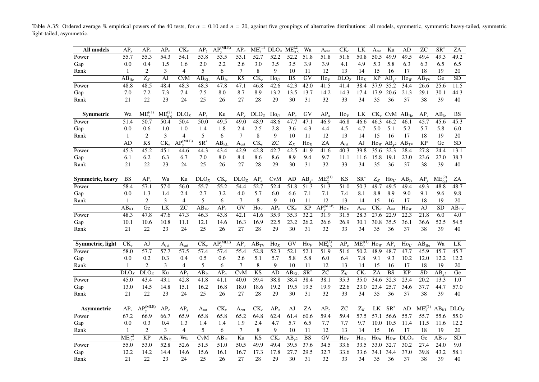Table A.35: Ordered average % empirical powers of the 40 tests, for  $\alpha = 0.10$  and  $n = 20$ , against five groupings of alternative distributions: all models, symmetric, symmetric heavy-tailed, symmetric light-tailed, asymmetric.

<span id="page-44-0"></span>

| All models       | $AP_{v}$             | $AP_{e}$                        | $AP_{\nu}$   | $CK_{v}$                         | AP <sub>z</sub>          | AP <sub>v</sub> <sup>(MLE)</sup> | $AP_a$           | $ME_2^{(\text{(1)})}$    |                  | $DLO_X$ $ME_{0.5}^{(2)}$ | Wa                       | $\mathbf{A}_{\text{ent}}$                   | $CK_{c}$                 | LK                            | A <sub>rat</sub>  | Ku                | AD               | $\overline{z}$ C | $\overline{\text{SR}^*}$ | ZA                   |
|------------------|----------------------|---------------------------------|--------------|----------------------------------|--------------------------|----------------------------------|------------------|--------------------------|------------------|--------------------------|--------------------------|---------------------------------------------|--------------------------|-------------------------------|-------------------|-------------------|------------------|------------------|--------------------------|----------------------|
| Power            | 55.7                 | 55.3                            | 54.3         | 54.1                             | 53.8                     | 53.5                             | 53.1             | 52.7                     | 52.2             | 52.2                     | 51.8                     | 51.8                                        | 51.6                     | 50.8                          | $\overline{50.5}$ | 49.9              | 49.5             | 49.4             | 49.3                     | 49.2                 |
| Gap              | 0.0                  | 0.4                             | 1.5          | 1.6                              | 2.0                      | 2.2                              | 2.6              | 3.0                      | 3.5              | 3.5                      | 3.9                      | 3.9                                         | 4.1                      | 4.9                           | 5.3               | 5.8               | 6.3              | 6.3              | 6.5                      | 6.5                  |
| Rank             | 1                    | 2                               | 3            | $\overline{4}$                   | 5                        | 6                                | 7                | 8                        | 9                | 10                       | 11                       | 12                                          | 13                       | 14                            | 15                | 16                | 17               | 18               | 19                       | 20                   |
|                  | $\overline{AB}_{He}$ | $Z_K$                           | AJ           | CvM                              | $\overline{AB_{KL}}$     | $\overline{AB}_{Je}$             | <b>KS</b>        | CK <sub>e</sub>          | $\text{Ho}_U$    | <b>BS</b>                | GV                       | $\text{Ho}_V$                               | DLO <sub>Z</sub>         | $\overline{H}$ O <sub>K</sub> | KP                | $AB_{v^2}$        | $\text{How}$     | $AB_{TV}$        | Ge                       | SD                   |
| Power            | 48.8                 | 48.5                            | 48.4         | 48.3                             | 48.3                     | 47.8                             | 47.1             | 46.8                     | 42.6             | 42.3                     | 42.0                     | 41.5                                        | 41.4                     | 38.4                          | 37.9              | 35.2              | 34.4             | 26.6             | 25.6                     | 11.5                 |
| Gap              | 7.0                  | 7.2                             | 7.3          | 7.4                              | 7.5                      | 8.0                              | 8.7              | 8.9                      | 13.2             | 13.5                     | 13.7                     | 14.2                                        | 14.3                     | 17.4                          | 17.9              | 20.6              | 21.3             | 29.1             | 30.1                     | 44.3                 |
| Rank             | 21                   | 22                              | 23           | 24                               | 25                       | 26                               | 27               | 28                       | 29               | 30                       | 31                       | 32                                          | 33                       | 34                            | 35                | 36                | 37               | 38               | 39                       | 40                   |
|                  |                      |                                 |              |                                  |                          |                                  |                  |                          |                  |                          |                          |                                             |                          |                               |                   |                   |                  |                  |                          |                      |
| <b>Symmetric</b> | Wa                   | $ME^{(1)}$                      | $ME_0^{(2)}$ | DLO <sub>X</sub>                 | AP <sub>2</sub>          | Ku                               | $AP_v$           | DLO <sub>Z</sub>         | $\mathrm{Ho}_U$  | $AP_e$                   | GV                       | $AP_a$                                      | $\text{Ho}_V$            | LK                            | $CK_{\nu}$        | CvM               | $AB_{He}$        | $AP_{v}$         | $AB_{Je}$                | BS                   |
| Power            | 51.4                 | 50.7                            | 50.4         | 50.4                             | 50.0                     | 49.5                             | 49.0             | 48.9                     | 48.6             | 47.7                     | 47.1                     | 46.9                                        | 46.8                     | 46.6                          | 46.3              | 46.2              | 46.1             | 45.7             | 45.6                     | 45.3                 |
| Gap              | 0.0                  | 0.6                             | 1.0          | 1.0                              | 1.4                      | 1.8                              | 2.4              | 2.5                      | 2.8              | 3.6                      | 4.3                      | 4.4                                         | 4.5                      | 4.7                           | 5.0               | 5.1               | 5.2              | 5.7              | 5.8                      | 6.0                  |
| Rank             | -1                   | 2                               | 3            | $\overline{4}$                   | 5                        | 6                                | 7                | 8                        | 9                | 10                       | 11                       | 12                                          | 13                       | 14                            | 15                | 16                | 17               | 18               | 19                       | 20                   |
|                  | AD                   | $\overline{\text{KS}}$          | $CK_e$       | AP <sub>°</sub> <sup>(MLE)</sup> | $\overline{\text{SR}^*}$ | $AB_{KL}$                        | A <sub>ent</sub> | $\overline{\text{CK}_c}$ | $\overline{z}$ C | $\overline{Z_K}$         | $\overline{\text{Ho}_K}$ | $\overline{ZA}$                             | A <sub>rat</sub>         | AJ                            | $\text{How}$      | $AB_{v^2}$        | $AB_{TV}$        | $\overline{KP}$  | Ge                       | SD                   |
| Power            | 45.3                 | 45.2                            | 45.1         | 44.6                             | 44.3                     | 43.4                             | 42.9             | 42.8                     | 42.7             | 42.5                     | 41.9                     | 41.6                                        | 40.3                     | 39.8                          | 35.6              | 32.3              | 28.4             | 27.8             | 24.4                     | 13.1                 |
| Gap              | 6.1                  | 6.2                             | 6.3          | 6.7                              | 7.0                      | 8.0                              | 8.4              | 8.6                      | 8.6              | 8.9                      | 9.4                      | 9.7                                         | 11.1                     | 11.6                          | 15.8              | 19.1              | 23.0             | 23.6             | 27.0                     | 38.3                 |
| Rank             | 21                   | 22                              | 23           | 24                               | 25                       | 26                               | 27               | 28                       | 29               | 30                       | 31                       | 32                                          | 33                       | 34                            | 35                | 36                | 37               | 38               | 39                       | 40                   |
|                  |                      |                                 |              |                                  |                          |                                  |                  |                          |                  |                          |                          |                                             |                          |                               |                   |                   |                  |                  |                          |                      |
| Symmetric, heavy | <b>BS</b>            | AP,                             | Wa           | Ku                               | DLO <sub>X</sub>         | $CK_e$                           | DLO <sub>7</sub> | $AP_a$                   | CvM              | AD                       | $AB_{v^2}$               | $ME_{2}^{(1)}$                              | <b>KS</b>                | SR <sup>3</sup>               | $\mathbf{Z}_K$    | $\text{Ho}_U$     | $AB_{Je}$        | $AP_v$           | $ME_0^{(2)}$             | ZA                   |
| Power            | 58.4                 | 57.1                            | 57.0         | 56.0                             | 55.7                     | 55.2                             | 54.4             | 52.7                     | 52.4             | 51.8                     | $\overline{51.3}$        | 51.3                                        | 51.0                     | 50.3                          | 49.7              | 49.5              | 49.4             | 49.3             | 48.8                     | 48.7                 |
| Gap              | 0.0                  | 1.3                             | 1.4          | 2.4                              | 2.7                      | 3.2                              | 4.0              | 5.7                      | 6.0              | 6.6                      | 7.1                      | 7.1                                         | 7.4                      | 8.1                           | 8.8               | 8.9               | 9.0              | 9.1              | 9.6                      | 9.8                  |
| Rank             | $\mathbf{1}$         | $\overline{2}$                  | 3            | $\overline{4}$                   | 5                        | 6                                | $\tau$           | 8                        | 9                | 10                       | 11                       | 12                                          | 13                       | 14                            | 15                | 16                | 17               | 18               | 19                       | 20                   |
|                  | $AB_{KL}$            | Ge                              | LK           | <b>ZC</b>                        | $AB_{He}$                | $AP_e$                           | GV               | $\text{Ho}_V$            | $AP_{v}$         | $CK_{v}$                 | $\overline{KP}$          | $\overline{\text{AP}^{(\text{MLE})}_\cdot}$ | $\overline{\text{Ho}_K}$ | A <sub>ent</sub>              | $CK_c$            | A <sub>rat</sub>  | $\text{Ho}_W$    | AJ               | <b>SD</b>                | $\overline{AB}_{TV}$ |
| Power            | 48.3                 | 47.8                            | 47.6         | 47.3                             | 46.3                     | 43.8                             | 42.1             | 41.6                     | 35.9             | 35.3                     | 32.2                     | 31.9                                        | 31.5                     | 28.3                          | 27.6              | $\overline{22.9}$ | 22.3             | 21.8             | 6.0                      | 4.0                  |
| Gap              | 10.1                 | 10.6                            | 10.8         | 11.1                             | 12.1                     | 14.6                             | 16.3             | 16.9                     | 22.5             | 23.2                     | 26.2                     | 26.6                                        | 26.9                     | 30.1                          | 30.8              | 35.5              | 36.1             | 36.6             | 52.5                     | 54.5                 |
| Rank             | 21                   | 22                              | 23           | 24                               | 25                       | 26                               | 27               | 28                       | 29               | 30                       | 31                       | 32                                          | 33                       | 34                            | 35                | 36                | 37               | 38               | 39                       | 40                   |
|                  |                      |                                 |              |                                  |                          | $AP+(MLE)$                       |                  |                          |                  |                          |                          |                                             |                          |                               |                   |                   |                  |                  |                          |                      |
| Symmetric, light | $CK_c$               | AJ                              | $A_{rat}$    | A <sub>ent</sub>                 | $CK_{v}$                 |                                  | $AP_{v}$         | $AB_{TV}$                | $Ho_K$           | GV                       | $\text{Ho}_V$            | $ME_{0.5}^{(2)}$                            | $AP_{e}$                 | $ME_2^{(1)}$                  | $\text{Ho}_W$     | $AP_{v}$          | $\text{Ho}_U$    | $AB_{\rm He}$    | Wa                       | ${\rm LK}$           |
| Power            | 58.0                 | 57.7<br>0.2                     | 57.7         | 57.5<br>0.4                      | 57.4                     | 57.4                             | 55.4<br>2.6      | $\overline{52.8}$        | 52.3             | 52.1                     | 52.1                     | 51.9                                        | 51.6                     | 50.2                          | 48.9              | 48.7              | 47.7             | 45.9             | 45.7                     | 45.7                 |
| Gap              | 0.0<br>$\mathbf{1}$  | 2                               | 0.3<br>3     | $\overline{4}$                   | 0.5<br>5                 | 0.6<br>6                         | 7                | 5.1<br>8                 | 5.7<br>9         | 5.8<br>10                | 5.8<br>11                | 6.0<br>12                                   | 6.4<br>13                | 7.8<br>14                     | 9.1<br>15         | 9.3<br>16         | 10.2<br>17       | 12.0<br>18       | 12.2<br>19               | 12.2<br>20           |
| Rank             | DLO <sub>X</sub>     |                                 | Ku           | AP <sub>z</sub>                  | $\overline{AB}_{Je}$     | $AP_a$                           | <b>CvM</b>       | KS                       | AD               | $\overline{AB_{KL}}$     | $SR^*$                   | <b>ZC</b>                                   | $Z_K$                    | $CK_e$                        | <b>ZA</b>         | <b>BS</b>         | $\overline{KP}$  | <b>SD</b>        | $AB_{v^2}$               | Ge                   |
| Power            | 45.0                 | DLO <sub>Z</sub><br>43.4        | 43.1         | 42.8                             | 41.8                     | 41.1                             | 40.0             | 39.4                     | 38.8             | 38.4                     | 38.4                     | 38.1                                        | 35.3                     | 35.0                          | 34.6              | 32.3              | 23.4             | 20.2             | 13.3                     | 1.0                  |
| Gap              | 13.0                 | 14.5                            | 14.8         | 15.1                             | 16.2                     | 16.8                             | 18.0             | 18.6                     | 19.2             | 19.5                     | 19.5                     | 19.9                                        | 22.6                     | 23.0                          | 23.4              | 25.7              | 34.6             | 37.7             | 44.7                     | 57.0                 |
| Rank             | 21                   | 22                              | 23           | 24                               | 25                       | 26                               | 27               | 28                       | 29               | 30                       | 31                       | 32                                          | 33                       | 34                            | 35                | 36                | 37               | 38               | 39                       | 40                   |
|                  |                      |                                 |              |                                  |                          |                                  |                  |                          |                  |                          |                          |                                             |                          |                               |                   |                   |                  |                  |                          |                      |
| Asymmetric       | $AP_{v}$             | $\widehat{\mathbf{AP}^{(MLE)}}$ | $AP_{e}$     | AP,                              | A <sub>rat</sub>         | $CK_{v}$                         | A <sub>ent</sub> | $CK_{c}$                 | $AP_a$           | AJ                       | ZA                       | AP,                                         | <b>ZC</b>                | $Z_K$                         | LK                | <b>SR</b>         | AD               | $ME^{(0)}_2$     | $AB_{KL}$                | DLO <sub>X</sub>     |
| Power            | 67.2                 | 66.9                            | 66.7         | 65.9                             | 65.8                     | 65.8                             | 65.2             | 64.8                     | 62.4             | 61.4                     | 60.6                     | 59.4                                        | $\overline{59.4}$        | $\overline{57.5}$             | 57.1              | 56.6              | 55.7             | 55.7             | 55.6                     | 55.0                 |
| Gap              | 0.0                  | 0.3                             | 0.4          | 1.3                              | 1.4                      | 1.4                              | 1.9              | 2.4                      | 4.7              | 5.7                      | 6.5                      | 7.7                                         | 7.7                      | 9.7                           | 10.0              | 10.5              | 11.4             | 11.5             | 11.6                     | 12.2                 |
| Rank             | 1                    | 2                               | 3            | $\overline{4}$                   | 5                        | 6                                | 7                | 8                        | 9                | 10                       | 11                       | 12                                          | 13                       | 14                            | 15                | 16                | 17               | 18               | 19                       | 20                   |
|                  | $ME_{0.5}^{(2)}$     | KP                              | $AB_{He}$    | Wa                               | <b>CvM</b>               | $AB_{Je}$                        | Ku               | <b>KS</b>                | $CK_e$           | $AB_{v^2}$               | <b>BS</b>                | GV                                          | $\text{Ho}_V$            | $\text{Ho}_U$                 | $Ho_K$            | $\text{Ho}_W$     | DLO <sub>Z</sub> | Ge               | $AB_{TV}$                | <b>SD</b>            |
| Power            | 55.0                 | 53.0                            | 52.8         | 52.6                             | $\overline{51.5}$        | 51.0                             | 50.5             | 49.9                     | 49.4             | 39.5                     | 37.6                     | 34.5                                        | 33.6                     | 33.5                          | 33.0              | 32.7              | 30.2             | 27.4             | 24.0                     | 9.0                  |
| Gap              | 12.2                 | 14.2                            | 14.4         | 14.6                             | 15.6                     | 16.1                             | 16.7             | 17.3                     | 17.8             | 27.7                     | 29.5                     | 32.7                                        | 33.6                     | 33.6                          | 34.1              | 34.4              | 37.0             | 39.8             | 43.2                     | 58.1                 |
| Rank             | 21                   | 22                              | 23           | 24                               | 25                       | 26                               | 27               | 28                       | 29               | 30                       | 31                       | 32                                          | 33                       | 34                            | 35                | 36                | 37               | 38               | 39                       | 40                   |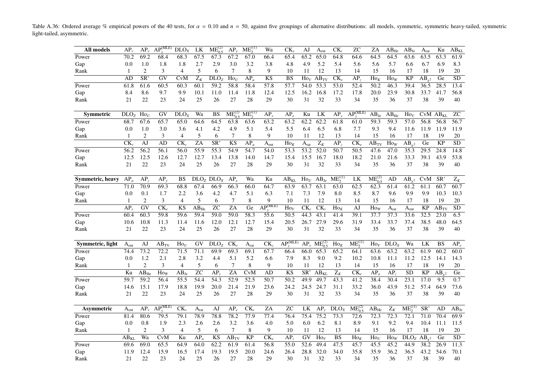Table A.36: Ordered average % empirical powers of the 40 tests, for  $\alpha = 0.10$  and  $n = 50$ , against five groupings of alternative distributions: all models, symmetric, symmetric heavy-tailed, symmetric light-tailed, asymmetric.

| All models       | $AP_{\nu}$           | $AP_{e}$                 | $AP_v^{(\overline{\text{MLE}})}$ | $\overline{D}LO_X$     | LK               | $ME_{0.5}^{(2)}$                  | $AP_{v}$             | $ME_2^{(1)}$      | Wa                                   | $CK_{v}$             | AJ               | A <sub>ent</sub>        | $CK_c$           | <b>ZC</b>                             | ZA               | $AB_{He}$        | $AB_{Je}$                 | $A_{rat}$                | Ku                   | $AB_{KL}$       |
|------------------|----------------------|--------------------------|----------------------------------|------------------------|------------------|-----------------------------------|----------------------|-------------------|--------------------------------------|----------------------|------------------|-------------------------|------------------|---------------------------------------|------------------|------------------|---------------------------|--------------------------|----------------------|-----------------|
| Power            | 70.2                 | 69.2                     | 68.4                             | 68.3                   | 67.5             | 67.3                              | 67.2                 | 67.0              | 66.4                                 | 65.4                 | 65.2             | 65.0                    | 64.8             | 64.6                                  | 64.5             | 64.5             | 63.6                      | 63.5                     | 63.3                 | 61.9            |
| Gap              | 0.0                  | 1.0                      | 1.8                              | 1.8                    | 2.7              | 2.9                               | 3.0                  | 3.2               | 3.8                                  | 4.8                  | 4.9              | 5.2                     | 5.4              | 5.6                                   | 5.6              | 5.7              | 6.6                       | 6.7                      | 6.9                  | 8.3             |
| Rank             | 1                    | $\overline{c}$           | 3                                | $\overline{4}$         | 5                | 6                                 | $\overline{7}$       | 8                 | 9                                    | 10                   | 11               | 12                      | 13               | 14                                    | 15               | 16               | 17                        | 18                       | 19                   | 20              |
|                  | AD                   | $\overline{\text{SR}^*}$ | $\overline{GV}$                  | <b>CvM</b>             | $Z_K$            | DLO <sub>z</sub>                  | $\text{Ho}_U$        | $AP_a$            | <b>KS</b>                            | <b>BS</b>            | $\text{Ho}_V$    | $AB_{TV}$               | $CK_e$           | AP <sub>2</sub>                       | $\text{Ho}_K$    | $\text{Ho}_W$    | <b>KP</b>                 | $AB_{v^2}$               | Ge                   | $\overline{SD}$ |
| Power            | 61.8                 | 61.6                     | 60.5                             | 60.3                   | 60.1             | 59.2                              | 58.8                 | 58.4              | 57.8                                 | 57.7                 | 54.0             | 53.3                    | 53.0             | 52.4                                  | 50.2             | 46.3             | 39.4                      | 36.5                     | 28.5                 | 13.4            |
| Gap              | 8.4                  | 8.6                      | 9.7                              | 9.9                    | 10.1             | 11.0                              | 11.4                 | 11.8              | 12.4                                 | 12.5                 | 16.2             | 16.8                    | 17.2             | 17.8                                  | 20.0             | 23.9             | 30.8                      | 33.7                     | 41.7                 | 56.8            |
| Rank             | 21                   | 22                       | 23                               | 24                     | 25               | 26                                | 27                   | 28                | 29                                   | 30                   | 31               | 32                      | 33               | 34                                    | 35               | 36               | 37                        | 38                       | 39                   | 40              |
| <b>Symmetric</b> | DLO <sub>z</sub>     | $\mathrm{Ho}_U$          | GV                               | DLO <sub>X</sub>       | Wa               | BS                                | $ME_{0.5}^{(2)}$     | $ME_2^{(1)}$      | $AP_v$                               | $AP_{e}$             | Ku               | LK                      | $AP_{v}$         | $\widehat{\mathsf{AP}_\cdot^{(MLE)}}$ | $AB_{Je}$        | $AB_{He}$        | $\text{Ho}_V$             |                          | CvM AB <sub>KL</sub> | ${\rm ZC}$      |
| Power            | 68.7                 | 67.6                     | 65.7                             | 65.0                   | 64.6             | 64.5                              | 63.8                 | 63.6              | 63.2                                 | 63.2                 | 62.2             | 62.2                    | 61.8             | 61.0                                  | 59.3             | 59.3             | 57.0                      | 56.8                     | 56.8                 | 56.7            |
| Gap              | 0.0                  | 1.0                      | 3.0                              | 3.6                    | 4.1              | 4.2                               | 4.9                  | 5.1               | 5.4                                  | 5.5                  | 6.4              | 6.5                     | 6.8              | 7.7                                   | 9.3              | 9.4              | 11.6                      | 11.9                     | 11.9                 | 11.9            |
| Rank             | 1                    | 2                        | 3                                | $\overline{4}$         | 5                | 6                                 | 7                    | 8                 | 9                                    | 10                   | 11               | 12                      | 13               | 14                                    | 15               | 16               | 17                        | 18                       | 19                   | 20              |
|                  | CK                   | $\overline{AJ}$          | AD                               | $CK_c$                 | ZA               | $\overline{\text{SR}^2}$          | $\overline{KS}$      | $AP_a$            | A <sub>ent</sub>                     | $\text{Ho}_K$        | A <sub>rat</sub> | $\overline{Z_K}$        | AP <sub>z</sub>  | $\overline{\text{CK}_e}$              | $AB_{TV}$        | $\text{Ho}_W$    | $\overline{AB}_{y^2}$     | Ge                       | $\overline{KP}$      | $\overline{SD}$ |
| Power            | 56.2                 | 56.2                     | 56.1                             | 56.0                   | 55.9             | 55.3                              | 54.9                 | 54.7              | 54.0                                 | 53.3                 | 53.2             | 52.0                    | 50.7             | 50.5                                  | 47.6             | 47.0             | 35.3                      | 29.5                     | 24.8                 | 14.8            |
| Gap              | 12.5                 | 12.5                     | 12.6                             | 12.7                   | 12.7             | 13.4                              | 13.8                 | 14.0              | 14.7                                 | 15.4                 | 15.5             | 16.7                    | 18.0             | 18.2                                  | 21.0             | 21.6             | 33.3                      | 39.1                     | 43.9                 | 53.8            |
| Rank             | 21                   | 22                       | 23                               | 24                     | 25               | 26                                | 27                   | 28                | 29                                   | 30                   | 31               | 32                      | 33               | 34                                    | 35               | 36               | 37                        | 38                       | 39                   | 40              |
|                  |                      |                          |                                  |                        |                  |                                   |                      |                   |                                      |                      |                  |                         |                  |                                       |                  |                  |                           |                          |                      |                 |
| Symmetric, heavy | $AP_a$               | AP <sub>z</sub>          | $AP_v$                           | <b>BS</b>              |                  | DLO <sub>Z</sub> DLO <sub>X</sub> | $AP_e$               | Wa                | Ku                                   | $AB_{KL}$            | $\text{Ho}_U$    | $AB_{\text{Je}}$        | $ME_2^{(1)}$     | LK                                    | $ME_{0.5}^{(2)}$ | AD               | $AB_{v^2}$                | CvM                      | $SR^*$               | $Z_K$           |
| Power            | 71.0                 | 70.9                     | 69.3                             | 68.8                   | 67.4             | 66.9                              | 66.3                 | 66.0              | 64.7                                 | 63.9                 | 63.7             | 63.1                    | 63.0             | 62.5                                  | 62.3             | 61.4             | 61.2                      | 61.1                     | 60.7                 | 60.7            |
| Gap              | 0.0                  | 0.1                      | 1.7                              | 2.2                    | 3.6              | 4.2                               | 4.7                  | 5.1               | 6.3                                  | 7.1                  | 7.3              | 7.9                     | 8.0              | 8.5                                   | 8.7              | 9.6              | 9.9                       | 9.9                      | 10.3                 | 10.3            |
| Rank             | $\mathbf{1}$         | 2                        | 3                                | $\overline{4}$         | 5                | 6                                 | $\overline{7}$       | 8                 | 9                                    | 10                   | 11               | 12                      | 13               | 14                                    | 15               | 16               | 17                        | 18                       | 19                   | $20\,$          |
|                  | AP <sub>1</sub>      | GV                       | $\overline{\text{CK}_e}$         | $\overline{\text{KS}}$ | $AB_{He}$        | <b>ZC</b>                         | ZA                   | Ge                | $\widehat{\text{AP}^{(\text{MLE})}}$ | $\text{Ho}_V$        | $CK_c$           | $CK_{v}$                | $Ho_K$           | AJ                                    | $\text{Ho}_W$    | A <sub>rat</sub> | $\mathbf{A}_{\text{ent}}$ | KP                       | $AB_{TV}$            | $\overline{SD}$ |
| Power            | 60.4                 | 60.3                     | 59.8                             | 59.6                   | 59.4             | 59.0                              | 59.0                 | $\overline{58.3}$ | 55.6                                 | 50.5                 | 44.3             | 43.1                    | 41.4             | 39.1                                  | 37.7             | 37.3             | 33.6                      | 32.5                     | 23.0                 | 6.5             |
| Gap              | 10.6                 | 10.8                     | 11.3                             | 11.4                   | 11.6             | 12.0                              | 12.1                 | 12.7              | 15.4                                 | 20.5                 | 26.7             | 27.9                    | 29.6             | 31.9                                  | 33.4             | 33.7             | 37.4                      | 38.5                     | 48.0                 | 64.5            |
| Rank             | 21                   | 22                       | 23                               | 24                     | 25               | 26                                | 27                   | 28                | 29                                   | 30                   | 31               | 32                      | 33               | 34                                    | 35               | 36               | 37                        | 38                       | 39                   | 40              |
|                  |                      |                          |                                  |                        |                  |                                   |                      |                   |                                      |                      |                  |                         |                  |                                       |                  |                  |                           |                          |                      |                 |
| Symmetric, light | A <sub>ent</sub>     | AJ                       | $AB_{TV}$                        | $\mathrm{Ho}_U$        | GV               | DLO <sub>z</sub>                  | $CK_{\nu}$           | $A_{rat}$         | $CK_c$                               | $AP_{\cdot}^{(MLE)}$ |                  | $AP_v$ $ME_{0.5}^{(2)}$ | $Ho_K$           | $ME^{(0)}_2$                          | $\text{Ho}_V$    | DLO <sub>X</sub> | Wa                        | LK                       | BS                   | $AP_e$          |
| Power            | 74.4                 | 73.2                     | 72.2                             | 71.5                   | 71.1             | 69.9                              | 69.3                 | 69.1              | 67.7                                 | 66.4                 | 66.0             | 65.3                    | 65.2             | 64.1                                  | 63.6             | 63.2             | 63.2                      | 61.9                     | 60.2                 | 60.0            |
| Gap              | 0.0                  | 1.2                      | 2.1                              | 2.8                    | 3.2              | 4.4                               | 5.1                  | 5.2               | 6.6                                  | 7.9                  | 8.3              | 9.0                     | 9.2              | 10.2                                  | 10.8             | 11.1             | 11.2                      | 12.5                     | 14.1                 | 14.3            |
| Rank             | $\mathbf{1}$         | $\overline{c}$           | 3                                | $\overline{4}$         | 5                | 6                                 | 7                    | 8                 | 9                                    | 10                   | 11               | 12                      | 13               | 14                                    | 15               | 16               | 17                        | 18                       | 19                   | 20              |
|                  | Ku                   | $AB_{He}$                | $\text{How}$                     | $AB_{Je}$              | ZC               | AP,                               | ZA                   | <b>CvM</b>        | AD                                   | <b>KS</b>            | SR <sup>'</sup>  | $AB_{KL}$               | $Z_K$            | $CK_e$                                | $AP_a$           | AP <sub>z</sub>  | SD                        | KP                       | $AB_{v^2}$           | Ge              |
| Power            | 59.7                 | 59.2                     | 56.4                             | 55.5                   | 54.4             | 54.3                              | $\overline{52.9}$    | $\overline{52.5}$ | 50.7                                 | $\overline{50.2}$    | 49.9             | 49.7                    | 43.3             | 41.2                                  | 38.4             | 30.4             | $\overline{23.1}$         | 17.0                     | 9.5                  | 0.7             |
| Gap              | 14.6                 | 15.1                     | 17.9                             | 18.8                   | 19.9             | 20.0                              | 21.4                 | 21.9              | 23.6                                 | 24.2                 | 24.5             | 24.7                    | 31.1             | 33.2                                  | 36.0             | 43.9             | 51.2                      | 57.4                     | 64.9                 | 73.6            |
| Rank             | 21                   | 22                       | 23                               | 24                     | 25               | 26                                | 27                   | 28                | 29                                   | 30                   | 31               | 32                      | 33               | 34                                    | 35               | 36               | 37                        | 38                       | 39                   | 40              |
| Asymmetric       | $A_{\rm ent}$        | $AP_{v}$                 | $AP_v^{\overline{(MLE)}}$        | $CK_{\nu}$             | A <sub>rat</sub> | AJ                                | $AP_e$               | $CK_c$            | ZA                                   | <b>ZC</b>            | LK               | $AP_{v}$                | DLO <sub>X</sub> | $ME_{0.5}^{(2)}$                      | $AB_{He}$        | $Z_K$            | $ME_2^{(1)}$              | $\overline{\text{SR}^*}$ | AD                   | $AB_{Je}$       |
| Power            | 81.4                 | 80.6                     | 79.5                             | 79.1                   | 78.9             | 78.8                              | 78.2                 | 77.9              | 77.4                                 | 76.4                 | 75.4             | 75.2                    | 73.3             | 72.6                                  | 72.3             | 72.3             | 72.1                      | 71.0                     | 70.4                 | 69.9            |
| Gap              | 0.0                  | 0.8                      | 1.9                              | 2.3                    | 2.6              | 2.6                               | 3.2                  | 3.6               | 4.0                                  | 5.0                  | 6.0              | 6.2                     | 8.1              | 8.9                                   | 9.1              | 9.2              | 9.4                       | 10.4                     | 11.1                 | 11.5            |
| Rank             | 1                    | 2                        | 3                                | $\overline{4}$         | 5                | 6                                 | $\overline{7}$       | 8                 | 9                                    | 10                   | 11               | 12                      | 13               | 14                                    | 15               | 16               | 17                        | 18                       | 19                   | 20              |
|                  | $\overline{AB_{KI}}$ | Wa                       | <b>CvM</b>                       | Ku                     | $AP_a$           | $\overline{\text{KS}}$            | $\overline{AB_{TV}}$ | $\overline{KP}$   | $CK_{\rho}$                          | AP <sub>2</sub>      | $\overline{GV}$  | $\text{Ho}_V$           | <b>BS</b>        | $\text{Ho}_K$                         | $\text{Ho}_U$    | $\text{Ho}_W$    | DLO <sub>z</sub>          | $AB_{v^2}$               | Ge                   | $\overline{SD}$ |
| Power            | 69.6                 | 69.0                     | 65.5                             | 64.9                   | 64.0             | 62.2                              | 61.9                 | 61.4              | 56.8                                 | 55.0                 | 52.6             | 49.4                    | 47.5             | 45.7                                  | 45.5             | 45.2             | 44.9                      | 38.2                     | 26.9                 | 11.3            |
| Gap              | 11.9                 | 12.4                     | 15.9                             | 16.5                   | 17.4             | 19.3                              | 19.5                 | 20.0              | 24.6                                 | 26.4                 | 28.8             | 32.0                    | 34.0             | 35.8                                  | 35.9             | 36.2             | 36.5                      | 43.2                     | 54.6                 | 70.1            |
| Rank             | 21                   | 22                       | 23                               | 24                     | 25               | 26                                | 27                   | 28                | 29                                   | 30                   | 31               | 32                      | 33               | 34                                    | 35               | 36               | 37                        | 38                       | 39                   | 40              |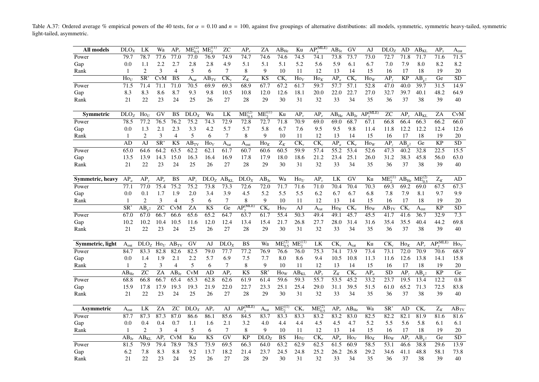Table A.37: Ordered average % empirical powers of the 40 tests, for  $\alpha = 0.10$  and  $n = 100$ , against five groupings of alternative distributions: all models, symmetric, symmetric heavy-tailed, symmetric light-tailed, asymmetric.

| All models       | DLO <sub>X</sub>       | LK                       | Wa                       | $AP_{\nu}$              | $ME_{0.5}^{(2)}$     | $ME_2^{(1)}$           | <b>ZC</b>        | $AP_{e}$                  | ZA                        | $AB_{He}$                | Ku                           | $AP_v^{\overline{(MLE)}}$ | $AB_{Je}$                     | GV                       | AJ                              | DLO <sub>z</sub>   | AD              | $AB_{KL}$                  | $AP_{v}$                             | A <sub>ent</sub> |
|------------------|------------------------|--------------------------|--------------------------|-------------------------|----------------------|------------------------|------------------|---------------------------|---------------------------|--------------------------|------------------------------|---------------------------|-------------------------------|--------------------------|---------------------------------|--------------------|-----------------|----------------------------|--------------------------------------|------------------|
| Power            | 79.7                   | 78.7                     | 77.6                     | 77.0                    | 77.0                 | 76.9                   | 74.9             | 74.7                      | 74.6                      | 74.6                     | 74.5                         | 74.1                      | 73.8                          | 73.7                     | 73.0                            | 72.7               | 71.8            | 71.7                       | 71.6                                 | 71.5             |
| Gap              | 0.0                    | 1.1                      | 2.2                      | 2.7                     | 2.8                  | 2.8                    | 4.9              | 5.1                       | 5.1                       | 5.1                      | 5.2                          | 5.6                       | 5.9                           | 6.1                      | 6.7                             | 7.0                | 7.9             | 8.0                        | 8.2                                  | 8.2              |
| Rank             | $\mathbf{1}$           | $\overline{2}$           | 3                        | $\overline{4}$          | 5                    | 6                      | $\tau$           | 8                         | 9                         | 10                       | 11                           | 12                        | 13                            | 14                       | 15                              | 16                 | 17              | 18                         | 19                                   | 20               |
|                  | $\text{Ho}_U$          | $\overline{\text{SR}^*}$ | CvM                      | <b>BS</b>               | A <sub>rat</sub>     | $AB_{TV}$              | $CK_{v}$         | $Z_K$                     | $\overline{\text{KS}}$    | $\overline{\text{CK}_c}$ | $\text{Ho}_V$                | $\text{Ho}_K$             | $AP_a$                        | $CK_e$                   | $\text{Ho}_W$                   | AP <sub>2</sub>    | <b>KP</b>       | $AB_{,2}$                  | Ge                                   | <b>SD</b>        |
| Power            | 71.5                   | 71.4                     | 71.1                     | 71.0                    | 70.5                 | 69.9                   | 69.3             | 68.9                      | 67.7                      | 67.2                     | 61.7                         | 59.7                      | 57.7                          | 57.1                     | 52.8                            | $\overline{47.0}$  | 40.0            | 39.7                       | 31.5                                 | 14.9             |
| Gap              | 8.3                    | 8.3                      | 8.6                      | 8.7                     | 9.3                  | 9.8                    | 10.5             | 10.8                      | 12.0                      | 12.6                     | 18.1                         | 20.0                      | 22.0                          | 22.7                     | 27.0                            | 32.7               | 39.7            | 40.1                       | 48.2                                 | 64.9             |
| Rank             | 21                     | 22                       | 23                       | 24                      | 25                   | 26                     | 27               | 28                        | 29                        | 30                       | 31                           | 32                        | 33                            | 34                       | 35                              | 36                 | 37              | 38                         | 39                                   | 40               |
|                  |                        |                          |                          |                         |                      |                        |                  |                           |                           |                          |                              |                           |                               |                          |                                 |                    |                 |                            |                                      |                  |
| Symmetric        | DLO <sub>z</sub>       | $\text{Ho}_U$            | GV                       | <b>BS</b>               | DLO <sub>X</sub>     | Wa                     | LK               | $ME_{0.5}^{(2)}$          | $ME_2^{(1)}$              | Ku                       | $AP_{v}$                     | $AP_e$                    |                               | $AB_{He}$ $AB_{Je}$      | AP <sub></sub> <sup>(MLE)</sup> | ZС                 | $AP_v$          | $AB_{KL}$                  | ZA                                   | CvM              |
| Power            | 78.5                   | 77.2                     | 76.5                     | 76.2                    | 75.2                 | 74.3                   | 72.9             | 72.8                      | 72.7                      | 71.8                     | 70.9                         | 69.0                      | 69.0                          | 68.7                     | 67.1                            | 66.8               | 66.4            | 66.3                       | 66.2                                 | 66.0             |
| Gap              | 0.0                    | 1.3                      | 2.1                      | 2.3                     | 3.3                  | 4.2                    | 5.7              | 5.7                       | 5.8                       | 6.7                      | 7.6                          | 9.5                       | 9.5                           | 9.8                      | 11.4                            | 11.8               | 12.2            | 12.2                       | 12.4                                 | 12.6             |
| Rank             | $\mathbf{1}$           | 2                        | 3                        | 4                       | 5                    | 6                      | 7                | 8                         | 9                         | 10                       | 11                           | 12                        | 13                            | 14                       | 15                              | 16                 | 17              | 18                         | 19                                   | 20               |
|                  | AD                     | $\overline{AJ}$          | $\overline{\text{SR}^*}$ | <b>KS</b>               | $\overline{AB_{TV}}$ | $\overline{Ho_V}$      | A <sub>rat</sub> | A <sub>ent</sub>          | $Ho_K$                    | $\overline{Z_K}$         | $\overline{\text{CK}_{\nu}}$ | $\overline{\text{CK}_c}$  | $AP_a$                        | $\overline{\text{CK}_e}$ | $H_{\mathbf{0}_W}$              | AP <sub>z</sub>    | $AB_{v^2}$      | Ge                         | $\overline{KP}$                      | $\overline{SD}$  |
| Power            | 65.0                   | 64.6                     | 64.2                     | 63.5                    | 62.2                 | 62.1                   | 61.7             | 60.7                      | 60.6                      | 60.5                     | 59.9                         | 57.4                      | 55.2                          | 53.4                     | 52.6                            | 47.3               | 40.2            | 32.8                       | 22.5                                 | 15.5             |
| Gap              | 13.5                   | 13.9                     | 14.3                     | 15.0                    | 16.3                 | 16.4                   | 16.9             | 17.8                      | 17.9                      | 18.0                     | 18.6                         | 21.2                      | 23.4                          | 25.1                     | 26.0                            | 31.2               | 38.3            | 45.8                       | 56.0                                 | 63.0             |
| Rank             | 21                     | 22                       | 23                       | 24                      | 25                   | 26                     | 27               | $28\,$                    | 29                        | 30                       | 31                           | 32                        | 33                            | 34                       | 35                              | 36                 | 37              | 38                         | 39                                   | 40               |
|                  |                        |                          |                          |                         |                      |                        |                  |                           |                           |                          |                              |                           |                               |                          |                                 |                    |                 |                            |                                      |                  |
| Symmetric, heavy | $AP_a$                 | $AP_v$                   | $AP_e$                   | <b>BS</b>               | AP <sub>2</sub>      | $DLO_Z$ $AB_{KL}$      |                  | DLO <sub>X</sub>          | $AB_{\text{Je}}$          | Wa                       | $\text{Ho}_U$                | $AP_v$                    | LK                            | GV                       | Ku                              | $ME_2^{(1)}$       |                 | $AB_{He}$ $ME_{0.5}^{(2)}$ | $\mathbf{Z}_K$                       | AD               |
| Power            | 77.1                   | 77.0                     | 75.4                     | 75.2                    | 75.2                 | 73.8                   | 73.3             | 72.6                      | 72.0                      | 71.7                     | 71.6                         | 71.0                      | 70.4                          | 70.4                     | 70.3                            | 69.3               | 69.2            | 69.0                       | 67.5                                 | 67.3             |
| Gap              | 0.0                    | 0.1                      | 1.7                      | 1.9                     | 2.0                  | 3.4                    | 3.9              | 4.5                       | 5.2                       | 5.5                      | 5.5                          | 6.2                       | 6.7                           | 6.7                      | 6.8                             | 7.8                | 7.9             | 8.1                        | 9.7                                  | 9.9              |
| Rank             | $\mathbf{1}$           | 2                        | 3                        | $\overline{4}$          | 5                    | 6                      | $\tau$           | 8                         | 9                         | 10                       | 11                           | 12                        | 13                            | 14                       | 15                              | 16                 | 17              | 18                         | 19                                   | 20               |
|                  | $\overline{\text{SR}}$ | $AB_{v^2}$               | $\overline{z}$ C         | $\overline{\text{CvM}}$ | $\overline{ZA}$      | $\overline{\text{KS}}$ | $\overline{Ge}$  | $\overline{AP}^{(MLE)}$   | $\overline{\text{CK}_e}$  | $\overline{Ho_V}$        | AJ                           | A <sub>rat</sub>          | $\overline{H}$ O <sub>K</sub> | $CK_{v}$                 | $\text{Ho}_W$                   | $AB$ <sub>TV</sub> | $CK_c$          | $\bar{A}_{ent}$            | $\overline{KP}$                      | $\overline{SD}$  |
| Power            | 67.0                   | 67.0                     | 66.7                     | 66.6                    | 65.6                 | 65.2                   | 64.7             | 63.7                      | 61.7                      | 55.4                     | 50.3                         | 49.4                      | 49.1                          | 45.7                     | 45.5                            | 41.7               | 41.6            | 36.7                       | 32.9                                 | $\overline{7.3}$ |
| Gap              | 10.2                   | 10.2                     | 10.4                     | 10.5                    | 11.6                 | 12.0                   | 12.4             | 13.4                      | 15.4                      | 21.7                     | 26.8                         | 27.7                      | 28.0                          | 31.4                     | 31.6                            | 35.4               | 35.5            | 40.4                       | 44.2                                 | 69.8             |
| Rank             | 21                     | 22                       | 23                       | 24                      | 25                   | 26                     | 27               | 28                        | 29                        | 30                       | 31                           | 32                        | 33                            | 34                       | 35                              | 36                 | 37              | 38                         | 39                                   | 40               |
|                  |                        |                          |                          |                         |                      |                        |                  |                           |                           |                          |                              |                           |                               |                          |                                 |                    |                 |                            |                                      |                  |
| Symmetric, light | A <sub>ent</sub>       | $DLOZ$ Ho <sub>U</sub>   |                          | $AB_{TV}$               | GV                   | AJ                     | DLO <sub>X</sub> | <b>BS</b>                 | Wa                        | $ME_{0.5}^{(2)}$         | $ME_2^{(1)}$                 | LK                        | $CK_{\nu}$                    | A <sub>rat</sub>         | Ku                              | $CK_c$             | $Ho_K$          | $AP_{v}$                   | $\overline{AP_{\cdot\cdot}^{(MLE)}}$ | Ho <sub>V</sub>  |
| Power            | 84.7                   | 83.3                     | 82.8                     | 82.6                    | 82.5                 | 79.0                   | 77.7             | 77.2                      | 76.9                      | 76.6                     | 76.0                         | 75.3                      | 74.1                          | 73.9                     | 73.4                            | 73.1               | 72.0            | 70.9                       | 70.6                                 | 68.9             |
| Gap              | 0.0                    | 1.4                      | 1.9                      | 2.1                     | 2.2                  | 5.7                    | 6.9              | 7.5                       | 7.7                       | 8.0                      | 8.6                          | 9.4                       | 10.5                          | 10.8                     | 11.3                            | 11.6               | 12.6            | 13.8                       | 14.1                                 | 15.8             |
| Rank             | -1                     | $\overline{2}$           | 3                        | $\overline{4}$          | 5                    | 6                      | 7                | 8                         | 9                         | 10                       | 11                           | 12                        | 13                            | 14                       | 15                              | 16                 | 17              | 18                         | 19                                   | 20               |
|                  | $AB_{He}$              | $\overline{z}$ C         | $\overline{ZA}$          | $AB_{Je}$               | <b>CvM</b>           | AD                     | $AP_{e}$         | KS                        | $\overline{\text{SR}^2}$  | $\text{How}$             | $AB_{KL}$                    | $AP_v$                    | $\overline{Z_K}$              | $\overline{\text{CK}_e}$ | $AP_a$                          | <b>SD</b>          | AP <sub>z</sub> | $AB_{v^2}$                 | $\overline{KP}$                      | $\overline{Ge}$  |
| Power            | 68.8                   | 66.8                     | 66.7                     | 65.4                    | 65.3                 | 62.8                   | 62.6             | 61.9                      | 61.4                      | 59.6                     | $\overline{59.3}$            | 55.7                      | $\overline{53.5}$             | 45.2                     | 33.2                            | 23.7               | 19.5            | 13.4                       | 12.2                                 | 0.8              |
| Gap              | 15.9                   | 17.8                     | 17.9                     | 19.3                    | 19.3                 | 21.9                   | 22.0             | 22.7                      | 23.3                      | 25.1                     | 25.4                         | 29.0                      | 31.1                          | 39.5                     | 51.5                            | 61.0               | 65.2            | 71.3                       | 72.5                                 | 83.8             |
| Rank             | 21                     | 22                       | 23                       | 24                      | 25                   | 26                     | 27               | $28\,$                    | 29                        | 30                       | 31                           | 32                        | 33                            | 34                       | 35                              | 36                 | 37              | 38                         | 39                                   | 40               |
|                  |                        |                          |                          |                         |                      |                        |                  |                           |                           |                          |                              |                           |                               |                          |                                 |                    |                 |                            |                                      |                  |
| Asymmetric       | $A_{ent}$              | LK                       | ZA                       | <b>ZC</b>               | DLO <sub>x</sub>     | $AP_{v}$               | AJ               | $\overline{AP_v^{(MLE)}}$ | $\mathbf{A}_{\text{rat}}$ | $ME_2^{(1)}$             | $CK_{v}$                     | $ME_{0.5}^{(2)}$          | $AP_e$                        | $AB_{He}$                | Wa                              | $SR^*$             | AD              | CK <sub>c</sub>            | $\mathbf{Z}_K$                       | $AB_{TV}$        |
| Power            | 87.7                   | 87.3                     | 87.3                     | 87.0                    | 86.6                 | 86.1                   | 85.6             | 84.5                      | 83.7                      | 83.3                     | 83.3                         | 83.2                      | 83.2                          | 83.0                     | 82.5                            | 82.2               | 82.1            | 81.9                       | 81.6                                 | 81.6             |
| Gap              | 0.0                    | 0.4                      | 0.4                      | 0.7                     | 1.1                  | 1.6                    | 2.1              | 3.2                       | 4.0                       | 4.4                      | 4.4                          | 4.5                       | 4.5                           | 4.7                      | 5.2                             | 5.5                | 5.6             | 5.8                        | 6.1                                  | 6.1              |
| Rank             | $\mathbf{1}$           | 2                        | 3                        | $\overline{4}$          | 5                    | 6                      | 7                | 8                         | 9                         | 10                       | 11                           | 12                        | 13                            | 14                       | 15                              | 16                 | 17              | 18                         | 19                                   | 20               |
|                  | $AB_{Ie}$              | $\overline{AB}_{KL}$     | $AP_v$                   | CvM                     | Ku                   | <b>KS</b>              | GV               | <b>KP</b>                 | DLO <sub>Z</sub>          | $\overline{\text{BS}}$   | $\mathrm{Ho}_U$              | $CK_e$                    | $AP_a$                        | $\text{Ho}_V$            | $\text{Ho}_K$                   | $H_{\mathbf{O}_W}$ | $AP_{7}$        | $AB_{v^2}$                 | Ge                                   | <b>SD</b>        |
| Power            | 81.5                   | 79.9                     | 79.4                     | 78.9                    | 78.5                 | 73.9                   | 69.5             | 66.3                      | 64.0                      | 63.2                     | 62.9                         | 62.5                      | 61.5                          | 60.9                     | 58.5                            | $\overline{53.1}$  | 46.6            | 38.8                       | 29.6                                 | 13.9             |
| Gap              | 6.2                    | 7.8                      | 8.3                      | 8.8                     | 9.2                  | 13.7                   | 18.2             | 21.4                      | 23.7                      | 24.5                     | 24.8                         | 25.2                      | 26.2                          | 26.8                     | 29.2                            | 34.6               | 41.1            | 48.8                       | 58.1                                 | 73.8             |
| Rank             | 21                     | 22                       | 23                       | 24                      | 25                   | 26                     | 27               | 28                        | 29                        | 30                       | 31                           | 32                        | 33                            | 34                       | 35                              | 36                 | 37              | 38                         | 39                                   | 40               |